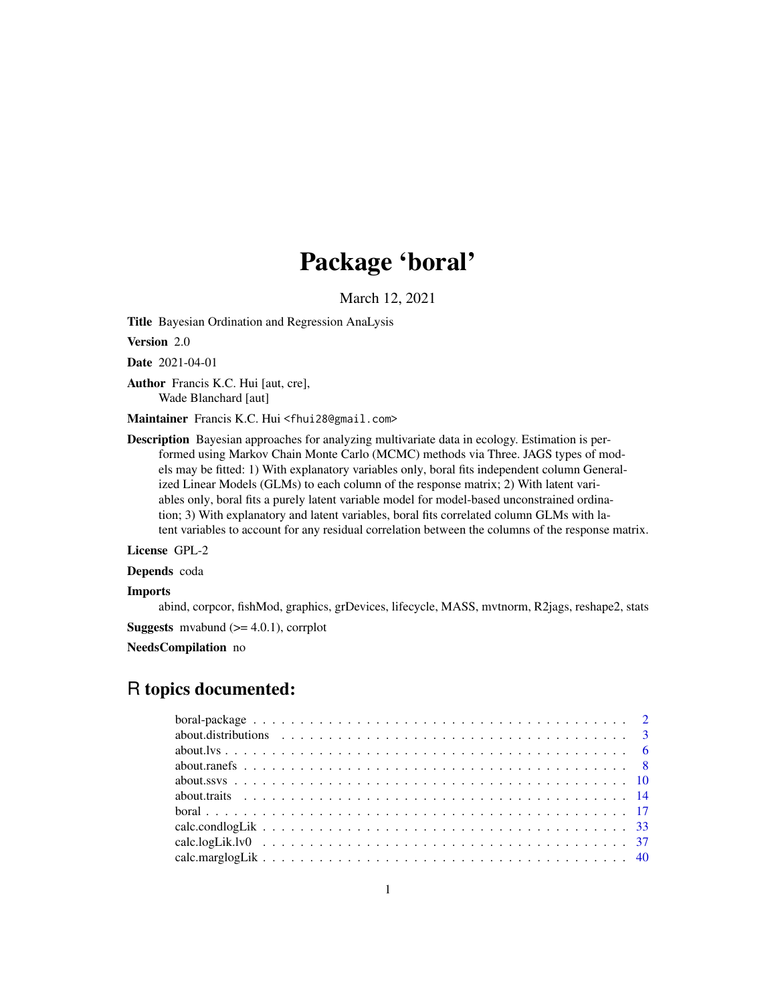# Package 'boral'

March 12, 2021

Title Bayesian Ordination and Regression AnaLysis

Version 2.0

Date 2021-04-01

Author Francis K.C. Hui [aut, cre], Wade Blanchard [aut]

Maintainer Francis K.C. Hui <fhui28@gmail.com>

Description Bayesian approaches for analyzing multivariate data in ecology. Estimation is performed using Markov Chain Monte Carlo (MCMC) methods via Three. JAGS types of models may be fitted: 1) With explanatory variables only, boral fits independent column Generalized Linear Models (GLMs) to each column of the response matrix; 2) With latent variables only, boral fits a purely latent variable model for model-based unconstrained ordination; 3) With explanatory and latent variables, boral fits correlated column GLMs with latent variables to account for any residual correlation between the columns of the response matrix.

License GPL-2

Depends coda

#### Imports

abind, corpcor, fishMod, graphics, grDevices, lifecycle, MASS, mvtnorm, R2jags, reshape2, stats

**Suggests** mvabund  $(>= 4.0.1)$ , corrplot

NeedsCompilation no

# R topics documented: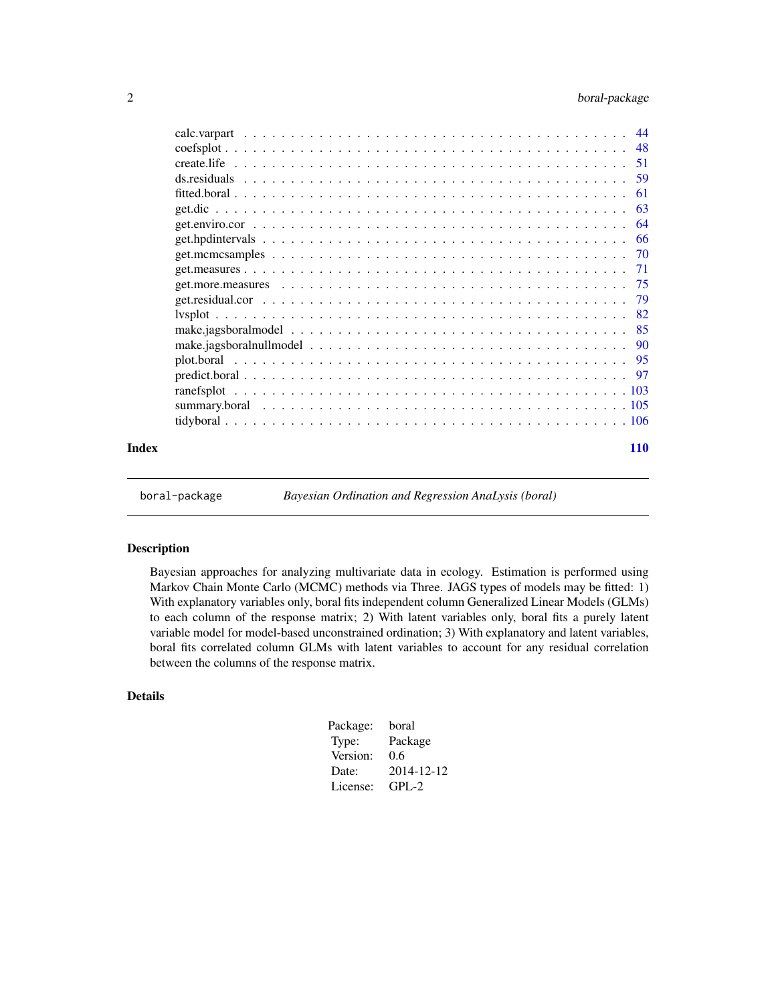<span id="page-1-0"></span>

|                                                                                                                | -61 |
|----------------------------------------------------------------------------------------------------------------|-----|
|                                                                                                                | 63  |
|                                                                                                                | 64  |
|                                                                                                                | -66 |
|                                                                                                                |     |
|                                                                                                                | 71  |
| get.more.measures $\ldots \ldots \ldots \ldots \ldots \ldots \ldots \ldots \ldots \ldots \ldots \ldots \ldots$ | -75 |
|                                                                                                                | 79  |
|                                                                                                                |     |
|                                                                                                                |     |
|                                                                                                                |     |
|                                                                                                                |     |
|                                                                                                                |     |
|                                                                                                                |     |
|                                                                                                                |     |
|                                                                                                                |     |
|                                                                                                                |     |

## **Index** 2008 **[110](#page-109-0)**

boral-package *Bayesian Ordination and Regression AnaLysis (boral)*

# Description

Bayesian approaches for analyzing multivariate data in ecology. Estimation is performed using Markov Chain Monte Carlo (MCMC) methods via Three. JAGS types of models may be fitted: 1) With explanatory variables only, boral fits independent column Generalized Linear Models (GLMs) to each column of the response matrix; 2) With latent variables only, boral fits a purely latent variable model for model-based unconstrained ordination; 3) With explanatory and latent variables, boral fits correlated column GLMs with latent variables to account for any residual correlation between the columns of the response matrix.

# Details

| Package: | boral      |
|----------|------------|
| Type:    | Package    |
| Version: | 0.6        |
| Date:    | 2014-12-12 |
| License: | $GPI - 2$  |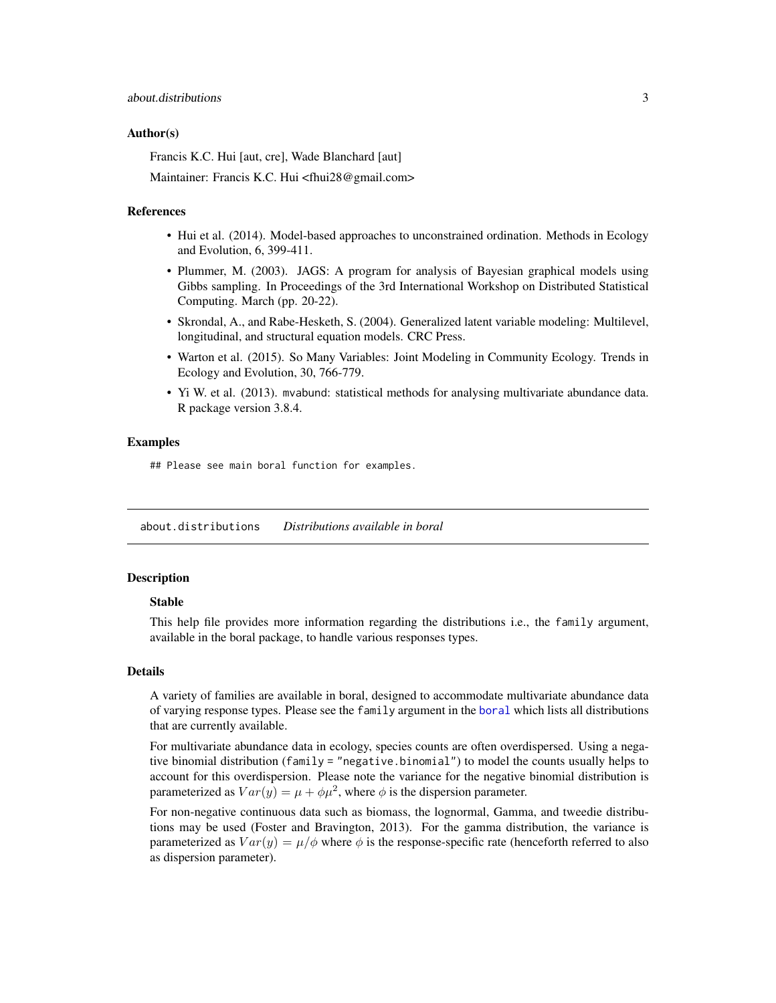#### <span id="page-2-0"></span>Author(s)

Francis K.C. Hui [aut, cre], Wade Blanchard [aut]

Maintainer: Francis K.C. Hui <fhui28@gmail.com>

## References

- Hui et al. (2014). Model-based approaches to unconstrained ordination. Methods in Ecology and Evolution, 6, 399-411.
- Plummer, M. (2003). JAGS: A program for analysis of Bayesian graphical models using Gibbs sampling. In Proceedings of the 3rd International Workshop on Distributed Statistical Computing. March (pp. 20-22).
- Skrondal, A., and Rabe-Hesketh, S. (2004). Generalized latent variable modeling: Multilevel, longitudinal, and structural equation models. CRC Press.
- Warton et al. (2015). So Many Variables: Joint Modeling in Community Ecology. Trends in Ecology and Evolution, 30, 766-779.
- Yi W. et al. (2013). mvabund: statistical methods for analysing multivariate abundance data. R package version 3.8.4.

## Examples

## Please see main boral function for examples.

<span id="page-2-1"></span>about.distributions *Distributions available in boral*

## **Description**

## Stable

This help file provides more information regarding the distributions i.e., the family argument, available in the boral package, to handle various responses types.

#### Details

A variety of families are available in boral, designed to accommodate multivariate abundance data of varying response types. Please see the family argument in the [boral](#page-16-1) which lists all distributions that are currently available.

For multivariate abundance data in ecology, species counts are often overdispersed. Using a negative binomial distribution (family = "negative.binomial") to model the counts usually helps to account for this overdispersion. Please note the variance for the negative binomial distribution is parameterized as  $Var(y) = \mu + \phi \mu^2$ , where  $\phi$  is the dispersion parameter.

For non-negative continuous data such as biomass, the lognormal, Gamma, and tweedie distributions may be used (Foster and Bravington, 2013). For the gamma distribution, the variance is parameterized as  $Var(y) = \mu/\phi$  where  $\phi$  is the response-specific rate (henceforth referred to also as dispersion parameter).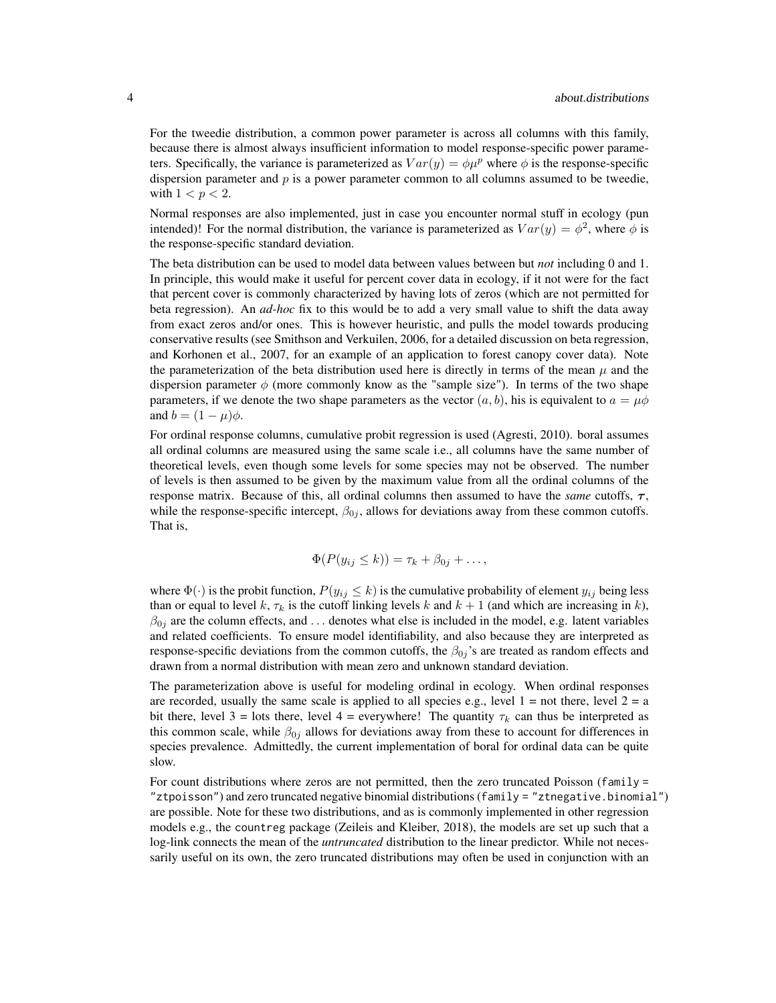For the tweedie distribution, a common power parameter is across all columns with this family, because there is almost always insufficient information to model response-specific power parameters. Specifically, the variance is parameterized as  $Var(y) = \phi \mu^p$  where  $\phi$  is the response-specific dispersion parameter and  $p$  is a power parameter common to all columns assumed to be tweedie, with  $1 < p < 2$ .

Normal responses are also implemented, just in case you encounter normal stuff in ecology (pun intended)! For the normal distribution, the variance is parameterized as  $Var(y) = \phi^2$ , where  $\phi$  is the response-specific standard deviation.

The beta distribution can be used to model data between values between but *not* including 0 and 1. In principle, this would make it useful for percent cover data in ecology, if it not were for the fact that percent cover is commonly characterized by having lots of zeros (which are not permitted for beta regression). An *ad-hoc* fix to this would be to add a very small value to shift the data away from exact zeros and/or ones. This is however heuristic, and pulls the model towards producing conservative results (see Smithson and Verkuilen, 2006, for a detailed discussion on beta regression, and Korhonen et al., 2007, for an example of an application to forest canopy cover data). Note the parameterization of the beta distribution used here is directly in terms of the mean  $\mu$  and the dispersion parameter  $\phi$  (more commonly know as the "sample size"). In terms of the two shape parameters, if we denote the two shape parameters as the vector  $(a, b)$ , his is equivalent to  $a = \mu \phi$ and  $b = (1 - \mu)\phi$ .

For ordinal response columns, cumulative probit regression is used (Agresti, 2010). boral assumes all ordinal columns are measured using the same scale i.e., all columns have the same number of theoretical levels, even though some levels for some species may not be observed. The number of levels is then assumed to be given by the maximum value from all the ordinal columns of the response matrix. Because of this, all ordinal columns then assumed to have the *same* cutoffs,  $\tau$ , while the response-specific intercept,  $\beta_{0j}$ , allows for deviations away from these common cutoffs. That is,

$$
\Phi(P(y_{ij} \leq k)) = \tau_k + \beta_{0j} + \dots,
$$

where  $\Phi(\cdot)$  is the probit function,  $P(y_{ij} \leq k)$  is the cumulative probability of element  $y_{ij}$  being less than or equal to level k,  $\tau_k$  is the cutoff linking levels k and  $k + 1$  (and which are increasing in k),  $\beta_{0i}$  are the column effects, and ... denotes what else is included in the model, e.g. latent variables and related coefficients. To ensure model identifiability, and also because they are interpreted as response-specific deviations from the common cutoffs, the  $\beta_{0j}$ 's are treated as random effects and drawn from a normal distribution with mean zero and unknown standard deviation.

The parameterization above is useful for modeling ordinal in ecology. When ordinal responses are recorded, usually the same scale is applied to all species e.g., level  $1 = \text{not there}$ , level  $2 = \text{a}$ bit there, level 3 = lots there, level 4 = everywhere! The quantity  $\tau_k$  can thus be interpreted as this common scale, while  $\beta_{0j}$  allows for deviations away from these to account for differences in species prevalence. Admittedly, the current implementation of boral for ordinal data can be quite slow.

For count distributions where zeros are not permitted, then the zero truncated Poisson (family =  $"ztpoisson")$  and zero truncated negative binomial distributions (family =  $"ztnegative-binomial")$ are possible. Note for these two distributions, and as is commonly implemented in other regression models e.g., the countreg package (Zeileis and Kleiber, 2018), the models are set up such that a log-link connects the mean of the *untruncated* distribution to the linear predictor. While not necessarily useful on its own, the zero truncated distributions may often be used in conjunction with an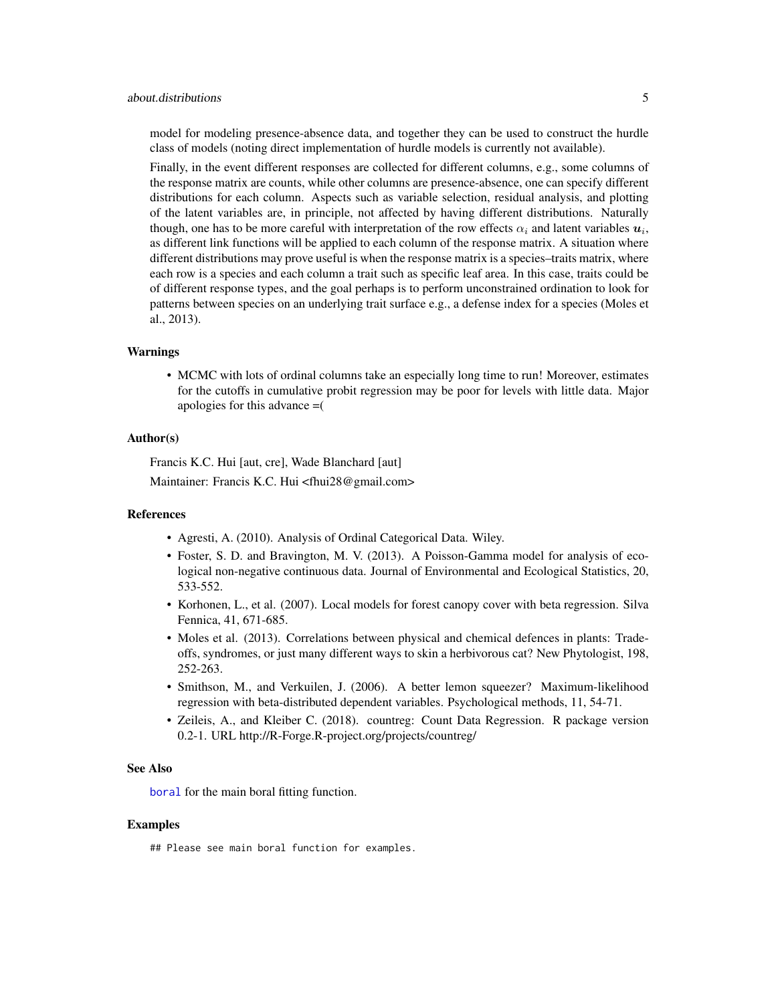## about.distributions 5

model for modeling presence-absence data, and together they can be used to construct the hurdle class of models (noting direct implementation of hurdle models is currently not available).

Finally, in the event different responses are collected for different columns, e.g., some columns of the response matrix are counts, while other columns are presence-absence, one can specify different distributions for each column. Aspects such as variable selection, residual analysis, and plotting of the latent variables are, in principle, not affected by having different distributions. Naturally though, one has to be more careful with interpretation of the row effects  $\alpha_i$  and latent variables  $u_i$ , as different link functions will be applied to each column of the response matrix. A situation where different distributions may prove useful is when the response matrix is a species–traits matrix, where each row is a species and each column a trait such as specific leaf area. In this case, traits could be of different response types, and the goal perhaps is to perform unconstrained ordination to look for patterns between species on an underlying trait surface e.g., a defense index for a species (Moles et al., 2013).

#### Warnings

• MCMC with lots of ordinal columns take an especially long time to run! Moreover, estimates for the cutoffs in cumulative probit regression may be poor for levels with little data. Major apologies for this advance =(

# Author(s)

Francis K.C. Hui [aut, cre], Wade Blanchard [aut] Maintainer: Francis K.C. Hui <fhui28@gmail.com>

## References

- Agresti, A. (2010). Analysis of Ordinal Categorical Data. Wiley.
- Foster, S. D. and Bravington, M. V. (2013). A Poisson-Gamma model for analysis of ecological non-negative continuous data. Journal of Environmental and Ecological Statistics, 20, 533-552.
- Korhonen, L., et al. (2007). Local models for forest canopy cover with beta regression. Silva Fennica, 41, 671-685.
- Moles et al. (2013). Correlations between physical and chemical defences in plants: Tradeoffs, syndromes, or just many different ways to skin a herbivorous cat? New Phytologist, 198, 252-263.
- Smithson, M., and Verkuilen, J. (2006). A better lemon squeezer? Maximum-likelihood regression with beta-distributed dependent variables. Psychological methods, 11, 54-71.
- Zeileis, A., and Kleiber C. (2018). countreg: Count Data Regression. R package version 0.2-1. URL http://R-Forge.R-project.org/projects/countreg/

## See Also

[boral](#page-16-1) for the main boral fitting function.

#### Examples

## Please see main boral function for examples.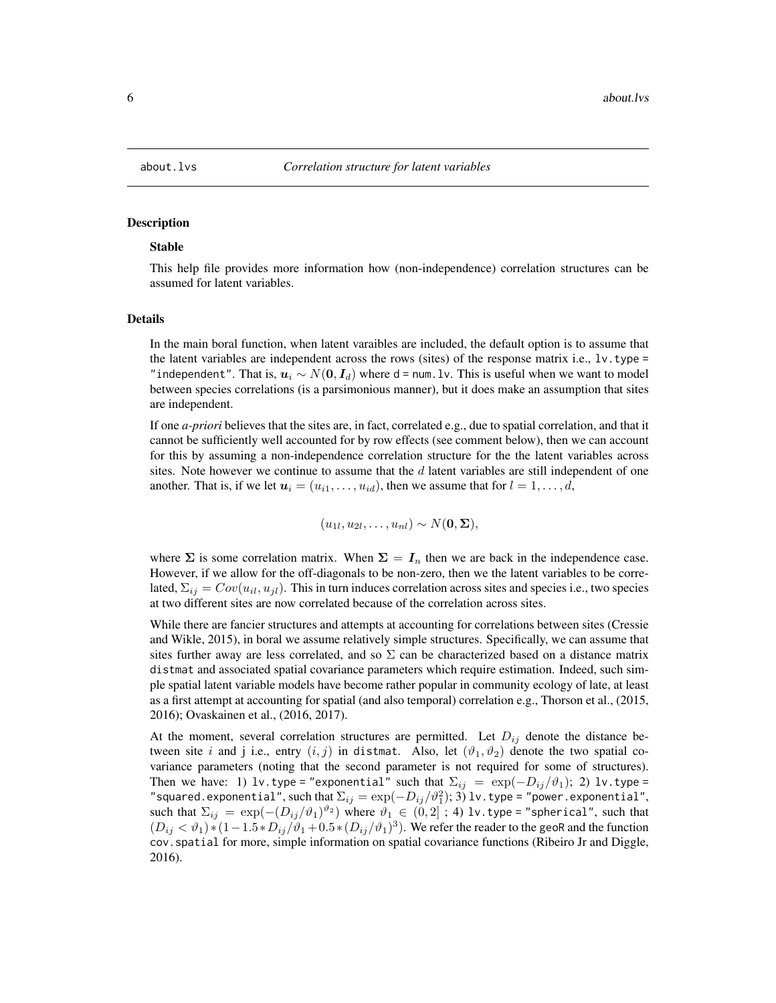<span id="page-5-1"></span><span id="page-5-0"></span>

## **Description**

#### Stable

This help file provides more information how (non-independence) correlation structures can be assumed for latent variables.

## Details

In the main boral function, when latent varaibles are included, the default option is to assume that the latent variables are independent across the rows (sites) of the response matrix i.e.,  $1v$ . type = "independent". That is,  $u_i \sim N(0, I_d)$  where d = num.lv. This is useful when we want to model between species correlations (is a parsimonious manner), but it does make an assumption that sites are independent.

If one *a-priori* believes that the sites are, in fact, correlated e.g., due to spatial correlation, and that it cannot be sufficiently well accounted for by row effects (see comment below), then we can account for this by assuming a non-independence correlation structure for the the latent variables across sites. Note however we continue to assume that the  $d$  latent variables are still independent of one another. That is, if we let  $u_i = (u_{i1}, \ldots, u_{id})$ , then we assume that for  $l = 1, \ldots, d$ ,

$$
(u_{1l}, u_{2l}, \ldots, u_{nl}) \sim N(\mathbf{0}, \mathbf{\Sigma}),
$$

where  $\Sigma$  is some correlation matrix. When  $\Sigma = I_n$  then we are back in the independence case. However, if we allow for the off-diagonals to be non-zero, then we the latent variables to be correlated,  $\Sigma_{ij} = Cov(u_{ii}, u_{ji})$ . This in turn induces correlation across sites and species i.e., two species at two different sites are now correlated because of the correlation across sites.

While there are fancier structures and attempts at accounting for correlations between sites (Cressie and Wikle, 2015), in boral we assume relatively simple structures. Specifically, we can assume that sites further away are less correlated, and so  $\Sigma$  can be characterized based on a distance matrix distmat and associated spatial covariance parameters which require estimation. Indeed, such simple spatial latent variable models have become rather popular in community ecology of late, at least as a first attempt at accounting for spatial (and also temporal) correlation e.g., Thorson et al., (2015, 2016); Ovaskainen et al., (2016, 2017).

At the moment, several correlation structures are permitted. Let  $D_{ij}$  denote the distance between site i and j i.e., entry  $(i, j)$  in distmat. Also, let  $(\vartheta_1, \vartheta_2)$  denote the two spatial covariance parameters (noting that the second parameter is not required for some of structures). Then we have: 1) lv.type="exponential" such that  $\Sigma_{ij} = \exp(-D_{ij}/\vartheta_1)$ ; 2) lv.type= "squared.exponential", ${\rm such\ that\ }\Sigma_{ij}={\rm exp}(-D_{ij}/\vartheta_1^2);$   $\rm 3)$  lv.type = "power.exponential", such that  $\Sigma_{ij}$  =  $\exp(-(D_{ij}/\vartheta_1)^{\vartheta_2})$  where  $\vartheta_1\,\in\, (0,2]$  ; 4) lv.type="spherical", such that  $(D_{ij} < \vartheta_1) * (1 - 1.5 * D_{ij}/\vartheta_1 + 0.5 * (D_{ij}/\vartheta_1)^3)$ . We refer the reader to the geoR and the function cov.spatial for more, simple information on spatial covariance functions (Ribeiro Jr and Diggle, 2016).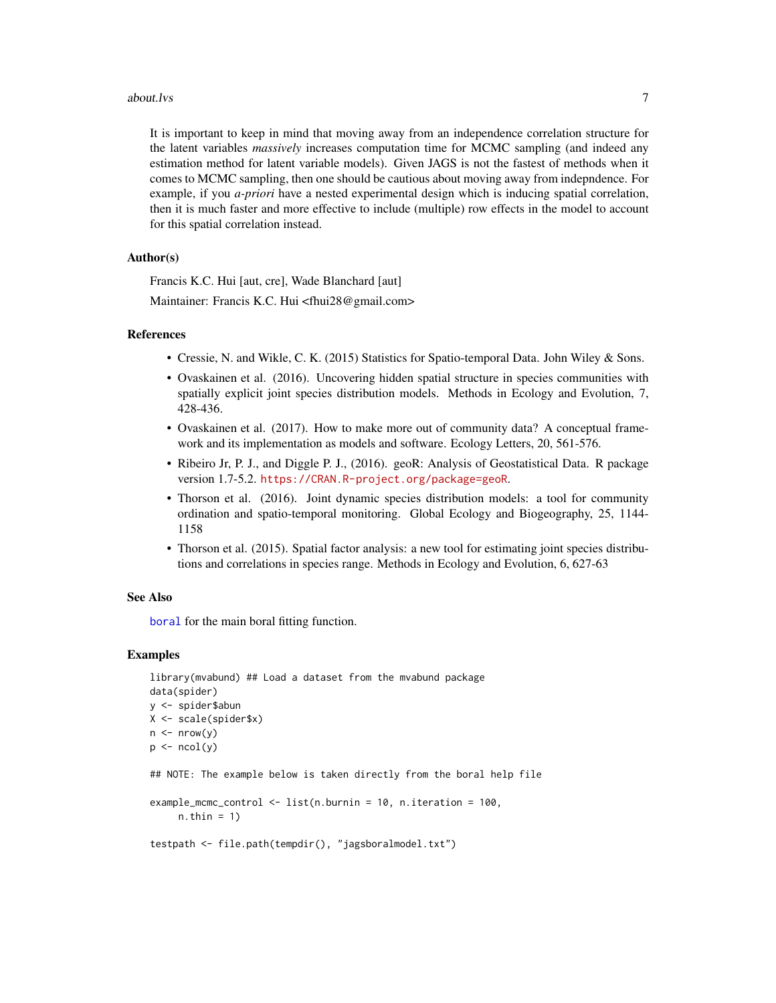#### about.lys 2008 and 2008 and 2008 and 2008 and 2008 and 2008 and 2008 and 2008 and 2008 and 2008 and 2008 and 20

It is important to keep in mind that moving away from an independence correlation structure for the latent variables *massively* increases computation time for MCMC sampling (and indeed any estimation method for latent variable models). Given JAGS is not the fastest of methods when it comes to MCMC sampling, then one should be cautious about moving away from indepndence. For example, if you *a-priori* have a nested experimental design which is inducing spatial correlation, then it is much faster and more effective to include (multiple) row effects in the model to account for this spatial correlation instead.

## Author(s)

Francis K.C. Hui [aut, cre], Wade Blanchard [aut]

Maintainer: Francis K.C. Hui <fhui28@gmail.com>

## References

- Cressie, N. and Wikle, C. K. (2015) Statistics for Spatio-temporal Data. John Wiley & Sons.
- Ovaskainen et al. (2016). Uncovering hidden spatial structure in species communities with spatially explicit joint species distribution models. Methods in Ecology and Evolution, 7, 428-436.
- Ovaskainen et al. (2017). How to make more out of community data? A conceptual framework and its implementation as models and software. Ecology Letters, 20, 561-576.
- Ribeiro Jr, P. J., and Diggle P. J., (2016). geoR: Analysis of Geostatistical Data. R package version 1.7-5.2. <https://CRAN.R-project.org/package=geoR>.
- Thorson et al. (2016). Joint dynamic species distribution models: a tool for community ordination and spatio-temporal monitoring. Global Ecology and Biogeography, 25, 1144- 1158
- Thorson et al. (2015). Spatial factor analysis: a new tool for estimating joint species distributions and correlations in species range. Methods in Ecology and Evolution, 6, 627-63

## See Also

[boral](#page-16-1) for the main boral fitting function.

## Examples

```
library(mvabund) ## Load a dataset from the mvabund package
data(spider)
y <- spider$abun
X <- scale(spider$x)
n \leq -nrow(y)p \leftarrow \text{ncol}(y)## NOTE: The example below is taken directly from the boral help file
example_mcmc_control <- list(n.burnin = 10, n.iteration = 100,
     n.thin = 1)
testpath <- file.path(tempdir(), "jagsboralmodel.txt")
```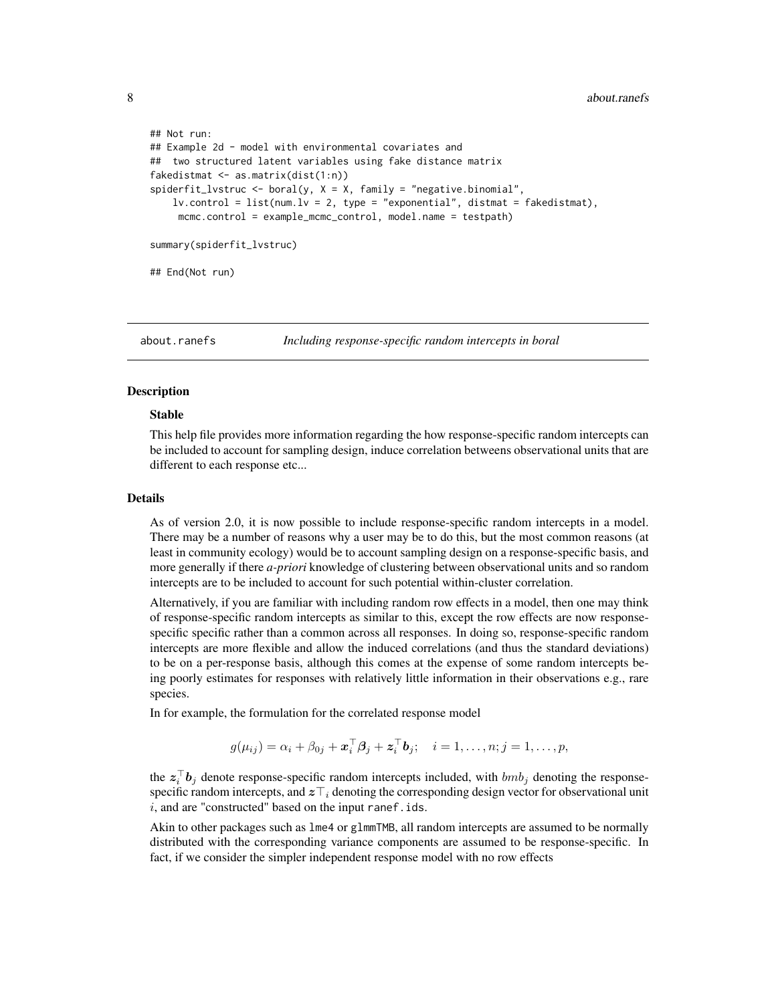```
## Not run:
## Example 2d - model with environmental covariates and
## two structured latent variables using fake distance matrix
fakedistmat <- as.matrix(dist(1:n))
spiderfit_lvstruc <- boral(y, X = X, family = "negative.binomial",
    lv. control = list(num.lv = 2, type = "exponential", distmat = fakedistmat),
    mcmc.control = example_mcmc_control, model.name = testpath)
summary(spiderfit_lvstruc)
## End(Not run)
```
<span id="page-7-1"></span>about.ranefs *Including response-specific random intercepts in boral*

## Description

## Stable

This help file provides more information regarding the how response-specific random intercepts can be included to account for sampling design, induce correlation betweens observational units that are different to each response etc...

## Details

As of version 2.0, it is now possible to include response-specific random intercepts in a model. There may be a number of reasons why a user may be to do this, but the most common reasons (at least in community ecology) would be to account sampling design on a response-specific basis, and more generally if there *a-priori* knowledge of clustering between observational units and so random intercepts are to be included to account for such potential within-cluster correlation.

Alternatively, if you are familiar with including random row effects in a model, then one may think of response-specific random intercepts as similar to this, except the row effects are now responsespecific specific rather than a common across all responses. In doing so, response-specific random intercepts are more flexible and allow the induced correlations (and thus the standard deviations) to be on a per-response basis, although this comes at the expense of some random intercepts being poorly estimates for responses with relatively little information in their observations e.g., rare species.

In for example, the formulation for the correlated response model

$$
g(\mu_{ij}) = \alpha_i + \beta_{0j} + \boldsymbol{x}_i^{\top} \boldsymbol{\beta}_j + \boldsymbol{z}_i^{\top} \boldsymbol{b}_j; \quad i = 1, \ldots, n; j = 1, \ldots, p,
$$

the  $z_i^{\top}b_j$  denote response-specific random intercepts included, with  $bmb_j$  denoting the responsespecific random intercepts, and  $z\bar{\tau}_i$  denoting the corresponding design vector for observational unit  $i$ , and are "constructed" based on the input ranef.ids.

Akin to other packages such as lme4 or glmmTMB, all random intercepts are assumed to be normally distributed with the corresponding variance components are assumed to be response-specific. In fact, if we consider the simpler independent response model with no row effects

<span id="page-7-0"></span>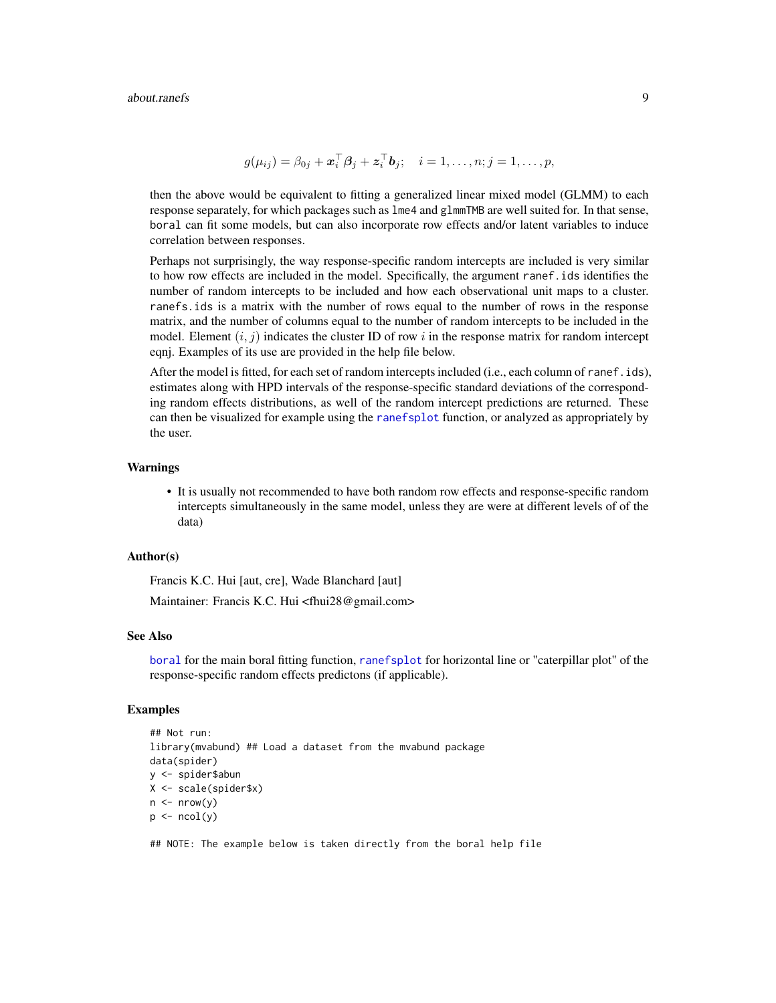$$
g(\mu_{ij}) = \beta_{0j} + \boldsymbol{x}_i^{\top} \boldsymbol{\beta}_j + \boldsymbol{z}_i^{\top} \boldsymbol{b}_j; \quad i = 1, \ldots, n; j = 1, \ldots, p,
$$

then the above would be equivalent to fitting a generalized linear mixed model (GLMM) to each response separately, for which packages such as lme4 and glmmTMB are well suited for. In that sense, boral can fit some models, but can also incorporate row effects and/or latent variables to induce correlation between responses.

Perhaps not surprisingly, the way response-specific random intercepts are included is very similar to how row effects are included in the model. Specifically, the argument ranef.ids identifies the number of random intercepts to be included and how each observational unit maps to a cluster. ranefs.ids is a matrix with the number of rows equal to the number of rows in the response matrix, and the number of columns equal to the number of random intercepts to be included in the model. Element  $(i, j)$  indicates the cluster ID of row i in the response matrix for random intercept eqnj. Examples of its use are provided in the help file below.

After the model is fitted, for each set of random intercepts included (i.e., each column of ranef.ids), estimates along with HPD intervals of the response-specific standard deviations of the corresponding random effects distributions, as well of the random intercept predictions are returned. These can then be visualized for example using the [ranefsplot](#page-102-1) function, or analyzed as appropriately by the user.

### Warnings

• It is usually not recommended to have both random row effects and response-specific random intercepts simultaneously in the same model, unless they are were at different levels of of the data)

## Author(s)

Francis K.C. Hui [aut, cre], Wade Blanchard [aut] Maintainer: Francis K.C. Hui <fhui28@gmail.com>

#### See Also

[boral](#page-16-1) for the main boral fitting function, [ranefsplot](#page-102-1) for horizontal line or "caterpillar plot" of the response-specific random effects predictons (if applicable).

## Examples

```
## Not run:
library(mvabund) ## Load a dataset from the mvabund package
data(spider)
y <- spider$abun
X <- scale(spider$x)
n \leq -nrow(y)p \leftarrow \text{ncol}(v)
```
## NOTE: The example below is taken directly from the boral help file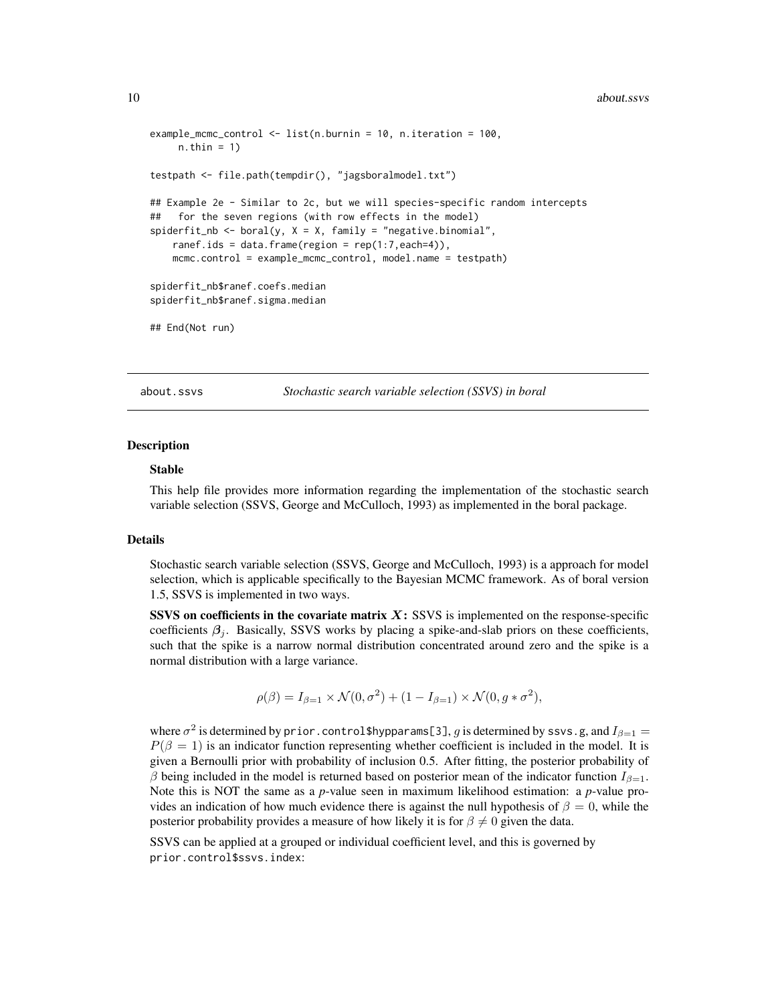```
example_mcmc_control <- list(n.burnin = 10, n.iteration = 100,
     n.thin = 1)
testpath <- file.path(tempdir(), "jagsboralmodel.txt")
## Example 2e - Similar to 2c, but we will species-specific random intercepts
## for the seven regions (with row effects in the model)
spiderfit_nb <- boral(y, X = X, family = "negative.binomial",
   ranef.ids = data.frame(region = rep(1:7, each=4)),
   mcmc.control = example_mcmc_control, model.name = testpath)
spiderfit_nb$ranef.coefs.median
spiderfit_nb$ranef.sigma.median
## End(Not run)
```
<span id="page-9-1"></span>about.ssvs *Stochastic search variable selection (SSVS) in boral*

### Description

#### Stable

This help file provides more information regarding the implementation of the stochastic search variable selection (SSVS, George and McCulloch, 1993) as implemented in the boral package.

#### Details

Stochastic search variable selection (SSVS, George and McCulloch, 1993) is a approach for model selection, which is applicable specifically to the Bayesian MCMC framework. As of boral version 1.5, SSVS is implemented in two ways.

SSVS on coefficients in the covariate matrix  $X:$  SSVS is implemented on the response-specific coefficients  $\beta_i$ . Basically, SSVS works by placing a spike-and-slab priors on these coefficients, such that the spike is a narrow normal distribution concentrated around zero and the spike is a normal distribution with a large variance.

$$
\rho(\beta) = I_{\beta=1} \times \mathcal{N}(0, \sigma^2) + (1 - I_{\beta=1}) \times \mathcal{N}(0, g * \sigma^2),
$$

where  $\sigma^2$  is determined by prior . control\$hypparams[3],  $g$  is determined by ssvs.g, and  $I_{\beta=1}=$  $P(\beta = 1)$  is an indicator function representing whether coefficient is included in the model. It is given a Bernoulli prior with probability of inclusion 0.5. After fitting, the posterior probability of β being included in the model is returned based on posterior mean of the indicator function  $I_{β=1}$ . Note this is NOT the same as a *p*-value seen in maximum likelihood estimation: a *p*-value provides an indication of how much evidence there is against the null hypothesis of  $\beta = 0$ , while the posterior probability provides a measure of how likely it is for  $\beta \neq 0$  given the data.

SSVS can be applied at a grouped or individual coefficient level, and this is governed by prior.control\$ssvs.index: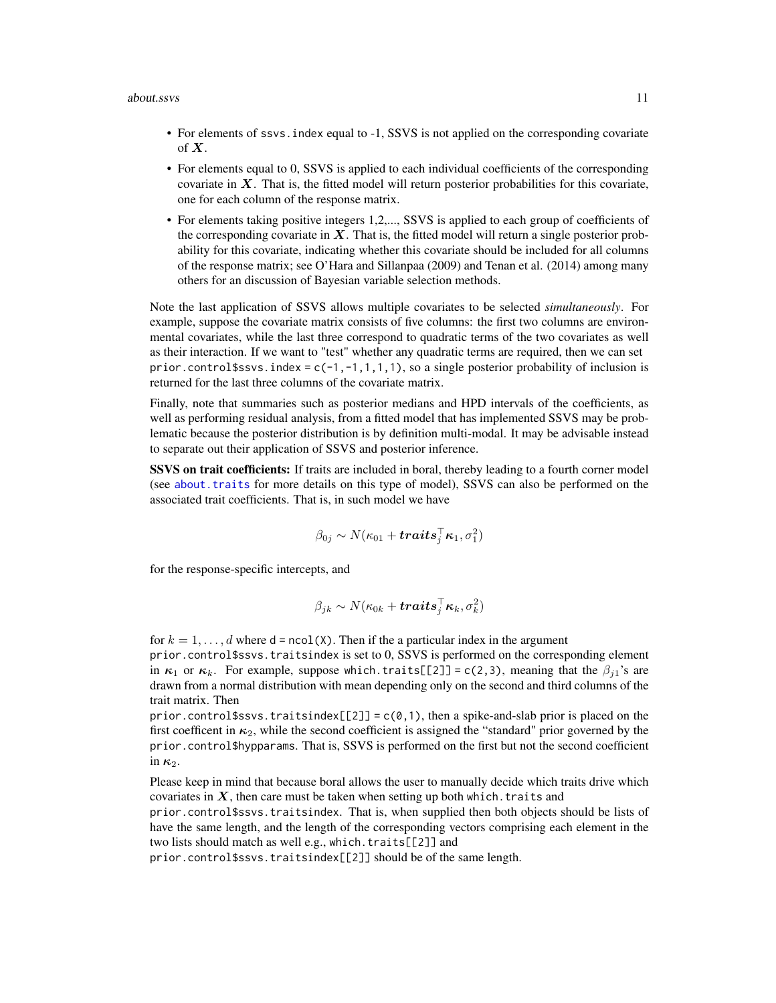- For elements of ssvs. index equal to -1, SSVS is not applied on the corresponding covariate of  $X$ .
- For elements equal to 0, SSVS is applied to each individual coefficients of the corresponding covariate in  $X$ . That is, the fitted model will return posterior probabilities for this covariate, one for each column of the response matrix.
- For elements taking positive integers 1,2,..., SSVS is applied to each group of coefficients of the corresponding covariate in  $X$ . That is, the fitted model will return a single posterior probability for this covariate, indicating whether this covariate should be included for all columns of the response matrix; see O'Hara and Sillanpaa (2009) and Tenan et al. (2014) among many others for an discussion of Bayesian variable selection methods.

Note the last application of SSVS allows multiple covariates to be selected *simultaneously*. For example, suppose the covariate matrix consists of five columns: the first two columns are environmental covariates, while the last three correspond to quadratic terms of the two covariates as well as their interaction. If we want to "test" whether any quadratic terms are required, then we can set prior.control \$ssvs.index =  $c(-1, -1, 1, 1, 1)$ , so a single posterior probability of inclusion is returned for the last three columns of the covariate matrix.

Finally, note that summaries such as posterior medians and HPD intervals of the coefficients, as well as performing residual analysis, from a fitted model that has implemented SSVS may be problematic because the posterior distribution is by definition multi-modal. It may be advisable instead to separate out their application of SSVS and posterior inference.

**SSVS on trait coefficients:** If traits are included in boral, thereby leading to a fourth corner model (see about. traits for more details on this type of model), SSVS can also be performed on the associated trait coefficients. That is, in such model we have

$$
\beta_{0j} \sim N(\kappa_{01} + \boldsymbol{traits}_{j}^{\top}\boldsymbol{\kappa}_{1}, \sigma_{1}^{2})
$$

for the response-specific intercepts, and

$$
\beta_{jk} \sim N(\kappa_{0k} + \textbf{\textit{traits}}_j^\top \boldsymbol{\kappa}_k, \sigma_k^2)
$$

for  $k = 1, \ldots, d$  where  $d = \text{ncol}(X)$ . Then if the a particular index in the argument

prior.control\$ssvs.traitsindex is set to 0, SSVS is performed on the corresponding element in  $\kappa_1$  or  $\kappa_k$ . For example, suppose which.traits[[2]] = c(2,3), meaning that the  $\beta_{i1}$ 's are drawn from a normal distribution with mean depending only on the second and third columns of the trait matrix. Then

prior.control\$ssvs.traitsindex[[2]] =  $c(0,1)$ , then a spike-and-slab prior is placed on the first coefficent in  $\kappa_2$ , while the second coefficient is assigned the "standard" prior governed by the prior.control\$hypparams. That is, SSVS is performed on the first but not the second coefficient in  $\kappa_2$ .

Please keep in mind that because boral allows the user to manually decide which traits drive which covariates in  $X$ , then care must be taken when setting up both which. traits and

prior.control\$ssvs.traitsindex. That is, when supplied then both objects should be lists of have the same length, and the length of the corresponding vectors comprising each element in the two lists should match as well e.g., which.traits[[2]] and

prior.control\$ssvs.traitsindex[[2]] should be of the same length.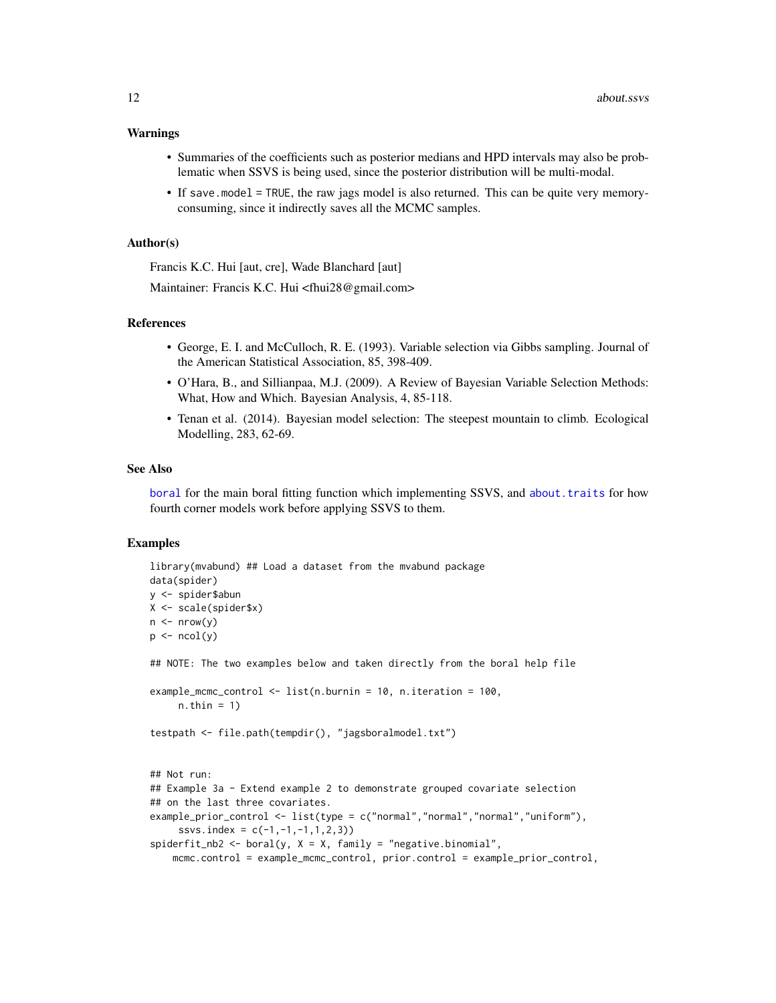#### Warnings

- Summaries of the coefficients such as posterior medians and HPD intervals may also be problematic when SSVS is being used, since the posterior distribution will be multi-modal.
- If save.model = TRUE, the raw jags model is also returned. This can be quite very memoryconsuming, since it indirectly saves all the MCMC samples.

## Author(s)

Francis K.C. Hui [aut, cre], Wade Blanchard [aut]

Maintainer: Francis K.C. Hui <fhui28@gmail.com>

## References

- George, E. I. and McCulloch, R. E. (1993). Variable selection via Gibbs sampling. Journal of the American Statistical Association, 85, 398-409.
- O'Hara, B., and Sillianpaa, M.J. (2009). A Review of Bayesian Variable Selection Methods: What, How and Which. Bayesian Analysis, 4, 85-118.
- Tenan et al. (2014). Bayesian model selection: The steepest mountain to climb. Ecological Modelling, 283, 62-69.

#### See Also

[boral](#page-16-1) for the main boral fitting function which implementing SSVS, and [about.traits](#page-13-1) for how fourth corner models work before applying SSVS to them.

## Examples

```
library(mvabund) ## Load a dataset from the mvabund package
data(spider)
y <- spider$abun
X <- scale(spider$x)
n \leq -nrow(y)p \leftarrow \text{ncol}(y)## NOTE: The two examples below and taken directly from the boral help file
example_mcmc_control <- list(n.burnin = 10, n.iteration = 100,
     n.thin = 1)
testpath <- file.path(tempdir(), "jagsboralmodel.txt")
## Not run:
## Example 3a - Extend example 2 to demonstrate grouped covariate selection
## on the last three covariates.
example_prior_control <- list(type = c("normal","normal","normal","uniform"),
     ssvs.index = c(-1,-1,-1,1,2,3)spiderfit_{nb2} < - boral(y, X = X, family = "negative.binomial",
    mcmc.control = example_mcmc_control, prior.control = example_prior_control,
```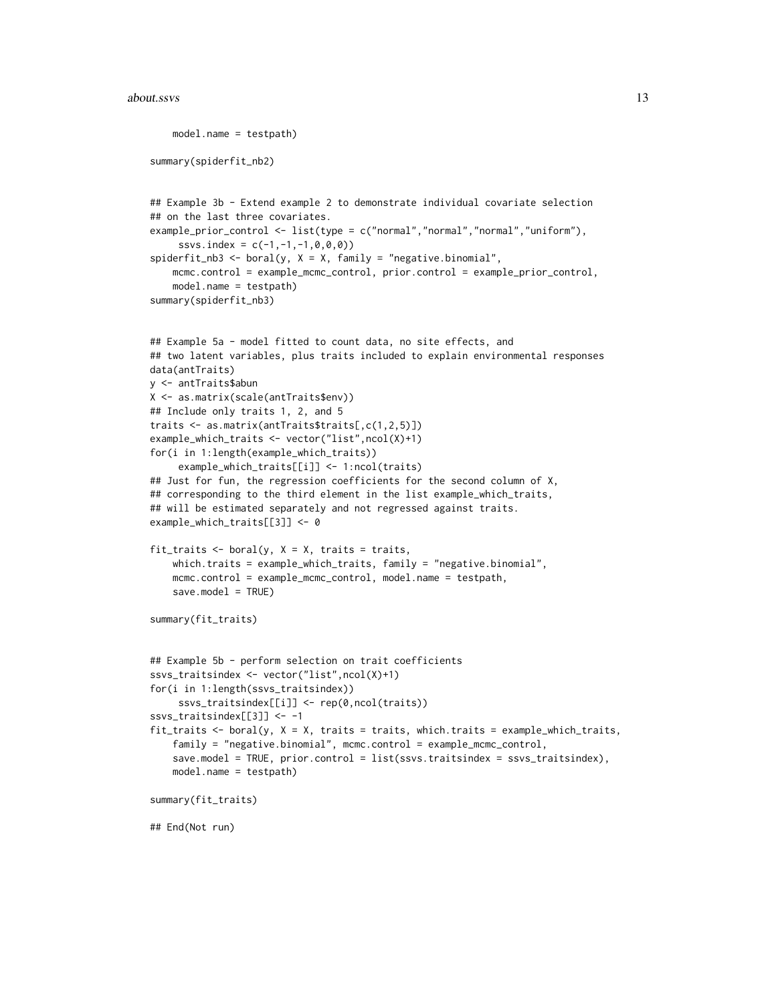#### about.ssvs 13

```
model.name = testpath)
summary(spiderfit_nb2)
## Example 3b - Extend example 2 to demonstrate individual covariate selection
## on the last three covariates.
example_prior_control <- list(type = c("normal","normal","normal","uniform"),
     ssvs.index = c(-1, -1, -1, 0, 0, 0)spiderfit_{nb3} < - boral(y, X = X, family = "negative.binomial",
    mcmc.control = example_mcmc_control, prior.control = example_prior_control,
    model.name = testpath)
summary(spiderfit_nb3)
## Example 5a - model fitted to count data, no site effects, and
## two latent variables, plus traits included to explain environmental responses
data(antTraits)
y <- antTraits$abun
X <- as.matrix(scale(antTraits$env))
## Include only traits 1, 2, and 5
traits <- as.matrix(antTraits$traits[,c(1,2,5)])
example_which_traits <- vector("list",ncol(X)+1)
for(i in 1:length(example_which_traits))
     example_which_traits[[i]] <- 1:ncol(traits)
## Just for fun, the regression coefficients for the second column of X,
## corresponding to the third element in the list example_which_traits,
## will be estimated separately and not regressed against traits.
example_which_traits[[3]] <- 0
fit_traits \leq boral(y, X = X, traits = traits,
   which.traits = example_which_traits, family = "negative.binomial",
    mcmc.control = example_mcmc_control, model.name = testpath,
    save.model = TRUE)
summary(fit_traits)
## Example 5b - perform selection on trait coefficients
ssvs_traitsindex <- vector("list",ncol(X)+1)
for(i in 1:length(ssvs_traitsindex))
     ssvs_traitsindex[[i]] <- rep(0,ncol(traits))
ssvs_traitsindex[[3]] <- -1
fit_traits \le boral(y, X = X, traits = traits, which.traits = example_which_traits,
    family = "negative.binomial", mcmc.control = example_mcmc_control,
    save.model = TRUE, prior.control = list(ssvs.traitsindex = ssvs_traitsindex),
    model.name = testpath)
summary(fit_traits)
## End(Not run)
```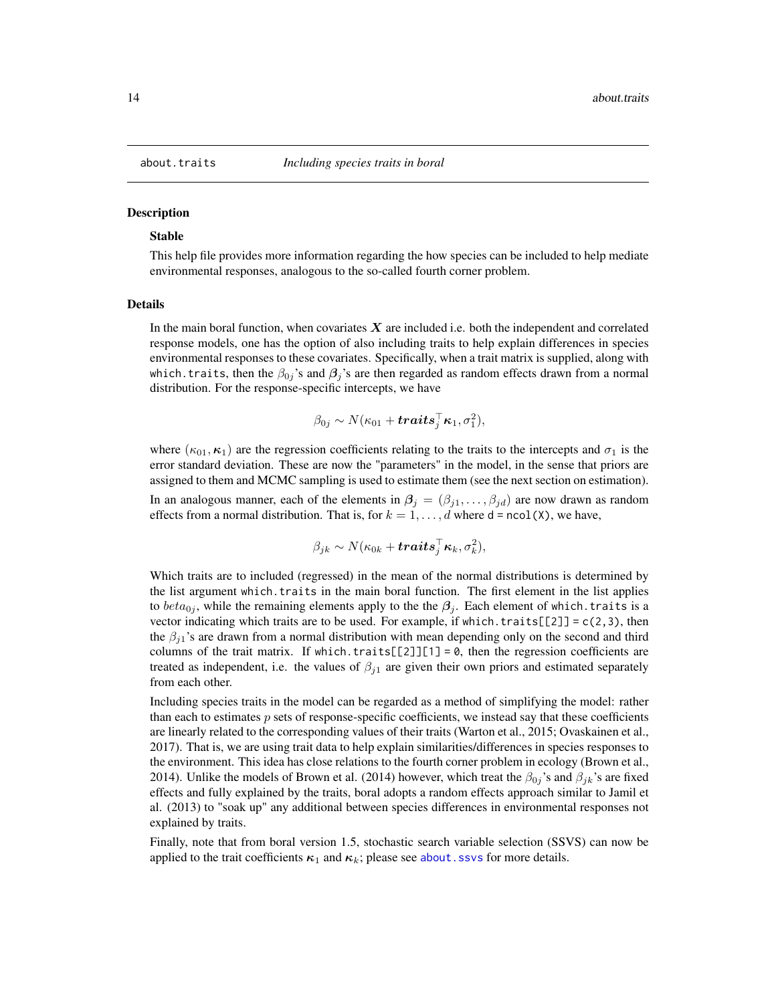<span id="page-13-1"></span><span id="page-13-0"></span>

#### **Description**

## Stable

This help file provides more information regarding the how species can be included to help mediate environmental responses, analogous to the so-called fourth corner problem.

#### Details

In the main boral function, when covariates  $X$  are included i.e. both the independent and correlated response models, one has the option of also including traits to help explain differences in species environmental responses to these covariates. Specifically, when a trait matrix is supplied, along with which.traits, then the  $\beta_{0i}$ 's and  $\beta_i$ 's are then regarded as random effects drawn from a normal distribution. For the response-specific intercepts, we have

$$
\beta_{0j} \sim N(\kappa_{01} + \boldsymbol{traits}_{j}^{\top}\boldsymbol{\kappa}_{1}, \sigma_{1}^{2}),
$$

where  $(\kappa_{01}, \kappa_1)$  are the regression coefficients relating to the traits to the intercepts and  $\sigma_1$  is the error standard deviation. These are now the "parameters" in the model, in the sense that priors are assigned to them and MCMC sampling is used to estimate them (see the next section on estimation). In an analogous manner, each of the elements in  $\beta_j = (\beta_{j1}, \dots, \beta_{jd})$  are now drawn as random effects from a normal distribution. That is, for  $k = 1, \ldots, d$  where d = ncol(X), we have,

$$
\beta_{jk} \sim N(\kappa_{0k} + trails_j^{\top} \kappa_k, \sigma_k^2),
$$

Which traits are to included (regressed) in the mean of the normal distributions is determined by the list argument which.traits in the main boral function. The first element in the list applies to  $beta_{ij}$ , while the remaining elements apply to the the  $\beta_i$ . Each element of which. traits is a vector indicating which traits are to be used. For example, if which.traits[[2]] =  $c(2,3)$ , then the  $\beta_{i1}$ 's are drawn from a normal distribution with mean depending only on the second and third columns of the trait matrix. If which.traits[[2]][1] =  $\theta$ , then the regression coefficients are treated as independent, i.e. the values of  $\beta_{i1}$  are given their own priors and estimated separately from each other.

Including species traits in the model can be regarded as a method of simplifying the model: rather than each to estimates  $p$  sets of response-specific coefficients, we instead say that these coefficients are linearly related to the corresponding values of their traits (Warton et al., 2015; Ovaskainen et al., 2017). That is, we are using trait data to help explain similarities/differences in species responses to the environment. This idea has close relations to the fourth corner problem in ecology (Brown et al., 2014). Unlike the models of Brown et al. (2014) however, which treat the  $\beta_{0j}$ 's and  $\beta_{jk}$ 's are fixed effects and fully explained by the traits, boral adopts a random effects approach similar to Jamil et al. (2013) to "soak up" any additional between species differences in environmental responses not explained by traits.

Finally, note that from boral version 1.5, stochastic search variable selection (SSVS) can now be applied to the trait coefficients  $\kappa_1$  and  $\kappa_k$ ; please see about. ssvs for more details.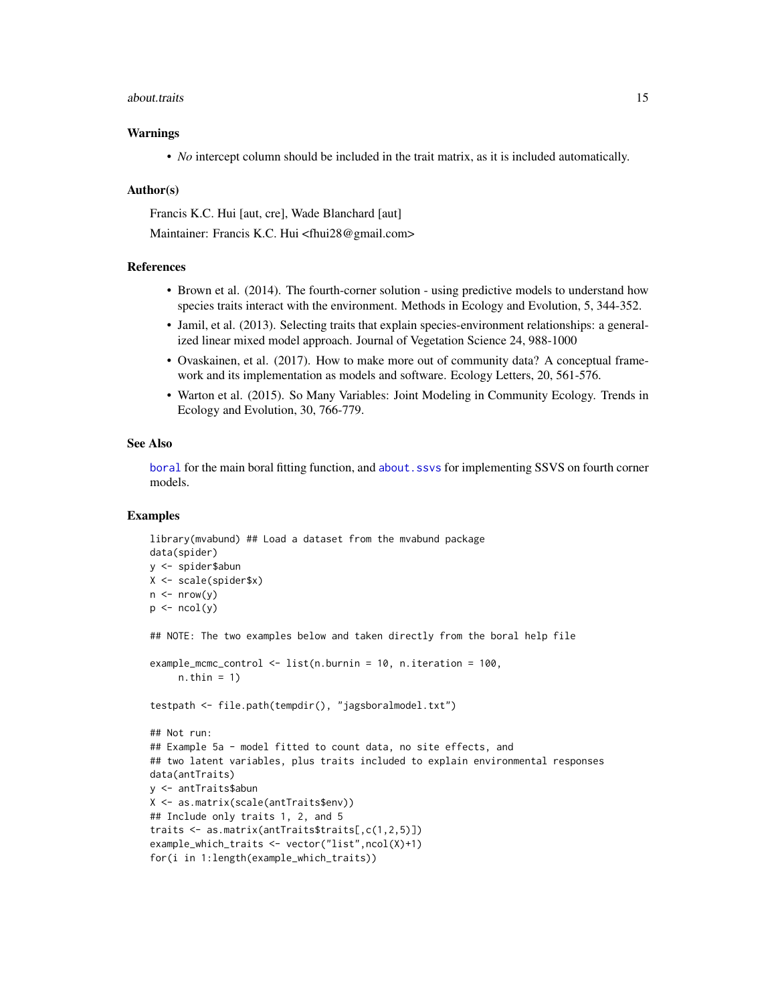#### about.traits and the set of the set of the set of the set of the set of the set of the set of the set of the set of the set of the set of the set of the set of the set of the set of the set of the set of the set of the set

## Warnings

• *No* intercept column should be included in the trait matrix, as it is included automatically.

#### Author(s)

Francis K.C. Hui [aut, cre], Wade Blanchard [aut]

Maintainer: Francis K.C. Hui <fhui28@gmail.com>

## References

- Brown et al. (2014). The fourth-corner solution using predictive models to understand how species traits interact with the environment. Methods in Ecology and Evolution, 5, 344-352.
- Jamil, et al. (2013). Selecting traits that explain species-environment relationships: a generalized linear mixed model approach. Journal of Vegetation Science 24, 988-1000
- Ovaskainen, et al. (2017). How to make more out of community data? A conceptual framework and its implementation as models and software. Ecology Letters, 20, 561-576.
- Warton et al. (2015). So Many Variables: Joint Modeling in Community Ecology. Trends in Ecology and Evolution, 30, 766-779.

#### See Also

[boral](#page-16-1) for the main boral fitting function, and [about.ssvs](#page-9-1) for implementing SSVS on fourth corner models.

## Examples

```
library(mvabund) ## Load a dataset from the mvabund package
data(spider)
y <- spider$abun
X <- scale(spider$x)
n \leq -nrow(y)p \leftarrow \text{ncol}(y)## NOTE: The two examples below and taken directly from the boral help file
example_mcmc_control <- list(n.burnin = 10, n.iteration = 100,
     n.thin = 1)
testpath <- file.path(tempdir(), "jagsboralmodel.txt")
## Not run:
## Example 5a - model fitted to count data, no site effects, and
## two latent variables, plus traits included to explain environmental responses
data(antTraits)
y <- antTraits$abun
X <- as.matrix(scale(antTraits$env))
## Include only traits 1, 2, and 5
traits <- as.matrix(antTraits$traits[,c(1,2,5)])
example_which_traits <- vector("list",ncol(X)+1)
for(i in 1:length(example_which_traits))
```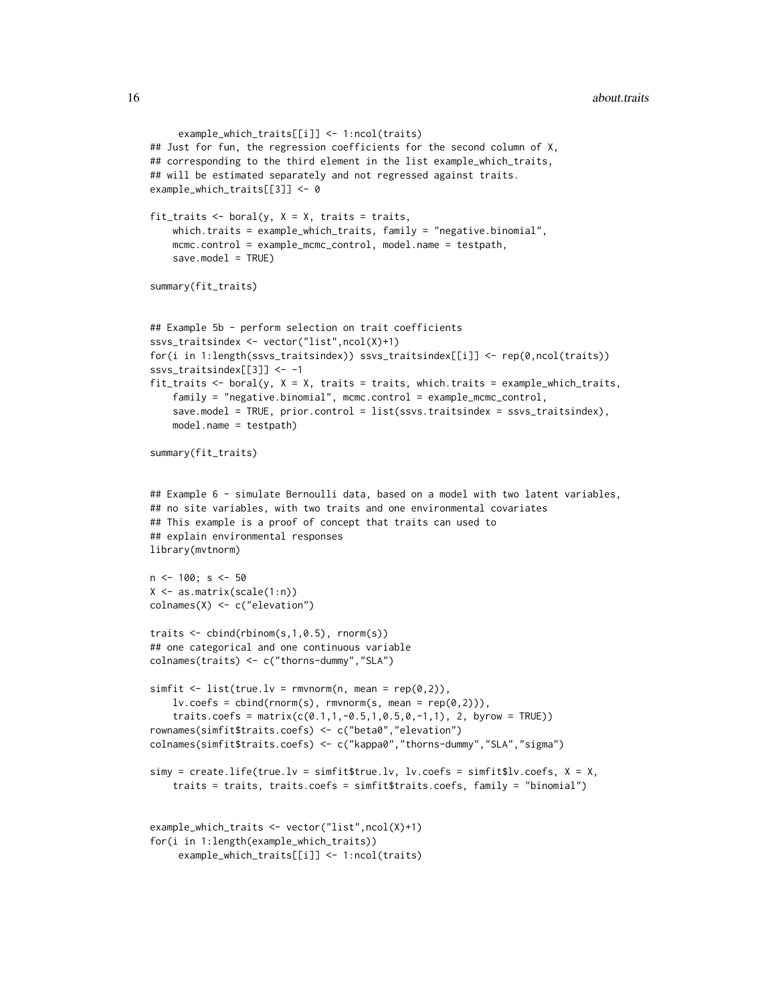```
example_which_traits[[i]] <- 1:ncol(traits)
## Just for fun, the regression coefficients for the second column of X,
## corresponding to the third element in the list example_which_traits,
## will be estimated separately and not regressed against traits.
example_which_traits[[3]] <- 0
fit_traits \leq boral(y, X = X, traits = traits,
    which.traits = example_which_traits, family = "negative.binomial",
    mcmc.control = example_mcmc_control, model.name = testpath,
    save.model = TRUE)
summary(fit_traits)
## Example 5b - perform selection on trait coefficients
ssvs_traitsindex <- vector("list",ncol(X)+1)
for(i in 1:length(ssvs_traitsindex)) ssvs_traitsindex[[i]] <- rep(0,ncol(traits))
ssvs_traitsindex[[3]] <- -1
fit_traits <- boral(y, X = X, traits = traits, which.traits = example_which_traits,
    family = "negative.binomial", mcmc.control = example_mcmc_control,
    save.model = TRUE, prior.control = list(ssvs.traitsindex = ssvs_traitsindex),
    model.name = testpath)
summary(fit_traits)
## Example 6 - simulate Bernoulli data, based on a model with two latent variables,
## no site variables, with two traits and one environmental covariates
## This example is a proof of concept that traits can used to
## explain environmental responses
library(mvtnorm)
n <- 100; s <- 50
X \leftarrow \text{as_matrix}(\text{scale}(1:n))colnames(X) <- c("elevation")
traits <- cbind(rbinom(s,1,0.5), rnorm(s))
## one categorical and one continuous variable
colnames(traits) <- c("thorns-dummy","SLA")
simfit \le list(true.lv = rmvnorm(n, mean = rep(0,2)),
    lv.coefs = cbind(rnorm(s), rmvnorm(s, mean = rep(0,2))),
    traits.coefs = matrix(c(0.1, 1, -0.5, 1, 0.5, 0, -1, 1), 2, byrow = TRUE))
rownames(simfit$traits.coefs) <- c("beta0","elevation")
colnames(simfit$traits.coefs) <- c("kappa0","thorns-dummy","SLA","sigma")
simy = create.life(true.lv = simfit$true.lv, lv.coefs = simfit$lv.coefs, X = X,
    traits = traits, traits.coefs = simfit$traits.coefs, family = "binomial")
example_which_traits <- vector("list",ncol(X)+1)
for(i in 1:length(example_which_traits))
     example_which_traits[[i]] <- 1:ncol(traits)
```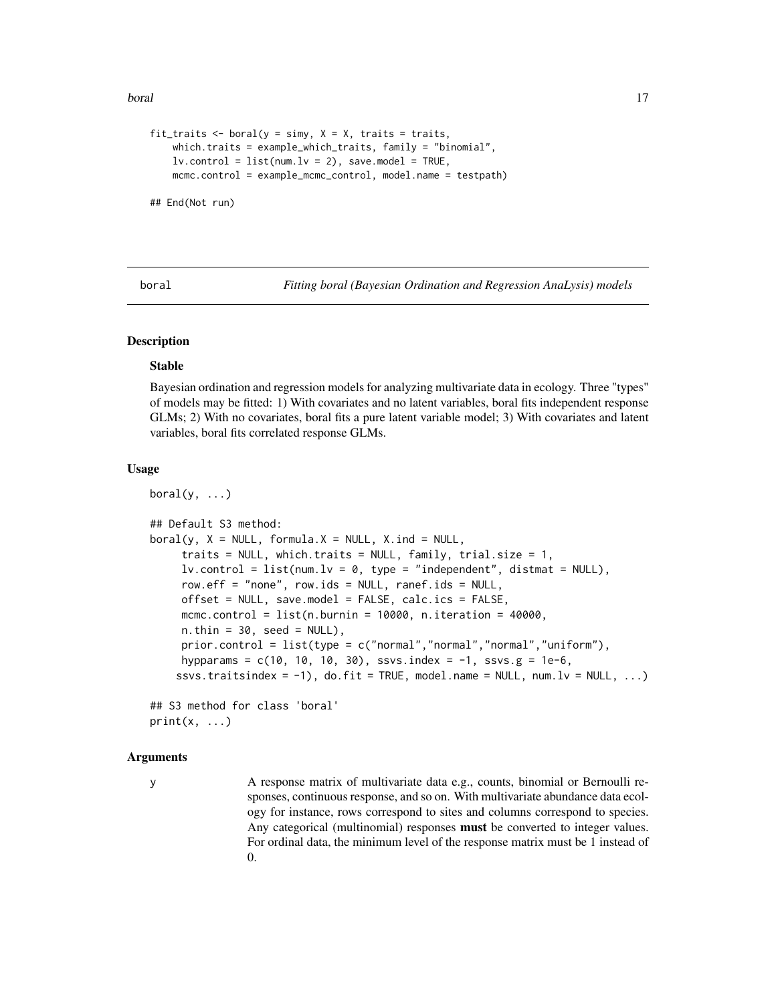#### <span id="page-16-0"></span>boral and the contract of the contract of the contract of the contract of the contract of the contract of the contract of the contract of the contract of the contract of the contract of the contract of the contract of the

```
fit_traits \le boral(y = simy, X = X, traits = traits,
   which.traits = example_which_traits, family = "binomial",
   lv. control = list(num.lv = 2), save.model = TRUE,
   mcmc.control = example_mcmc_control, model.name = testpath)
```
## End(Not run)

<span id="page-16-1"></span>boral *Fitting boral (Bayesian Ordination and Regression AnaLysis) models*

# Description

#### Stable

Bayesian ordination and regression models for analyzing multivariate data in ecology. Three "types" of models may be fitted: 1) With covariates and no latent variables, boral fits independent response GLMs; 2) With no covariates, boral fits a pure latent variable model; 3) With covariates and latent variables, boral fits correlated response GLMs.

### Usage

 $boral(y, ...)$ 

```
## Default S3 method:
boral(y, X = NULL, formula.X = NULL, X.ind = NULL,traits = NULL, which.traits = NULL, family, trial.size = 1,
     lv.contrib = list(num.lv = 0, type = "independent", distmat = NULL),row.eff = "none", row.ids = NULL, ranef.ids = NULL,
     offset = NULL, save.model = FALSE, calc.ics = FALSE,
     mcmc.control = list(n.burnin = 10000, n.iteration = 40000,n. thin = 30, seed = NULL),
     prior.control = list(type = c("normal", "normal", "normal", "uniform"),hypparams = c(10, 10, 10, 30), ssvs.index = -1, ssvs.g = 1e-6,
    ssvs.traitsindex = -1), do.fit = TRUE, model.name = NULL, num.lv = NULL, ...)
```
## S3 method for class 'boral'  $print(x, \ldots)$ 

#### Arguments

y A response matrix of multivariate data e.g., counts, binomial or Bernoulli responses, continuous response, and so on. With multivariate abundance data ecology for instance, rows correspond to sites and columns correspond to species. Any categorical (multinomial) responses **must** be converted to integer values. For ordinal data, the minimum level of the response matrix must be 1 instead of 0.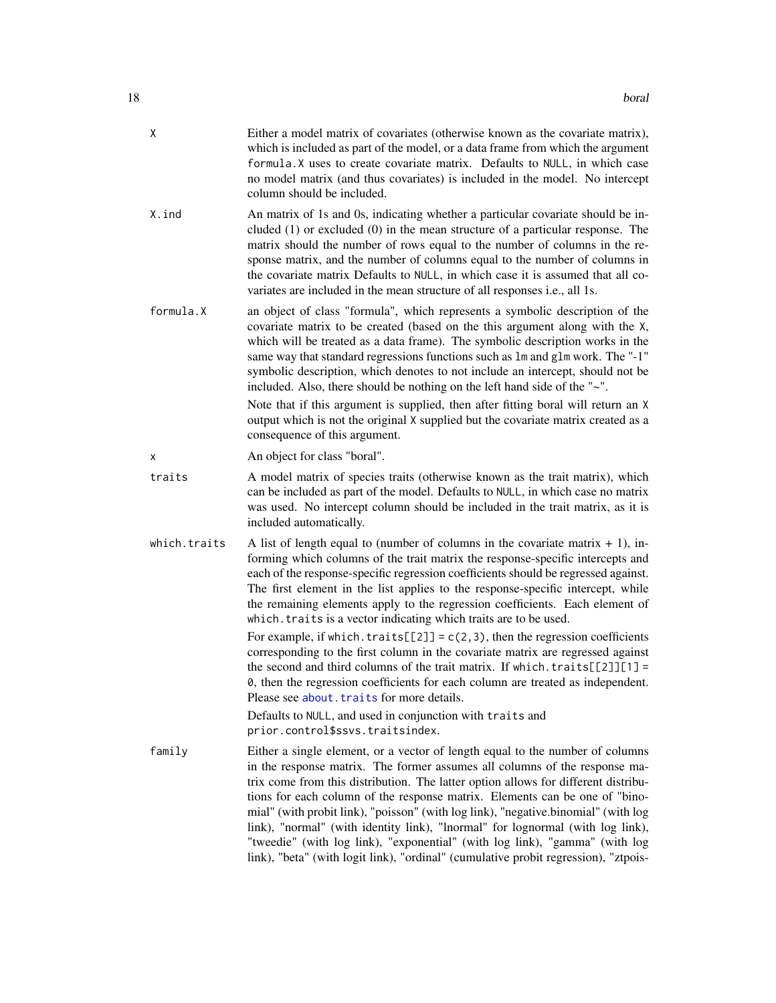| X. | Either a model matrix of covariates (otherwise known as the covariate matrix),  |
|----|---------------------------------------------------------------------------------|
|    | which is included as part of the model, or a data frame from which the argument |
|    | formula. X uses to create covariate matrix. Defaults to NULL, in which case     |
|    | no model matrix (and thus covariates) is included in the model. No intercept    |
|    | column should be included.                                                      |

- X.ind An matrix of 1s and 0s, indicating whether a particular covariate should be included (1) or excluded (0) in the mean structure of a particular response. The matrix should the number of rows equal to the number of columns in the response matrix, and the number of columns equal to the number of columns in the covariate matrix Defaults to NULL, in which case it is assumed that all covariates are included in the mean structure of all responses i.e., all 1s.
- formula.X an object of class "formula", which represents a symbolic description of the covariate matrix to be created (based on the this argument along with the X, which will be treated as a data frame). The symbolic description works in the same way that standard regressions functions such as lm and glm work. The "-1" symbolic description, which denotes to not include an intercept, should not be included. Also, there should be nothing on the left hand side of the "~".

Note that if this argument is supplied, then after fitting boral will return an X output which is not the original X supplied but the covariate matrix created as a consequence of this argument.

- x An object for class "boral".
- traits A model matrix of species traits (otherwise known as the trait matrix), which can be included as part of the model. Defaults to NULL, in which case no matrix was used. No intercept column should be included in the trait matrix, as it is included automatically.
- which.traits A list of length equal to (number of columns in the covariate matrix  $+ 1$ ), informing which columns of the trait matrix the response-specific intercepts and each of the response-specific regression coefficients should be regressed against. The first element in the list applies to the response-specific intercept, while the remaining elements apply to the regression coefficients. Each element of which.traits is a vector indicating which traits are to be used.

For example, if which.traits[[2]] =  $c(2,3)$ , then the regression coefficients corresponding to the first column in the covariate matrix are regressed against the second and third columns of the trait matrix. If which.traits $[\frac{2}{1}]$ [1] = 0, then the regression coefficients for each column are treated as independent. Please see [about.traits](#page-13-1) for more details.

Defaults to NULL, and used in conjunction with traits and prior.control\$ssvs.traitsindex.

family Either a single element, or a vector of length equal to the number of columns in the response matrix. The former assumes all columns of the response matrix come from this distribution. The latter option allows for different distributions for each column of the response matrix. Elements can be one of "binomial" (with probit link), "poisson" (with log link), "negative.binomial" (with log link), "normal" (with identity link), "lnormal" for lognormal (with log link), "tweedie" (with log link), "exponential" (with log link), "gamma" (with log link), "beta" (with logit link), "ordinal" (cumulative probit regression), "ztpois-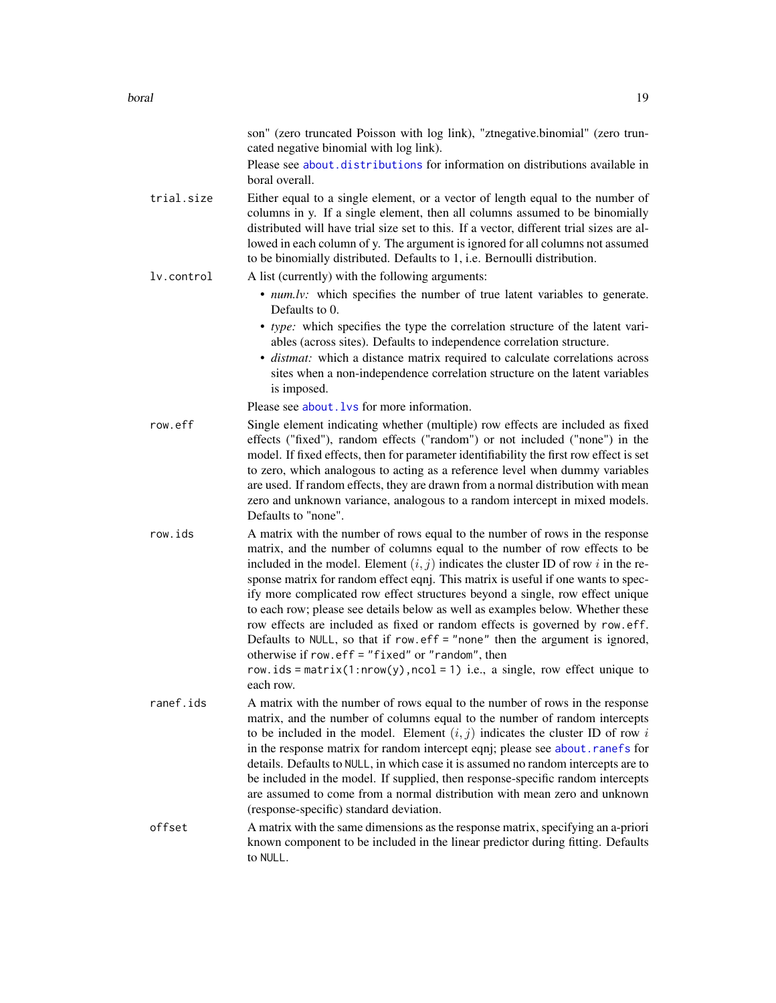|            | son" (zero truncated Poisson with log link), "ztnegative.binomial" (zero trun-<br>cated negative binomial with log link).                                                                                                                                                                                                                                                                                                                                                                                                                                                                                                                                                                                                                                                                                                  |
|------------|----------------------------------------------------------------------------------------------------------------------------------------------------------------------------------------------------------------------------------------------------------------------------------------------------------------------------------------------------------------------------------------------------------------------------------------------------------------------------------------------------------------------------------------------------------------------------------------------------------------------------------------------------------------------------------------------------------------------------------------------------------------------------------------------------------------------------|
|            | Please see about distributions for information on distributions available in<br>boral overall.                                                                                                                                                                                                                                                                                                                                                                                                                                                                                                                                                                                                                                                                                                                             |
| trial.size | Either equal to a single element, or a vector of length equal to the number of<br>columns in y. If a single element, then all columns assumed to be binomially<br>distributed will have trial size set to this. If a vector, different trial sizes are al-<br>lowed in each column of y. The argument is ignored for all columns not assumed<br>to be binomially distributed. Defaults to 1, i.e. Bernoulli distribution.                                                                                                                                                                                                                                                                                                                                                                                                  |
| lv.control | A list (currently) with the following arguments:                                                                                                                                                                                                                                                                                                                                                                                                                                                                                                                                                                                                                                                                                                                                                                           |
|            | • <i>num.lv:</i> which specifies the number of true latent variables to generate.<br>Defaults to 0.                                                                                                                                                                                                                                                                                                                                                                                                                                                                                                                                                                                                                                                                                                                        |
|            | • type: which specifies the type the correlation structure of the latent vari-<br>ables (across sites). Defaults to independence correlation structure.<br>· distmat: which a distance matrix required to calculate correlations across<br>sites when a non-independence correlation structure on the latent variables<br>is imposed.                                                                                                                                                                                                                                                                                                                                                                                                                                                                                      |
|            | Please see about. Lys for more information.                                                                                                                                                                                                                                                                                                                                                                                                                                                                                                                                                                                                                                                                                                                                                                                |
| row.eff    | Single element indicating whether (multiple) row effects are included as fixed<br>effects ("fixed"), random effects ("random") or not included ("none") in the<br>model. If fixed effects, then for parameter identifiability the first row effect is set<br>to zero, which analogous to acting as a reference level when dummy variables<br>are used. If random effects, they are drawn from a normal distribution with mean<br>zero and unknown variance, analogous to a random intercept in mixed models.<br>Defaults to "none".                                                                                                                                                                                                                                                                                        |
| row.ids    | A matrix with the number of rows equal to the number of rows in the response<br>matrix, and the number of columns equal to the number of row effects to be<br>included in the model. Element $(i, j)$ indicates the cluster ID of row i in the re-<br>sponse matrix for random effect eqnj. This matrix is useful if one wants to spec-<br>ify more complicated row effect structures beyond a single, row effect unique<br>to each row; please see details below as well as examples below. Whether these<br>row effects are included as fixed or random effects is governed by row.eff.<br>Defaults to NULL, so that if row.eff = "none" then the argument is ignored,<br>otherwise if row. $eff = "fixed"$ or "random", then<br>row.ids = matrix(1:nrow(y), ncol = 1) i.e., a single, row effect unique to<br>each row. |
| ranef.ids  | A matrix with the number of rows equal to the number of rows in the response<br>matrix, and the number of columns equal to the number of random intercepts<br>to be included in the model. Element $(i, j)$ indicates the cluster ID of row i<br>in the response matrix for random intercept eqnj; please see about.ranefs for<br>details. Defaults to NULL, in which case it is assumed no random intercepts are to<br>be included in the model. If supplied, then response-specific random intercepts<br>are assumed to come from a normal distribution with mean zero and unknown<br>(response-specific) standard deviation.                                                                                                                                                                                            |
| offset     | A matrix with the same dimensions as the response matrix, specifying an a-priori<br>known component to be included in the linear predictor during fitting. Defaults<br>to NULL.                                                                                                                                                                                                                                                                                                                                                                                                                                                                                                                                                                                                                                            |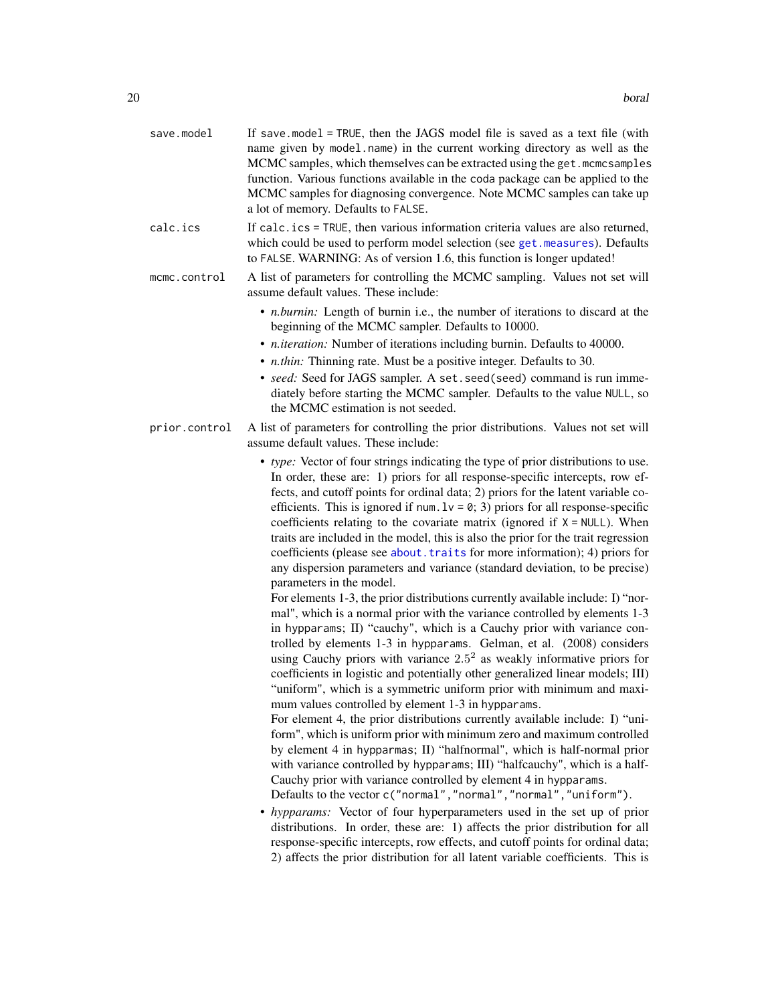| save.model    | If save model = $TRUE$ , then the JAGS model file is saved as a text file (with<br>name given by model.name) in the current working directory as well as the<br>MCMC samples, which themselves can be extracted using the get. mcmcsamples<br>function. Various functions available in the coda package can be applied to the<br>MCMC samples for diagnosing convergence. Note MCMC samples can take up<br>a lot of memory. Defaults to FALSE.                                                                                                                                                                                                                                                                                                                                                                                                                                                                                    |
|---------------|-----------------------------------------------------------------------------------------------------------------------------------------------------------------------------------------------------------------------------------------------------------------------------------------------------------------------------------------------------------------------------------------------------------------------------------------------------------------------------------------------------------------------------------------------------------------------------------------------------------------------------------------------------------------------------------------------------------------------------------------------------------------------------------------------------------------------------------------------------------------------------------------------------------------------------------|
| calc.ics      | If calc.ics = TRUE, then various information criteria values are also returned,<br>which could be used to perform model selection (see get. measures). Defaults<br>to FALSE. WARNING: As of version 1.6, this function is longer updated!                                                                                                                                                                                                                                                                                                                                                                                                                                                                                                                                                                                                                                                                                         |
| mcmc.control  | A list of parameters for controlling the MCMC sampling. Values not set will<br>assume default values. These include:                                                                                                                                                                                                                                                                                                                                                                                                                                                                                                                                                                                                                                                                                                                                                                                                              |
|               | • <i>n.burnin</i> : Length of burnin i.e., the number of iterations to discard at the<br>beginning of the MCMC sampler. Defaults to 10000.<br>• <i>n.iteration:</i> Number of iterations including burnin. Defaults to 40000.<br>• <i>n.thin:</i> Thinning rate. Must be a positive integer. Defaults to 30.<br>• seed: Seed for JAGS sampler. A set. seed(seed) command is run imme-<br>diately before starting the MCMC sampler. Defaults to the value NULL, so<br>the MCMC estimation is not seeded.                                                                                                                                                                                                                                                                                                                                                                                                                           |
| prior.control | A list of parameters for controlling the prior distributions. Values not set will<br>assume default values. These include:                                                                                                                                                                                                                                                                                                                                                                                                                                                                                                                                                                                                                                                                                                                                                                                                        |
|               | • type: Vector of four strings indicating the type of prior distributions to use.<br>In order, these are: 1) priors for all response-specific intercepts, row ef-<br>fects, and cutoff points for ordinal data; 2) priors for the latent variable co-<br>efficients. This is ignored if num. $1v = 0$ ; 3) priors for all response-specific<br>coefficients relating to the covariate matrix (ignored if $X = NULL$ ). When<br>traits are included in the model, this is also the prior for the trait regression<br>coefficients (please see about. traits for more information); 4) priors for<br>any dispersion parameters and variance (standard deviation, to be precise)<br>parameters in the model.                                                                                                                                                                                                                         |
|               | For elements 1-3, the prior distributions currently available include: I) "nor-<br>mal", which is a normal prior with the variance controlled by elements 1-3<br>in hypparams; II) "cauchy", which is a Cauchy prior with variance con-<br>trolled by elements 1-3 in hypparams. Gelman, et al. (2008) considers<br>using Cauchy priors with variance $2.5^2$ as weakly informative priors for<br>coefficients in logistic and potentially other generalized linear models; III)<br>"uniform", which is a symmetric uniform prior with minimum and maxi-<br>mum values controlled by element 1-3 in hypparams.<br>For element 4, the prior distributions currently available include: I) "uni-<br>form", which is uniform prior with minimum zero and maximum controlled<br>by element 4 in hypparmas; II) "halfnormal", which is half-normal prior<br>with variance controlled by hypparams; III) "halfcauchy", which is a half- |
|               | Cauchy prior with variance controlled by element 4 in hypparams.<br>Defaults to the vector c("normal", "normal", "normal", "uniform").                                                                                                                                                                                                                                                                                                                                                                                                                                                                                                                                                                                                                                                                                                                                                                                            |
|               | • hypparams: Vector of four hyperparameters used in the set up of prior<br>distributions. In order, these are: 1) affects the prior distribution for all<br>response-specific intercepts, row effects, and cutoff points for ordinal data;                                                                                                                                                                                                                                                                                                                                                                                                                                                                                                                                                                                                                                                                                        |

2) affects the prior distribution for all latent variable coefficients. This is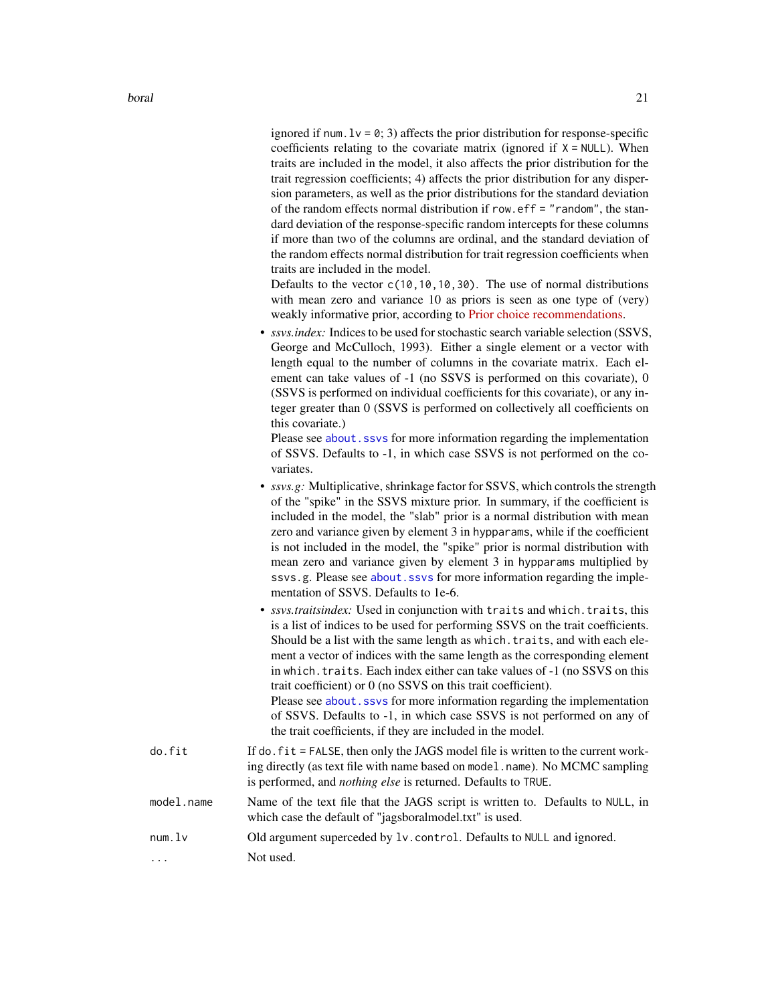ignored if num.  $1v = 0$ ; 3) affects the prior distribution for response-specific coefficients relating to the covariate matrix (ignored if  $X = NULL$ ). When traits are included in the model, it also affects the prior distribution for the trait regression coefficients; 4) affects the prior distribution for any dispersion parameters, as well as the prior distributions for the standard deviation of the random effects normal distribution if row.eff = "random", the standard deviation of the response-specific random intercepts for these columns if more than two of the columns are ordinal, and the standard deviation of the random effects normal distribution for trait regression coefficients when traits are included in the model.

Defaults to the vector  $c(10,10,10,30)$ . The use of normal distributions with mean zero and variance 10 as priors is seen as one type of (very) weakly informative prior, according to **Prior** choice recommendations.

• *ssvs.index:* Indices to be used for stochastic search variable selection (SSVS, George and McCulloch, 1993). Either a single element or a vector with length equal to the number of columns in the covariate matrix. Each element can take values of -1 (no SSVS is performed on this covariate), 0 (SSVS is performed on individual coefficients for this covariate), or any integer greater than 0 (SSVS is performed on collectively all coefficients on this covariate.)

Please see about. ssvs for more information regarding the implementation of SSVS. Defaults to -1, in which case SSVS is not performed on the covariates.

- *ssvs.g:* Multiplicative, shrinkage factor for SSVS, which controls the strength of the "spike" in the SSVS mixture prior. In summary, if the coefficient is included in the model, the "slab" prior is a normal distribution with mean zero and variance given by element 3 in hypparams, while if the coefficient is not included in the model, the "spike" prior is normal distribution with mean zero and variance given by element 3 in hypparams multiplied by ssvs.g. Please see about. ssvs for more information regarding the implementation of SSVS. Defaults to 1e-6.
- *ssvs.traitsindex:* Used in conjunction with traits and which.traits, this is a list of indices to be used for performing SSVS on the trait coefficients. Should be a list with the same length as which.traits, and with each element a vector of indices with the same length as the corresponding element in which.traits. Each index either can take values of -1 (no SSVS on this trait coefficient) or 0 (no SSVS on this trait coefficient).

Please see [about.ssvs](#page-9-1) for more information regarding the implementation of SSVS. Defaults to -1, in which case SSVS is not performed on any of the trait coefficients, if they are included in the model.

- do.fit If do.fit = FALSE, then only the JAGS model file is written to the current working directly (as text file with name based on model.name). No MCMC sampling is performed, and *nothing else* is returned. Defaults to TRUE.
- model.name Name of the text file that the JAGS script is written to. Defaults to NULL, in which case the default of "jagsboralmodel.txt" is used.
- num.lv Old argument superceded by lv.control. Defaults to NULL and ignored.
- ... Not used.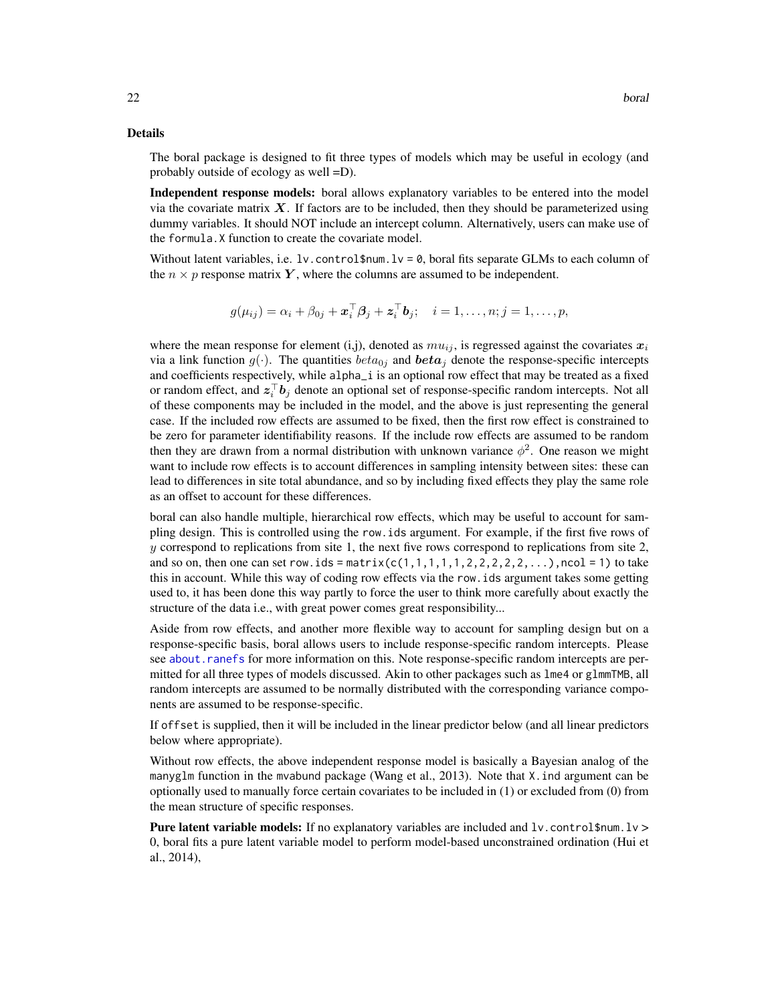## Details

The boral package is designed to fit three types of models which may be useful in ecology (and probably outside of ecology as well =D).

Independent response models: boral allows explanatory variables to be entered into the model via the covariate matrix  $X$ . If factors are to be included, then they should be parameterized using dummy variables. It should NOT include an intercept column. Alternatively, users can make use of the formula.X function to create the covariate model.

Without latent variables, i.e.  $1v$ .control\$num.lv = 0, boral fits separate GLMs to each column of the  $n \times p$  response matrix Y, where the columns are assumed to be independent.

$$
g(\mu_{ij}) = \alpha_i + \beta_{0j} + \boldsymbol{x}_i^{\top} \boldsymbol{\beta}_j + \boldsymbol{z}_i^{\top} \boldsymbol{b}_j; \quad i = 1, \ldots, n; j = 1, \ldots, p,
$$

where the mean response for element (i,j), denoted as  $mu_{ij}$ , is regressed against the covariates  $x_i$ via a link function  $g(\cdot)$ . The quantities  $beta_{0j}$  and  $beta_{ij}$  denote the response-specific intercepts and coefficients respectively, while alpha\_i is an optional row effect that may be treated as a fixed or random effect, and  $z_i^{\top}b_j$  denote an optional set of response-specific random intercepts. Not all of these components may be included in the model, and the above is just representing the general case. If the included row effects are assumed to be fixed, then the first row effect is constrained to be zero for parameter identifiability reasons. If the include row effects are assumed to be random then they are drawn from a normal distribution with unknown variance  $\phi^2$ . One reason we might want to include row effects is to account differences in sampling intensity between sites: these can lead to differences in site total abundance, and so by including fixed effects they play the same role as an offset to account for these differences.

boral can also handle multiple, hierarchical row effects, which may be useful to account for sampling design. This is controlled using the row.ids argument. For example, if the first five rows of y correspond to replications from site 1, the next five rows correspond to replications from site 2, and so on, then one can set row.ids =  $matrix(c(1,1,1,1,1,2,2,2,2,2,...),ncol = 1)$  to take this in account. While this way of coding row effects via the row.ids argument takes some getting used to, it has been done this way partly to force the user to think more carefully about exactly the structure of the data i.e., with great power comes great responsibility...

Aside from row effects, and another more flexible way to account for sampling design but on a response-specific basis, boral allows users to include response-specific random intercepts. Please see about. ranefs for more information on this. Note response-specific random intercepts are permitted for all three types of models discussed. Akin to other packages such as lme4 or glmmTMB, all random intercepts are assumed to be normally distributed with the corresponding variance components are assumed to be response-specific.

If offset is supplied, then it will be included in the linear predictor below (and all linear predictors below where appropriate).

Without row effects, the above independent response model is basically a Bayesian analog of the manyglm function in the mvabund package (Wang et al., 2013). Note that X.ind argument can be optionally used to manually force certain covariates to be included in (1) or excluded from (0) from the mean structure of specific responses.

**Pure latent variable models:** If no explanatory variables are included and  $1v$ . control\$num.  $1v$  > 0, boral fits a pure latent variable model to perform model-based unconstrained ordination (Hui et al., 2014),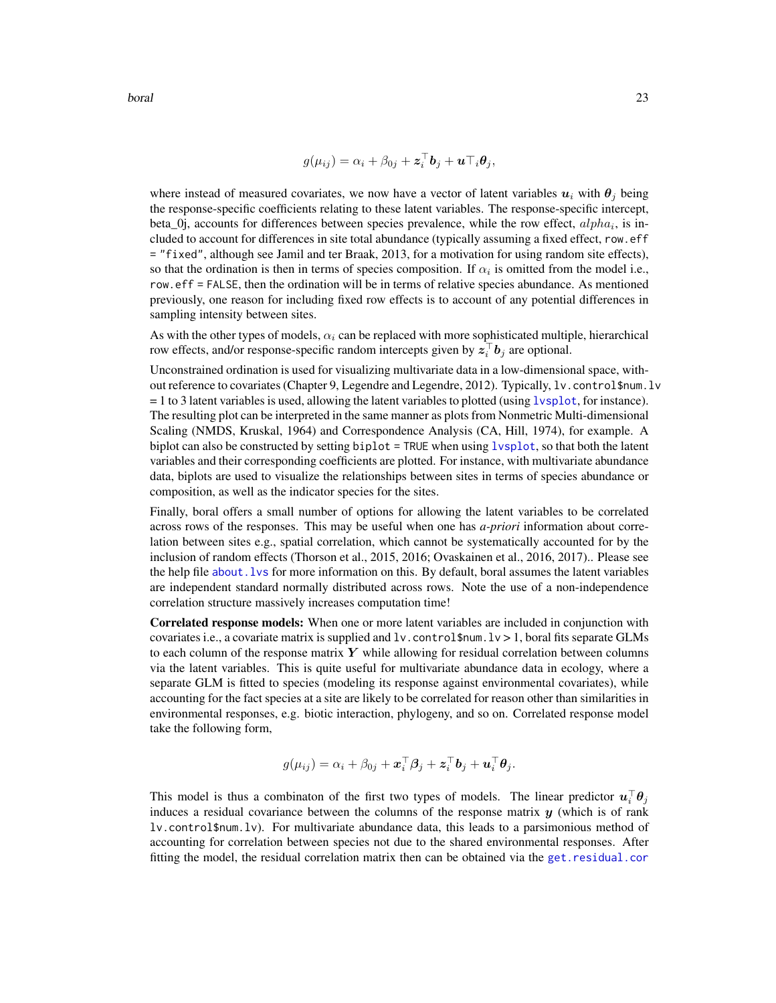$$
g(\mu_{ij}) = \alpha_i + \beta_{0j} + \boldsymbol{z}_i^{\top} \boldsymbol{b}_j + \boldsymbol{u} \top_i \boldsymbol{\theta}_j,
$$

where instead of measured covariates, we now have a vector of latent variables  $u_i$  with  $\theta_i$  being the response-specific coefficients relating to these latent variables. The response-specific intercept, beta\_0j, accounts for differences between species prevalence, while the row effect,  $alpha_i$ , is included to account for differences in site total abundance (typically assuming a fixed effect, row.eff = "fixed", although see Jamil and ter Braak, 2013, for a motivation for using random site effects), so that the ordination is then in terms of species composition. If  $\alpha_i$  is omitted from the model i.e., row.eff = FALSE, then the ordination will be in terms of relative species abundance. As mentioned previously, one reason for including fixed row effects is to account of any potential differences in sampling intensity between sites.

As with the other types of models,  $\alpha_i$  can be replaced with more sophisticated multiple, hierarchical row effects, and/or response-specific random intercepts given by  $z_i^{\top}b_j$  are optional.

Unconstrained ordination is used for visualizing multivariate data in a low-dimensional space, without reference to covariates (Chapter 9, Legendre and Legendre, 2012). Typically, lv.control\$num.lv = 1 to 3 latent variables is used, allowing the latent variables to plotted (using [lvsplot](#page-81-1), for instance). The resulting plot can be interpreted in the same manner as plots from Nonmetric Multi-dimensional Scaling (NMDS, Kruskal, 1964) and Correspondence Analysis (CA, Hill, 1974), for example. A biplot can also be constructed by setting biplot = TRUE when using [lvsplot](#page-81-1), so that both the latent variables and their corresponding coefficients are plotted. For instance, with multivariate abundance data, biplots are used to visualize the relationships between sites in terms of species abundance or composition, as well as the indicator species for the sites.

Finally, boral offers a small number of options for allowing the latent variables to be correlated across rows of the responses. This may be useful when one has *a-priori* information about correlation between sites e.g., spatial correlation, which cannot be systematically accounted for by the inclusion of random effects (Thorson et al., 2015, 2016; Ovaskainen et al., 2016, 2017).. Please see the help file [about.lvs](#page-5-1) for more information on this. By default, boral assumes the latent variables are independent standard normally distributed across rows. Note the use of a non-independence correlation structure massively increases computation time!

Correlated response models: When one or more latent variables are included in conjunction with covariates i.e., a covariate matrix is supplied and  $1v$ . control \$num.  $1v > 1$ , boral fits separate GLMs to each column of the response matrix  $Y$  while allowing for residual correlation between columns via the latent variables. This is quite useful for multivariate abundance data in ecology, where a separate GLM is fitted to species (modeling its response against environmental covariates), while accounting for the fact species at a site are likely to be correlated for reason other than similarities in environmental responses, e.g. biotic interaction, phylogeny, and so on. Correlated response model take the following form,

$$
g(\mu_{ij}) = \alpha_i + \beta_{0j} + \boldsymbol{x}_i^{\top} \boldsymbol{\beta}_j + \boldsymbol{z}_i^{\top} \boldsymbol{b}_j + \boldsymbol{u}_i^{\top} \boldsymbol{\theta}_j.
$$

This model is thus a combinaton of the first two types of models. The linear predictor  $\mathbf{u}_i^{\top} \mathbf{\theta}_j$ induces a residual covariance between the columns of the response matrix  $y$  (which is of rank lv.control\$num.lv). For multivariate abundance data, this leads to a parsimonious method of accounting for correlation between species not due to the shared environmental responses. After fitting the model, the residual correlation matrix then can be obtained via the [get.residual.cor](#page-78-1)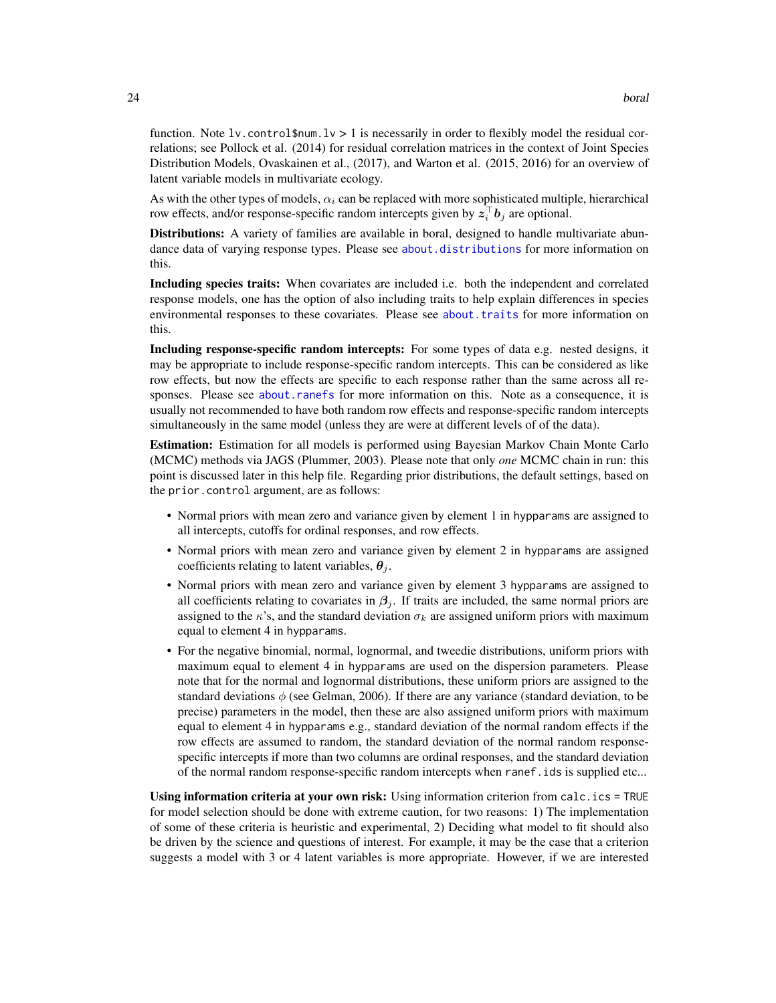function. Note  $l\mathbf{v}$  control  $\mathbf{w}$  is necessarily in order to flexibly model the residual correlations; see Pollock et al. (2014) for residual correlation matrices in the context of Joint Species Distribution Models, Ovaskainen et al., (2017), and Warton et al. (2015, 2016) for an overview of latent variable models in multivariate ecology.

As with the other types of models,  $\alpha_i$  can be replaced with more sophisticated multiple, hierarchical row effects, and/or response-specific random intercepts given by  $z_i^{\top}b_j$  are optional.

Distributions: A variety of families are available in boral, designed to handle multivariate abundance data of varying response types. Please see [about.distributions](#page-2-1) for more information on this.

Including species traits: When covariates are included i.e. both the independent and correlated response models, one has the option of also including traits to help explain differences in species environmental responses to these covariates. Please see [about.traits](#page-13-1) for more information on this.

Including response-specific random intercepts: For some types of data e.g. nested designs, it may be appropriate to include response-specific random intercepts. This can be considered as like row effects, but now the effects are specific to each response rather than the same across all responses. Please see [about.ranefs](#page-7-1) for more information on this. Note as a consequence, it is usually not recommended to have both random row effects and response-specific random intercepts simultaneously in the same model (unless they are were at different levels of of the data).

Estimation: Estimation for all models is performed using Bayesian Markov Chain Monte Carlo (MCMC) methods via JAGS (Plummer, 2003). Please note that only *one* MCMC chain in run: this point is discussed later in this help file. Regarding prior distributions, the default settings, based on the prior.control argument, are as follows:

- Normal priors with mean zero and variance given by element 1 in hypparams are assigned to all intercepts, cutoffs for ordinal responses, and row effects.
- Normal priors with mean zero and variance given by element 2 in hypparams are assigned coefficients relating to latent variables,  $\theta_i$ .
- Normal priors with mean zero and variance given by element 3 hypparams are assigned to all coefficients relating to covariates in  $\beta_i$ . If traits are included, the same normal priors are assigned to the  $\kappa$ 's, and the standard deviation  $\sigma_k$  are assigned uniform priors with maximum equal to element 4 in hypparams.
- For the negative binomial, normal, lognormal, and tweedie distributions, uniform priors with maximum equal to element 4 in hypparams are used on the dispersion parameters. Please note that for the normal and lognormal distributions, these uniform priors are assigned to the standard deviations  $\phi$  (see Gelman, 2006). If there are any variance (standard deviation, to be precise) parameters in the model, then these are also assigned uniform priors with maximum equal to element 4 in hypparams e.g., standard deviation of the normal random effects if the row effects are assumed to random, the standard deviation of the normal random responsespecific intercepts if more than two columns are ordinal responses, and the standard deviation of the normal random response-specific random intercepts when ranef.ids is supplied etc...

Using information criteria at your own risk: Using information criterion from calc.ics = TRUE for model selection should be done with extreme caution, for two reasons: 1) The implementation of some of these criteria is heuristic and experimental, 2) Deciding what model to fit should also be driven by the science and questions of interest. For example, it may be the case that a criterion suggests a model with 3 or 4 latent variables is more appropriate. However, if we are interested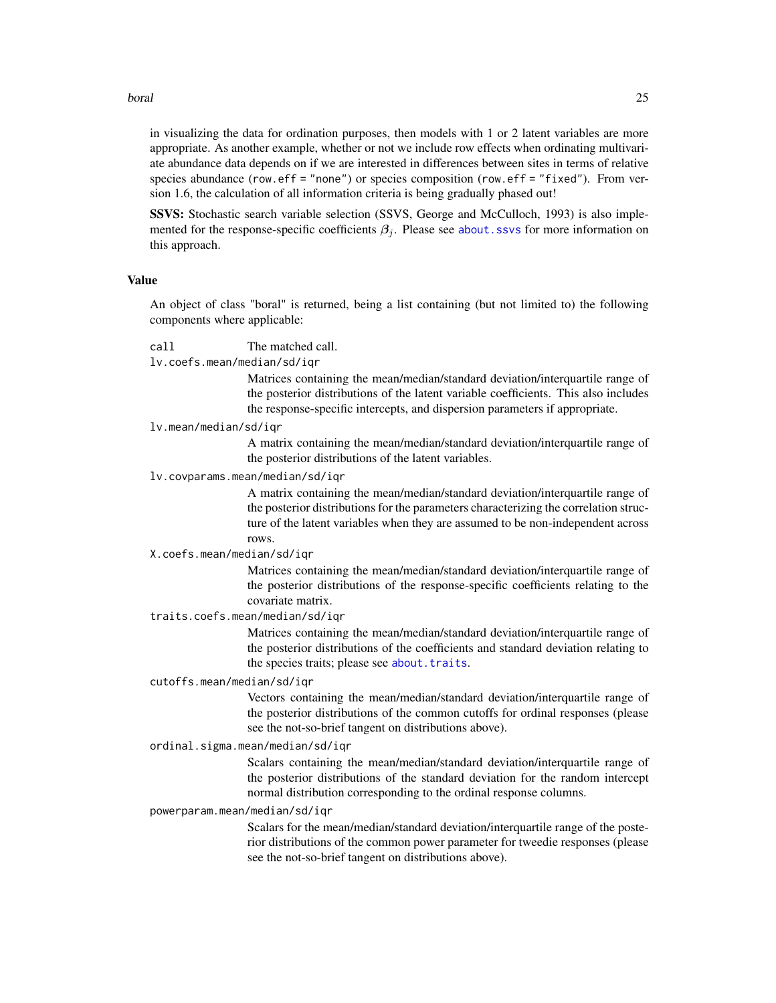#### boral 25

in visualizing the data for ordination purposes, then models with 1 or 2 latent variables are more appropriate. As another example, whether or not we include row effects when ordinating multivariate abundance data depends on if we are interested in differences between sites in terms of relative species abundance (row.eff = "none") or species composition (row.eff = "fixed"). From version 1.6, the calculation of all information criteria is being gradually phased out!

SSVS: Stochastic search variable selection (SSVS, George and McCulloch, 1993) is also implemented for the response-specific coefficients  $\beta_j$ . Please see [about.ssvs](#page-9-1) for more information on this approach.

# Value

An object of class "boral" is returned, being a list containing (but not limited to) the following components where applicable:

## call The matched call.

lv.coefs.mean/median/sd/iqr

Matrices containing the mean/median/standard deviation/interquartile range of the posterior distributions of the latent variable coefficients. This also includes the response-specific intercepts, and dispersion parameters if appropriate.

#### lv.mean/median/sd/iqr

A matrix containing the mean/median/standard deviation/interquartile range of the posterior distributions of the latent variables.

lv.covparams.mean/median/sd/iqr

A matrix containing the mean/median/standard deviation/interquartile range of the posterior distributions for the parameters characterizing the correlation structure of the latent variables when they are assumed to be non-independent across rows.

#### X.coefs.mean/median/sd/iqr

Matrices containing the mean/median/standard deviation/interquartile range of the posterior distributions of the response-specific coefficients relating to the covariate matrix.

### traits.coefs.mean/median/sd/iqr

Matrices containing the mean/median/standard deviation/interquartile range of the posterior distributions of the coefficients and standard deviation relating to the species traits; please see [about.traits](#page-13-1).

## cutoffs.mean/median/sd/iqr

Vectors containing the mean/median/standard deviation/interquartile range of the posterior distributions of the common cutoffs for ordinal responses (please see the not-so-brief tangent on distributions above).

# ordinal.sigma.mean/median/sd/iqr

Scalars containing the mean/median/standard deviation/interquartile range of the posterior distributions of the standard deviation for the random intercept normal distribution corresponding to the ordinal response columns.

## powerparam.mean/median/sd/iqr

Scalars for the mean/median/standard deviation/interquartile range of the posterior distributions of the common power parameter for tweedie responses (please see the not-so-brief tangent on distributions above).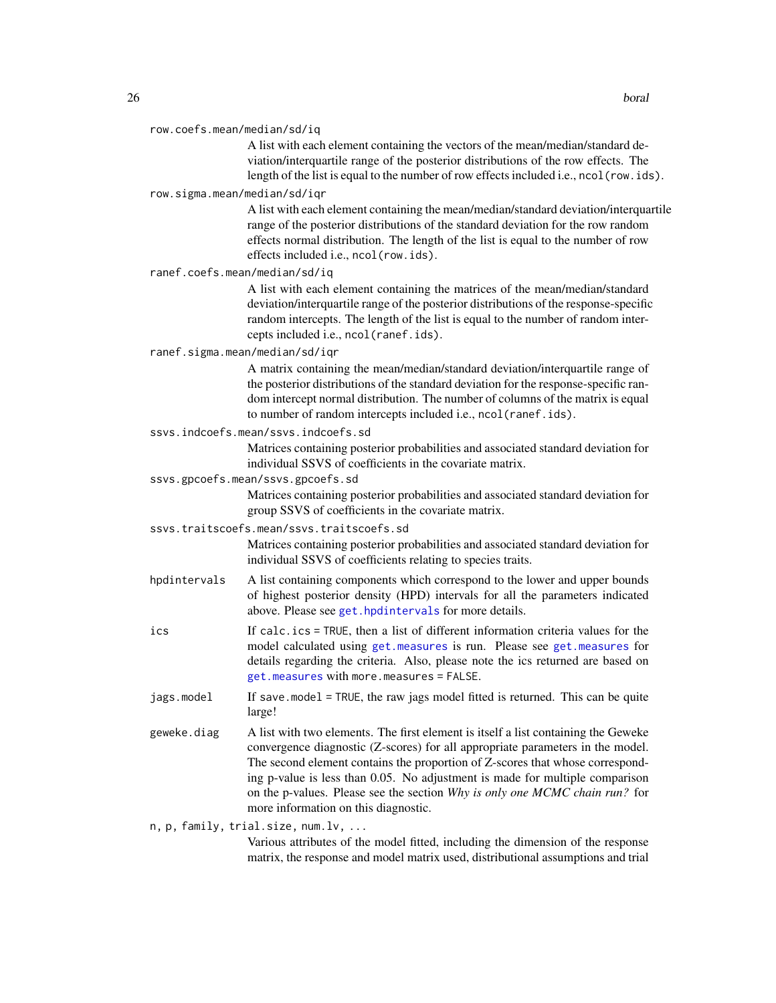| row.coefs.mean/median/sd/iq |  |
|-----------------------------|--|
|-----------------------------|--|

A list with each element containing the vectors of the mean/median/standard deviation/interquartile range of the posterior distributions of the row effects. The length of the list is equal to the number of row effects included i.e., ncol(row.ids).

row.sigma.mean/median/sd/iqr

A list with each element containing the mean/median/standard deviation/interquartile range of the posterior distributions of the standard deviation for the row random effects normal distribution. The length of the list is equal to the number of row effects included i.e., ncol(row.ids).

ranef.coefs.mean/median/sd/iq

A list with each element containing the matrices of the mean/median/standard deviation/interquartile range of the posterior distributions of the response-specific random intercepts. The length of the list is equal to the number of random intercepts included i.e., ncol(ranef.ids).

ranef.sigma.mean/median/sd/iqr

A matrix containing the mean/median/standard deviation/interquartile range of the posterior distributions of the standard deviation for the response-specific random intercept normal distribution. The number of columns of the matrix is equal to number of random intercepts included i.e., ncol(ranef.ids).

ssvs.indcoefs.mean/ssvs.indcoefs.sd

Matrices containing posterior probabilities and associated standard deviation for individual SSVS of coefficients in the covariate matrix.

ssvs.gpcoefs.mean/ssvs.gpcoefs.sd

Matrices containing posterior probabilities and associated standard deviation for group SSVS of coefficients in the covariate matrix.

ssvs.traitscoefs.mean/ssvs.traitscoefs.sd

Matrices containing posterior probabilities and associated standard deviation for individual SSVS of coefficients relating to species traits.

- hpdintervals A list containing components which correspond to the lower and upper bounds of highest posterior density (HPD) intervals for all the parameters indicated above. Please see [get.hpdintervals](#page-65-1) for more details.
- ics If calc.ics = TRUE, then a list of different information criteria values for the model calculated using [get.measures](#page-70-1) is run. Please see [get.measures](#page-70-1) for details regarding the criteria. Also, please note the ics returned are based on [get.measures](#page-70-1) with more.measures = FALSE.
- jags.model If save.model = TRUE, the raw jags model fitted is returned. This can be quite large!
- geweke.diag A list with two elements. The first element is itself a list containing the Geweke convergence diagnostic (Z-scores) for all appropriate parameters in the model. The second element contains the proportion of Z-scores that whose corresponding p-value is less than 0.05. No adjustment is made for multiple comparison on the p-values. Please see the section *Why is only one MCMC chain run?* for more information on this diagnostic.

n, p, family, trial.size, num.lv, ...

Various attributes of the model fitted, including the dimension of the response matrix, the response and model matrix used, distributional assumptions and trial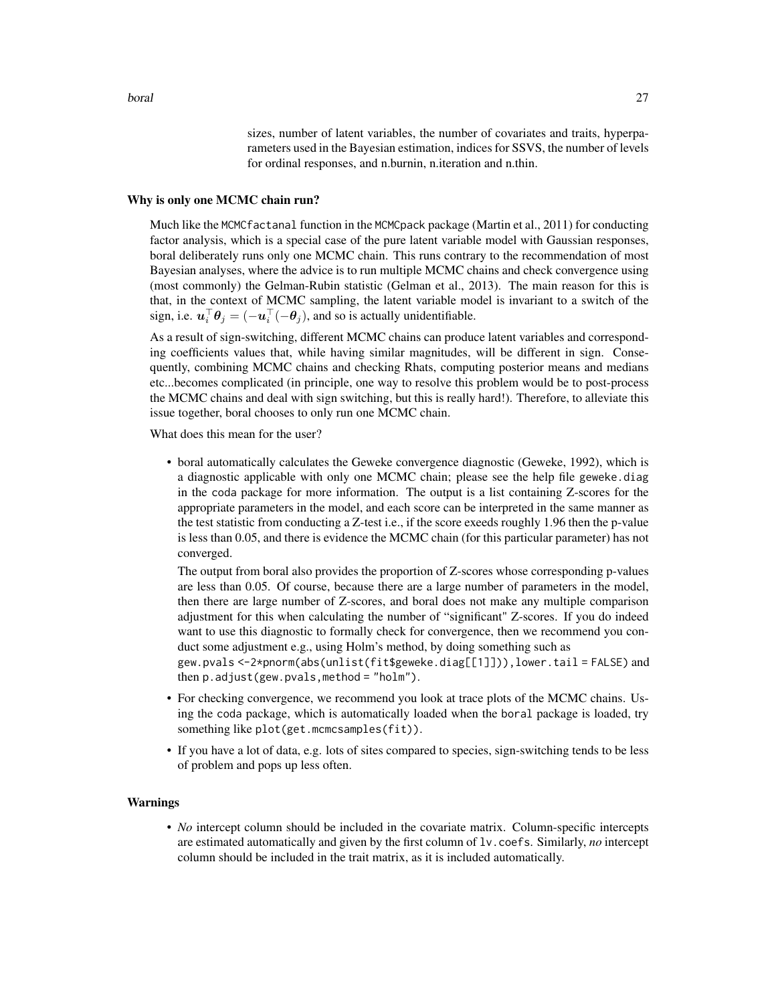sizes, number of latent variables, the number of covariates and traits, hyperparameters used in the Bayesian estimation, indices for SSVS, the number of levels for ordinal responses, and n.burnin, n.iteration and n.thin.

## Why is only one MCMC chain run?

Much like the MCMCfactanal function in the MCMCpack package (Martin et al., 2011) for conducting factor analysis, which is a special case of the pure latent variable model with Gaussian responses, boral deliberately runs only one MCMC chain. This runs contrary to the recommendation of most Bayesian analyses, where the advice is to run multiple MCMC chains and check convergence using (most commonly) the Gelman-Rubin statistic (Gelman et al., 2013). The main reason for this is that, in the context of MCMC sampling, the latent variable model is invariant to a switch of the sign, i.e.  $\mathbf{u}_i^{\top} \boldsymbol{\theta}_j = (-\mathbf{u}_i^{\top}(-\boldsymbol{\theta}_j))$ , and so is actually unidentifiable.

As a result of sign-switching, different MCMC chains can produce latent variables and corresponding coefficients values that, while having similar magnitudes, will be different in sign. Consequently, combining MCMC chains and checking Rhats, computing posterior means and medians etc...becomes complicated (in principle, one way to resolve this problem would be to post-process the MCMC chains and deal with sign switching, but this is really hard!). Therefore, to alleviate this issue together, boral chooses to only run one MCMC chain.

What does this mean for the user?

• boral automatically calculates the Geweke convergence diagnostic (Geweke, 1992), which is a diagnostic applicable with only one MCMC chain; please see the help file geweke.diag in the coda package for more information. The output is a list containing Z-scores for the appropriate parameters in the model, and each score can be interpreted in the same manner as the test statistic from conducting a Z-test i.e., if the score exeeds roughly 1.96 then the p-value is less than 0.05, and there is evidence the MCMC chain (for this particular parameter) has not converged.

The output from boral also provides the proportion of Z-scores whose corresponding p-values are less than 0.05. Of course, because there are a large number of parameters in the model, then there are large number of Z-scores, and boral does not make any multiple comparison adjustment for this when calculating the number of "significant" Z-scores. If you do indeed want to use this diagnostic to formally check for convergence, then we recommend you conduct some adjustment e.g., using Holm's method, by doing something such as

gew.pvals <-2\*pnorm(abs(unlist(fit\$geweke.diag[[1]])),lower.tail = FALSE) and then p.adjust(gew.pvals,method = "holm").

- For checking convergence, we recommend you look at trace plots of the MCMC chains. Using the coda package, which is automatically loaded when the boral package is loaded, try something like plot(get.mcmcsamples(fit)).
- If you have a lot of data, e.g. lots of sites compared to species, sign-switching tends to be less of problem and pops up less often.

## Warnings

• *No* intercept column should be included in the covariate matrix. Column-specific intercepts are estimated automatically and given by the first column of lv.coefs. Similarly, *no* intercept column should be included in the trait matrix, as it is included automatically.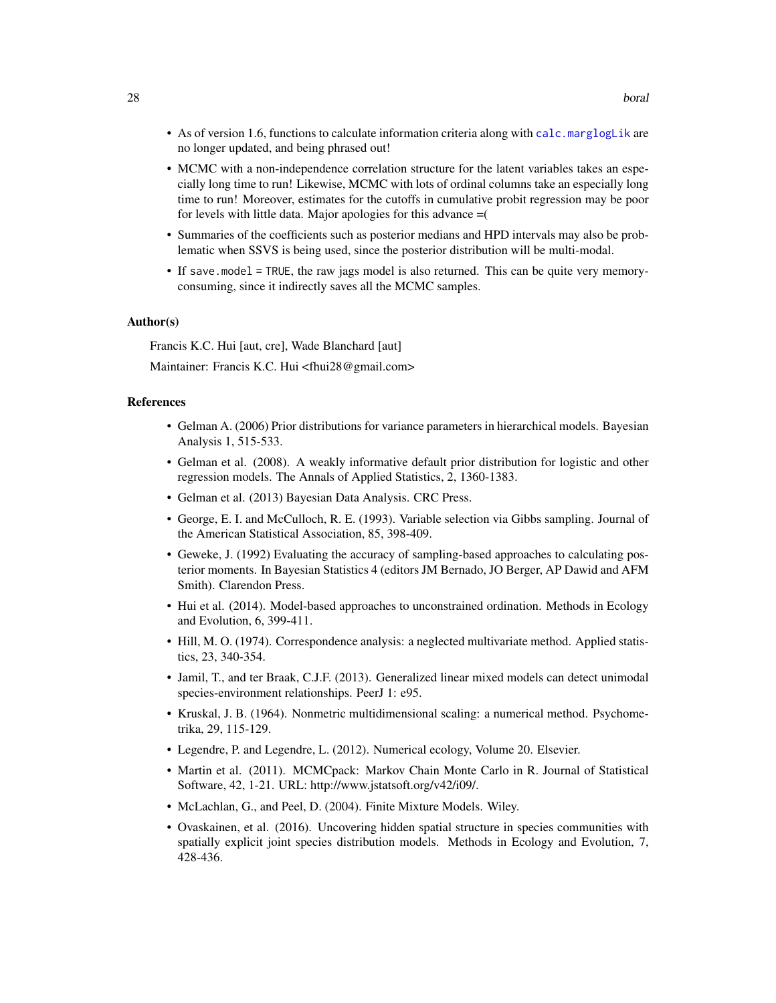- As of version 1.6, functions to calculate information criteria along with [calc.marglogLik](#page-39-1) are no longer updated, and being phrased out!
- MCMC with a non-independence correlation structure for the latent variables takes an especially long time to run! Likewise, MCMC with lots of ordinal columns take an especially long time to run! Moreover, estimates for the cutoffs in cumulative probit regression may be poor for levels with little data. Major apologies for this advance =(
- Summaries of the coefficients such as posterior medians and HPD intervals may also be problematic when SSVS is being used, since the posterior distribution will be multi-modal.
- If save.model = TRUE, the raw jags model is also returned. This can be quite very memoryconsuming, since it indirectly saves all the MCMC samples.

## Author(s)

Francis K.C. Hui [aut, cre], Wade Blanchard [aut]

Maintainer: Francis K.C. Hui <fhui28@gmail.com>

## References

- Gelman A. (2006) Prior distributions for variance parameters in hierarchical models. Bayesian Analysis 1, 515-533.
- Gelman et al. (2008). A weakly informative default prior distribution for logistic and other regression models. The Annals of Applied Statistics, 2, 1360-1383.
- Gelman et al. (2013) Bayesian Data Analysis. CRC Press.
- George, E. I. and McCulloch, R. E. (1993). Variable selection via Gibbs sampling. Journal of the American Statistical Association, 85, 398-409.
- Geweke, J. (1992) Evaluating the accuracy of sampling-based approaches to calculating posterior moments. In Bayesian Statistics 4 (editors JM Bernado, JO Berger, AP Dawid and AFM Smith). Clarendon Press.
- Hui et al. (2014). Model-based approaches to unconstrained ordination. Methods in Ecology and Evolution, 6, 399-411.
- Hill, M. O. (1974). Correspondence analysis: a neglected multivariate method. Applied statistics, 23, 340-354.
- Jamil, T., and ter Braak, C.J.F. (2013). Generalized linear mixed models can detect unimodal species-environment relationships. PeerJ 1: e95.
- Kruskal, J. B. (1964). Nonmetric multidimensional scaling: a numerical method. Psychometrika, 29, 115-129.
- Legendre, P. and Legendre, L. (2012). Numerical ecology, Volume 20. Elsevier.
- Martin et al. (2011). MCMCpack: Markov Chain Monte Carlo in R. Journal of Statistical Software, 42, 1-21. URL: http://www.jstatsoft.org/v42/i09/.
- McLachlan, G., and Peel, D. (2004). Finite Mixture Models. Wiley.
- Ovaskainen, et al. (2016). Uncovering hidden spatial structure in species communities with spatially explicit joint species distribution models. Methods in Ecology and Evolution, 7, 428-436.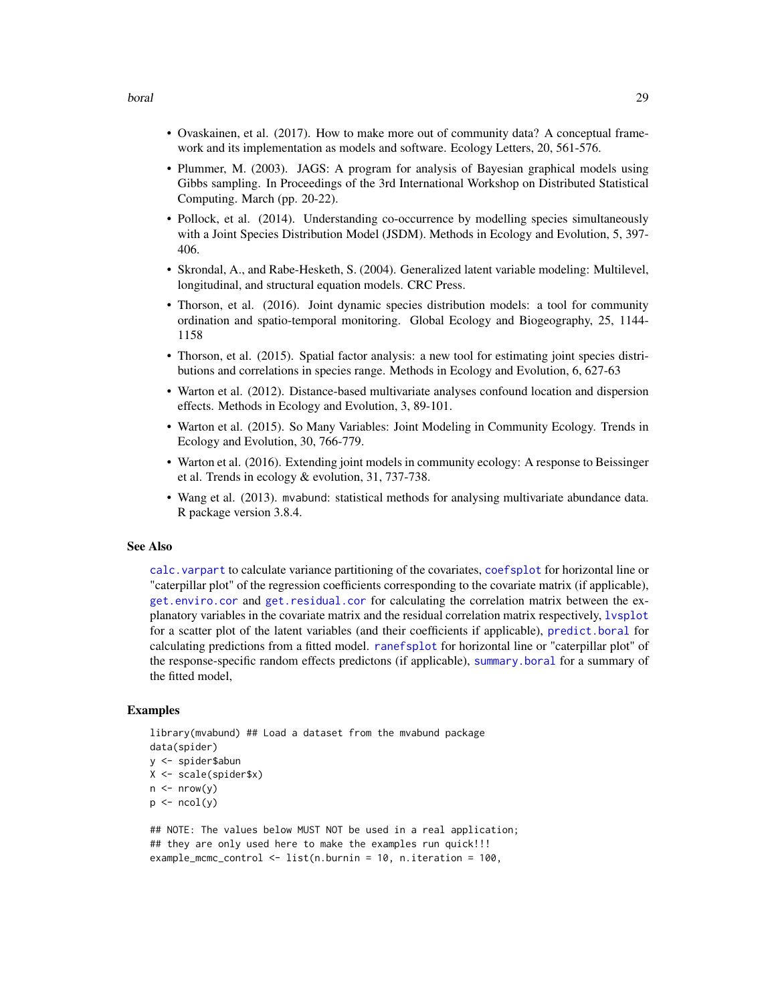- Ovaskainen, et al. (2017). How to make more out of community data? A conceptual framework and its implementation as models and software. Ecology Letters, 20, 561-576.
- Plummer, M. (2003). JAGS: A program for analysis of Bayesian graphical models using Gibbs sampling. In Proceedings of the 3rd International Workshop on Distributed Statistical Computing. March (pp. 20-22).
- Pollock, et al. (2014). Understanding co-occurrence by modelling species simultaneously with a Joint Species Distribution Model (JSDM). Methods in Ecology and Evolution, 5, 397- 406.
- Skrondal, A., and Rabe-Hesketh, S. (2004). Generalized latent variable modeling: Multilevel, longitudinal, and structural equation models. CRC Press.
- Thorson, et al. (2016). Joint dynamic species distribution models: a tool for community ordination and spatio-temporal monitoring. Global Ecology and Biogeography, 25, 1144- 1158
- Thorson, et al. (2015). Spatial factor analysis: a new tool for estimating joint species distributions and correlations in species range. Methods in Ecology and Evolution, 6, 627-63
- Warton et al. (2012). Distance-based multivariate analyses confound location and dispersion effects. Methods in Ecology and Evolution, 3, 89-101.
- Warton et al. (2015). So Many Variables: Joint Modeling in Community Ecology. Trends in Ecology and Evolution, 30, 766-779.
- Warton et al. (2016). Extending joint models in community ecology: A response to Beissinger et al. Trends in ecology & evolution, 31, 737-738.
- Wang et al. (2013). mvabund: statistical methods for analysing multivariate abundance data. R package version 3.8.4.

## See Also

[calc.varpart](#page-43-1) to calculate variance partitioning of the covariates, [coefsplot](#page-47-1) for horizontal line or "caterpillar plot" of the regression coefficients corresponding to the covariate matrix (if applicable), [get.enviro.cor](#page-63-1) and [get.residual.cor](#page-78-1) for calculating the correlation matrix between the explanatory variables in the covariate matrix and the residual correlation matrix respectively, [lvsplot](#page-81-1) for a scatter plot of the latent variables (and their coefficients if applicable), [predict.boral](#page-96-1) for calculating predictions from a fitted model. [ranefsplot](#page-102-1) for horizontal line or "caterpillar plot" of the response-specific random effects predictons (if applicable), [summary.boral](#page-104-1) for a summary of the fitted model,

## Examples

```
library(mvabund) ## Load a dataset from the mvabund package
data(spider)
y <- spider$abun
X <- scale(spider$x)
n \leq -nrow(y)p \leftarrow \text{ncol}(y)
```

```
## NOTE: The values below MUST NOT be used in a real application;
## they are only used here to make the examples run quick!!!
example_mcmc_control <- list(n.burnin = 10, n.iteration = 100,
```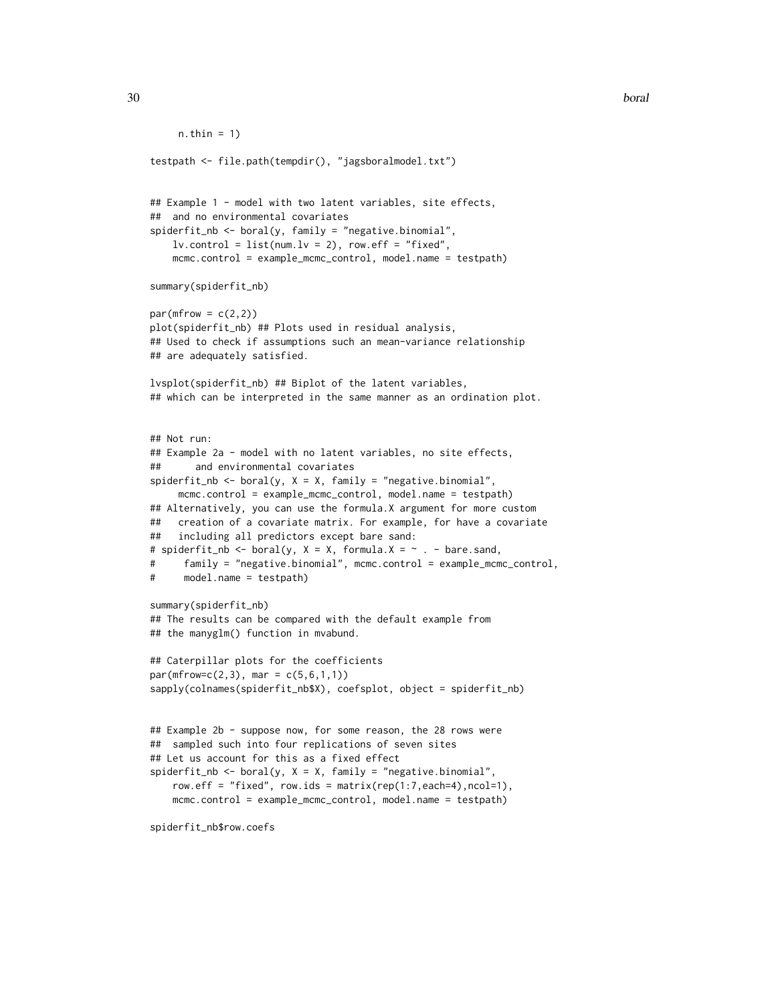```
n.thin = 1)
testpath <- file.path(tempdir(), "jagsboralmodel.txt")
## Example 1 - model with two latent variables, site effects,
## and no environmental covariates
spiderfit_nb <- boral(y, family = "negative.binomial",
   lv. control = list(num.lv = 2), row.eff = "fixed",
   mcmc.control = example_mcmc_control, model.name = testpath)
summary(spiderfit_nb)
par(mfrow = c(2,2))plot(spiderfit_nb) ## Plots used in residual analysis,
## Used to check if assumptions such an mean-variance relationship
## are adequately satisfied.
lvsplot(spiderfit_nb) ## Biplot of the latent variables,
## which can be interpreted in the same manner as an ordination plot.
## Not run:
## Example 2a - model with no latent variables, no site effects,
## and environmental covariates
spiderfit\_nb \leq bond(y, X = X, family = "negative.binomial",mcmc.control = example_mcmc_control, model.name = testpath)
## Alternatively, you can use the formula.X argument for more custom
## creation of a covariate matrix. For example, for have a covariate
## including all predictors except bare sand:
# spiderfit_nb <- boral(y, X = X, formula.X = \sim . - bare.sand,
# family = "negative.binomial", mcmc.control = example_mcmc_control,
# model.name = testpath)
summary(spiderfit_nb)
## The results can be compared with the default example from
## the manyglm() function in mvabund.
## Caterpillar plots for the coefficients
par(mfrow=c(2,3), mar = c(5,6,1,1))sapply(colnames(spiderfit_nb$X), coefsplot, object = spiderfit_nb)
## Example 2b - suppose now, for some reason, the 28 rows were
## sampled such into four replications of seven sites
## Let us account for this as a fixed effect
spiderfit_nb <- boral(y, X = X, family = "negative.binomial",
    row.eff = "fixed", row.ids = matrix(rep(1:7,each=4),ncol=1),
    mcmc.control = example_mcmc_control, model.name = testpath)
```
spiderfit\_nb\$row.coefs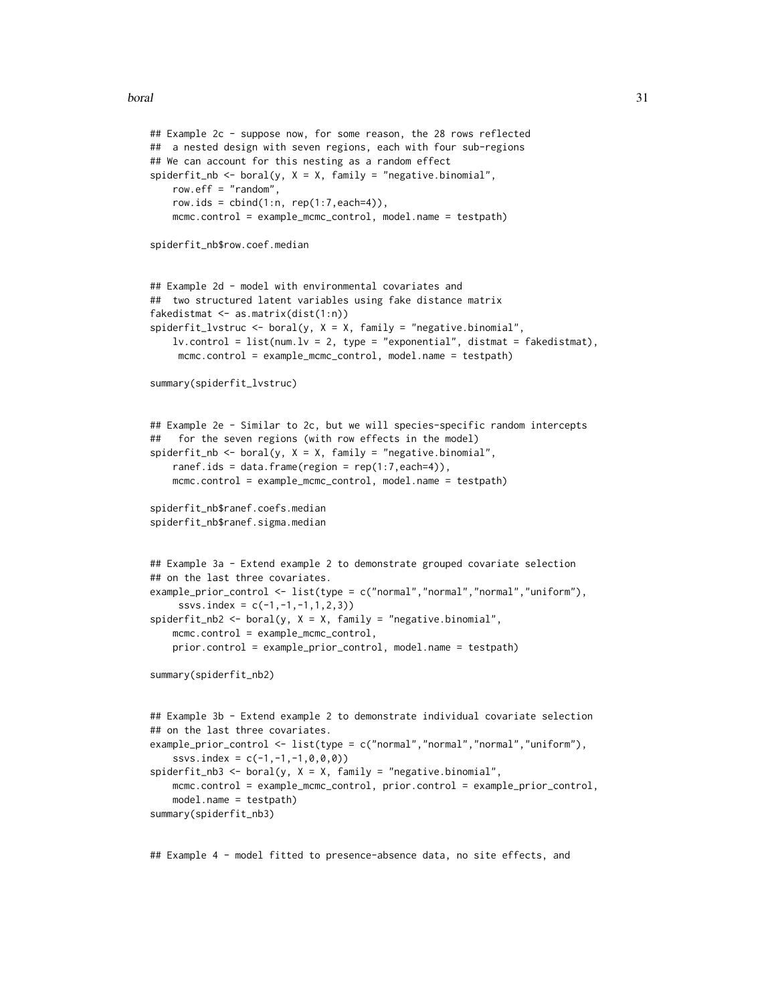```
## Example 2c - suppose now, for some reason, the 28 rows reflected
## a nested design with seven regions, each with four sub-regions
## We can account for this nesting as a random effect
spiderfit_nb <- boral(y, X = X, family = "negative.binomial",
   row.eff = "random",
   row.ids = cbind(1:n, rep(1:7, each=4)),mcmc.control = example_mcmc_control, model.name = testpath)
spiderfit_nb$row.coef.median
## Example 2d - model with environmental covariates and
## two structured latent variables using fake distance matrix
fakedistmat <- as.matrix(dist(1:n))
spiderfit_lvstruc <- boral(y, X = X, family = "negative.binomial",
    lv.countrol = list(num.lv = 2, type = "exponential", distmat = fakedistmat),mcmc.control = example_mcmc_control, model.name = testpath)
summary(spiderfit_lvstruc)
## Example 2e - Similar to 2c, but we will species-specific random intercepts
## for the seven regions (with row effects in the model)
spiderfit_nb <- boral(y, X = X, family = "negative.binomial",
   ranef.ids = data.frame(region = rep(1:7, each=4)),
    mcmc.control = example_mcmc_control, model.name = testpath)
spiderfit_nb$ranef.coefs.median
spiderfit_nb$ranef.sigma.median
## Example 3a - Extend example 2 to demonstrate grouped covariate selection
## on the last three covariates.
example_prior_control <- list(type = c("normal","normal","normal","uniform"),
     ssvs.index = c(-1, -1, -1, 1, 2, 3)spiderfit_{nb2} < - boral(y, X = X, family = "negative.binomial",
    mcmc.control = example_mcmc_control,
   prior.control = example_prior_control, model.name = testpath)
summary(spiderfit_nb2)
## Example 3b - Extend example 2 to demonstrate individual covariate selection
## on the last three covariates.
example_prior_control <- list(type = c("normal","normal","normal","uniform"),
    ssvs.index = c(-1, -1, -1, 0, 0, 0)spiderfit_{nb3} < - boral(y, X = X, family = "negative.binomial",
   mcmc.control = example_mcmc_control, prior.control = example_prior_control,
   model.name = testpath)
summary(spiderfit_nb3)
```
## Example 4 - model fitted to presence-absence data, no site effects, and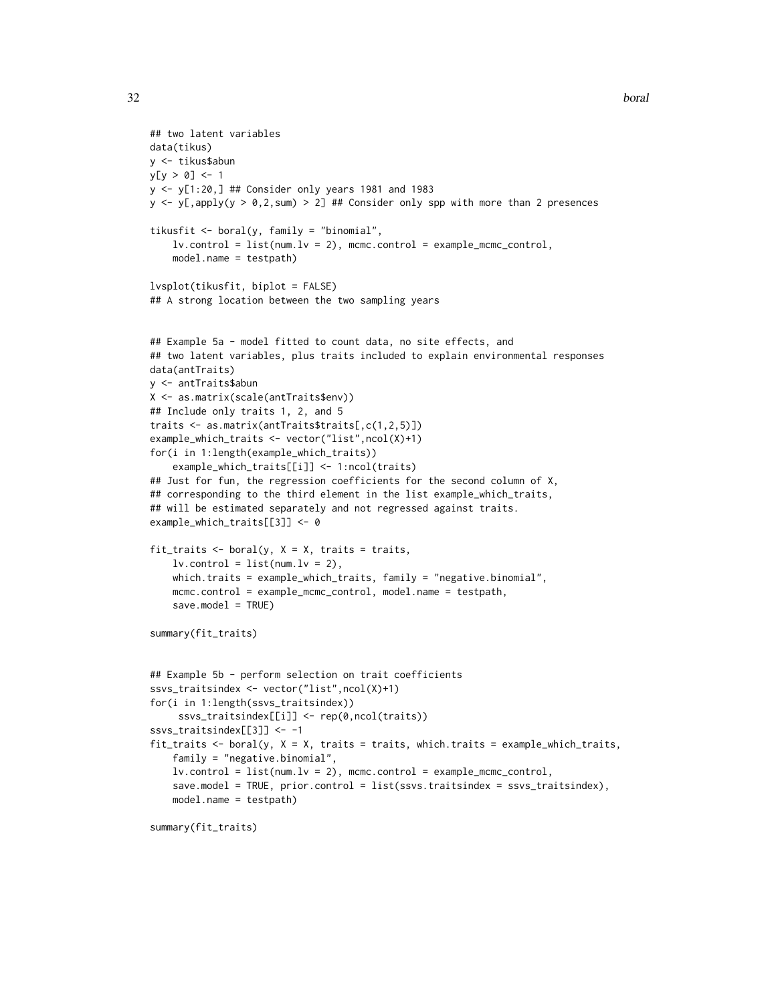```
32 boral boral boral boral boral boral boral boral boral boral boral boral boral boral boral boral boral boral
```

```
## two latent variables
data(tikus)
y <- tikus$abun
y[y > 0] <- 1
y <- y[1:20,] ## Consider only years 1981 and 1983
y \le y (apply(y > 0,2, sum) > 2] ## Consider only spp with more than 2 presences
tikusfit \leq boral(y, family = "binomial",
    lv.contrib = list(num.lv = 2), mcmc.control = example_mcmc_control,
    model.name = testpath)
lvsplot(tikusfit, biplot = FALSE)
## A strong location between the two sampling years
## Example 5a - model fitted to count data, no site effects, and
## two latent variables, plus traits included to explain environmental responses
data(antTraits)
y <- antTraits$abun
X <- as.matrix(scale(antTraits$env))
## Include only traits 1, 2, and 5
traits <- as.matrix(antTraits$traits[,c(1,2,5)])
example_which_traits <- vector("list",ncol(X)+1)
for(i in 1:length(example_which_traits))
    example_which_traits[[i]] <- 1:ncol(traits)
## Just for fun, the regression coefficients for the second column of X,
## corresponding to the third element in the list example_which_traits,
## will be estimated separately and not regressed against traits.
example_which_traits[[3]] <- 0
fit_traits \leq boral(y, X = X, traits = traits,
    lv. control = list(num.lv = 2),
    which.traits = example_which_traits, family = "negative.binomial",
    mcmc.control = example_mcmc_control, model.name = testpath,
    save.model = TRUE)
summary(fit_traits)
## Example 5b - perform selection on trait coefficients
ssvs_traitsindex <- vector("list",ncol(X)+1)
for(i in 1:length(ssvs_traitsindex))
     ssvs_traitsindex[[i]] <- rep(0,ncol(traits))
ssvs_traitsindex[[3]] <- -1
fit_traits <- boral(y, X = X, traits = traits, which.traits = example_which_traits,
    family = "negative.binomial",
    lv.contrib = list(num.lv = 2), mcmc.control = example_mcmc_control,
    save.model = TRUE, prior.control = list(ssvs.traitsindex = ssvs_traitsindex),
    model.name = testpath)
```

```
summary(fit_traits)
```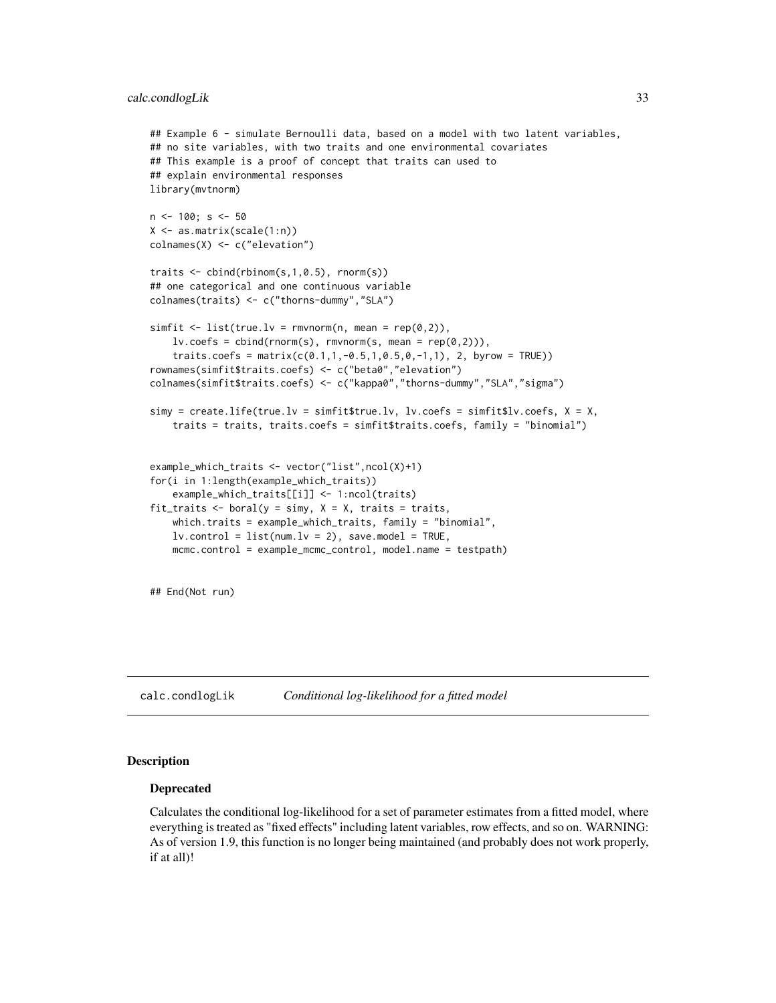```
## Example 6 - simulate Bernoulli data, based on a model with two latent variables,
## no site variables, with two traits and one environmental covariates
## This example is a proof of concept that traits can used to
## explain environmental responses
library(mvtnorm)
n <- 100; s <- 50
X <- as.matrix(scale(1:n))
colnames(X) <- c("elevation")
traits <- cbind(rbinom(s,1,0.5), rnorm(s))
## one categorical and one continuous variable
colnames(traits) <- c("thorns-dummy","SLA")
simfit \le list(true.lv = rmvnorm(n, mean = rep(0,2)),
    lv.\csc s = \text{cbind}(rnorm(s), rmvnorm(s, mean = rep(0,2))),traits.coefs = matrix(c(0.1, 1, -0.5, 1, 0.5, 0, -1, 1), 2, byrow = TRUE))
rownames(simfit$traits.coefs) <- c("beta0","elevation")
colnames(simfit$traits.coefs) <- c("kappa0","thorns-dummy","SLA","sigma")
simy = createuif (true.1v = simfit$true.1v, 1v.coeffs = simfit$1v.coeffs, X = X,traits = traits, traits.coefs = simfit$traits.coefs, family = "binomial")
example_which_traits <- vector("list",ncol(X)+1)
for(i in 1:length(example_which_traits))
    example_which_traits[[i]] <- 1:ncol(traits)
fit_traits <- boral(y = simy, X = X, traits = traits,
    which.traits = example_which_traits, family = "binomial",
    lv.contrib = list(num.lv = 2), save.model = TRUE,
   mcmc.control = example_mcmc_control, model.name = testpath)
## End(Not run)
```
calc.condlogLik *Conditional log-likelihood for a fitted model*

#### **Description**

### Deprecated

Calculates the conditional log-likelihood for a set of parameter estimates from a fitted model, where everything is treated as "fixed effects" including latent variables, row effects, and so on. WARNING: As of version 1.9, this function is no longer being maintained (and probably does not work properly, if at all)!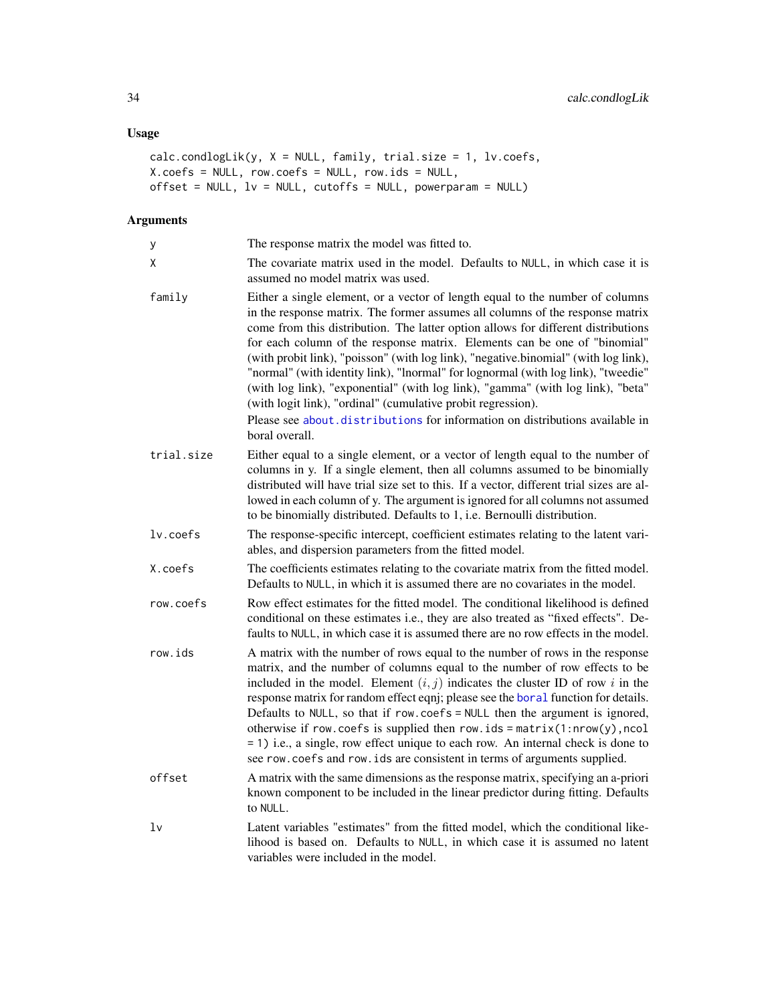# Usage

```
calc.condlogLik(y, X = NULL, family, trial.size = 1, lv.coefs,
X.coefs = NULL, row.coefs = NULL, row.ids = NULL,
offset = NULL, lv = NULL, cutoffs = NULL, powerparam = NULL)
```
# Arguments

| y          | The response matrix the model was fitted to.                                                                                                                                                                                                                                                                                                                                                                                                                                                                                                                                                                                                                                                                                                                      |
|------------|-------------------------------------------------------------------------------------------------------------------------------------------------------------------------------------------------------------------------------------------------------------------------------------------------------------------------------------------------------------------------------------------------------------------------------------------------------------------------------------------------------------------------------------------------------------------------------------------------------------------------------------------------------------------------------------------------------------------------------------------------------------------|
| X          | The covariate matrix used in the model. Defaults to NULL, in which case it is<br>assumed no model matrix was used.                                                                                                                                                                                                                                                                                                                                                                                                                                                                                                                                                                                                                                                |
| family     | Either a single element, or a vector of length equal to the number of columns<br>in the response matrix. The former assumes all columns of the response matrix<br>come from this distribution. The latter option allows for different distributions<br>for each column of the response matrix. Elements can be one of "binomial"<br>(with probit link), "poisson" (with log link), "negative.binomial" (with log link),<br>"normal" (with identity link), "lnormal" for lognormal (with log link), "tweedie"<br>(with log link), "exponential" (with log link), "gamma" (with log link), "beta"<br>(with logit link), "ordinal" (cumulative probit regression).<br>Please see about distributions for information on distributions available in<br>boral overall. |
| trial.size | Either equal to a single element, or a vector of length equal to the number of<br>columns in y. If a single element, then all columns assumed to be binomially<br>distributed will have trial size set to this. If a vector, different trial sizes are al-<br>lowed in each column of y. The argument is ignored for all columns not assumed<br>to be binomially distributed. Defaults to 1, i.e. Bernoulli distribution.                                                                                                                                                                                                                                                                                                                                         |
| lv.coefs   | The response-specific intercept, coefficient estimates relating to the latent vari-<br>ables, and dispersion parameters from the fitted model.                                                                                                                                                                                                                                                                                                                                                                                                                                                                                                                                                                                                                    |
| X.coefs    | The coefficients estimates relating to the covariate matrix from the fitted model.<br>Defaults to NULL, in which it is assumed there are no covariates in the model.                                                                                                                                                                                                                                                                                                                                                                                                                                                                                                                                                                                              |
| row.coefs  | Row effect estimates for the fitted model. The conditional likelihood is defined<br>conditional on these estimates i.e., they are also treated as "fixed effects". De-<br>faults to NULL, in which case it is assumed there are no row effects in the model.                                                                                                                                                                                                                                                                                                                                                                                                                                                                                                      |
| row.ids    | A matrix with the number of rows equal to the number of rows in the response<br>matrix, and the number of columns equal to the number of row effects to be<br>included in the model. Element $(i, j)$ indicates the cluster ID of row i in the<br>response matrix for random effect eqnj; please see the boral function for details.<br>Defaults to NULL, so that if row.coefs = NULL then the argument is ignored,<br>otherwise if row.coefs is supplied then row.ids = $matrix(1: nrow(y), ncol$<br>= 1) i.e., a single, row effect unique to each row. An internal check is done to<br>see row.coefs and row.ids are consistent in terms of arguments supplied.                                                                                                |
| offset     | A matrix with the same dimensions as the response matrix, specifying an a-priori<br>known component to be included in the linear predictor during fitting. Defaults<br>to NULL.                                                                                                                                                                                                                                                                                                                                                                                                                                                                                                                                                                                   |
| lν         | Latent variables "estimates" from the fitted model, which the conditional like-<br>lihood is based on. Defaults to NULL, in which case it is assumed no latent<br>variables were included in the model.                                                                                                                                                                                                                                                                                                                                                                                                                                                                                                                                                           |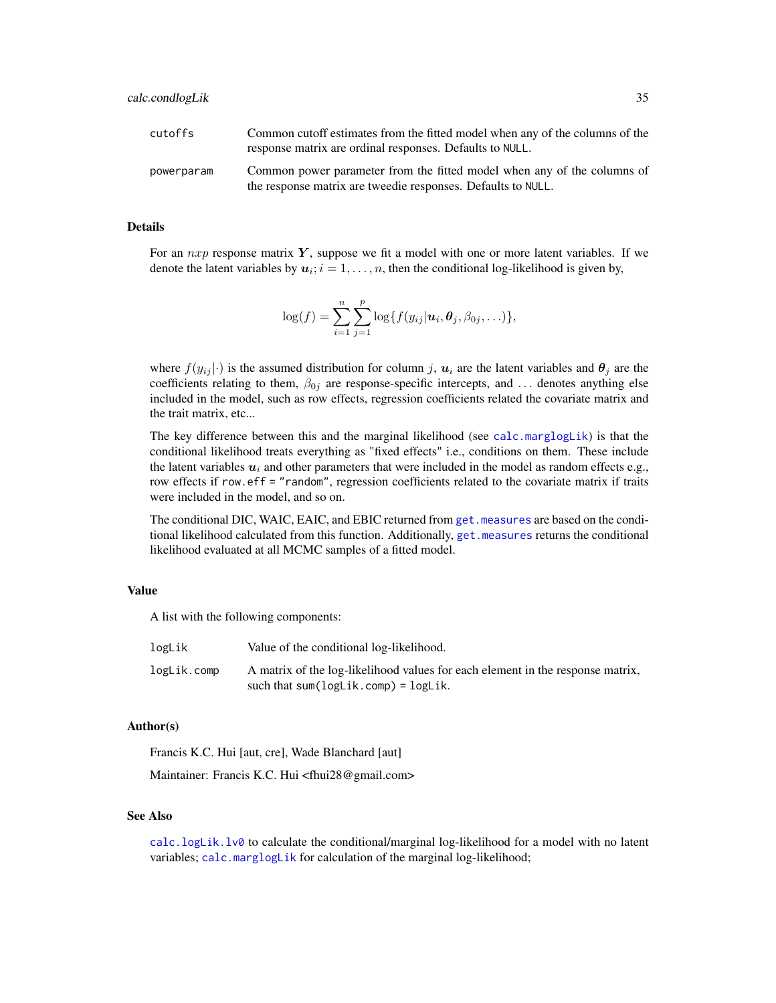| cutoffs    | Common cutoff estimates from the fitted model when any of the columns of the<br>response matrix are ordinal responses. Defaults to NULL. |
|------------|------------------------------------------------------------------------------------------------------------------------------------------|
| powerparam | Common power parameter from the fitted model when any of the columns of<br>the response matrix are tweedie responses. Defaults to NULL.  |

#### Details

For an  $nxp$  response matrix  $Y$ , suppose we fit a model with one or more latent variables. If we denote the latent variables by  $u_i$ ;  $i = 1, \ldots, n$ , then the conditional log-likelihood is given by,

$$
\log(f) = \sum_{i=1}^n \sum_{j=1}^p \log\{f(y_{ij}|\boldsymbol{u}_i,\boldsymbol{\theta}_j,\beta_{0j},\ldots)\},\
$$

where  $f(y_{ij}|\cdot)$  is the assumed distribution for column j,  $u_i$  are the latent variables and  $\theta_j$  are the coefficients relating to them,  $\beta_{0j}$  are response-specific intercepts, and ... denotes anything else included in the model, such as row effects, regression coefficients related the covariate matrix and the trait matrix, etc...

The key difference between this and the marginal likelihood (see [calc.marglogLik](#page-39-1)) is that the conditional likelihood treats everything as "fixed effects" i.e., conditions on them. These include the latent variables  $u_i$  and other parameters that were included in the model as random effects e.g., row effects if row.eff = "random", regression coefficients related to the covariate matrix if traits were included in the model, and so on.

The conditional DIC, WAIC, EAIC, and EBIC returned from get. measures are based on the conditional likelihood calculated from this function. Additionally, [get.measures](#page-70-1) returns the conditional likelihood evaluated at all MCMC samples of a fitted model.

## Value

A list with the following components:

| logLik      | Value of the conditional log-likelihood.                                                                                   |
|-------------|----------------------------------------------------------------------------------------------------------------------------|
| logLik.comp | A matrix of the log-likelihood values for each element in the response matrix,<br>such that $sum(logList.comp) = logList.$ |

### Author(s)

Francis K.C. Hui [aut, cre], Wade Blanchard [aut]

Maintainer: Francis K.C. Hui <fhui28@gmail.com>

#### See Also

[calc.logLik.lv0](#page-36-1) to calculate the conditional/marginal log-likelihood for a model with no latent variables; [calc.marglogLik](#page-39-1) for calculation of the marginal log-likelihood;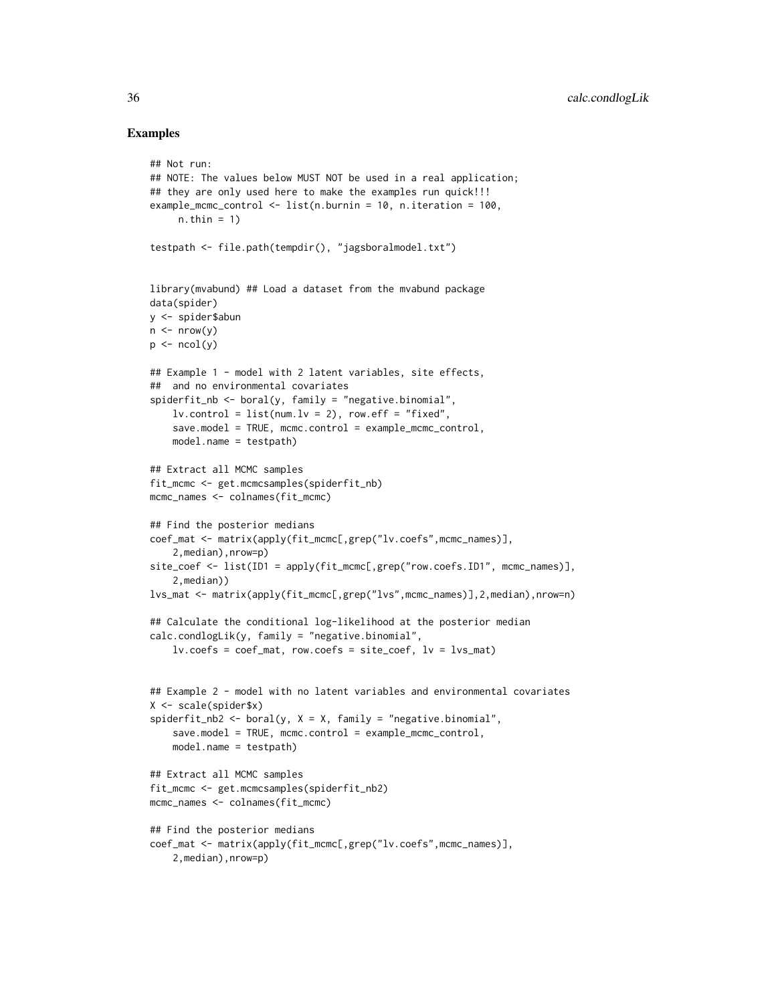## Examples

```
## Not run:
## NOTE: The values below MUST NOT be used in a real application;
## they are only used here to make the examples run quick!!!
example_mcmc_control <- list(n.burnin = 10, n.iteration = 100,
     n.thin = 1)
testpath <- file.path(tempdir(), "jagsboralmodel.txt")
library(mvabund) ## Load a dataset from the mvabund package
data(spider)
y <- spider$abun
n \leq -nrow(y)p \leftarrow \text{ncol}(v)## Example 1 - model with 2 latent variables, site effects,
## and no environmental covariates
spiderfit_nb \leftarrow boral(y, family = "negative.binomial",lv. control = list(num.lv = 2), row.eff = "fixed",
    save.model = TRUE, mcmc.control = example_mcmc_control,
    model.name = testpath)
## Extract all MCMC samples
fit_mcmc <- get.mcmcsamples(spiderfit_nb)
mcmc_names <- colnames(fit_mcmc)
## Find the posterior medians
coef_mat <- matrix(apply(fit_mcmc[,grep("lv.coefs",mcmc_names)],
    2,median),nrow=p)
site_coef <- list(ID1 = apply(fit_mcmc[,grep("row.coefs.ID1", mcmc_names)],
    2,median))
lvs_mat <- matrix(apply(fit_mcmc[,grep("lvs",mcmc_names)],2,median),nrow=n)
## Calculate the conditional log-likelihood at the posterior median
calc.condlogLik(y, family = "negative.binomial",
    lv.coefs = coef_mat, row.coefs = site_coef, lv = lvs_mat)
## Example 2 - model with no latent variables and environmental covariates
X <- scale(spider$x)
spiderfit_nb2 <- boral(y, X = X, family = "negative.binomial",
    save.model = TRUE, mcmc.control = example_mcmc_control,
    model.name = testpath)
## Extract all MCMC samples
fit_mcmc <- get.mcmcsamples(spiderfit_nb2)
mcmc_names <- colnames(fit_mcmc)
## Find the posterior medians
coef_mat <- matrix(apply(fit_mcmc[,grep("lv.coefs",mcmc_names)],
    2,median),nrow=p)
```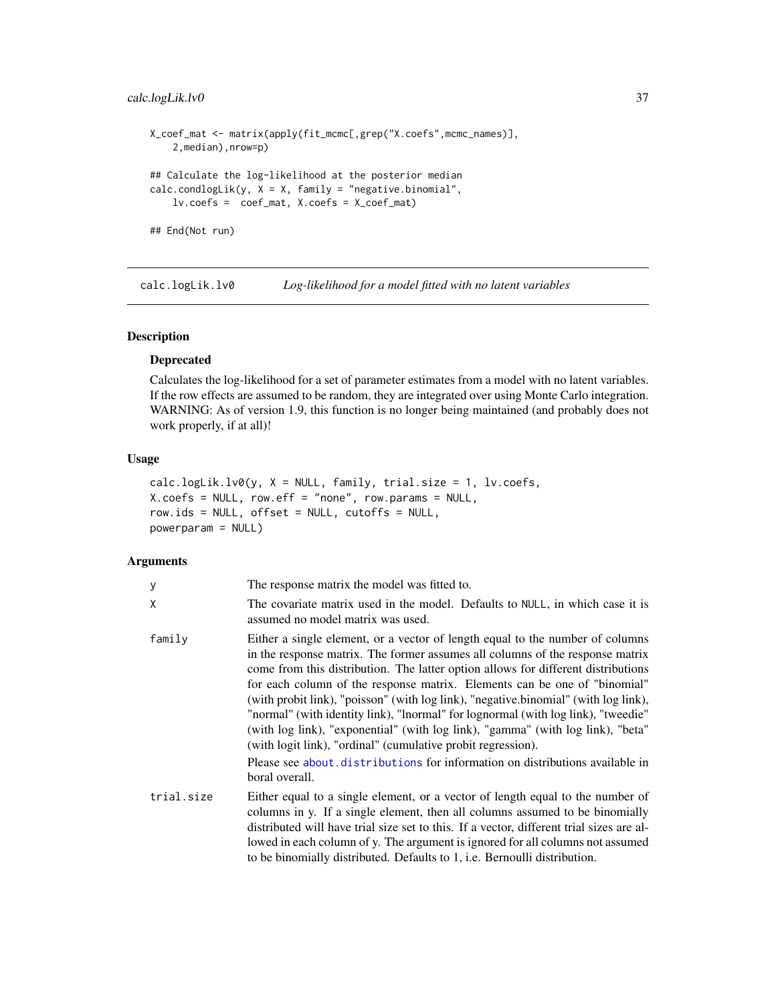# calc.logLik.lv0 37

```
X_coef_mat <- matrix(apply(fit_mcmc[,grep("X.coefs",mcmc_names)],
    2,median),nrow=p)
## Calculate the log-likelihood at the posterior median
calc.condlogLik(y, X = X, family = "negative.binomial",
    lv.coefs = coef_mat, X.coefs = X_coef_mat)
## End(Not run)
```
<span id="page-36-0"></span>calc.logLik.lv0 *Log-likelihood for a model fitted with no latent variables*

## Description

## Deprecated

Calculates the log-likelihood for a set of parameter estimates from a model with no latent variables. If the row effects are assumed to be random, they are integrated over using Monte Carlo integration. WARNING: As of version 1.9, this function is no longer being maintained (and probably does not work properly, if at all)!

# Usage

```
calc.logList.lv@(y, X = NULL, family, trial.size = 1, lw.coefs,X.\text{coeff} = \text{NULL}, row.eff = "none", row.params = \text{NULL},
row.ids = NULL, offset = NULL, cutoffs = NULL,
powerparam = NULL)
```
### Arguments

| У          | The response matrix the model was fitted to.                                                                                                                                                                                                                                                                                                                                                                                                                                                                                                                                                                                                                                                                                                    |
|------------|-------------------------------------------------------------------------------------------------------------------------------------------------------------------------------------------------------------------------------------------------------------------------------------------------------------------------------------------------------------------------------------------------------------------------------------------------------------------------------------------------------------------------------------------------------------------------------------------------------------------------------------------------------------------------------------------------------------------------------------------------|
| χ          | The covariate matrix used in the model. Defaults to NULL, in which case it is<br>assumed no model matrix was used.                                                                                                                                                                                                                                                                                                                                                                                                                                                                                                                                                                                                                              |
| family     | Either a single element, or a vector of length equal to the number of columns<br>in the response matrix. The former assumes all columns of the response matrix<br>come from this distribution. The latter option allows for different distributions<br>for each column of the response matrix. Elements can be one of "binomial"<br>(with probit link), "poisson" (with log link), "negative.binomial" (with log link),<br>"normal" (with identity link), "lnormal" for lognormal (with log link), "tweedie"<br>(with log link), "exponential" (with log link), "gamma" (with log link), "beta"<br>(with logit link), "ordinal" (cumulative probit regression).<br>Please see about.distributions for information on distributions available in |
|            | boral overall.                                                                                                                                                                                                                                                                                                                                                                                                                                                                                                                                                                                                                                                                                                                                  |
| trial.size | Either equal to a single element, or a vector of length equal to the number of<br>columns in y. If a single element, then all columns assumed to be binomially<br>distributed will have trial size set to this. If a vector, different trial sizes are al-<br>lowed in each column of y. The argument is ignored for all columns not assumed<br>to be binomially distributed. Defaults to 1, i.e. Bernoulli distribution.                                                                                                                                                                                                                                                                                                                       |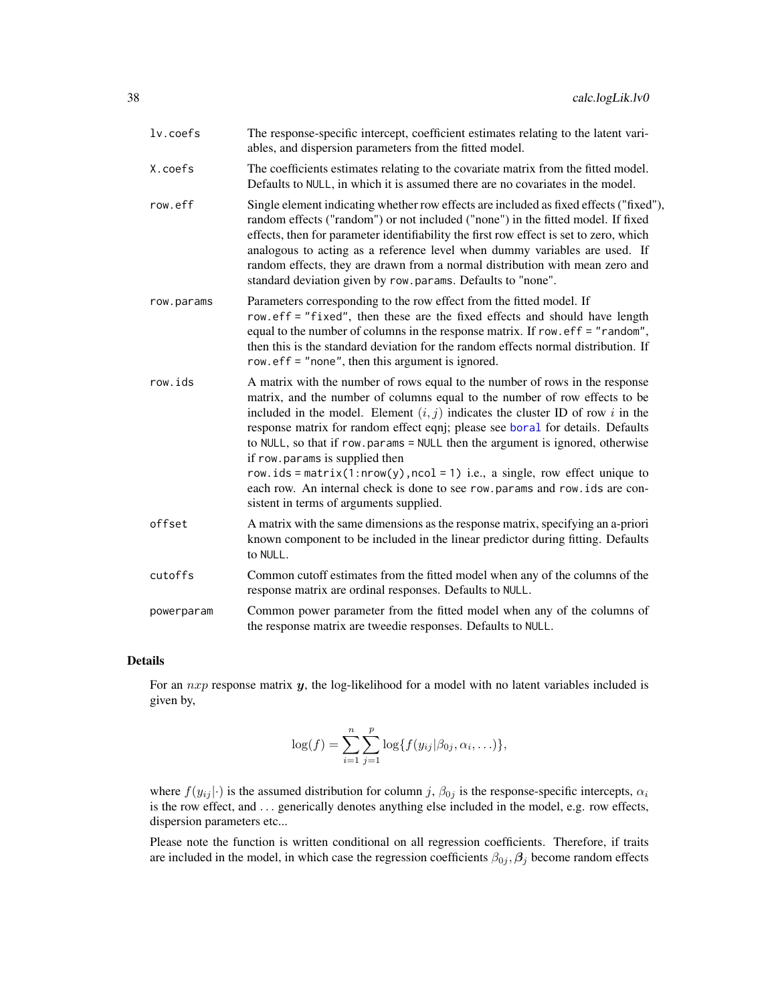| $lv.$ coefs | The response-specific intercept, coefficient estimates relating to the latent vari-<br>ables, and dispersion parameters from the fitted model.                                                                                                                                                                                                                                                                                                                                                                                                                                                                                                             |
|-------------|------------------------------------------------------------------------------------------------------------------------------------------------------------------------------------------------------------------------------------------------------------------------------------------------------------------------------------------------------------------------------------------------------------------------------------------------------------------------------------------------------------------------------------------------------------------------------------------------------------------------------------------------------------|
| X.coefs     | The coefficients estimates relating to the covariate matrix from the fitted model.<br>Defaults to NULL, in which it is assumed there are no covariates in the model.                                                                                                                                                                                                                                                                                                                                                                                                                                                                                       |
| row.eff     | Single element indicating whether row effects are included as fixed effects ("fixed"),<br>random effects ("random") or not included ("none") in the fitted model. If fixed<br>effects, then for parameter identifiability the first row effect is set to zero, which<br>analogous to acting as a reference level when dummy variables are used. If<br>random effects, they are drawn from a normal distribution with mean zero and<br>standard deviation given by row.params. Defaults to "none".                                                                                                                                                          |
| row.params  | Parameters corresponding to the row effect from the fitted model. If<br>row.eff = "fixed", then these are the fixed effects and should have length<br>equal to the number of columns in the response matrix. If row. $eff = "random",$<br>then this is the standard deviation for the random effects normal distribution. If<br>row. $eff = "none", then this argument is ignored.$                                                                                                                                                                                                                                                                        |
| row.ids     | A matrix with the number of rows equal to the number of rows in the response<br>matrix, and the number of columns equal to the number of row effects to be<br>included in the model. Element $(i, j)$ indicates the cluster ID of row i in the<br>response matrix for random effect eqnj; please see boral for details. Defaults<br>to NULL, so that if row.params = NULL then the argument is ignored, otherwise<br>if row.params is supplied then<br>row.ids = matrix(1:nrow(y), ncol = 1) i.e., a single, row effect unique to<br>each row. An internal check is done to see row params and row ids are con-<br>sistent in terms of arguments supplied. |
| offset      | A matrix with the same dimensions as the response matrix, specifying an a-priori<br>known component to be included in the linear predictor during fitting. Defaults<br>to NULL.                                                                                                                                                                                                                                                                                                                                                                                                                                                                            |
| cutoffs     | Common cutoff estimates from the fitted model when any of the columns of the<br>response matrix are ordinal responses. Defaults to NULL.                                                                                                                                                                                                                                                                                                                                                                                                                                                                                                                   |
| powerparam  | Common power parameter from the fitted model when any of the columns of<br>the response matrix are tweedie responses. Defaults to NULL.                                                                                                                                                                                                                                                                                                                                                                                                                                                                                                                    |

## Details

For an  $nxp$  response matrix  $y$ , the log-likelihood for a model with no latent variables included is given by,

$$
\log(f) = \sum_{i=1}^{n} \sum_{j=1}^{p} \log\{f(y_{ij}|\beta_{0j}, \alpha_i, \ldots)\},\,
$$

where  $f(y_{ij}|\cdot)$  is the assumed distribution for column j,  $\beta_{0j}$  is the response-specific intercepts,  $\alpha_i$ is the row effect, and ... generically denotes anything else included in the model, e.g. row effects, dispersion parameters etc...

Please note the function is written conditional on all regression coefficients. Therefore, if traits are included in the model, in which case the regression coefficients  $\beta_{0j}$ ,  $\beta_j$  become random effects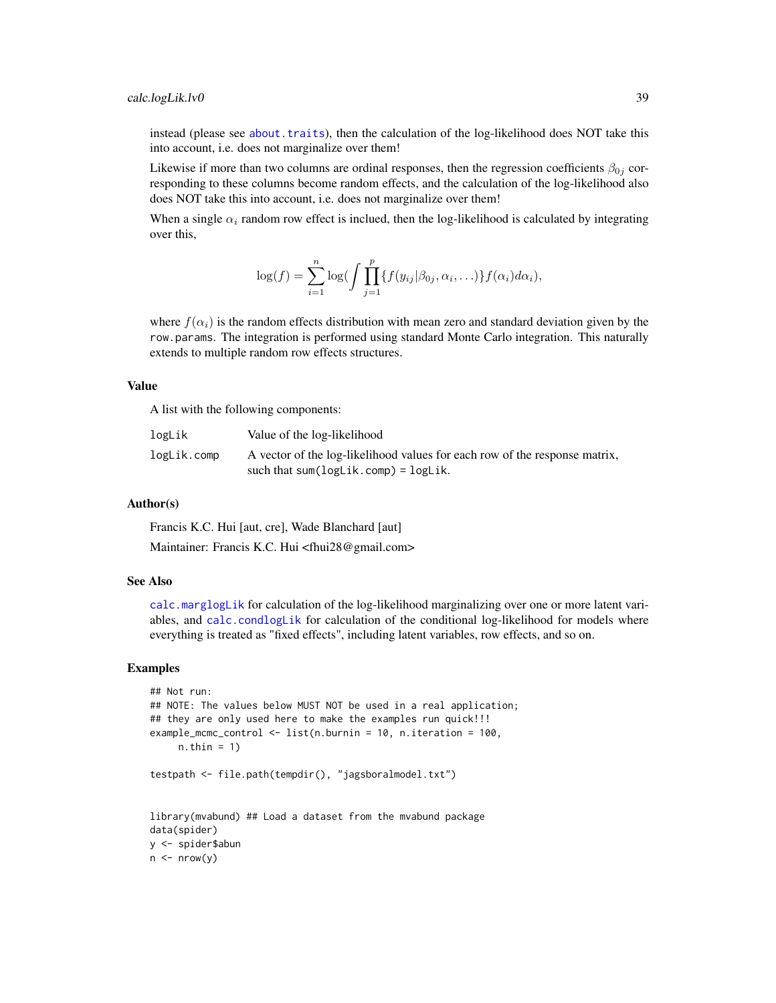instead (please see [about.traits](#page-13-0)), then the calculation of the log-likelihood does NOT take this into account, i.e. does not marginalize over them!

Likewise if more than two columns are ordinal responses, then the regression coefficients  $\beta_{0j}$  corresponding to these columns become random effects, and the calculation of the log-likelihood also does NOT take this into account, i.e. does not marginalize over them!

When a single  $\alpha_i$  random row effect is inclued, then the log-likelihood is calculated by integrating over this,

$$
\log(f) = \sum_{i=1}^n \log \bigl( \int \prod_{j=1}^p \{ f(y_{ij} | \beta_{0j}, \alpha_i, \ldots) \} f(\alpha_i) d\alpha_i \bigr),
$$

where  $f(\alpha_i)$  is the random effects distribution with mean zero and standard deviation given by the row.params. The integration is performed using standard Monte Carlo integration. This naturally extends to multiple random row effects structures.

## Value

A list with the following components:

| logLik      | Value of the log-likelihood                                                                                          |
|-------------|----------------------------------------------------------------------------------------------------------------------|
| logLik.comp | A vector of the log-likelihood values for each row of the response matrix,<br>such that $sum(logLik.comp) = logLik.$ |

#### Author(s)

Francis K.C. Hui [aut, cre], Wade Blanchard [aut]

Maintainer: Francis K.C. Hui <fhui28@gmail.com>

### See Also

[calc.marglogLik](#page-39-0) for calculation of the log-likelihood marginalizing over one or more latent variables, and [calc.condlogLik](#page-32-0) for calculation of the conditional log-likelihood for models where everything is treated as "fixed effects", including latent variables, row effects, and so on.

### Examples

```
## Not run:
## NOTE: The values below MUST NOT be used in a real application;
## they are only used here to make the examples run quick!!!
example_mcmc_control <- list(n.burnin = 10, n.iteration = 100,
    n.thin = 1)
testpath <- file.path(tempdir(), "jagsboralmodel.txt")
library(mvabund) ## Load a dataset from the mvabund package
data(spider)
y <- spider$abun
n \leq -nrow(y)
```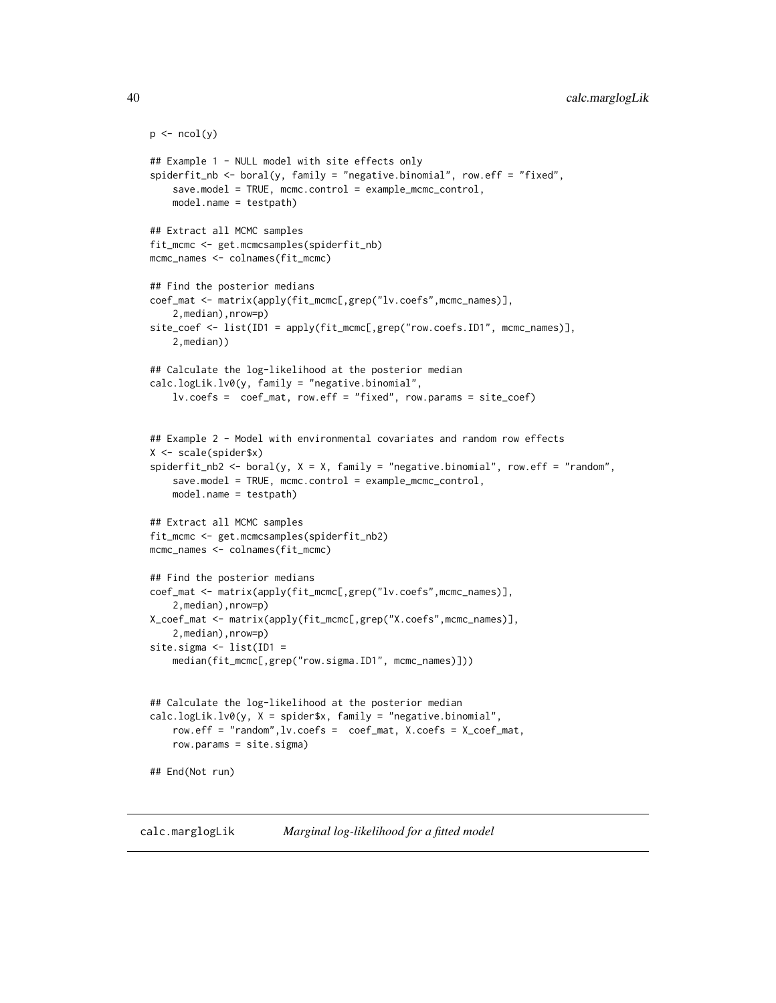```
p \leftarrow \text{ncol}(y)## Example 1 - NULL model with site effects only
spiderfit_nb <- boral(y, family = "negative.binomial", row.eff = "fixed",
    save.model = TRUE, mcmc.control = example_mcmc_control,
   model.name = testpath)
## Extract all MCMC samples
fit_mcmc <- get.mcmcsamples(spiderfit_nb)
mcmc_names <- colnames(fit_mcmc)
## Find the posterior medians
coef_mat <- matrix(apply(fit_mcmc[,grep("lv.coefs",mcmc_names)],
    2,median),nrow=p)
site_coef <- list(ID1 = apply(fit_mcmc[,grep("row.coefs.ID1", mcmc_names)],
    2,median))
## Calculate the log-likelihood at the posterior median
calc.logLik.lv0(y, family = "negative.binomial",
    lv.coefs = coef_mat, row.eff = "fixed", row.params = site_coef)
## Example 2 - Model with environmental covariates and random row effects
X <- scale(spider$x)
spiderfit_nb2 \leq boral(y, X = X, family = "negative.binomial", row.eff = "random",save.model = TRUE, mcmc.control = example_mcmc_control,
   model.name = testpath)
## Extract all MCMC samples
fit_mcmc <- get.mcmcsamples(spiderfit_nb2)
mcmc_names <- colnames(fit_mcmc)
## Find the posterior medians
coef_mat <- matrix(apply(fit_mcmc[,grep("lv.coefs",mcmc_names)],
    2,median),nrow=p)
X_coef_mat <- matrix(apply(fit_mcmc[,grep("X.coefs",mcmc_names)],
    2,median),nrow=p)
site.sigma <- list(ID1 =
    median(fit_mcmc[,grep("row.sigma.ID1", mcmc_names)]))
## Calculate the log-likelihood at the posterior median
calc.logLik.lv0(y, X = spider$x, family = "negative.binomial",
    row.eff = "random",lv.coefs = coef_mat, X.coefs = X_coef_mat,
    row.params = site.sigma)
## End(Not run)
```
<span id="page-39-0"></span>calc.marglogLik *Marginal log-likelihood for a fitted model*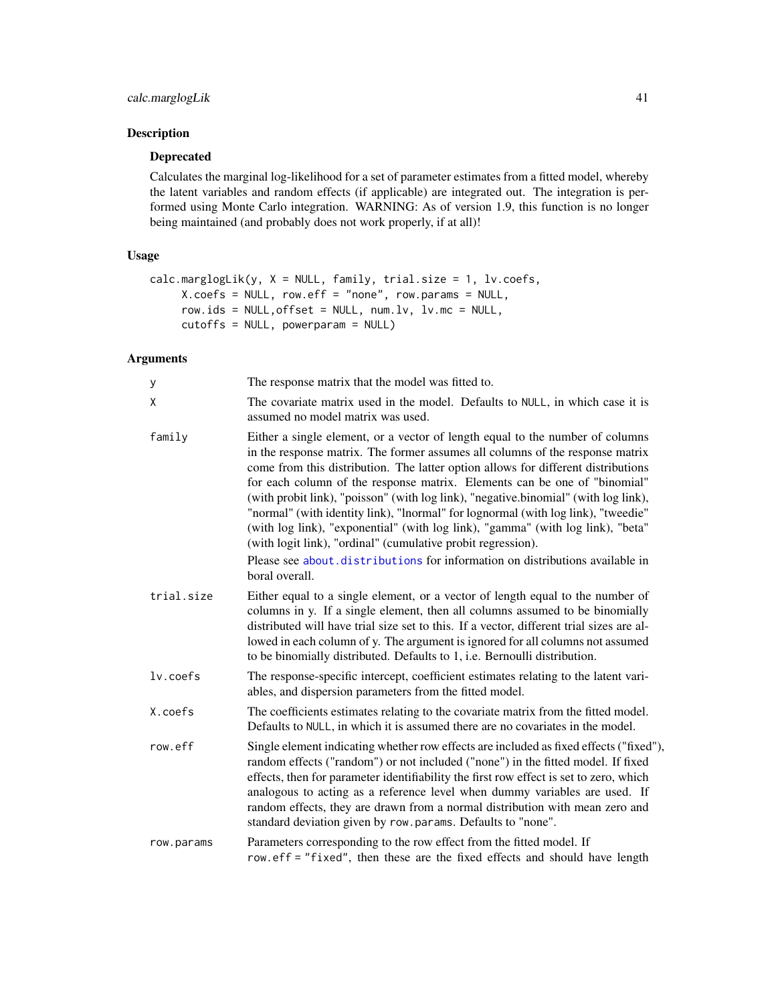# Description

## Deprecated

Calculates the marginal log-likelihood for a set of parameter estimates from a fitted model, whereby the latent variables and random effects (if applicable) are integrated out. The integration is performed using Monte Carlo integration. WARNING: As of version 1.9, this function is no longer being maintained (and probably does not work properly, if at all)!

# Usage

```
calc.marglogLik(y, X = NULL, family, trial.size = 1, l v.coefs,X.coefs = NULL, row.eff = "none", row.params = NULL,
     row.ids = NULL, offset = NULL, num.Lv, Lv.mc = NULL,cutoffs = NULL, powerparam = NULL)
```
# Arguments

| y          | The response matrix that the model was fitted to.                                                                                                                                                                                                                                                                                                                                                                                                                                                                                                                                                                                                               |
|------------|-----------------------------------------------------------------------------------------------------------------------------------------------------------------------------------------------------------------------------------------------------------------------------------------------------------------------------------------------------------------------------------------------------------------------------------------------------------------------------------------------------------------------------------------------------------------------------------------------------------------------------------------------------------------|
| X          | The covariate matrix used in the model. Defaults to NULL, in which case it is<br>assumed no model matrix was used.                                                                                                                                                                                                                                                                                                                                                                                                                                                                                                                                              |
| family     | Either a single element, or a vector of length equal to the number of columns<br>in the response matrix. The former assumes all columns of the response matrix<br>come from this distribution. The latter option allows for different distributions<br>for each column of the response matrix. Elements can be one of "binomial"<br>(with probit link), "poisson" (with log link), "negative.binomial" (with log link),<br>"normal" (with identity link), "lnormal" for lognormal (with log link), "tweedie"<br>(with log link), "exponential" (with log link), "gamma" (with log link), "beta"<br>(with logit link), "ordinal" (cumulative probit regression). |
|            | Please see about distributions for information on distributions available in<br>boral overall.                                                                                                                                                                                                                                                                                                                                                                                                                                                                                                                                                                  |
| trial.size | Either equal to a single element, or a vector of length equal to the number of<br>columns in y. If a single element, then all columns assumed to be binomially<br>distributed will have trial size set to this. If a vector, different trial sizes are al-<br>lowed in each column of y. The argument is ignored for all columns not assumed<br>to be binomially distributed. Defaults to 1, i.e. Bernoulli distribution.                                                                                                                                                                                                                                       |
| lv.coefs   | The response-specific intercept, coefficient estimates relating to the latent vari-<br>ables, and dispersion parameters from the fitted model.                                                                                                                                                                                                                                                                                                                                                                                                                                                                                                                  |
| X.coefs    | The coefficients estimates relating to the covariate matrix from the fitted model.<br>Defaults to NULL, in which it is assumed there are no covariates in the model.                                                                                                                                                                                                                                                                                                                                                                                                                                                                                            |
| row.eff    | Single element indicating whether row effects are included as fixed effects ("fixed"),<br>random effects ("random") or not included ("none") in the fitted model. If fixed<br>effects, then for parameter identifiability the first row effect is set to zero, which<br>analogous to acting as a reference level when dummy variables are used. If<br>random effects, they are drawn from a normal distribution with mean zero and<br>standard deviation given by row.params. Defaults to "none".                                                                                                                                                               |
| row.params | Parameters corresponding to the row effect from the fitted model. If<br>row.eff = "fixed", then these are the fixed effects and should have length                                                                                                                                                                                                                                                                                                                                                                                                                                                                                                              |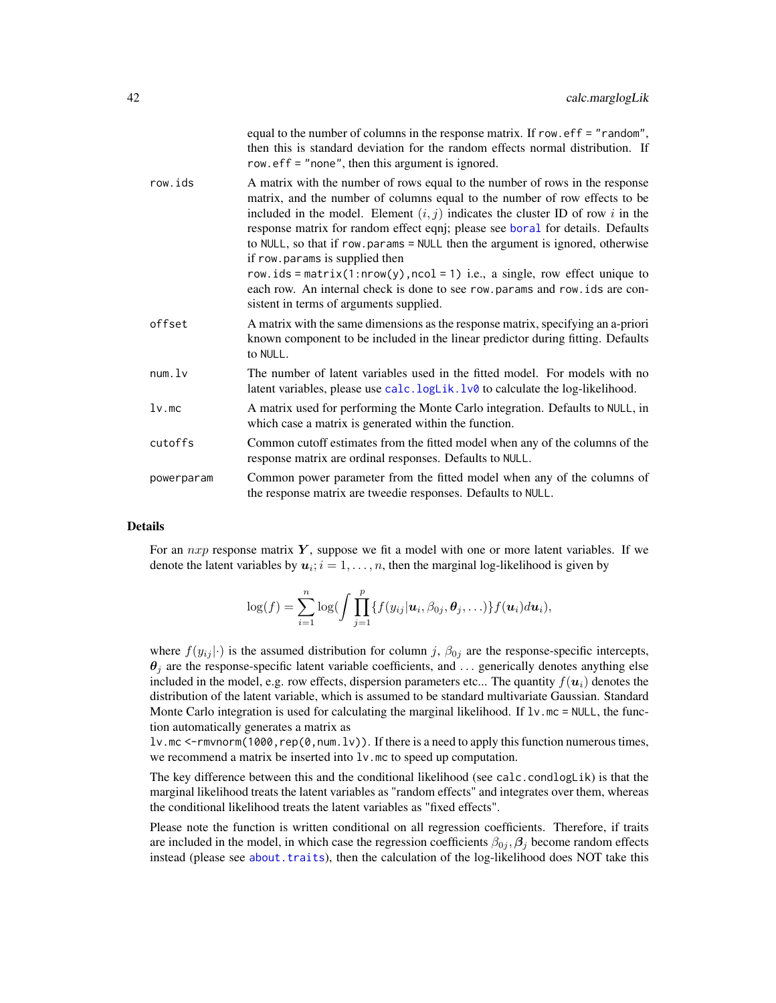|            | equal to the number of columns in the response matrix. If row, $eff = "random",$<br>then this is standard deviation for the random effects normal distribution. If<br>row. $\text{eff} =$ "none", then this argument is ignored.                                                                                                                                                                                                                                                                                                                                                                                                                              |
|------------|---------------------------------------------------------------------------------------------------------------------------------------------------------------------------------------------------------------------------------------------------------------------------------------------------------------------------------------------------------------------------------------------------------------------------------------------------------------------------------------------------------------------------------------------------------------------------------------------------------------------------------------------------------------|
| row.ids    | A matrix with the number of rows equal to the number of rows in the response<br>matrix, and the number of columns equal to the number of row effects to be<br>included in the model. Element $(i, j)$ indicates the cluster ID of row i in the<br>response matrix for random effect eqnj; please see boral for details. Defaults<br>to NULL, so that if row.params = NULL then the argument is ignored, otherwise<br>if row.params is supplied then<br>row.ids = $matrix(1: nrow(y), ncol = 1)$ i.e., a single, row effect unique to<br>each row. An internal check is done to see row.params and row.ids are con-<br>sistent in terms of arguments supplied. |
| offset     | A matrix with the same dimensions as the response matrix, specifying an a-priori<br>known component to be included in the linear predictor during fitting. Defaults<br>to NULL.                                                                                                                                                                                                                                                                                                                                                                                                                                                                               |
| num.lv     | The number of latent variables used in the fitted model. For models with no<br>latent variables, please use calc. logLik. lv0 to calculate the log-likelihood.                                                                                                                                                                                                                                                                                                                                                                                                                                                                                                |
| $1v$ .mc   | A matrix used for performing the Monte Carlo integration. Defaults to NULL, in<br>which case a matrix is generated within the function.                                                                                                                                                                                                                                                                                                                                                                                                                                                                                                                       |
| cutoffs    | Common cutoff estimates from the fitted model when any of the columns of the<br>response matrix are ordinal responses. Defaults to NULL.                                                                                                                                                                                                                                                                                                                                                                                                                                                                                                                      |
| powerparam | Common power parameter from the fitted model when any of the columns of<br>the response matrix are tweedie responses. Defaults to NULL.                                                                                                                                                                                                                                                                                                                                                                                                                                                                                                                       |

### Details

For an  $nxp$  response matrix  $Y$ , suppose we fit a model with one or more latent variables. If we denote the latent variables by  $u_i$ ;  $i = 1, ..., n$ , then the marginal log-likelihood is given by

$$
\log(f) = \sum_{i=1}^n \log \bigl( \int \prod_{j=1}^p \{ f(y_{ij} | \mathbf{u}_i, \beta_{0j}, \boldsymbol{\theta}_j, \ldots) \} f(\mathbf{u}_i) d\mathbf{u}_i \bigr),
$$

where  $f(y_{ij}|\cdot)$  is the assumed distribution for column j,  $\beta_{0j}$  are the response-specific intercepts,  $\theta_j$  are the response-specific latent variable coefficients, and ... generically denotes anything else included in the model, e.g. row effects, dispersion parameters etc... The quantity  $f(u_i)$  denotes the distribution of the latent variable, which is assumed to be standard multivariate Gaussian. Standard Monte Carlo integration is used for calculating the marginal likelihood. If  $l\nu$  mc = NULL, the function automatically generates a matrix as

lv.mc <-rmvnorm(1000, rep(0, num.lv)). If there is a need to apply this function numerous times, we recommend a matrix be inserted into  $1v$ .mc to speed up computation.

The key difference between this and the conditional likelihood (see calc.condlogLik) is that the marginal likelihood treats the latent variables as "random effects" and integrates over them, whereas the conditional likelihood treats the latent variables as "fixed effects".

Please note the function is written conditional on all regression coefficients. Therefore, if traits are included in the model, in which case the regression coefficients  $\beta_{0j}$ ,  $\beta_j$  become random effects instead (please see [about.traits](#page-13-0)), then the calculation of the log-likelihood does NOT take this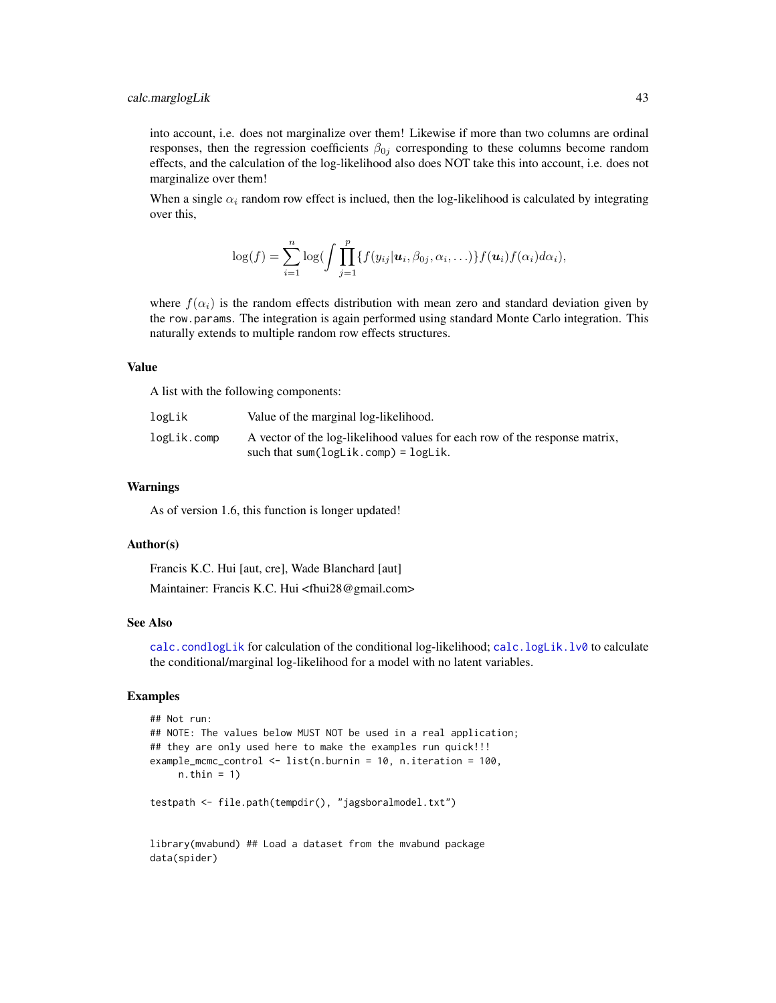into account, i.e. does not marginalize over them! Likewise if more than two columns are ordinal responses, then the regression coefficients  $\beta_{0j}$  corresponding to these columns become random effects, and the calculation of the log-likelihood also does NOT take this into account, i.e. does not marginalize over them!

When a single  $\alpha_i$  random row effect is inclued, then the log-likelihood is calculated by integrating over this,

$$
\log(f) = \sum_{i=1}^n \log \bigl( \int \prod_{j=1}^p \{ f(y_{ij} | \boldsymbol{u}_i, \beta_{0j}, \alpha_i, \ldots) \} f(\boldsymbol{u}_i) f(\alpha_i) d\alpha_i \bigr),
$$

where  $f(\alpha_i)$  is the random effects distribution with mean zero and standard deviation given by the row.params. The integration is again performed using standard Monte Carlo integration. This naturally extends to multiple random row effects structures.

### Value

A list with the following components:

| logLik      | Value of the marginal log-likelihood.                                      |
|-------------|----------------------------------------------------------------------------|
| logLik.comp | A vector of the log-likelihood values for each row of the response matrix, |
|             | such that $sum(logList.comp) = logList.$                                   |

### Warnings

As of version 1.6, this function is longer updated!

### Author(s)

Francis K.C. Hui [aut, cre], Wade Blanchard [aut] Maintainer: Francis K.C. Hui <fhui28@gmail.com>

# See Also

[calc.condlogLik](#page-32-0) for calculation of the conditional log-likelihood; [calc.logLik.lv0](#page-36-0) to calculate the conditional/marginal log-likelihood for a model with no latent variables.

# Examples

```
## Not run:
## NOTE: The values below MUST NOT be used in a real application;
## they are only used here to make the examples run quick!!!
example_mcmc_control <- list(n.burnin = 10, n.iteration = 100,
    n.thin = 1)
testpath <- file.path(tempdir(), "jagsboralmodel.txt")
```
library(mvabund) ## Load a dataset from the mvabund package data(spider)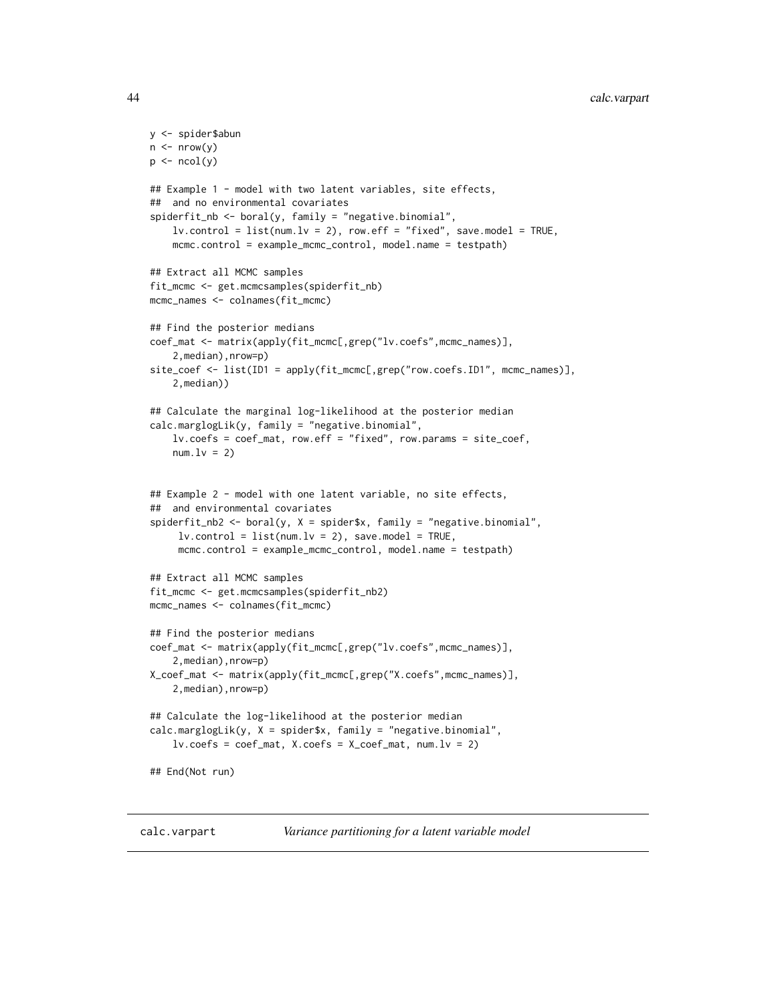# 44 calc.varpart

```
y <- spider$abun
n \leq -nrow(y)p \leftarrow \text{ncol}(y)## Example 1 - model with two latent variables, site effects,
## and no environmental covariates
spiderfit_nb <- boral(y, family = "negative.binomial",
   lv.control = list(num.lv = 2), row.eff = "fixed", save.model = TRUE,
   mcmc.control = example_mcmc_control, model.name = testpath)
## Extract all MCMC samples
fit_mcmc <- get.mcmcsamples(spiderfit_nb)
mcmc_names <- colnames(fit_mcmc)
## Find the posterior medians
coef_mat <- matrix(apply(fit_mcmc[,grep("lv.coefs",mcmc_names)],
    2,median),nrow=p)
site_coef <- list(ID1 = apply(fit_mcmc[,grep("row.coefs.ID1", mcmc_names)],
    2,median))
## Calculate the marginal log-likelihood at the posterior median
calc.marglogLik(y, family = "negative.binomial",
    lv.coefs = coef_mat, row.eff = "fixed", row.params = site_coef,
   num.lv = 2)## Example 2 - model with one latent variable, no site effects,
## and environmental covariates
spiderfit_{nb2} < - boral(y, X = spider$x, family = "negative.binomial",
    lv.contrib = list(num.lv = 2), save.model = TRUE,
     mcmc.control = example_mcmc_control, model.name = testpath)
## Extract all MCMC samples
fit_mcmc <- get.mcmcsamples(spiderfit_nb2)
mcmc_names <- colnames(fit_mcmc)
## Find the posterior medians
coef_mat <- matrix(apply(fit_mcmc[,grep("lv.coefs",mcmc_names)],
    2,median),nrow=p)
X_coef_mat <- matrix(apply(fit_mcmc[,grep("X.coefs",mcmc_names)],
    2,median),nrow=p)
## Calculate the log-likelihood at the posterior median
calc.marglogLik(y, X = spider$x, family = "negative.binomial",
    lv.\csc s = \csc s_mat, X.\csc s = X\_coeff_mat, num.lv = 2)## End(Not run)
```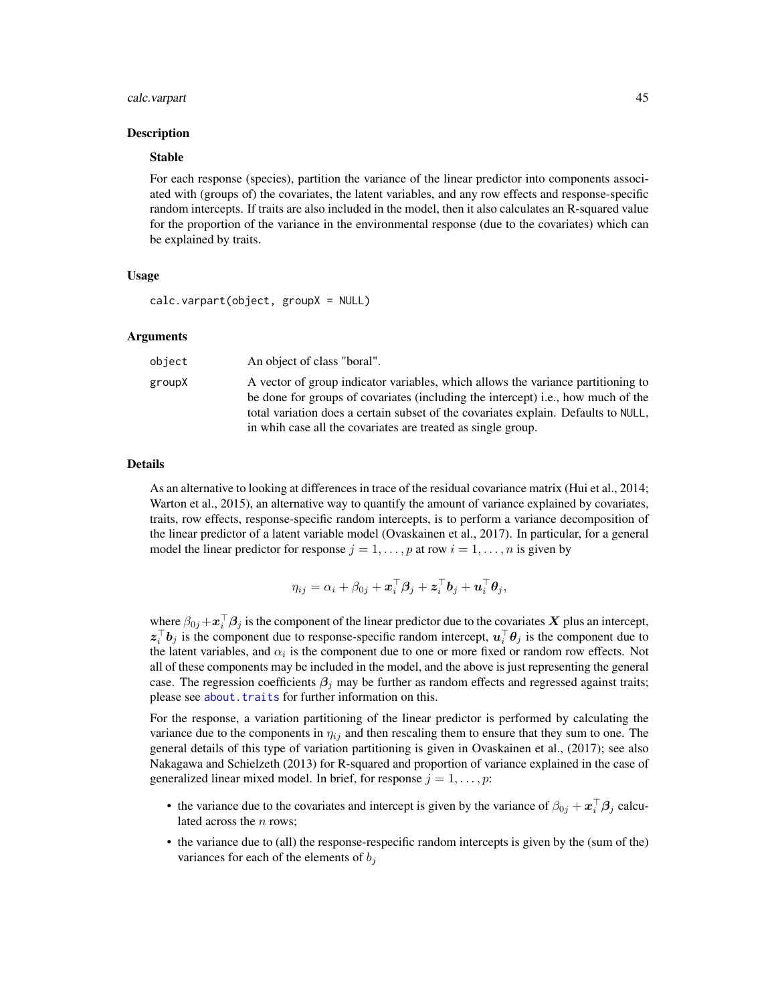### calc.varpart 45

### Description

## Stable

For each response (species), partition the variance of the linear predictor into components associated with (groups of) the covariates, the latent variables, and any row effects and response-specific random intercepts. If traits are also included in the model, then it also calculates an R-squared value for the proportion of the variance in the environmental response (due to the covariates) which can be explained by traits.

### Usage

```
calc.varpart(object, groupX = NULL)
```
#### Arguments

| object | An object of class "boral".                                                                                                                                                                                                                                                                                                |
|--------|----------------------------------------------------------------------------------------------------------------------------------------------------------------------------------------------------------------------------------------------------------------------------------------------------------------------------|
| groupX | A vector of group indicator variables, which allows the variance partitioning to<br>be done for groups of covariates (including the intercept) i.e., how much of the<br>total variation does a certain subset of the covariates explain. Defaults to NULL,<br>in whih case all the covariates are treated as single group. |

### Details

As an alternative to looking at differences in trace of the residual covariance matrix (Hui et al., 2014; Warton et al., 2015), an alternative way to quantify the amount of variance explained by covariates, traits, row effects, response-specific random intercepts, is to perform a variance decomposition of the linear predictor of a latent variable model (Ovaskainen et al., 2017). In particular, for a general model the linear predictor for response  $j = 1, \ldots, p$  at row  $i = 1, \ldots, n$  is given by

$$
\eta_{ij} = \alpha_i + \beta_{0j} + \boldsymbol{x}_i^{\top} \boldsymbol{\beta}_j + \boldsymbol{z}_i^{\top} \boldsymbol{b}_j + \boldsymbol{u}_i^{\top} \boldsymbol{\theta}_j,
$$

where  $\beta_{0j} + \mathbf{x}_i^{\top} \beta_j$  is the component of the linear predictor due to the covariates X plus an intercept,  $z_i^{\top}b_j$  is the component due to response-specific random intercept,  $u_i^{\top}\theta_j$  is the component due to the latent variables, and  $\alpha_i$  is the component due to one or more fixed or random row effects. Not all of these components may be included in the model, and the above is just representing the general case. The regression coefficients  $\beta_i$  may be further as random effects and regressed against traits; please see about. traits for further information on this.

For the response, a variation partitioning of the linear predictor is performed by calculating the variance due to the components in  $\eta_{ij}$  and then rescaling them to ensure that they sum to one. The general details of this type of variation partitioning is given in Ovaskainen et al., (2017); see also Nakagawa and Schielzeth (2013) for R-squared and proportion of variance explained in the case of generalized linear mixed model. In brief, for response  $j = 1, \ldots, p$ :

- the variance due to the covariates and intercept is given by the variance of  $\beta_{0j} + x_i^{\top} \beta_j$  calculated across the  $n$  rows;
- the variance due to (all) the response-respecific random intercepts is given by the (sum of the) variances for each of the elements of  $b_i$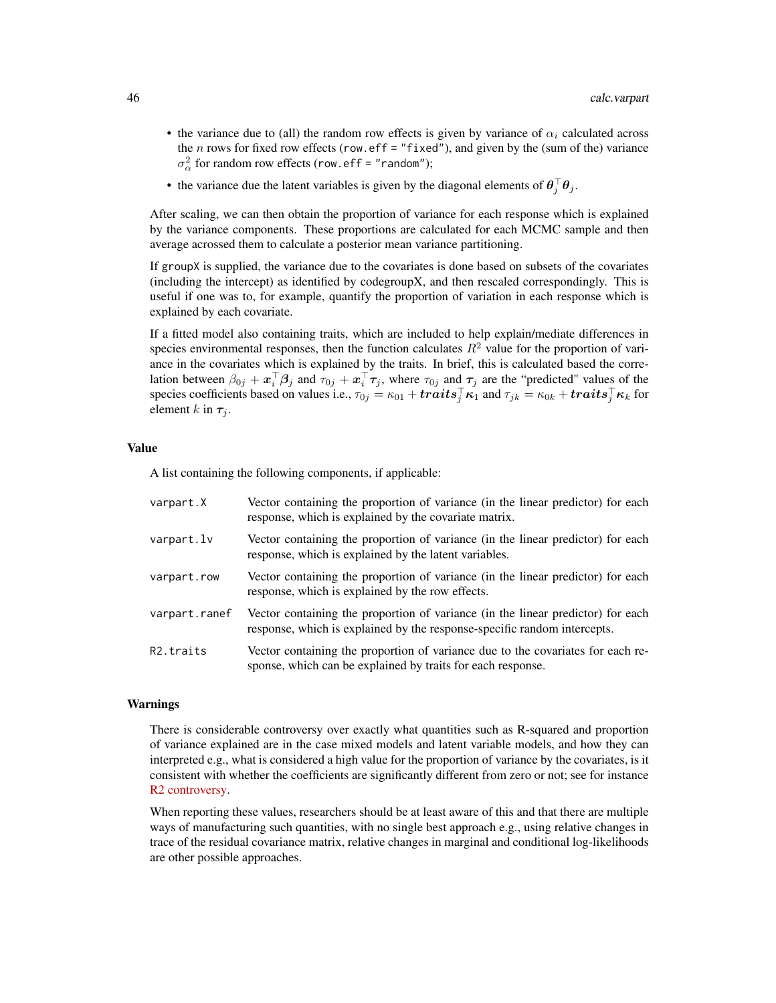- the variance due to (all) the random row effects is given by variance of  $\alpha_i$  calculated across the  $n$  rows for fixed row effects (row.eff = "fixed"), and given by the (sum of the) variance  $\sigma_{\alpha}^2$  for random row effects (row.eff = "random");
- the variance due the latent variables is given by the diagonal elements of  $\theta_j^{\top} \theta_j$ .

After scaling, we can then obtain the proportion of variance for each response which is explained by the variance components. These proportions are calculated for each MCMC sample and then average acrossed them to calculate a posterior mean variance partitioning.

If groupX is supplied, the variance due to the covariates is done based on subsets of the covariates (including the intercept) as identified by codegroupX, and then rescaled correspondingly. This is useful if one was to, for example, quantify the proportion of variation in each response which is explained by each covariate.

If a fitted model also containing traits, which are included to help explain/mediate differences in species environmental responses, then the function calculates  $R^2$  value for the proportion of variance in the covariates which is explained by the traits. In brief, this is calculated based the correlation between  $\beta_{0j} + x_i^{\top} \beta_j$  and  $\tau_{0j} + x_i^{\top} \tau_j$ , where  $\tau_{0j}$  and  $\tau_j$  are the "predicted" values of the species coefficients based on values i.e.,  $\tau_{0j}=\kappa_{01}+traits_j^\top\kappa_1$  and  $\tau_{jk}=\kappa_{0k}+traits_j^\top\kappa_k$  for element k in  $\tau_i$ .

### Value

A list containing the following components, if applicable:

| varpart.X              | Vector containing the proportion of variance (in the linear predictor) for each<br>response, which is explained by the covariate matrix.                    |
|------------------------|-------------------------------------------------------------------------------------------------------------------------------------------------------------|
| varpart.lv             | Vector containing the proportion of variance (in the linear predictor) for each<br>response, which is explained by the latent variables.                    |
| varpart.row            | Vector containing the proportion of variance (in the linear predictor) for each<br>response, which is explained by the row effects.                         |
| varpart.ranef          | Vector containing the proportion of variance (in the linear predictor) for each<br>response, which is explained by the response-specific random intercepts. |
| R <sub>2</sub> .traits | Vector containing the proportion of variance due to the covariates for each re-<br>sponse, which can be explained by traits for each response.              |

### Warnings

There is considerable controversy over exactly what quantities such as R-squared and proportion of variance explained are in the case mixed models and latent variable models, and how they can interpreted e.g., what is considered a high value for the proportion of variance by the covariates, is it consistent with whether the coefficients are significantly different from zero or not; see for instance [R2 controversy.](https://stats.stackexchange.com/questions/111150/calculating-r2-in-mixed-models-using-nakagawa-schielzeths-2013-r2glmm-me)

When reporting these values, researchers should be at least aware of this and that there are multiple ways of manufacturing such quantities, with no single best approach e.g., using relative changes in trace of the residual covariance matrix, relative changes in marginal and conditional log-likelihoods are other possible approaches.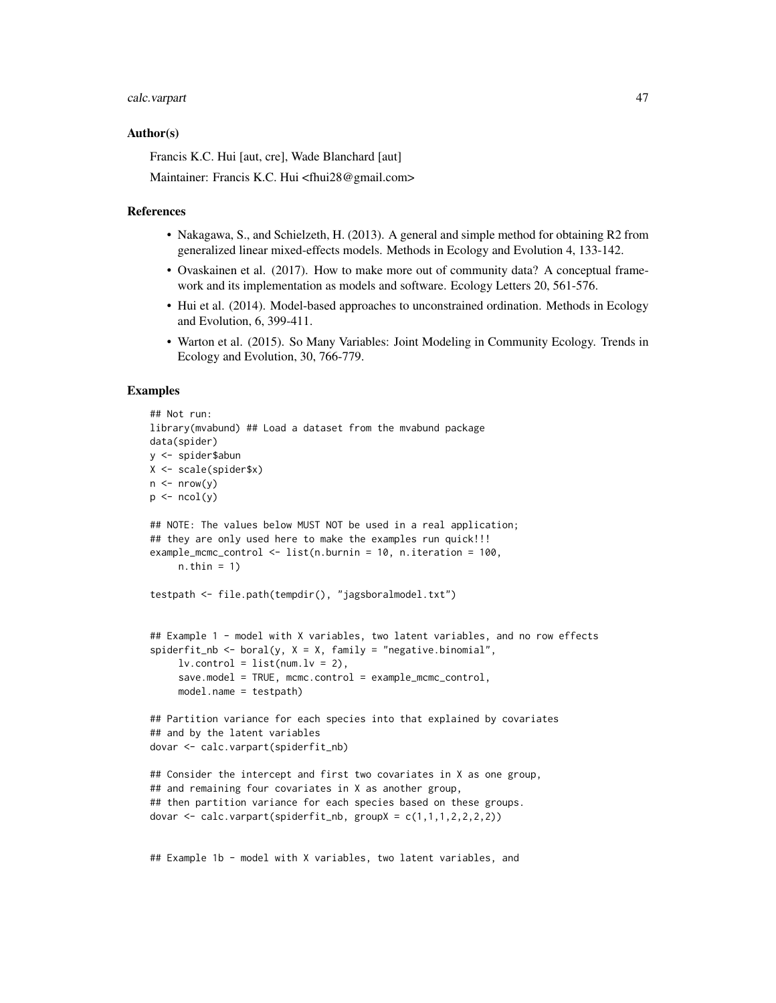# calc.varpart 47

### Author(s)

Francis K.C. Hui [aut, cre], Wade Blanchard [aut]

Maintainer: Francis K.C. Hui <fhui28@gmail.com>

### References

- Nakagawa, S., and Schielzeth, H. (2013). A general and simple method for obtaining R2 from generalized linear mixed-effects models. Methods in Ecology and Evolution 4, 133-142.
- Ovaskainen et al. (2017). How to make more out of community data? A conceptual framework and its implementation as models and software. Ecology Letters 20, 561-576.
- Hui et al. (2014). Model-based approaches to unconstrained ordination. Methods in Ecology and Evolution, 6, 399-411.
- Warton et al. (2015). So Many Variables: Joint Modeling in Community Ecology. Trends in Ecology and Evolution, 30, 766-779.

## Examples

```
## Not run:
library(mvabund) ## Load a dataset from the mvabund package
data(spider)
y <- spider$abun
X <- scale(spider$x)
n \leq -nrow(y)p \leftarrow \text{ncol}(y)## NOTE: The values below MUST NOT be used in a real application;
## they are only used here to make the examples run quick!!!
example_mcmc_control <- list(n.burnin = 10, n.iteration = 100,
     n.thin = 1)
testpath <- file.path(tempdir(), "jagsboralmodel.txt")
## Example 1 - model with X variables, two latent variables, and no row effects
spiderfit_nb <- boral(y, X = X, family = "negative.binomial",
     lv. control = list(num.lv = 2),
     save.model = TRUE, mcmc.control = example_mcmc_control,
     model.name = testpath)
## Partition variance for each species into that explained by covariates
## and by the latent variables
dovar <- calc.varpart(spiderfit_nb)
## Consider the intercept and first two covariates in X as one group,
## and remaining four covariates in X as another group,
## then partition variance for each species based on these groups.
dovar \leq calc.varpart(spiderfit_nb, groupX = c(1,1,1,2,2,2,2))
```
## Example 1b - model with X variables, two latent variables, and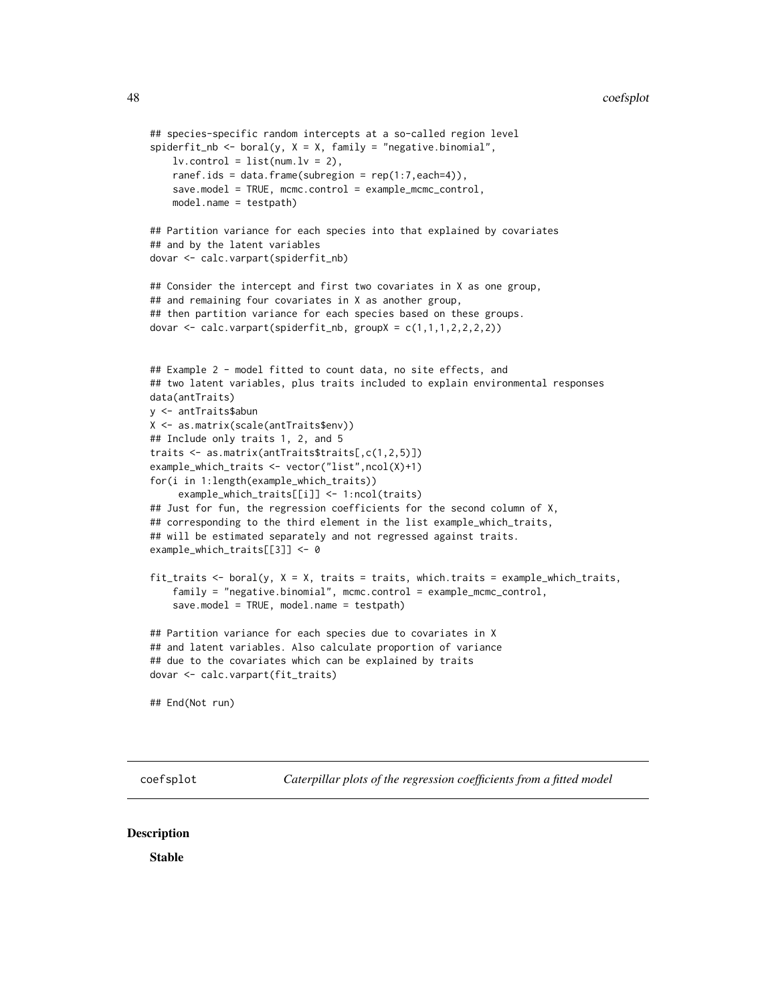```
## species-specific random intercepts at a so-called region level
spiderfit_nb <- boral(y, X = X, family = "negative.binomial",
    lv.contrib = list(num.lv = 2),
    ranef.ids = data.frame(subregion = rep(1:7, each=4)),
    save.model = TRUE, mcmc.control = example_mcmc_control,
   model.name = testpath)
## Partition variance for each species into that explained by covariates
## and by the latent variables
dovar <- calc.varpart(spiderfit_nb)
## Consider the intercept and first two covariates in X as one group,
## and remaining four covariates in X as another group,
## then partition variance for each species based on these groups.
dovar \leq calc.varpart(spiderfit_nb, groupX = c(1,1,1,2,2,2,2))
## Example 2 - model fitted to count data, no site effects, and
## two latent variables, plus traits included to explain environmental responses
data(antTraits)
y <- antTraits$abun
X <- as.matrix(scale(antTraits$env))
## Include only traits 1, 2, and 5
traits <- as.matrix(antTraits$traits[,c(1,2,5)])
example_which_traits <- vector("list",ncol(X)+1)
for(i in 1:length(example_which_traits))
     example_which_traits[[i]] <- 1:ncol(traits)
## Just for fun, the regression coefficients for the second column of X,
## corresponding to the third element in the list example_which_traits,
## will be estimated separately and not regressed against traits.
example_which_traits[[3]] <- 0
fit_traits \le boral(y, X = X, traits = traits, which.traits = example_which_traits,
    family = "negative.binomial", mcmc.control = example_mcmc_control,
    save.model = TRUE, model.name = testpath)
## Partition variance for each species due to covariates in X
## and latent variables. Also calculate proportion of variance
## due to the covariates which can be explained by traits
dovar <- calc.varpart(fit_traits)
## End(Not run)
```
coefsplot *Caterpillar plots of the regression coefficients from a fitted model*

### **Description**

Stable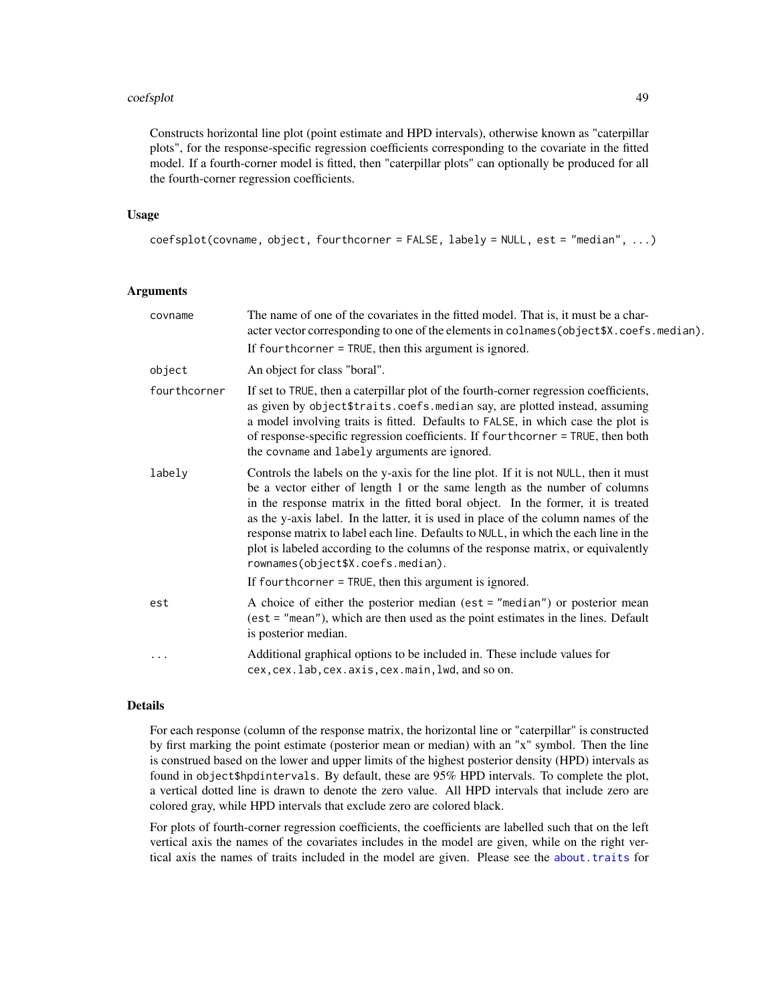### coefsplot that the coefsplot that the coefsplot that the coefsplot that the coefsplot that the coefsplot that  $49$

Constructs horizontal line plot (point estimate and HPD intervals), otherwise known as "caterpillar plots", for the response-specific regression coefficients corresponding to the covariate in the fitted model. If a fourth-corner model is fitted, then "caterpillar plots" can optionally be produced for all the fourth-corner regression coefficients.

## Usage

```
coefsplot(covname, object, fourthcorner = FALSE, labely = NULL, est = "median", ...)
```
## Arguments

| covname      | The name of one of the covariates in the fitted model. That is, it must be a char-<br>acter vector corresponding to one of the elements in colnames (object \$X.coefs.median).<br>If fourthcorner $=$ TRUE, then this argument is ignored.                                                                                                                                                                                                                                                                                                                  |
|--------------|-------------------------------------------------------------------------------------------------------------------------------------------------------------------------------------------------------------------------------------------------------------------------------------------------------------------------------------------------------------------------------------------------------------------------------------------------------------------------------------------------------------------------------------------------------------|
| object       | An object for class "boral".                                                                                                                                                                                                                                                                                                                                                                                                                                                                                                                                |
| fourthcorner | If set to TRUE, then a caterpillar plot of the fourth-corner regression coefficients,<br>as given by object \$traits.coefs.median say, are plotted instead, assuming<br>a model involving traits is fitted. Defaults to FALSE, in which case the plot is<br>of response-specific regression coefficients. If fourthcorner = TRUE, then both<br>the covname and labely arguments are ignored.                                                                                                                                                                |
| labely       | Controls the labels on the y-axis for the line plot. If it is not NULL, then it must<br>be a vector either of length 1 or the same length as the number of columns<br>in the response matrix in the fitted boral object. In the former, it is treated<br>as the y-axis label. In the latter, it is used in place of the column names of the<br>response matrix to label each line. Defaults to NULL, in which the each line in the<br>plot is labeled according to the columns of the response matrix, or equivalently<br>rownames(object\$X.coefs.median). |
|              | If fourthcorner $=$ TRUE, then this argument is ignored.                                                                                                                                                                                                                                                                                                                                                                                                                                                                                                    |
| est          | A choice of either the posterior median (est $=$ "median") or posterior mean<br>$(est = "mean"),$ which are then used as the point estimates in the lines. Default<br>is posterior median.                                                                                                                                                                                                                                                                                                                                                                  |
| $\cdots$     | Additional graphical options to be included in. These include values for<br>cex, cex. lab, cex. axis, cex. main, lwd, and so on.                                                                                                                                                                                                                                                                                                                                                                                                                            |

## Details

For each response (column of the response matrix, the horizontal line or "caterpillar" is constructed by first marking the point estimate (posterior mean or median) with an "x" symbol. Then the line is construed based on the lower and upper limits of the highest posterior density (HPD) intervals as found in object\$hpdintervals. By default, these are 95% HPD intervals. To complete the plot, a vertical dotted line is drawn to denote the zero value. All HPD intervals that include zero are colored gray, while HPD intervals that exclude zero are colored black.

For plots of fourth-corner regression coefficients, the coefficients are labelled such that on the left vertical axis the names of the covariates includes in the model are given, while on the right vertical axis the names of traits included in the model are given. Please see the [about.traits](#page-13-0) for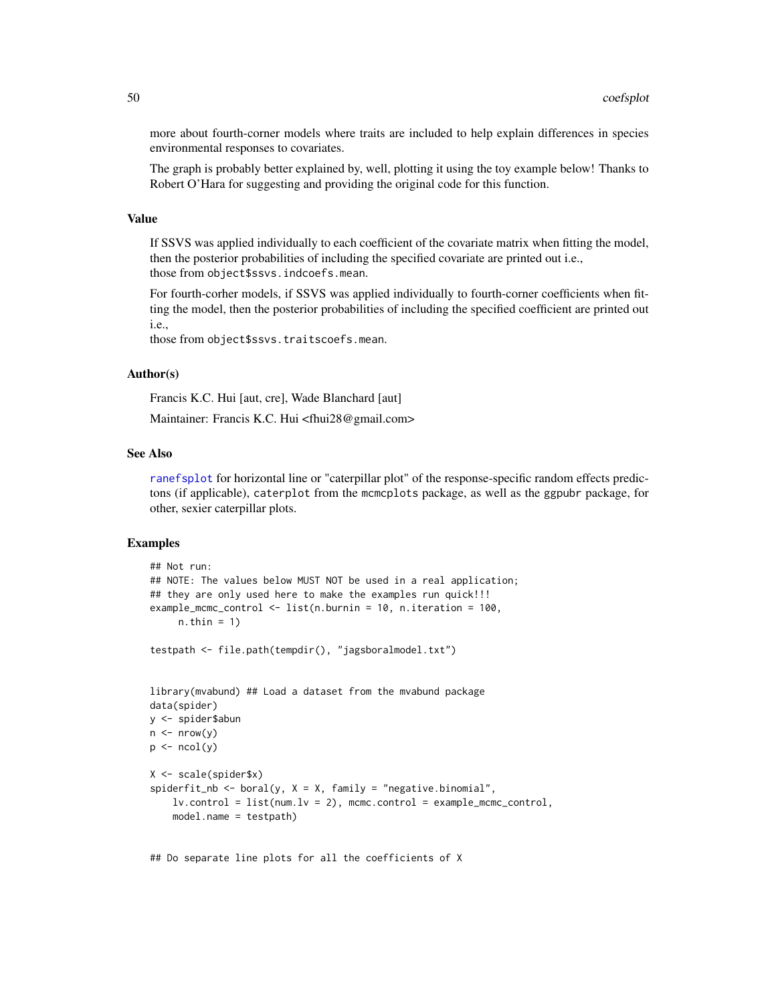more about fourth-corner models where traits are included to help explain differences in species environmental responses to covariates.

The graph is probably better explained by, well, plotting it using the toy example below! Thanks to Robert O'Hara for suggesting and providing the original code for this function.

### Value

If SSVS was applied individually to each coefficient of the covariate matrix when fitting the model, then the posterior probabilities of including the specified covariate are printed out i.e., those from object\$ssvs.indcoefs.mean.

For fourth-corher models, if SSVS was applied individually to fourth-corner coefficients when fitting the model, then the posterior probabilities of including the specified coefficient are printed out i.e.,

those from object\$ssvs.traitscoefs.mean.

## Author(s)

Francis K.C. Hui [aut, cre], Wade Blanchard [aut]

Maintainer: Francis K.C. Hui <fhui28@gmail.com>

### See Also

[ranefsplot](#page-102-0) for horizontal line or "caterpillar plot" of the response-specific random effects predictons (if applicable), caterplot from the mcmcplots package, as well as the ggpubr package, for other, sexier caterpillar plots.

# Examples

```
## Not run:
## NOTE: The values below MUST NOT be used in a real application;
## they are only used here to make the examples run quick!!!
example_mcmc_control <- list(n.burnin = 10, n.iteration = 100,
     n.thin = 1)
testpath <- file.path(tempdir(), "jagsboralmodel.txt")
library(mvabund) ## Load a dataset from the mvabund package
data(spider)
y <- spider$abun
n \leq -nrow(y)p \leftarrow \text{ncol}(y)X <- scale(spider$x)
spiderfit_nb <- boral(y, X = X, family = "negative.binomial",
    lv.control = list(num.lv = 2), mcmc.control = example_mcmc_control,
    model.name = testpath)
```
## Do separate line plots for all the coefficients of X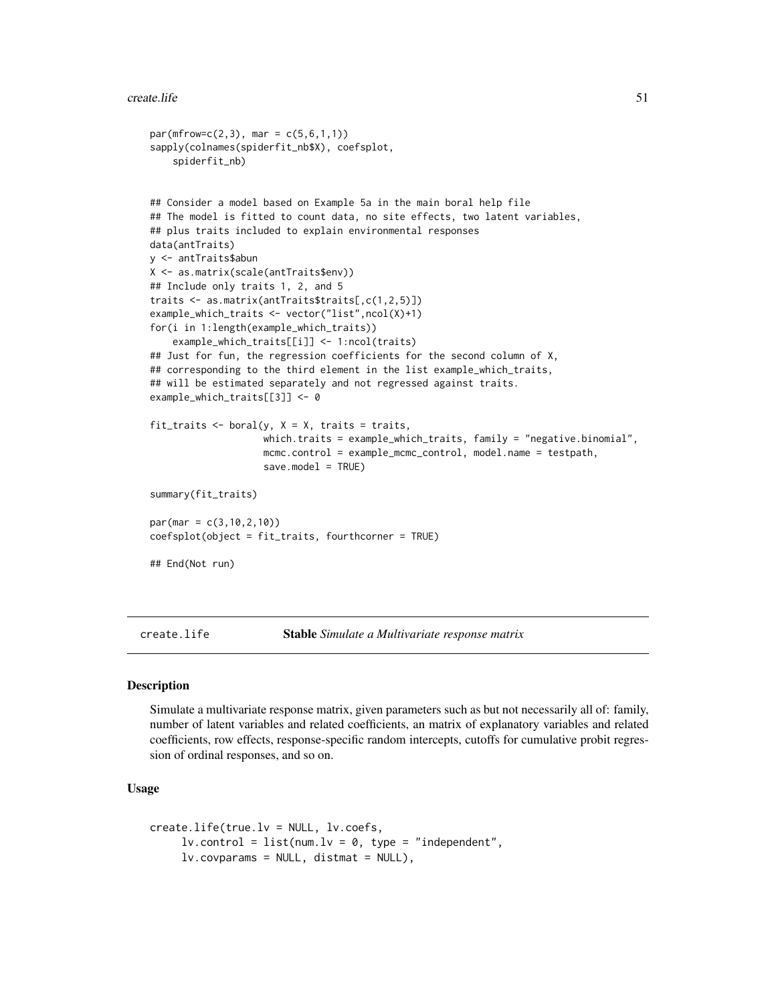```
par(mfrow=c(2,3), mar = c(5,6,1,1))sapply(colnames(spiderfit_nb$X), coefsplot,
    spiderfit_nb)
## Consider a model based on Example 5a in the main boral help file
## The model is fitted to count data, no site effects, two latent variables,
## plus traits included to explain environmental responses
data(antTraits)
y <- antTraits$abun
X <- as.matrix(scale(antTraits$env))
## Include only traits 1, 2, and 5
traits <- as.matrix(antTraits$traits[,c(1,2,5)])
example_which_traits <- vector("list",ncol(X)+1)
for(i in 1:length(example_which_traits))
    example_which_traits[[i]] <- 1:ncol(traits)
## Just for fun, the regression coefficients for the second column of X,
## corresponding to the third element in the list example_which_traits,
## will be estimated separately and not regressed against traits.
example_which_traits[[3]] <- 0
fit_traits \leq boral(y, X = X, traits = traits,
                    which.traits = example_which_traits, family = "negative.binomial",
                    mcmc.control = example_mcmc_control, model.name = testpath,
                    save.model = TRUE)
summary(fit_traits)
par(mar = c(3,10,2,10))
coefsplot(object = fit_traits, fourthcorner = TRUE)
## End(Not run)
```
create.life Stable *Simulate a Multivariate response matrix*

### Description

Simulate a multivariate response matrix, given parameters such as but not necessarily all of: family, number of latent variables and related coefficients, an matrix of explanatory variables and related coefficients, row effects, response-specific random intercepts, cutoffs for cumulative probit regression of ordinal responses, and so on.

## Usage

```
create.life(true.lv = NULL, lv.coefs,
     lv. control = list(num.lv = 0, type = "independent",
     lv.covparams = NULL, distmat = NULL),
```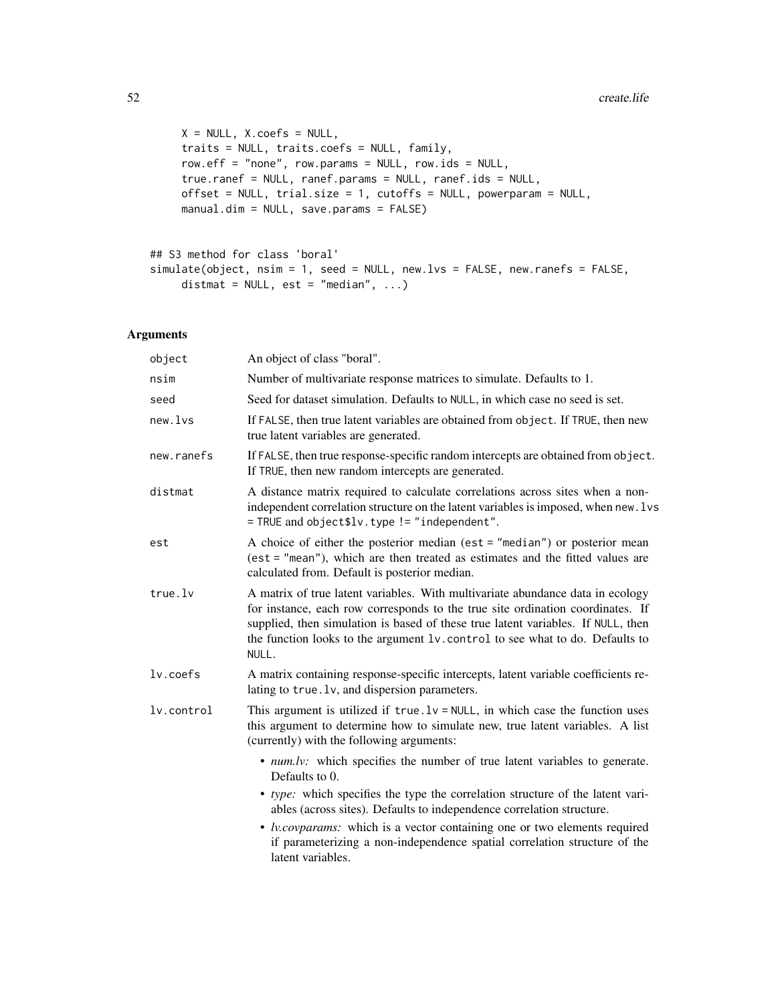```
X = NULL, X.corefs = NULL,traits = NULL, traits.coefs = NULL, family,
row.eff = "none", row.params = NULL, row.ids = NULL,
true.ranef = NULL, ranef.params = NULL, ranef.ids = NULL,
offset = NULL, trial.size = 1, cutoffs = NULL, powerparam = NULL,
manual.dim = NULL, save.params = FALSE)
```

```
## S3 method for class 'boral'
simulate(object, nsim = 1, seed = NULL, new.lvs = FALSE, new.ranefs = FALSE,
     distmat = NULL, est = "median", ...)
```
# Arguments

| object      | An object of class "boral".                                                                                                                                                                                                                                                                                                                    |
|-------------|------------------------------------------------------------------------------------------------------------------------------------------------------------------------------------------------------------------------------------------------------------------------------------------------------------------------------------------------|
| nsim        | Number of multivariate response matrices to simulate. Defaults to 1.                                                                                                                                                                                                                                                                           |
| seed        | Seed for dataset simulation. Defaults to NULL, in which case no seed is set.                                                                                                                                                                                                                                                                   |
| new.lvs     | If FALSE, then true latent variables are obtained from object. If TRUE, then new<br>true latent variables are generated.                                                                                                                                                                                                                       |
| new.ranefs  | If FALSE, then true response-specific random intercepts are obtained from object.<br>If TRUE, then new random intercepts are generated.                                                                                                                                                                                                        |
| distmat     | A distance matrix required to calculate correlations across sites when a non-<br>independent correlation structure on the latent variables is imposed, when new. lvs<br>= TRUE and object\$lv.type != "independent".                                                                                                                           |
| est         | A choice of either the posterior median (est $=$ "median") or posterior mean<br>$(est = "mean"),$ which are then treated as estimates and the fitted values are<br>calculated from. Default is posterior median.                                                                                                                               |
| true.lv     | A matrix of true latent variables. With multivariate abundance data in ecology<br>for instance, each row corresponds to the true site ordination coordinates. If<br>supplied, then simulation is based of these true latent variables. If NULL, then<br>the function looks to the argument lv. control to see what to do. Defaults to<br>NULL. |
| $lv.$ coefs | A matrix containing response-specific intercepts, latent variable coefficients re-<br>lating to true. 1v, and dispersion parameters.                                                                                                                                                                                                           |
| lv.control  | This argument is utilized if $true.1v = NULL$ , in which case the function uses<br>this argument to determine how to simulate new, true latent variables. A list<br>(currently) with the following arguments:                                                                                                                                  |
|             | • <i>num.lv:</i> which specifies the number of true latent variables to generate.<br>Defaults to 0.                                                                                                                                                                                                                                            |
|             | • type: which specifies the type the correlation structure of the latent vari-<br>ables (across sites). Defaults to independence correlation structure.                                                                                                                                                                                        |
|             | • <i>lv.covparams:</i> which is a vector containing one or two elements required<br>if parameterizing a non-independence spatial correlation structure of the<br>latent variables.                                                                                                                                                             |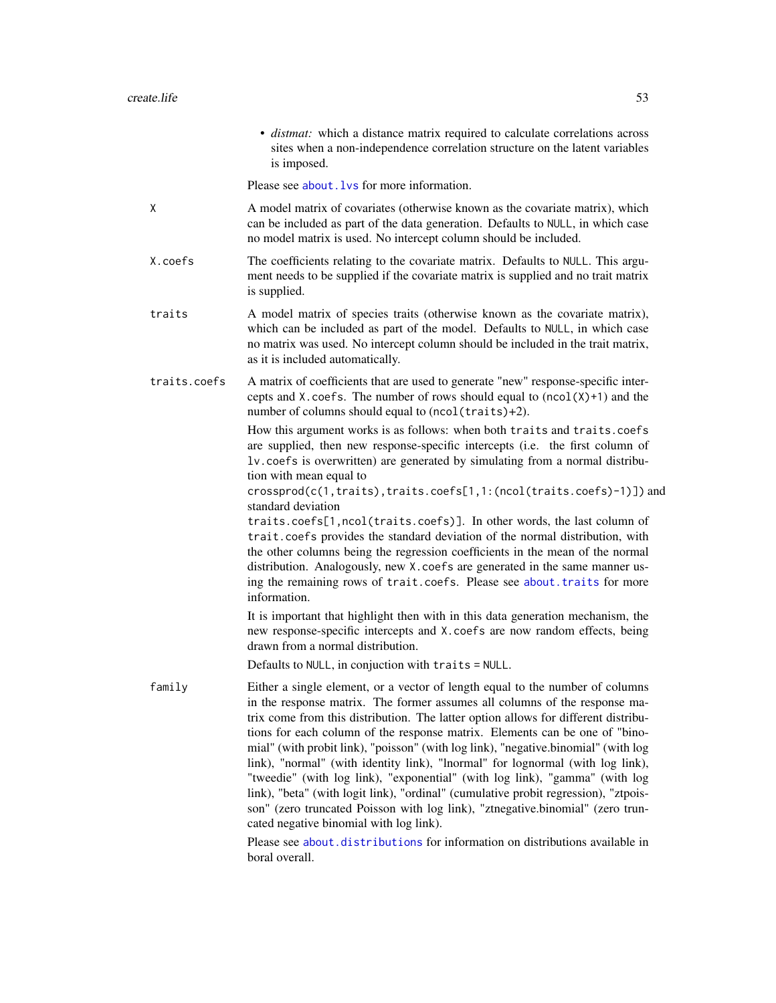• *distmat:* which a distance matrix required to calculate correlations across sites when a non-independence correlation structure on the latent variables is imposed.

Please see about. Lys for more information.

- X A model matrix of covariates (otherwise known as the covariate matrix), which can be included as part of the data generation. Defaults to NULL, in which case no model matrix is used. No intercept column should be included.
- X.coefs The coefficients relating to the covariate matrix. Defaults to NULL. This argument needs to be supplied if the covariate matrix is supplied and no trait matrix is supplied.
- traits A model matrix of species traits (otherwise known as the covariate matrix), which can be included as part of the model. Defaults to NULL, in which case no matrix was used. No intercept column should be included in the trait matrix, as it is included automatically.
- traits.coefs A matrix of coefficients that are used to generate "new" response-specific intercepts and X.coefs. The number of rows should equal to  $(ncol(X)+1)$  and the number of columns should equal to (ncol(traits)+2).

How this argument works is as follows: when both traits and traits.coefs are supplied, then new response-specific intercepts (i.e. the first column of lv.coefs is overwritten) are generated by simulating from a normal distribution with mean equal to

crossprod(c(1,traits),traits.coefs[1,1:(ncol(traits.coefs)-1)]) and standard deviation

traits.coefs[1,ncol(traits.coefs)]. In other words, the last column of trait.coefs provides the standard deviation of the normal distribution, with the other columns being the regression coefficients in the mean of the normal distribution. Analogously, new X. coefs are generated in the same manner using the remaining rows of trait.coefs. Please see [about.traits](#page-13-0) for more information.

It is important that highlight then with in this data generation mechanism, the new response-specific intercepts and X.coefs are now random effects, being drawn from a normal distribution.

Defaults to NULL, in conjuction with traits = NULL.

family Either a single element, or a vector of length equal to the number of columns in the response matrix. The former assumes all columns of the response matrix come from this distribution. The latter option allows for different distributions for each column of the response matrix. Elements can be one of "binomial" (with probit link), "poisson" (with log link), "negative.binomial" (with log link), "normal" (with identity link), "lnormal" for lognormal (with log link), "tweedie" (with log link), "exponential" (with log link), "gamma" (with log link), "beta" (with logit link), "ordinal" (cumulative probit regression), "ztpoisson" (zero truncated Poisson with log link), "ztnegative.binomial" (zero truncated negative binomial with log link).

> Please see [about.distributions](#page-2-0) for information on distributions available in boral overall.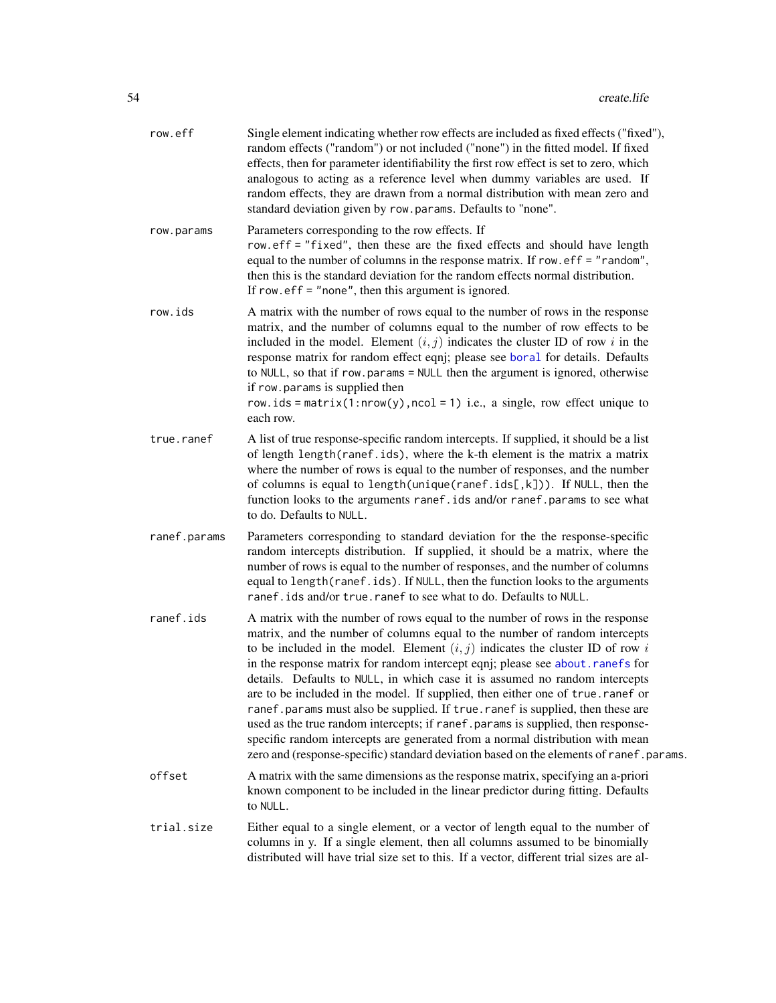| row.eff      | Single element indicating whether row effects are included as fixed effects ("fixed"),<br>random effects ("random") or not included ("none") in the fitted model. If fixed<br>effects, then for parameter identifiability the first row effect is set to zero, which<br>analogous to acting as a reference level when dummy variables are used. If<br>random effects, they are drawn from a normal distribution with mean zero and<br>standard deviation given by row.params. Defaults to "none".                                                                                                                                                                                                                                                                                                                                                |
|--------------|--------------------------------------------------------------------------------------------------------------------------------------------------------------------------------------------------------------------------------------------------------------------------------------------------------------------------------------------------------------------------------------------------------------------------------------------------------------------------------------------------------------------------------------------------------------------------------------------------------------------------------------------------------------------------------------------------------------------------------------------------------------------------------------------------------------------------------------------------|
| row.params   | Parameters corresponding to the row effects. If<br>row.eff = "fixed", then these are the fixed effects and should have length<br>equal to the number of columns in the response matrix. If row. $eff = "random",$<br>then this is the standard deviation for the random effects normal distribution.<br>If row. $\text{eff} =$ "none", then this argument is ignored.                                                                                                                                                                                                                                                                                                                                                                                                                                                                            |
| row.ids      | A matrix with the number of rows equal to the number of rows in the response<br>matrix, and the number of columns equal to the number of row effects to be<br>included in the model. Element $(i, j)$ indicates the cluster ID of row i in the<br>response matrix for random effect eqnj; please see boral for details. Defaults<br>to NULL, so that if row.params = NULL then the argument is ignored, otherwise<br>if row.params is supplied then<br>row.ids = matrix(1:nrow(y), ncol = 1) i.e., a single, row effect unique to<br>each row.                                                                                                                                                                                                                                                                                                   |
| true.ranef   | A list of true response-specific random intercepts. If supplied, it should be a list<br>of length length (ranef.ids), where the k-th element is the matrix a matrix<br>where the number of rows is equal to the number of responses, and the number<br>of columns is equal to length(unique(ranef.ids[,k])). If NULL, then the<br>function looks to the arguments ranef.ids and/or ranef.params to see what<br>to do. Defaults to NULL.                                                                                                                                                                                                                                                                                                                                                                                                          |
| ranef.params | Parameters corresponding to standard deviation for the the response-specific<br>random intercepts distribution. If supplied, it should be a matrix, where the<br>number of rows is equal to the number of responses, and the number of columns<br>equal to length(ranef.ids). If NULL, then the function looks to the arguments<br>ranef.ids and/or true.ranef to see what to do. Defaults to NULL.                                                                                                                                                                                                                                                                                                                                                                                                                                              |
| ranef.ids    | A matrix with the number of rows equal to the number of rows in the response<br>matrix, and the number of columns equal to the number of random intercepts<br>to be included in the model. Element $(i, j)$ indicates the cluster ID of row i<br>in the response matrix for random intercept eqnj; please see about.ranefs for<br>details. Defaults to NULL, in which case it is assumed no random intercepts<br>are to be included in the model. If supplied, then either one of true.ranef or<br>ranef.params must also be supplied. If true.ranef is supplied, then these are<br>used as the true random intercepts; if ranef . params is supplied, then response-<br>specific random intercepts are generated from a normal distribution with mean<br>zero and (response-specific) standard deviation based on the elements of ranef.params. |
| offset       | A matrix with the same dimensions as the response matrix, specifying an a-priori<br>known component to be included in the linear predictor during fitting. Defaults<br>to NULL.                                                                                                                                                                                                                                                                                                                                                                                                                                                                                                                                                                                                                                                                  |
| trial.size   | Either equal to a single element, or a vector of length equal to the number of<br>columns in y. If a single element, then all columns assumed to be binomially<br>distributed will have trial size set to this. If a vector, different trial sizes are al-                                                                                                                                                                                                                                                                                                                                                                                                                                                                                                                                                                                       |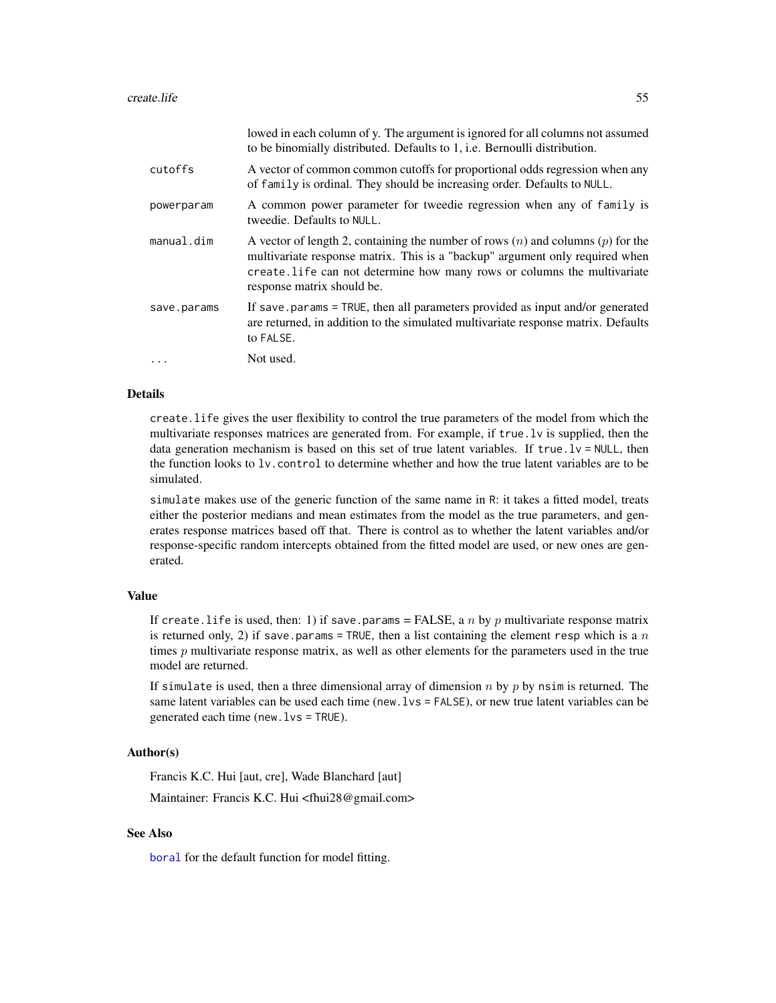|             | Towed in each column of y. The argument is ignored for all columns not assumed<br>to be binomially distributed. Defaults to 1, i.e. Bernoulli distribution.                                                                                                                   |
|-------------|-------------------------------------------------------------------------------------------------------------------------------------------------------------------------------------------------------------------------------------------------------------------------------|
| cutoffs     | A vector of common common cutoffs for proportional odds regression when any<br>of family is ordinal. They should be increasing order. Defaults to NULL.                                                                                                                       |
| powerparam  | A common power parameter for tweedie regression when any of family is<br>tweedie. Defaults to NULL.                                                                                                                                                                           |
| manual.dim  | A vector of length 2, containing the number of rows $(n)$ and columns $(p)$ for the<br>multivariate response matrix. This is a "backup" argument only required when<br>create. Life can not determine how many rows or columns the multivariate<br>response matrix should be. |
| save.params | If save params = TRUE, then all parameters provided as input and/or generated<br>are returned, in addition to the simulated multivariate response matrix. Defaults<br>to FALSE.                                                                                               |
| $\ddotsc$   | Not used.                                                                                                                                                                                                                                                                     |

lowed in each column of y. The argument is ignored for all columns not assumed

### Details

create.life gives the user flexibility to control the true parameters of the model from which the multivariate responses matrices are generated from. For example, if true.lv is supplied, then the data generation mechanism is based on this set of true latent variables. If true.lv = NULL, then the function looks to lv.control to determine whether and how the true latent variables are to be simulated.

simulate makes use of the generic function of the same name in R: it takes a fitted model, treats either the posterior medians and mean estimates from the model as the true parameters, and generates response matrices based off that. There is control as to whether the latent variables and/or response-specific random intercepts obtained from the fitted model are used, or new ones are generated.

## Value

If create.life is used, then: 1) if save.params = FALSE, a n by p multivariate response matrix is returned only, 2) if save.params = TRUE, then a list containing the element resp which is a n times  $p$  multivariate response matrix, as well as other elements for the parameters used in the true model are returned.

If simulate is used, then a three dimensional array of dimension  $n$  by  $p$  by nsim is returned. The same latent variables can be used each time (new.lvs = FALSE), or new true latent variables can be generated each time (new.lvs = TRUE).

# Author(s)

Francis K.C. Hui [aut, cre], Wade Blanchard [aut]

Maintainer: Francis K.C. Hui <fhui28@gmail.com>

# See Also

[boral](#page-16-0) for the default function for model fitting.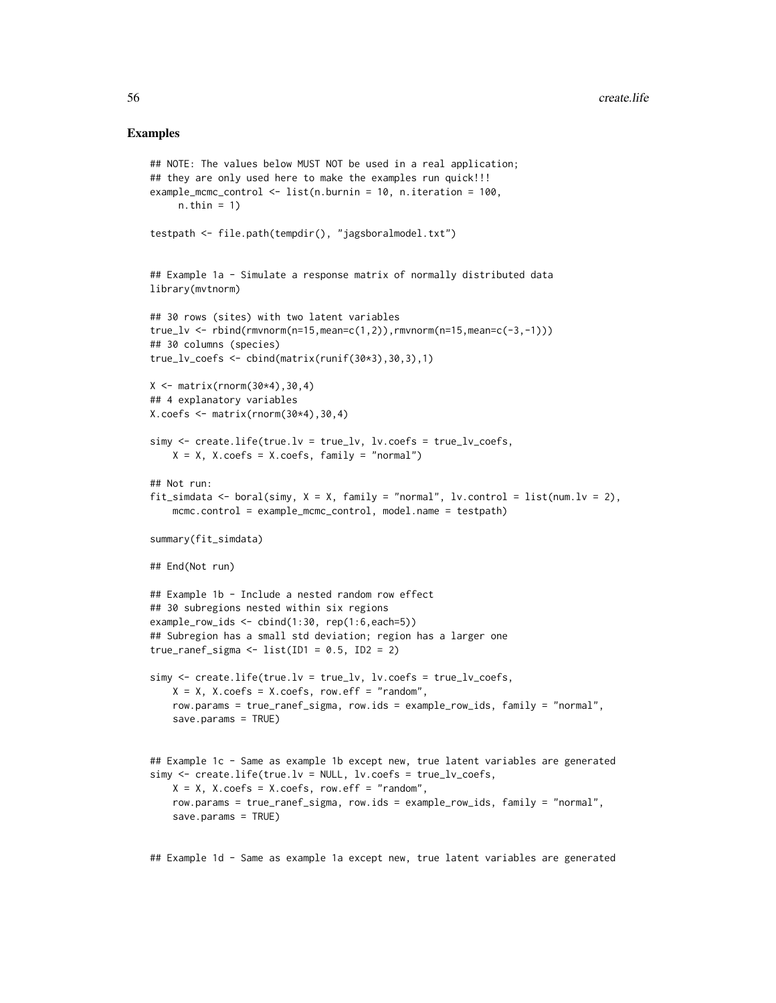### Examples

```
## NOTE: The values below MUST NOT be used in a real application;
## they are only used here to make the examples run quick!!!
example_mcmc_control <- list(n.burnin = 10, n.iteration = 100,
     n.thin = 1)
testpath <- file.path(tempdir(), "jagsboralmodel.txt")
## Example 1a - Simulate a response matrix of normally distributed data
library(mvtnorm)
## 30 rows (sites) with two latent variables
true_lv <- rbind(rmvnorm(n=15,mean=c(1,2)),rmvnorm(n=15,mean=c(-3,-1)))
## 30 columns (species)
true_l v_coefs \leftarrow \text{cbind}(\text{matrix}(\text{runif}(30*3),30,3),1)X \leftarrow matrix(rnorm(30*4), 30, 4)## 4 explanatory variables
X.\text{coeffs} \leq \text{matrix}(\text{rnorm}(30*4),30,4)simy <- create.life(true.lv = true_lv, lv.coefs = true_lv_coefs,
    X = X, X.coefs = X.coefs, family = "normal")
## Not run:
fit_simdata <- boral(simy, X = X, family = "normal", lv.control = list(num.lv = 2),
    mcmc.control = example_mcmc_control, model.name = testpath)
summary(fit_simdata)
## End(Not run)
## Example 1b - Include a nested random row effect
## 30 subregions nested within six regions
example_{row\_ids} < - cbind(1:30, rep(1:6, each=5))## Subregion has a small std deviation; region has a larger one
true_ranef_sigma <- list(ID1 = 0.5, ID2 = 2)
simy <- create.life(true.lv = true_lv, lv.coefs = true_lv_coefs,
    X = X, X.coefs = X.coefs, row.eff = "random",
    row.params = true_ranef_sigma, row.ids = example_row_ids, family = "normal",
    save.params = TRUE)
## Example 1c - Same as example 1b except new, true latent variables are generated
simy <- create.life(true.lv = NULL, lv.coefs = true_lv_coefs,
    X = X, X.coefs = X.coefs, row.eff = "random",
    row.params = true_ranef_sigma, row.ids = example_row_ids, family = "normal",
    save.params = TRUE)
```
## Example 1d - Same as example 1a except new, true latent variables are generated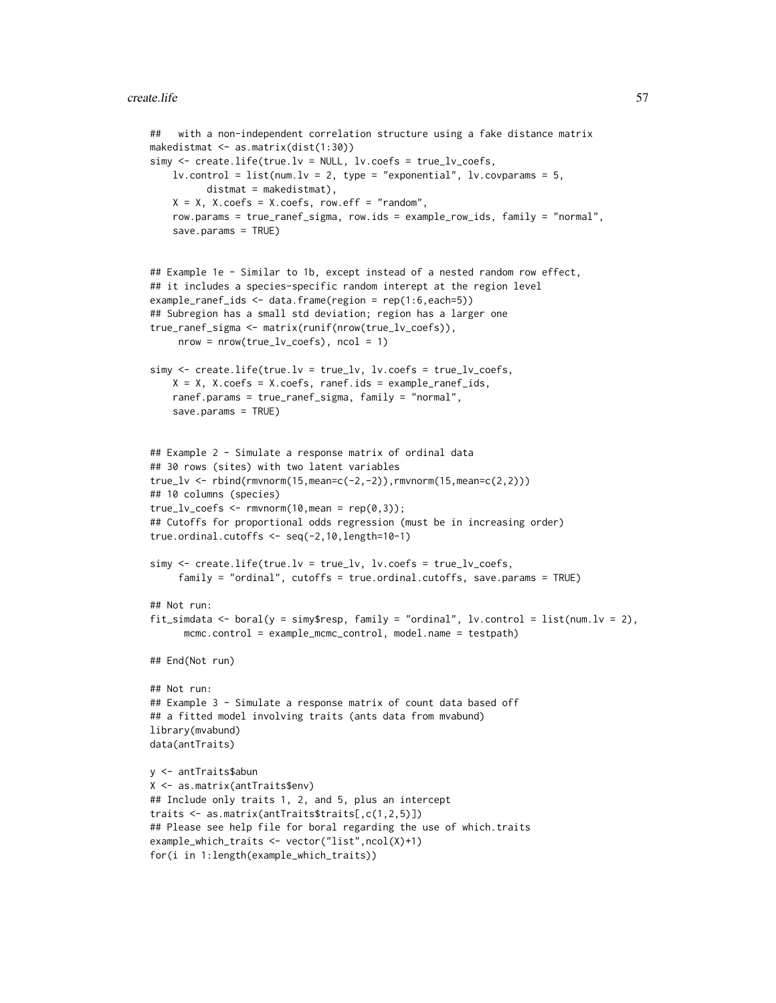### create.life 57

```
## with a non-independent correlation structure using a fake distance matrix
makedistmat <- as.matrix(dist(1:30))
simy <- create.life(true.lv = NULL, lv.coefs = true_lv_coefs,
    lv.contrib = list(num.lv = 2, type = "exponential", lv.covparams = 5,distmat = makedistmat),
    X = X, X.coefs = X.coefs, row.eff = "random",
    row.params = true_ranef_sigma, row.ids = example_row_ids, family = "normal",
    save.params = TRUE)
## Example 1e - Similar to 1b, except instead of a nested random row effect,
## it includes a species-specific random interept at the region level
example_ranef_ids <- data.frame(region = rep(1:6,each=5))
## Subregion has a small std deviation; region has a larger one
true_ranef_sigma <- matrix(runif(nrow(true_lv_coefs)),
     nrow = nrow(true_lv\_coeffs), ncol = 1)
simy <- create.life(true.lv = true_lv, lv.coefs = true_lv_coefs,
    X = X, X.coefs = X.coefs, ranef.ids = example_ranef_ids,
    ranef.params = true_ranef_sigma, family = "normal",
    save.params = TRUE)
## Example 2 - Simulate a response matrix of ordinal data
## 30 rows (sites) with two latent variables
true_lv <- rbind(rmvnorm(15,mean=c(-2,-2)), rmvnorm(15,mean=c(2,2)))## 10 columns (species)
true_lv_coefs \leq- rmvnorm(10, mean = rep(0,3));
## Cutoffs for proportional odds regression (must be in increasing order)
true.ordinal.cutoffs <- seq(-2,10,length=10-1)
simy <- create.life(true.lv = true_lv, lv.coefs = true_lv_coefs,
     family = "ordinal", cutoffs = true.ordinal.cutoffs, save.params = TRUE)
## Not run:
fit_simdata <- boral(y = simy$resp, family = "ordinal", lv.control = list(num.lv = 2),
      mcmc.control = example_mcmc_control, model.name = testpath)
## End(Not run)
## Not run:
## Example 3 - Simulate a response matrix of count data based off
## a fitted model involving traits (ants data from mvabund)
library(mvabund)
data(antTraits)
y <- antTraits$abun
X <- as.matrix(antTraits$env)
## Include only traits 1, 2, and 5, plus an intercept
traits <- as.matrix(antTraits$traits[,c(1,2,5)])
## Please see help file for boral regarding the use of which.traits
example_which_traits <- vector("list",ncol(X)+1)
for(i in 1:length(example_which_traits))
```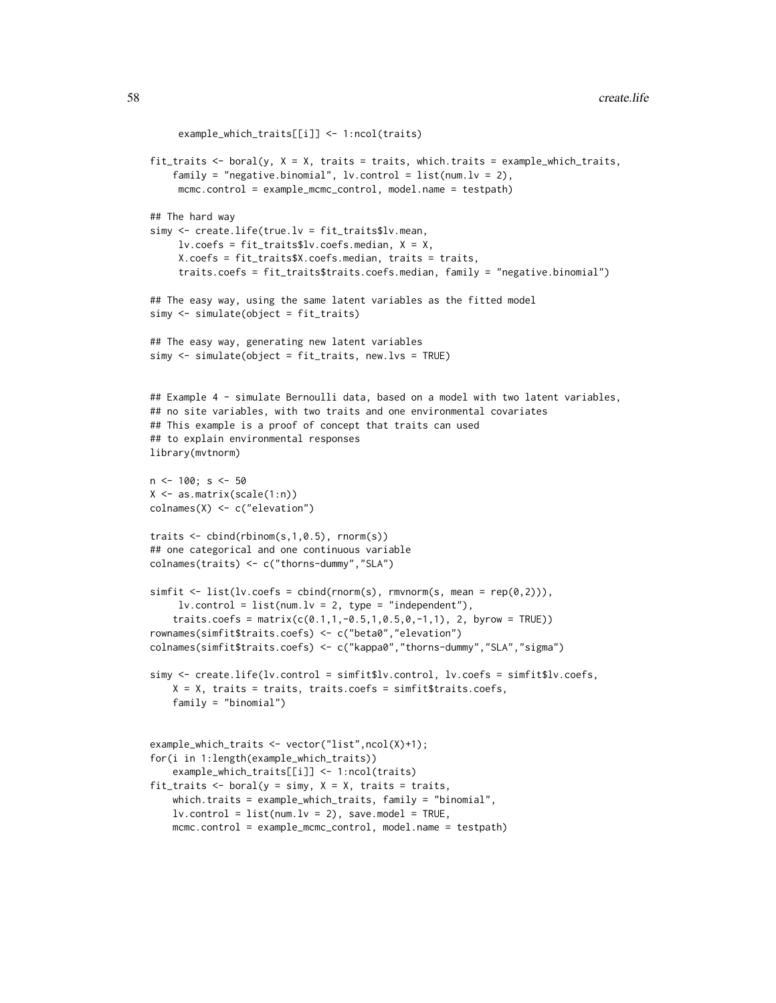```
example_which_traits[[i]] <- 1:ncol(traits)
fit_traits \le boral(y, X = X, traits = traits, which.traits = example_which_traits,
    family = "negative.binomial", lv.control = list(num.lv = 2),
     mcmc.control = example_mcmc_control, model.name = testpath)
## The hard way
simy <- create.life(true.lv = fit_traits$lv.mean,
     lv.coefs = fit_traits$lv.coefs.median, X = X,
     X.coefs = fit_traits$X.coefs.median, traits = traits,
     traits.coefs = fit_traits$traits.coefs.median, family = "negative.binomial")
## The easy way, using the same latent variables as the fitted model
simy <- simulate(object = fit_traits)
## The easy way, generating new latent variables
simy <- simulate(object = fit_traits, new.lvs = TRUE)
## Example 4 - simulate Bernoulli data, based on a model with two latent variables,
## no site variables, with two traits and one environmental covariates
## This example is a proof of concept that traits can used
## to explain environmental responses
library(mvtnorm)
n < -100; s < -50X <- as.matrix(scale(1:n))
colnames(X) <- c("elevation")
traits <- cbind(rbinom(s,1,0.5), rnorm(s))
## one categorical and one continuous variable
colnames(traits) <- c("thorns-dummy","SLA")
simplify \leftarrow list(lv.coefs = chind(rnorm(s), rmvnorm(s, mean = rep(0,2))),
     lv.contrib = list(num.lv = 2, type = "independent"),traits.coefs = matrix(c(0.1, 1, -0.5, 1, 0.5, 0, -1, 1), 2, byrow = TRUE))
rownames(simfit$traits.coefs) <- c("beta0","elevation")
colnames(simfit$traits.coefs) <- c("kappa0","thorns-dummy","SLA","sigma")
simy <- create.life(lv.control = simfit$lv.control, lv.coefs = simfit$lv.coefs,
    X = X, traits = traits, traits.coefs = simfit$traits.coefs,
    family = "binomial")
example_which_traits <- vector("list",ncol(X)+1);
for(i in 1:length(example_which_traits))
    example_which_traits[[i]] <- 1:ncol(traits)
fit_traits \le boral(y = simy, X = X, traits = traits,
    which.traits = example_which_traits, family = "binomial",
    lv.contrib = list(num.lv = 2), save.model = TRUE,
    mcmc.control = example_mcmc_control, model.name = testpath)
```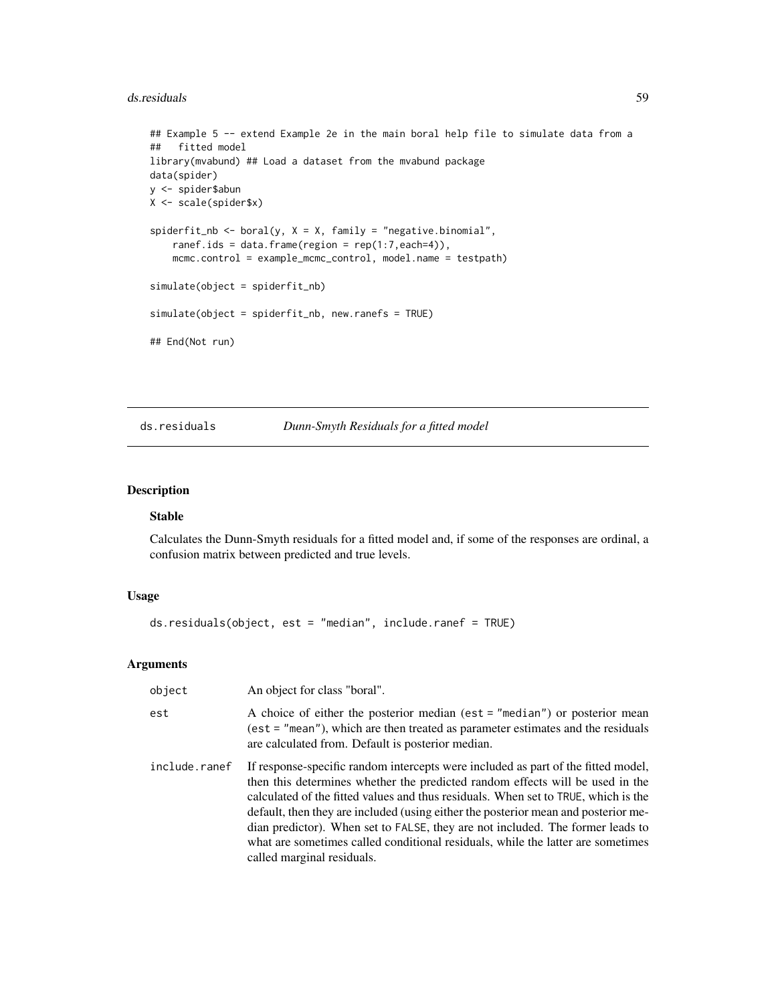### ds.residuals 59

```
## Example 5 -- extend Example 2e in the main boral help file to simulate data from a
## fitted model
library(mvabund) ## Load a dataset from the mvabund package
data(spider)
y <- spider$abun
X <- scale(spider$x)
spiderfit_nb <- boral(y, X = X, family = "negative.binomial",
    ranef.ids = data.frame(region = rep(1:7, each=4)),
   mcmc.control = example_mcmc_control, model.name = testpath)
simulate(object = spiderfit_nb)
simulate(object = spiderfit_nb, new.ranefs = TRUE)
## End(Not run)
```
# <span id="page-58-0"></span>ds.residuals *Dunn-Smyth Residuals for a fitted model*

# Description

# Stable

Calculates the Dunn-Smyth residuals for a fitted model and, if some of the responses are ordinal, a confusion matrix between predicted and true levels.

# Usage

```
ds.residuals(object, est = "median", include.ranef = TRUE)
```
# Arguments

| object        | An object for class "boral".                                                                                                                                                                                                                                                                                                                                                                                                                                                                                                                      |
|---------------|---------------------------------------------------------------------------------------------------------------------------------------------------------------------------------------------------------------------------------------------------------------------------------------------------------------------------------------------------------------------------------------------------------------------------------------------------------------------------------------------------------------------------------------------------|
| est           | A choice of either the posterior median (est = "median") or posterior mean<br>$(est = "mean"), which are then treated as parameter estimates and the residuals$<br>are calculated from. Default is posterior median.                                                                                                                                                                                                                                                                                                                              |
| include.ranef | If response-specific random intercepts were included as part of the fitted model,<br>then this determines whether the predicted random effects will be used in the<br>calculated of the fitted values and thus residuals. When set to TRUE, which is the<br>default, then they are included (using either the posterior mean and posterior me-<br>dian predictor). When set to FALSE, they are not included. The former leads to<br>what are sometimes called conditional residuals, while the latter are sometimes<br>called marginal residuals. |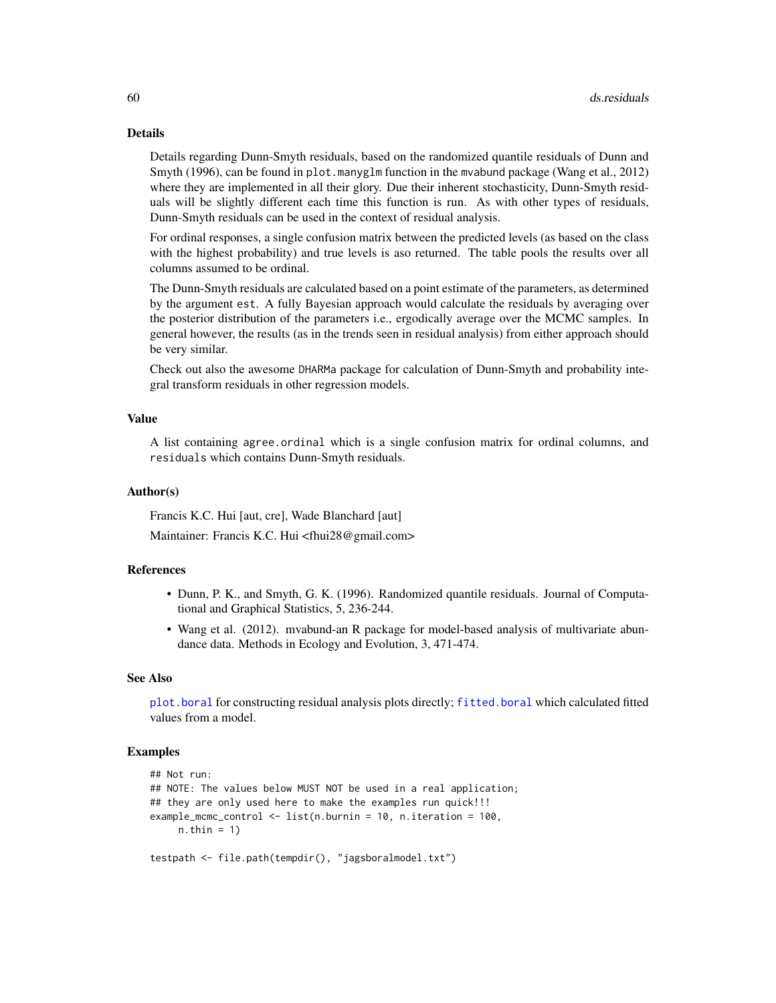### Details

Details regarding Dunn-Smyth residuals, based on the randomized quantile residuals of Dunn and Smyth (1996), can be found in plot.manyglm function in the mvabund package (Wang et al., 2012) where they are implemented in all their glory. Due their inherent stochasticity, Dunn-Smyth residuals will be slightly different each time this function is run. As with other types of residuals, Dunn-Smyth residuals can be used in the context of residual analysis.

For ordinal responses, a single confusion matrix between the predicted levels (as based on the class with the highest probability) and true levels is aso returned. The table pools the results over all columns assumed to be ordinal.

The Dunn-Smyth residuals are calculated based on a point estimate of the parameters, as determined by the argument est. A fully Bayesian approach would calculate the residuals by averaging over the posterior distribution of the parameters i.e., ergodically average over the MCMC samples. In general however, the results (as in the trends seen in residual analysis) from either approach should be very similar.

Check out also the awesome DHARMa package for calculation of Dunn-Smyth and probability integral transform residuals in other regression models.

# Value

A list containing agree.ordinal which is a single confusion matrix for ordinal columns, and residuals which contains Dunn-Smyth residuals.

### Author(s)

Francis K.C. Hui [aut, cre], Wade Blanchard [aut]

Maintainer: Francis K.C. Hui <fhui28@gmail.com>

## **References**

- Dunn, P. K., and Smyth, G. K. (1996). Randomized quantile residuals. Journal of Computational and Graphical Statistics, 5, 236-244.
- Wang et al. (2012). mvabund-an R package for model-based analysis of multivariate abundance data. Methods in Ecology and Evolution, 3, 471-474.

### See Also

[plot.boral](#page-94-0) for constructing residual analysis plots directly; [fitted.boral](#page-60-0) which calculated fitted values from a model.

## Examples

```
## Not run:
## NOTE: The values below MUST NOT be used in a real application;
## they are only used here to make the examples run quick!!!
example_mcmc_control <- list(n.burnin = 10, n.iteration = 100,
    n.thin = 1)
testpath <- file.path(tempdir(), "jagsboralmodel.txt")
```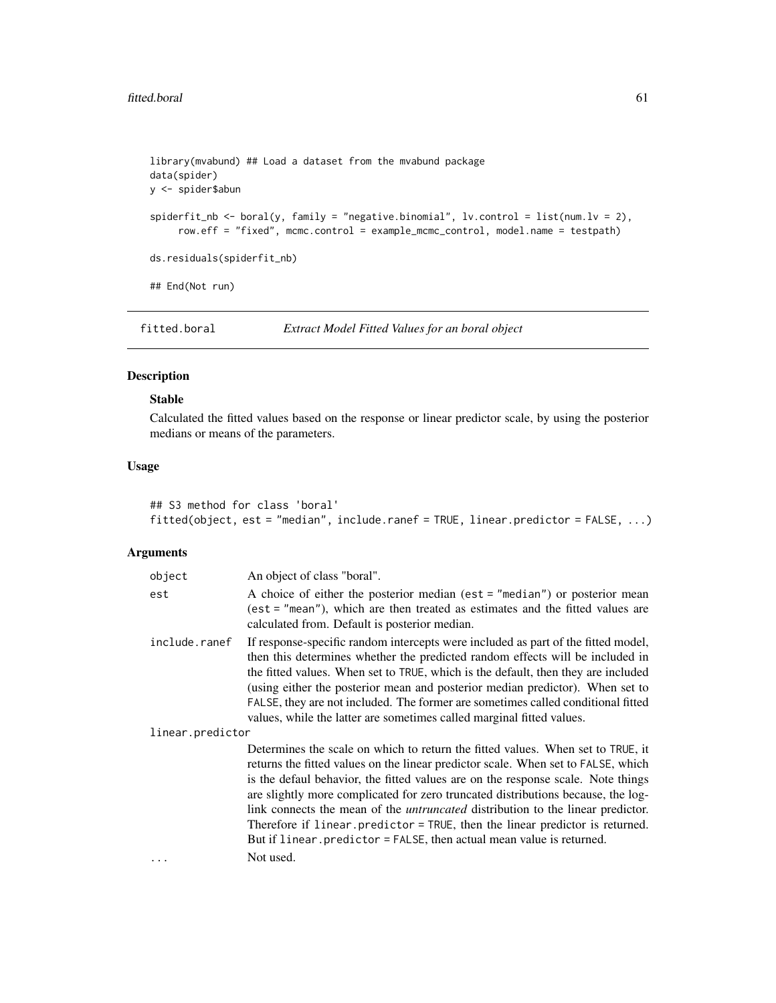```
library(mvabund) ## Load a dataset from the mvabund package
data(spider)
y <- spider$abun
spiderfit_n \leq boral(y, family = "negative.binomial", lv.control = list(num.lv = 2),
     row.eff = "fixed", mcmc.control = example_mcmc_control, model.name = testpath)
ds.residuals(spiderfit_nb)
## End(Not run)
```
<span id="page-60-0"></span>fitted.boral *Extract Model Fitted Values for an boral object*

# Description

# Stable

Calculated the fitted values based on the response or linear predictor scale, by using the posterior medians or means of the parameters.

# Usage

```
## S3 method for class 'boral'
fitted(object, est = "median", include.ranef = TRUE, linear.predictor = FALSE, ...)
```
## Arguments

| object           | An object of class "boral".                                                                                                                                                                                                                                                                                                                                                                                                                                                                                                                                                                                  |
|------------------|--------------------------------------------------------------------------------------------------------------------------------------------------------------------------------------------------------------------------------------------------------------------------------------------------------------------------------------------------------------------------------------------------------------------------------------------------------------------------------------------------------------------------------------------------------------------------------------------------------------|
| est              | A choice of either the posterior median (est = "median") or posterior mean<br>(est = "mean"), which are then treated as estimates and the fitted values are<br>calculated from. Default is posterior median.                                                                                                                                                                                                                                                                                                                                                                                                 |
| include.ranef    | If response-specific random intercepts were included as part of the fitted model,<br>then this determines whether the predicted random effects will be included in<br>the fitted values. When set to TRUE, which is the default, then they are included<br>(using either the posterior mean and posterior median predictor). When set to<br>FALSE, they are not included. The former are sometimes called conditional fitted<br>values, while the latter are sometimes called marginal fitted values.                                                                                                        |
| linear.predictor |                                                                                                                                                                                                                                                                                                                                                                                                                                                                                                                                                                                                              |
|                  | Determines the scale on which to return the fitted values. When set to TRUE, it<br>returns the fitted values on the linear predictor scale. When set to FALSE, which<br>is the defaul behavior, the fitted values are on the response scale. Note things<br>are slightly more complicated for zero truncated distributions because, the log-<br>link connects the mean of the <i>untruncated</i> distribution to the linear predictor.<br>Therefore if linear predictor = TRUE, then the linear predictor is returned.<br>But if linear. predictor = FALSE, then actual mean value is returned.<br>Not used. |
|                  |                                                                                                                                                                                                                                                                                                                                                                                                                                                                                                                                                                                                              |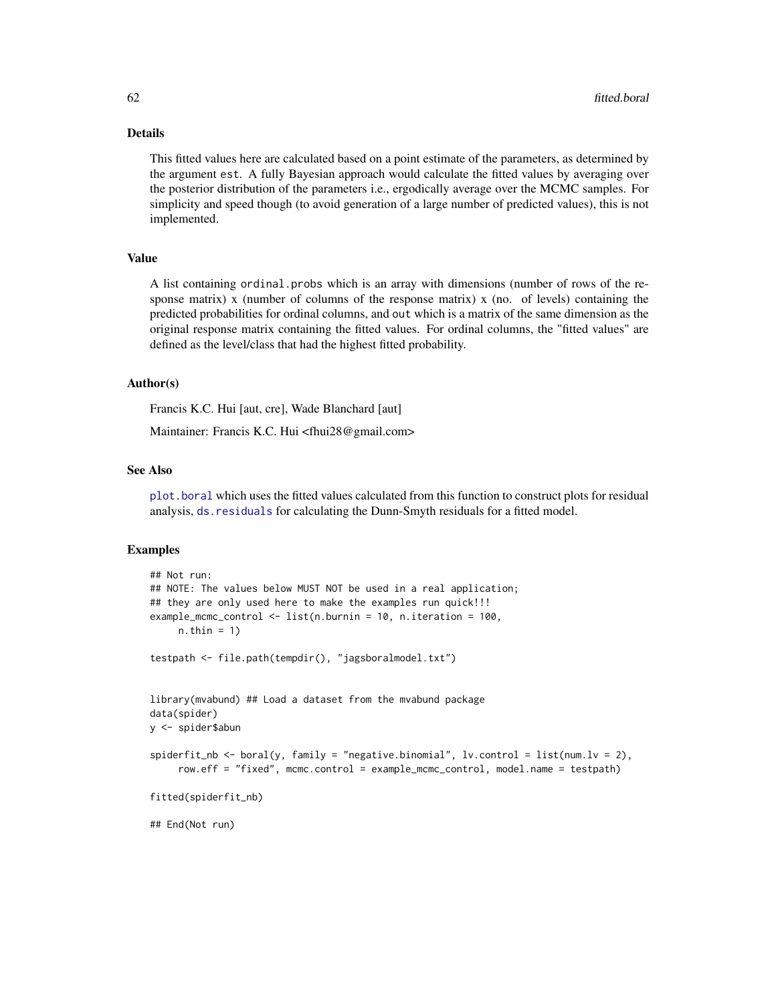# Details

This fitted values here are calculated based on a point estimate of the parameters, as determined by the argument est. A fully Bayesian approach would calculate the fitted values by averaging over the posterior distribution of the parameters i.e., ergodically average over the MCMC samples. For simplicity and speed though (to avoid generation of a large number of predicted values), this is not implemented.

# Value

A list containing ordinal.probs which is an array with dimensions (number of rows of the response matrix) x (number of columns of the response matrix) x (no. of levels) containing the predicted probabilities for ordinal columns, and out which is a matrix of the same dimension as the original response matrix containing the fitted values. For ordinal columns, the "fitted values" are defined as the level/class that had the highest fitted probability.

## Author(s)

Francis K.C. Hui [aut, cre], Wade Blanchard [aut]

Maintainer: Francis K.C. Hui <fhui28@gmail.com>

### See Also

[plot.boral](#page-94-0) which uses the fitted values calculated from this function to construct plots for residual analysis, [ds.residuals](#page-58-0) for calculating the Dunn-Smyth residuals for a fitted model.

## Examples

```
## Not run:
## NOTE: The values below MUST NOT be used in a real application;
## they are only used here to make the examples run quick!!!
example_mcmc_control <- list(n.burnin = 10, n.iteration = 100,
     n.thin = 1)
testpath <- file.path(tempdir(), "jagsboralmodel.txt")
library(mvabund) ## Load a dataset from the mvabund package
data(spider)
y <- spider$abun
spiderfit_nb \leftarrow boral(y, family = "negative.binomial", lv.contrib = list(num.lv = 2),row.eff = "fixed", mcmc.control = example_mcmc_control, model.name = testpath)
fitted(spiderfit_nb)
## End(Not run)
```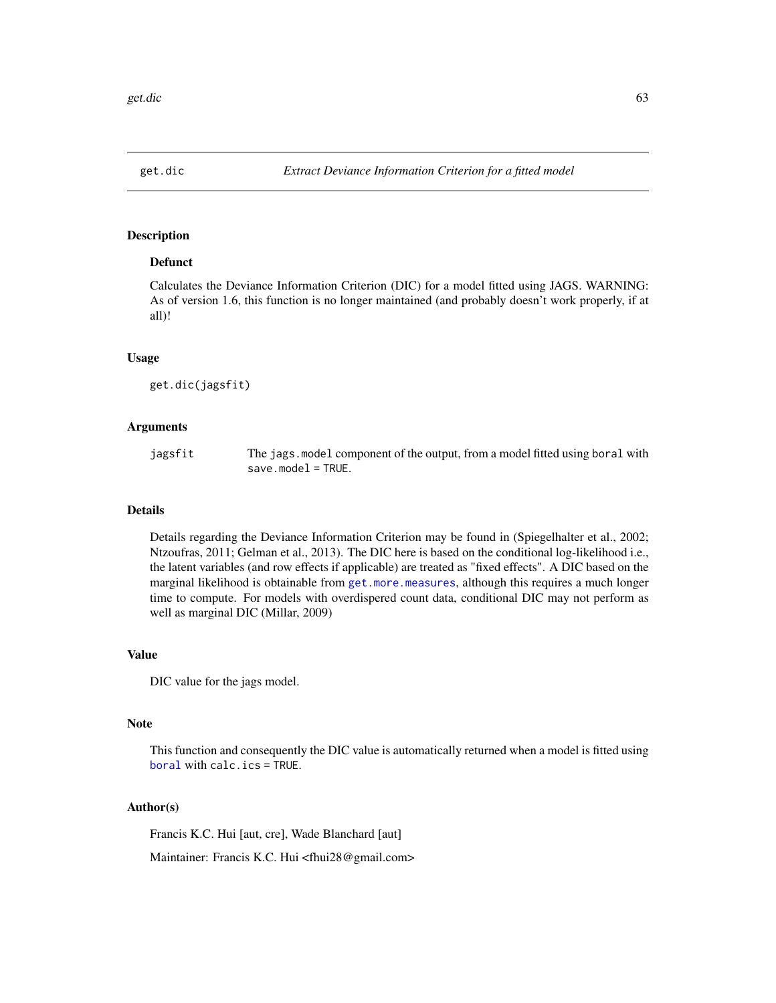## Description

### Defunct

Calculates the Deviance Information Criterion (DIC) for a model fitted using JAGS. WARNING: As of version 1.6, this function is no longer maintained (and probably doesn't work properly, if at all)!

### Usage

get.dic(jagsfit)

### Arguments

| jagsfit | The jags. model component of the output, from a model fitted using boral with |
|---------|-------------------------------------------------------------------------------|
|         | $save_model = TRUE.$                                                          |

## Details

Details regarding the Deviance Information Criterion may be found in (Spiegelhalter et al., 2002; Ntzoufras, 2011; Gelman et al., 2013). The DIC here is based on the conditional log-likelihood i.e., the latent variables (and row effects if applicable) are treated as "fixed effects". A DIC based on the marginal likelihood is obtainable from [get.more.measures](#page-74-0), although this requires a much longer time to compute. For models with overdispered count data, conditional DIC may not perform as well as marginal DIC (Millar, 2009)

### Value

DIC value for the jags model.

### Note

This function and consequently the DIC value is automatically returned when a model is fitted using [boral](#page-16-0) with calc.ics = TRUE.

## Author(s)

Francis K.C. Hui [aut, cre], Wade Blanchard [aut]

Maintainer: Francis K.C. Hui <fhui28@gmail.com>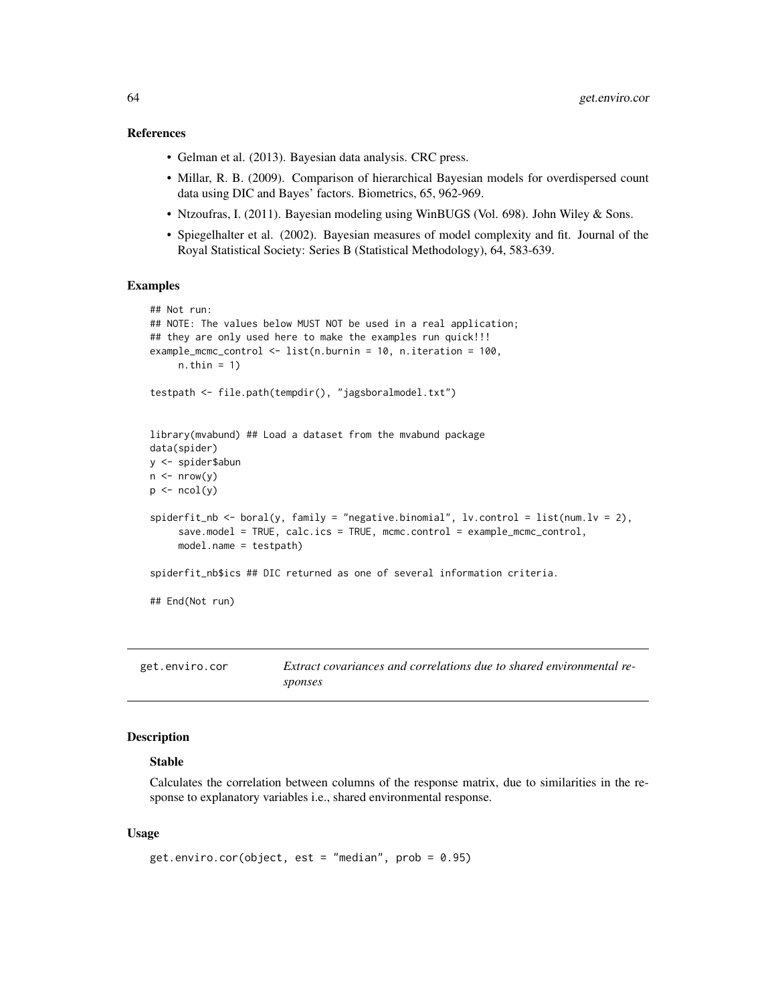### References

- Gelman et al. (2013). Bayesian data analysis. CRC press.
- Millar, R. B. (2009). Comparison of hierarchical Bayesian models for overdispersed count data using DIC and Bayes' factors. Biometrics, 65, 962-969.
- Ntzoufras, I. (2011). Bayesian modeling using WinBUGS (Vol. 698). John Wiley & Sons.
- Spiegelhalter et al. (2002). Bayesian measures of model complexity and fit. Journal of the Royal Statistical Society: Series B (Statistical Methodology), 64, 583-639.

#### Examples

```
## Not run:
## NOTE: The values below MUST NOT be used in a real application;
## they are only used here to make the examples run quick!!!
example_mcmc_control <- list(n.burnin = 10, n.iteration = 100,
     n.thin = 1)
testpath <- file.path(tempdir(), "jagsboralmodel.txt")
library(mvabund) ## Load a dataset from the mvabund package
data(spider)
y <- spider$abun
n \leq -nrow(y)p \leftarrow \text{ncol}(y)spiderfit_nb <- boral(y, family = "negative.binomial", lv.control = list(num.lv = 2),
     save.model = TRUE, calc.ics = TRUE, mcmc.control = example\_mer\_control,
     model.name = testpath)
spiderfit_nb$ics ## DIC returned as one of several information criteria.
## End(Not run)
```
get.enviro.cor *Extract covariances and correlations due to shared environmental responses*

### Description

## Stable

Calculates the correlation between columns of the response matrix, due to similarities in the response to explanatory variables i.e., shared environmental response.

### Usage

```
get.enviro.cor(object, est = "median", prob = 0.95)
```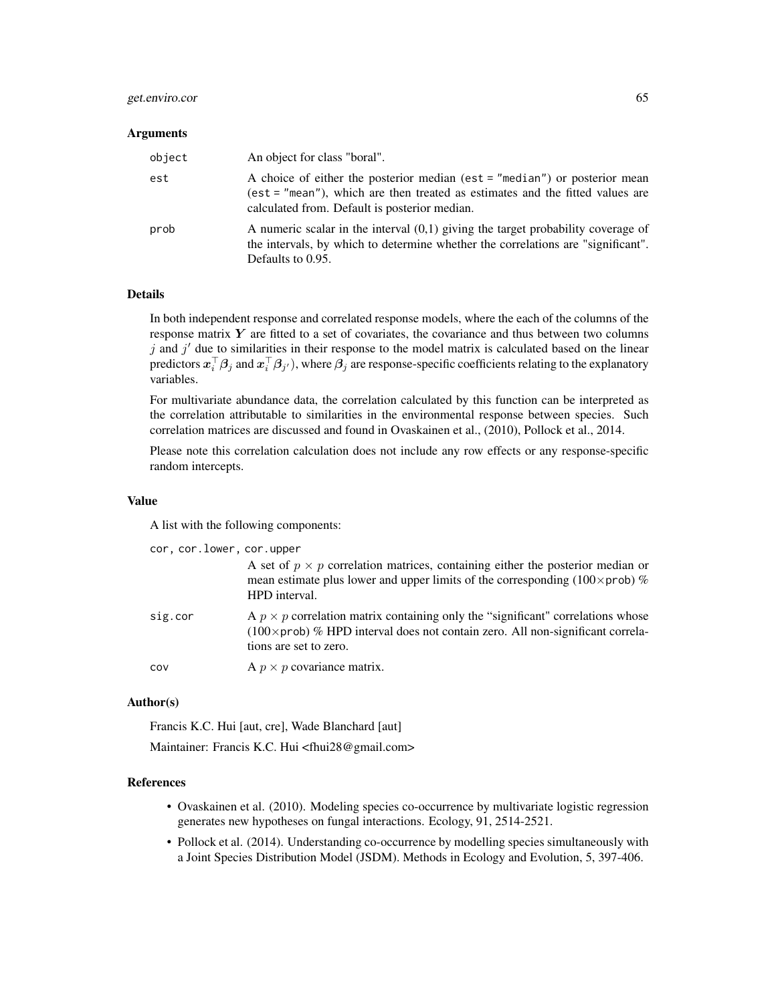### get.enviro.cor 65

#### **Arguments**

| object | An object for class "boral".                                                                                                                                                                                 |
|--------|--------------------------------------------------------------------------------------------------------------------------------------------------------------------------------------------------------------|
| est    | A choice of either the posterior median (est = "median") or posterior mean<br>(est = "mean"), which are then treated as estimates and the fitted values are<br>calculated from. Default is posterior median. |
| prob   | A numeric scalar in the interval $(0,1)$ giving the target probability coverage of<br>the intervals, by which to determine whether the correlations are "significant".<br>Defaults to 0.95.                  |

### Details

In both independent response and correlated response models, where the each of the columns of the response matrix  $Y$  are fitted to a set of covariates, the covariance and thus between two columns  $j$  and  $j'$  due to similarities in their response to the model matrix is calculated based on the linear predictors  $x_i^\top\beta_j$  and  $x_i^\top\beta_{j'}$  ), where  $\beta_j$  are response-specific coefficients relating to the explanatory variables.

For multivariate abundance data, the correlation calculated by this function can be interpreted as the correlation attributable to similarities in the environmental response between species. Such correlation matrices are discussed and found in Ovaskainen et al., (2010), Pollock et al., 2014.

Please note this correlation calculation does not include any row effects or any response-specific random intercepts.

### Value

A list with the following components:

| cor, cor.lower, cor.upper |                                                                                                                                                                                                                   |  |
|---------------------------|-------------------------------------------------------------------------------------------------------------------------------------------------------------------------------------------------------------------|--|
|                           | A set of $p \times p$ correlation matrices, containing either the posterior median or<br>mean estimate plus lower and upper limits of the corresponding (100 $\times$ prob) %<br>HPD interval.                    |  |
| sig.cor                   | A $p \times p$ correlation matrix containing only the "significant" correlations whose<br>$(100 \times \text{prob})$ % HPD interval does not contain zero. All non-significant correla-<br>tions are set to zero. |  |
| COV                       | A $p \times p$ covariance matrix.                                                                                                                                                                                 |  |

## Author(s)

Francis K.C. Hui [aut, cre], Wade Blanchard [aut]

Maintainer: Francis K.C. Hui <fhui28@gmail.com>

### References

- Ovaskainen et al. (2010). Modeling species co-occurrence by multivariate logistic regression generates new hypotheses on fungal interactions. Ecology, 91, 2514-2521.
- Pollock et al. (2014). Understanding co-occurrence by modelling species simultaneously with a Joint Species Distribution Model (JSDM). Methods in Ecology and Evolution, 5, 397-406.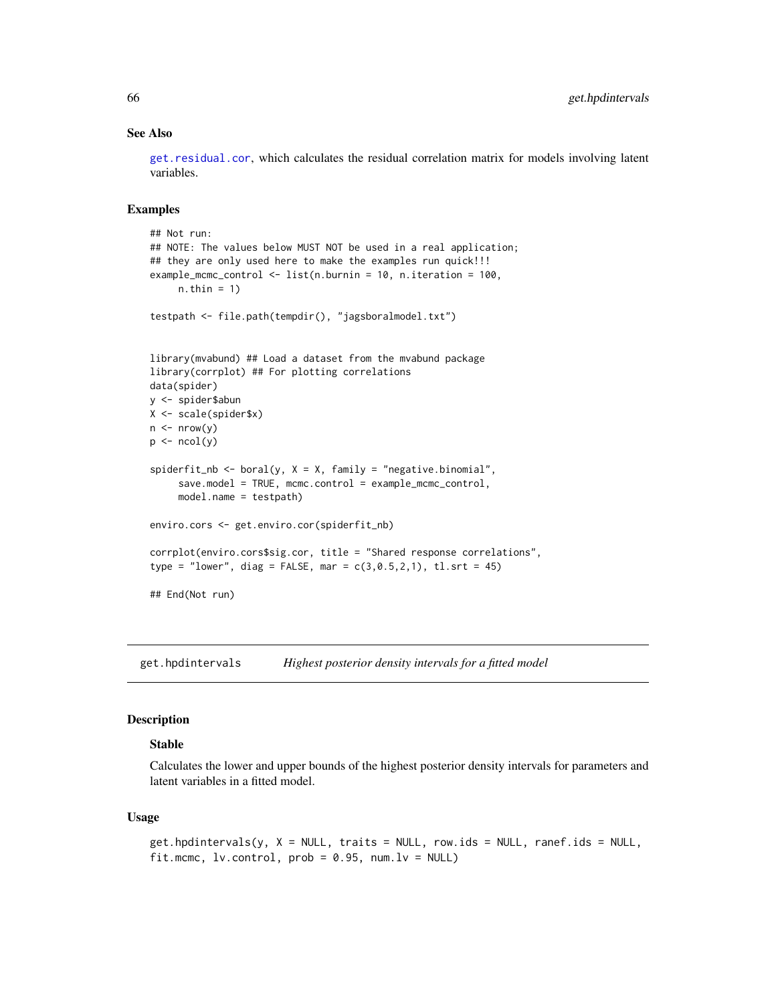## See Also

[get.residual.cor](#page-78-0), which calculates the residual correlation matrix for models involving latent variables.

### Examples

```
## Not run:
## NOTE: The values below MUST NOT be used in a real application;
## they are only used here to make the examples run quick!!!
example_mcmc_control <- list(n.burnin = 10, n.iteration = 100,
     n.thin = 1)
testpath <- file.path(tempdir(), "jagsboralmodel.txt")
library(mvabund) ## Load a dataset from the mvabund package
library(corrplot) ## For plotting correlations
data(spider)
y <- spider$abun
X <- scale(spider$x)
n \leq -nrow(y)p \leftarrow \text{ncol}(y)spiderfit_nb <- boral(y, X = X, family = "negative.binomial",
     save.model = TRUE, mcmc.control = example_mcmc_control,
     model.name = testpath)
enviro.cors <- get.enviro.cor(spiderfit_nb)
corrplot(enviro.cors$sig.cor, title = "Shared response correlations",
type = "lower", diag = FALSE, mar = c(3, 0.5, 2, 1), tl.srt = 45)
## End(Not run)
```
get.hpdintervals *Highest posterior density intervals for a fitted model*

## Description

#### Stable

Calculates the lower and upper bounds of the highest posterior density intervals for parameters and latent variables in a fitted model.

### Usage

```
get.hpdintervals(y, X = NULL, traits = NULL, row.ids = NULL, ranef.ids = NULL,
fit.mcmc, lv.contrib, prob = 0.95, num.lv = NULL
```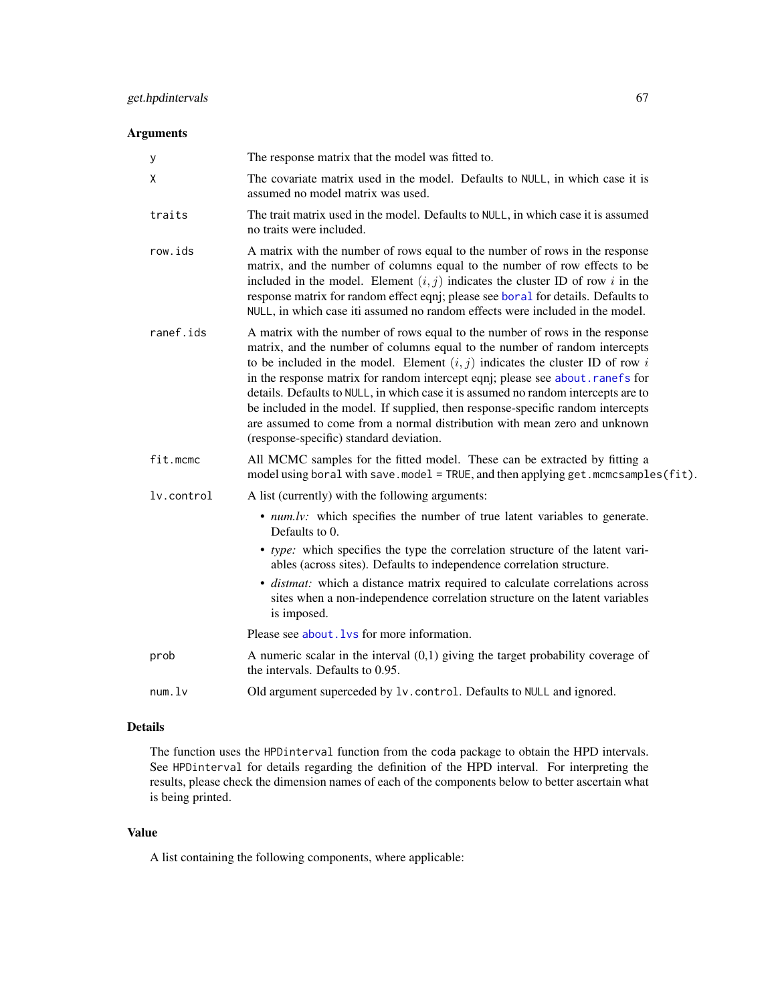# Arguments

| у          | The response matrix that the model was fitted to.                                                                                                                                                                                                                                                                                                                                                                                                                                                                                                                                                                               |
|------------|---------------------------------------------------------------------------------------------------------------------------------------------------------------------------------------------------------------------------------------------------------------------------------------------------------------------------------------------------------------------------------------------------------------------------------------------------------------------------------------------------------------------------------------------------------------------------------------------------------------------------------|
| X          | The covariate matrix used in the model. Defaults to NULL, in which case it is<br>assumed no model matrix was used.                                                                                                                                                                                                                                                                                                                                                                                                                                                                                                              |
| traits     | The trait matrix used in the model. Defaults to NULL, in which case it is assumed<br>no traits were included.                                                                                                                                                                                                                                                                                                                                                                                                                                                                                                                   |
| row.ids    | A matrix with the number of rows equal to the number of rows in the response<br>matrix, and the number of columns equal to the number of row effects to be<br>included in the model. Element $(i, j)$ indicates the cluster ID of row i in the<br>response matrix for random effect eqnj; please see boral for details. Defaults to<br>NULL, in which case iti assumed no random effects were included in the model.                                                                                                                                                                                                            |
| ranef.ids  | A matrix with the number of rows equal to the number of rows in the response<br>matrix, and the number of columns equal to the number of random intercepts<br>to be included in the model. Element $(i, j)$ indicates the cluster ID of row i<br>in the response matrix for random intercept eqnj; please see about.ranefs for<br>details. Defaults to NULL, in which case it is assumed no random intercepts are to<br>be included in the model. If supplied, then response-specific random intercepts<br>are assumed to come from a normal distribution with mean zero and unknown<br>(response-specific) standard deviation. |
| fit.mcmc   | All MCMC samples for the fitted model. These can be extracted by fitting a<br>model using boral with save.model = TRUE, and then applying get.mcmcsamples(fit).                                                                                                                                                                                                                                                                                                                                                                                                                                                                 |
| lv.control | A list (currently) with the following arguments:                                                                                                                                                                                                                                                                                                                                                                                                                                                                                                                                                                                |
|            | • num.lv: which specifies the number of true latent variables to generate.<br>Defaults to 0.                                                                                                                                                                                                                                                                                                                                                                                                                                                                                                                                    |
|            | • type: which specifies the type the correlation structure of the latent vari-<br>ables (across sites). Defaults to independence correlation structure.<br>· distmat: which a distance matrix required to calculate correlations across<br>sites when a non-independence correlation structure on the latent variables<br>is imposed.                                                                                                                                                                                                                                                                                           |
|            | Please see about. Lys for more information.                                                                                                                                                                                                                                                                                                                                                                                                                                                                                                                                                                                     |
| prob       | A numeric scalar in the interval $(0,1)$ giving the target probability coverage of<br>the intervals. Defaults to 0.95.                                                                                                                                                                                                                                                                                                                                                                                                                                                                                                          |
| num.       | Old argument superceded by 1v. control. Defaults to NULL and ignored.                                                                                                                                                                                                                                                                                                                                                                                                                                                                                                                                                           |

# Details

The function uses the HPDinterval function from the coda package to obtain the HPD intervals. See HPDinterval for details regarding the definition of the HPD interval. For interpreting the results, please check the dimension names of each of the components below to better ascertain what is being printed.

## Value

A list containing the following components, where applicable: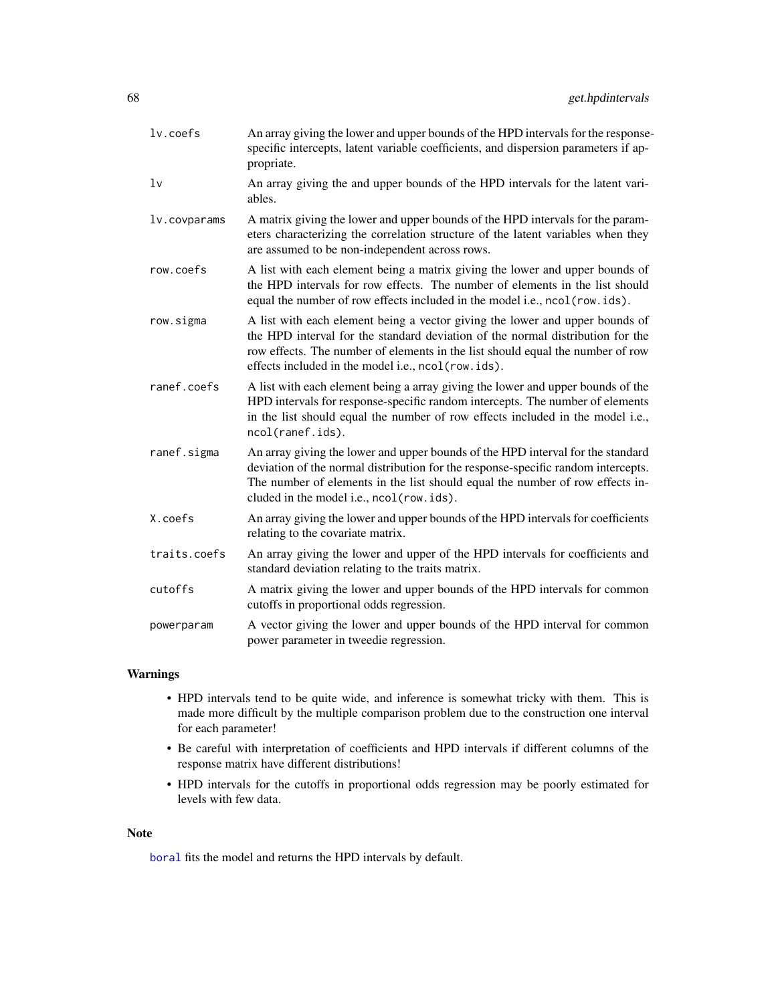| $lv.$ coefs    | An array giving the lower and upper bounds of the HPD intervals for the response-<br>specific intercepts, latent variable coefficients, and dispersion parameters if ap-<br>propriate.                                                                                                                   |
|----------------|----------------------------------------------------------------------------------------------------------------------------------------------------------------------------------------------------------------------------------------------------------------------------------------------------------|
| 1 <sub>v</sub> | An array giving the and upper bounds of the HPD intervals for the latent vari-<br>ables.                                                                                                                                                                                                                 |
| lv.covparams   | A matrix giving the lower and upper bounds of the HPD intervals for the param-<br>eters characterizing the correlation structure of the latent variables when they<br>are assumed to be non-independent across rows.                                                                                     |
| row.coefs      | A list with each element being a matrix giving the lower and upper bounds of<br>the HPD intervals for row effects. The number of elements in the list should<br>equal the number of row effects included in the model i.e., ncol(row.ids).                                                               |
| row.sigma      | A list with each element being a vector giving the lower and upper bounds of<br>the HPD interval for the standard deviation of the normal distribution for the<br>row effects. The number of elements in the list should equal the number of row<br>effects included in the model i.e., ncol (row. ids). |
| ranef.coefs    | A list with each element being a array giving the lower and upper bounds of the<br>HPD intervals for response-specific random intercepts. The number of elements<br>in the list should equal the number of row effects included in the model i.e.,<br>ncol(ranef.ids).                                   |
| ranef.sigma    | An array giving the lower and upper bounds of the HPD interval for the standard<br>deviation of the normal distribution for the response-specific random intercepts.<br>The number of elements in the list should equal the number of row effects in-<br>cluded in the model i.e., ncol(row.ids).        |
| X.coefs        | An array giving the lower and upper bounds of the HPD intervals for coefficients<br>relating to the covariate matrix.                                                                                                                                                                                    |
| traits.coefs   | An array giving the lower and upper of the HPD intervals for coefficients and<br>standard deviation relating to the traits matrix.                                                                                                                                                                       |
| cutoffs        | A matrix giving the lower and upper bounds of the HPD intervals for common<br>cutoffs in proportional odds regression.                                                                                                                                                                                   |
| powerparam     | A vector giving the lower and upper bounds of the HPD interval for common<br>power parameter in tweedie regression.                                                                                                                                                                                      |

## Warnings

- HPD intervals tend to be quite wide, and inference is somewhat tricky with them. This is made more difficult by the multiple comparison problem due to the construction one interval for each parameter!
- Be careful with interpretation of coefficients and HPD intervals if different columns of the response matrix have different distributions!
- HPD intervals for the cutoffs in proportional odds regression may be poorly estimated for levels with few data.

### Note

[boral](#page-16-0) fits the model and returns the HPD intervals by default.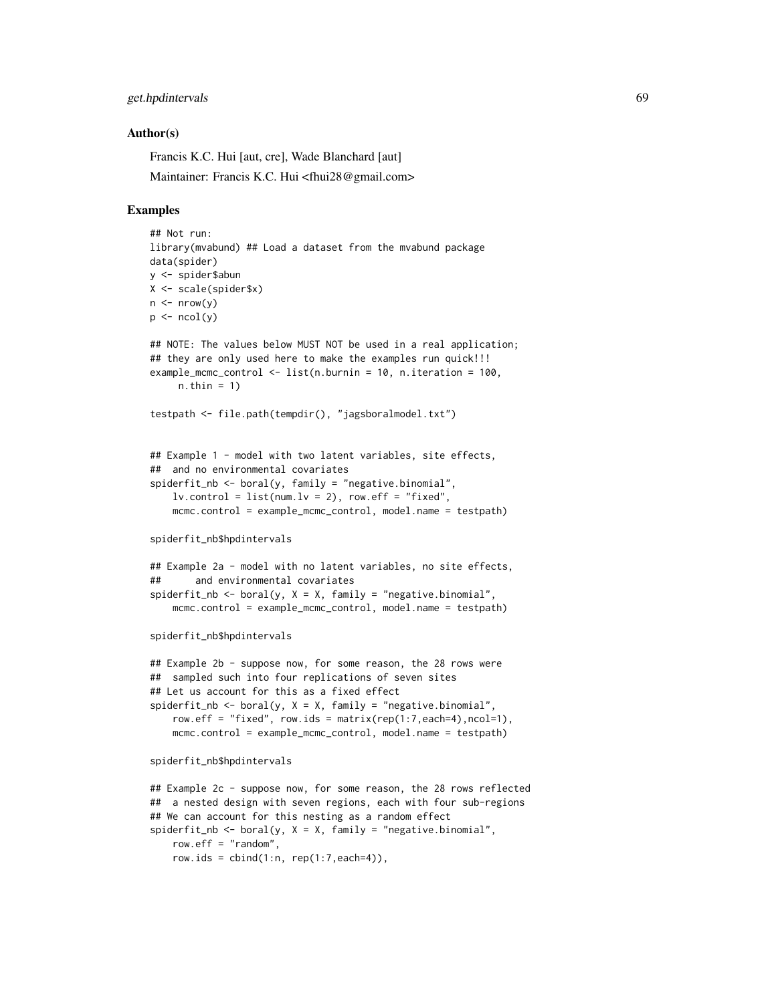## get.hpdintervals 69

### Author(s)

Francis K.C. Hui [aut, cre], Wade Blanchard [aut]

Maintainer: Francis K.C. Hui <fhui28@gmail.com>

### Examples

```
## Not run:
library(mvabund) ## Load a dataset from the mvabund package
data(spider)
y <- spider$abun
X <- scale(spider$x)
n \leq -nrow(y)p \leftarrow \text{ncol}(y)## NOTE: The values below MUST NOT be used in a real application;
## they are only used here to make the examples run quick!!!
example_mcmc_control <- list(n.burnin = 10, n.iteration = 100,
     n.thin = 1)
testpath <- file.path(tempdir(), "jagsboralmodel.txt")
## Example 1 - model with two latent variables, site effects,
## and no environmental covariates
spiderfit_nb <- boral(y, family = "negative.binomial",
    lv. control = list(num.lv = 2), row.eff = "fixed",
    mcmc.control = example_mcmc_control, model.name = testpath)
spiderfit_nb$hpdintervals
## Example 2a - model with no latent variables, no site effects,
## and environmental covariates
spiderfit_nb \leftarrow boral(y, X = X, family = "negative.binomial",mcmc.control = example_mcmc_control, model.name = testpath)
spiderfit_nb$hpdintervals
## Example 2b - suppose now, for some reason, the 28 rows were
## sampled such into four replications of seven sites
## Let us account for this as a fixed effect
spiderfit_nb <- boral(y, X = X, family = "negative.binomial",
    row.eff = "fixed", row.ids = matrix(rep(1:7,each=4),ncol=1),
    mcmc.control = example_mcmc_control, model.name = testpath)
spiderfit_nb$hpdintervals
## Example 2c - suppose now, for some reason, the 28 rows reflected
## a nested design with seven regions, each with four sub-regions
## We can account for this nesting as a random effect
spiderfit_nb <- boral(y, X = X, family = "negative.binomial",
```
row.eff = "random",

```
row.ids = cbind(1:n, rep(1:7, each=4)),
```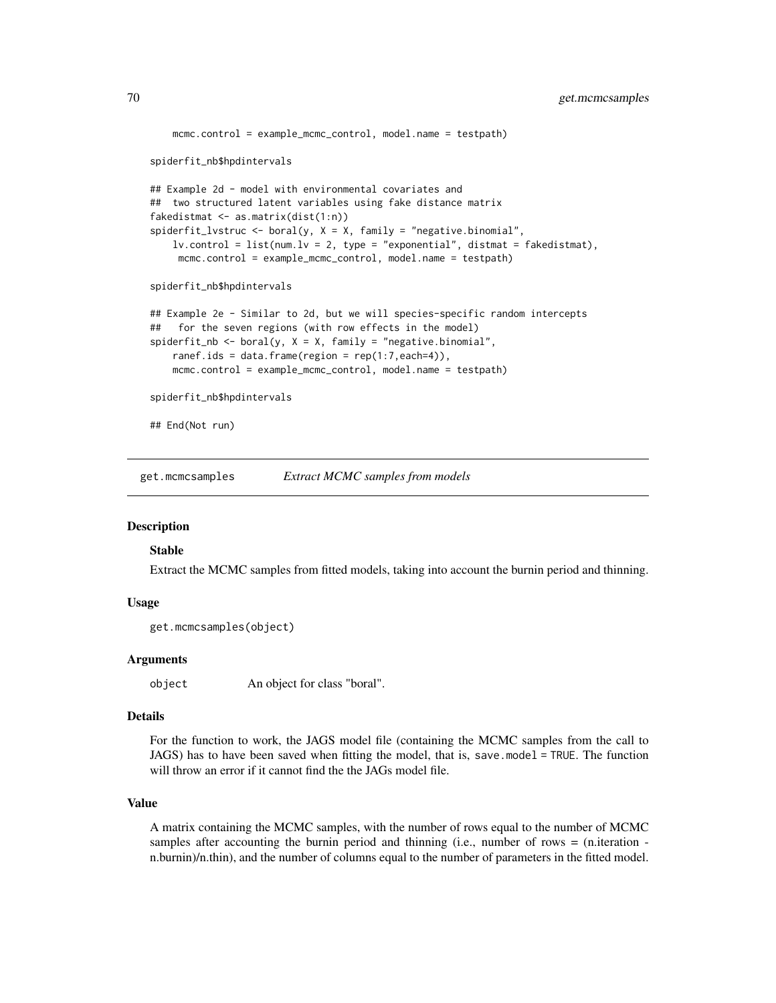```
mcmc.control = example_mcmc_control, model.name = testpath)
spiderfit_nb$hpdintervals
## Example 2d - model with environmental covariates and
## two structured latent variables using fake distance matrix
fakedistmat <- as.matrix(dist(1:n))
spiderfit_lvstruc <- boral(y, X = X, family = "negative.binomial",
    lv.countrol = list(num.lv = 2, type = "exponential", distmat = fakedistmat),mcmc.control = example_mcmc_control, model.name = testpath)
spiderfit_nb$hpdintervals
## Example 2e - Similar to 2d, but we will species-specific random intercepts
## for the seven regions (with row effects in the model)
spiderfit\_nb \leq box{boxl}(y, X = X, family = "negative.binomial",ranef.ids = data.frame(region = rep(1:7,each=4)),
   mcmc.control = example_mcmc_control, model.name = testpath)
spiderfit_nb$hpdintervals
## End(Not run)
```
get.mcmcsamples *Extract MCMC samples from models*

#### Description

### Stable

Extract the MCMC samples from fitted models, taking into account the burnin period and thinning.

### Usage

```
get.mcmcsamples(object)
```
### Arguments

object An object for class "boral".

## Details

For the function to work, the JAGS model file (containing the MCMC samples from the call to JAGS) has to have been saved when fitting the model, that is, save.model = TRUE. The function will throw an error if it cannot find the the JAGs model file.

## Value

A matrix containing the MCMC samples, with the number of rows equal to the number of MCMC samples after accounting the burnin period and thinning  $(i.e.,$  number of rows  $= (n.$ iteration  $$ n.burnin)/n.thin), and the number of columns equal to the number of parameters in the fitted model.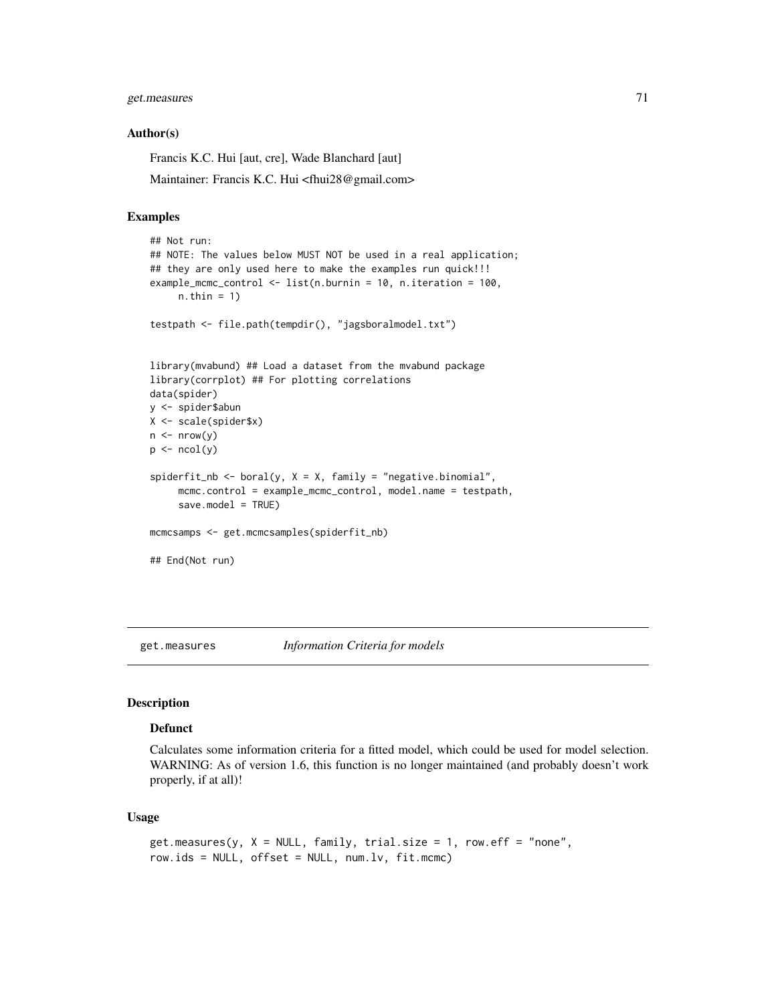# get.measures 71

#### Author(s)

Francis K.C. Hui [aut, cre], Wade Blanchard [aut]

Maintainer: Francis K.C. Hui <fhui28@gmail.com>

### Examples

```
## Not run:
## NOTE: The values below MUST NOT be used in a real application;
## they are only used here to make the examples run quick!!!
example_mcmc_control <- list(n.burnin = 10, n.iteration = 100,
     n.thin = 1)
testpath <- file.path(tempdir(), "jagsboralmodel.txt")
library(mvabund) ## Load a dataset from the mvabund package
library(corrplot) ## For plotting correlations
data(spider)
y <- spider$abun
X <- scale(spider$x)
n \leq -nrow(y)p \leftarrow \text{ncol}(y)spiderfit_nb <- boral(y, X = X, family = "negative.binomial",
     mcmc.control = example_mcmc_control, model.name = testpath,
     save.model = TRUE)
mcmcsamps <- get.mcmcsamples(spiderfit_nb)
## End(Not run)
```
get.measures *Information Criteria for models*

# **Description**

#### Defunct

Calculates some information criteria for a fitted model, which could be used for model selection. WARNING: As of version 1.6, this function is no longer maintained (and probably doesn't work properly, if at all)!

### Usage

```
get-measures(y, X = NULL, family, trial.size = 1, row.eff = "none",row.ids = NULL, offset = NULL, num.lv, fit.mcmc)
```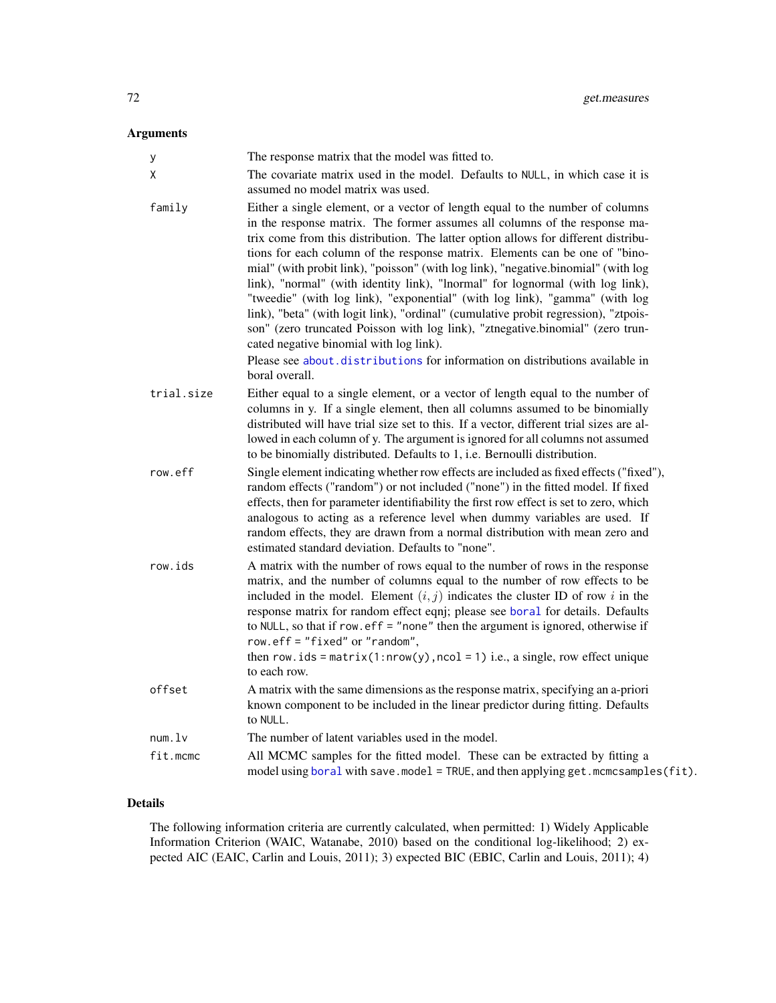# Arguments

| у          | The response matrix that the model was fitted to.                                                                                                                                                                                                                                                                                                                                                                                                                                                                                                                                                                                                                                                                                                                                                                                                                                                             |
|------------|---------------------------------------------------------------------------------------------------------------------------------------------------------------------------------------------------------------------------------------------------------------------------------------------------------------------------------------------------------------------------------------------------------------------------------------------------------------------------------------------------------------------------------------------------------------------------------------------------------------------------------------------------------------------------------------------------------------------------------------------------------------------------------------------------------------------------------------------------------------------------------------------------------------|
| Χ          | The covariate matrix used in the model. Defaults to NULL, in which case it is<br>assumed no model matrix was used.                                                                                                                                                                                                                                                                                                                                                                                                                                                                                                                                                                                                                                                                                                                                                                                            |
| family     | Either a single element, or a vector of length equal to the number of columns<br>in the response matrix. The former assumes all columns of the response ma-<br>trix come from this distribution. The latter option allows for different distribu-<br>tions for each column of the response matrix. Elements can be one of "bino-<br>mial" (with probit link), "poisson" (with log link), "negative.binomial" (with log<br>link), "normal" (with identity link), "lnormal" for lognormal (with log link),<br>"tweedie" (with log link), "exponential" (with log link), "gamma" (with log<br>link), "beta" (with logit link), "ordinal" (cumulative probit regression), "ztpois-<br>son" (zero truncated Poisson with log link), "ztnegative.binomial" (zero trun-<br>cated negative binomial with log link).<br>Please see about distributions for information on distributions available in<br>boral overall. |
| trial.size | Either equal to a single element, or a vector of length equal to the number of<br>columns in y. If a single element, then all columns assumed to be binomially<br>distributed will have trial size set to this. If a vector, different trial sizes are al-<br>lowed in each column of y. The argument is ignored for all columns not assumed<br>to be binomially distributed. Defaults to 1, i.e. Bernoulli distribution.                                                                                                                                                                                                                                                                                                                                                                                                                                                                                     |
| row.eff    | Single element indicating whether row effects are included as fixed effects ("fixed"),<br>random effects ("random") or not included ("none") in the fitted model. If fixed<br>effects, then for parameter identifiability the first row effect is set to zero, which<br>analogous to acting as a reference level when dummy variables are used. If<br>random effects, they are drawn from a normal distribution with mean zero and<br>estimated standard deviation. Defaults to "none".                                                                                                                                                                                                                                                                                                                                                                                                                       |
| row.ids    | A matrix with the number of rows equal to the number of rows in the response<br>matrix, and the number of columns equal to the number of row effects to be<br>included in the model. Element $(i, j)$ indicates the cluster ID of row i in the<br>response matrix for random effect eqnj; please see boral for details. Defaults<br>to NULL, so that if row.eff = "none" then the argument is ignored, otherwise if<br>$row.$ eff = "fixed" or "random",<br>then row.ids = $matrix(1: nrow(y), ncol = 1)$ i.e., a single, row effect unique<br>to each row.                                                                                                                                                                                                                                                                                                                                                   |
| offset     | A matrix with the same dimensions as the response matrix, specifying an a-priori<br>known component to be included in the linear predictor during fitting. Defaults<br>to NULL.                                                                                                                                                                                                                                                                                                                                                                                                                                                                                                                                                                                                                                                                                                                               |
| num.       | The number of latent variables used in the model.                                                                                                                                                                                                                                                                                                                                                                                                                                                                                                                                                                                                                                                                                                                                                                                                                                                             |
| fit.mcmc   | All MCMC samples for the fitted model. These can be extracted by fitting a<br>model using boral with save.model = TRUE, and then applying get.mcmcsamples(fit).                                                                                                                                                                                                                                                                                                                                                                                                                                                                                                                                                                                                                                                                                                                                               |

# Details

The following information criteria are currently calculated, when permitted: 1) Widely Applicable Information Criterion (WAIC, Watanabe, 2010) based on the conditional log-likelihood; 2) expected AIC (EAIC, Carlin and Louis, 2011); 3) expected BIC (EBIC, Carlin and Louis, 2011); 4)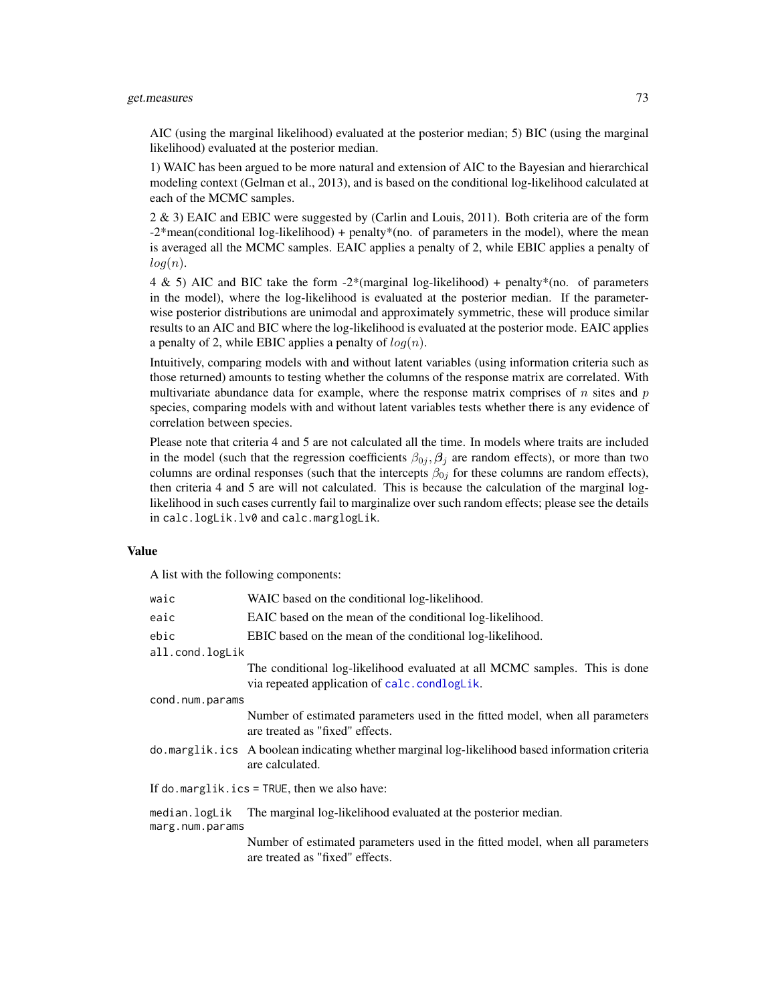### get.measures 73

AIC (using the marginal likelihood) evaluated at the posterior median; 5) BIC (using the marginal likelihood) evaluated at the posterior median.

1) WAIC has been argued to be more natural and extension of AIC to the Bayesian and hierarchical modeling context (Gelman et al., 2013), and is based on the conditional log-likelihood calculated at each of the MCMC samples.

2 & 3) EAIC and EBIC were suggested by (Carlin and Louis, 2011). Both criteria are of the form -2\*mean(conditional log-likelihood) + penalty\*(no. of parameters in the model), where the mean is averaged all the MCMC samples. EAIC applies a penalty of 2, while EBIC applies a penalty of  $log(n)$ .

4 & 5) AIC and BIC take the form -2\*(marginal log-likelihood) + penalty\*(no. of parameters in the model), where the log-likelihood is evaluated at the posterior median. If the parameterwise posterior distributions are unimodal and approximately symmetric, these will produce similar results to an AIC and BIC where the log-likelihood is evaluated at the posterior mode. EAIC applies a penalty of 2, while EBIC applies a penalty of  $log(n)$ .

Intuitively, comparing models with and without latent variables (using information criteria such as those returned) amounts to testing whether the columns of the response matrix are correlated. With multivariate abundance data for example, where the response matrix comprises of  $n$  sites and  $p$ species, comparing models with and without latent variables tests whether there is any evidence of correlation between species.

Please note that criteria 4 and 5 are not calculated all the time. In models where traits are included in the model (such that the regression coefficients  $\beta_{0j}$ ,  $\beta_j$  are random effects), or more than two columns are ordinal responses (such that the intercepts  $\beta_{0j}$  for these columns are random effects), then criteria 4 and 5 are will not calculated. This is because the calculation of the marginal loglikelihood in such cases currently fail to marginalize over such random effects; please see the details in calc.logLik.lv0 and calc.marglogLik.

#### Value

A list with the following components:

| waic                                         | WAIC based on the conditional log-likelihood.                                                                              |  |
|----------------------------------------------|----------------------------------------------------------------------------------------------------------------------------|--|
| eaic                                         | EAIC based on the mean of the conditional log-likelihood.                                                                  |  |
| ebic                                         | EBIC based on the mean of the conditional log-likelihood.                                                                  |  |
| all.cond.logLik                              |                                                                                                                            |  |
|                                              | The conditional log-likelihood evaluated at all MCMC samples. This is done<br>via repeated application of calc.condlogLik. |  |
| cond.num.params                              |                                                                                                                            |  |
|                                              | Number of estimated parameters used in the fitted model, when all parameters<br>are treated as "fixed" effects.            |  |
|                                              | do marglik. ics A boolean indicating whether marginal log-likelihood based information criteria<br>are calculated.         |  |
| If do.marglik.ics = TRUE, then we also have: |                                                                                                                            |  |
| median.logLik<br>marg.num.params             | The marginal log-likelihood evaluated at the posterior median.                                                             |  |
|                                              | Number of estimated parameters used in the fitted model, when all parameters<br>are treated as "fixed" effects.            |  |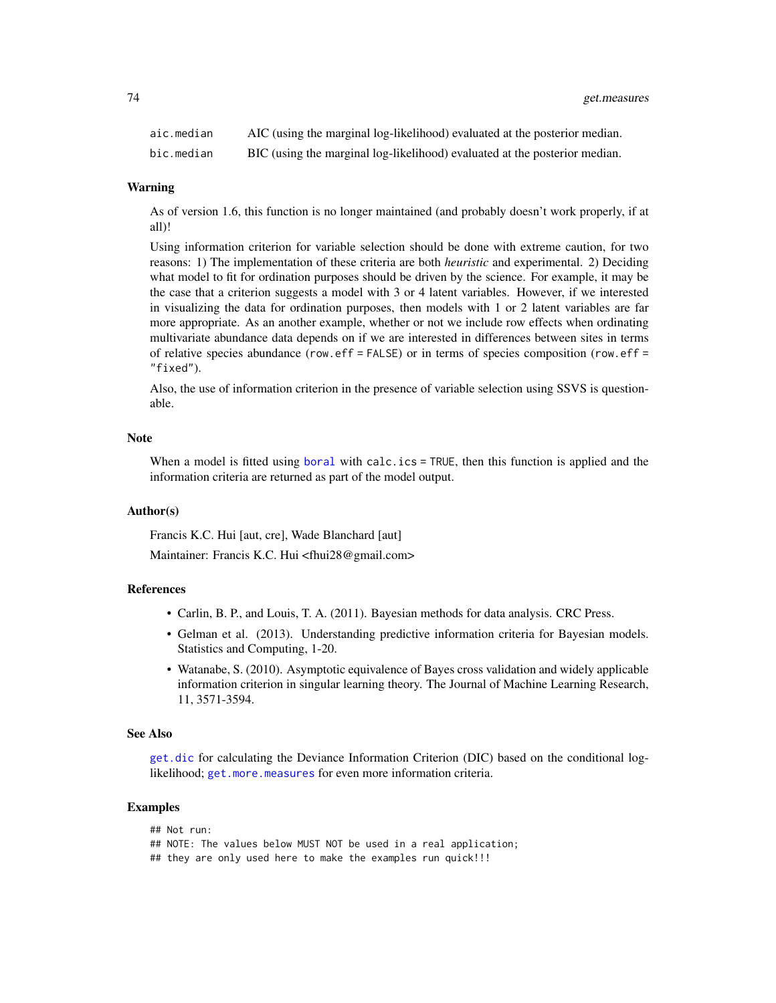| aic.median | AIC (using the marginal log-likelihood) evaluated at the posterior median. |
|------------|----------------------------------------------------------------------------|
| bic.median | BIC (using the marginal log-likelihood) evaluated at the posterior median. |

#### Warning

As of version 1.6, this function is no longer maintained (and probably doesn't work properly, if at all)!

Using information criterion for variable selection should be done with extreme caution, for two reasons: 1) The implementation of these criteria are both *heuristic* and experimental. 2) Deciding what model to fit for ordination purposes should be driven by the science. For example, it may be the case that a criterion suggests a model with 3 or 4 latent variables. However, if we interested in visualizing the data for ordination purposes, then models with 1 or 2 latent variables are far more appropriate. As an another example, whether or not we include row effects when ordinating multivariate abundance data depends on if we are interested in differences between sites in terms of relative species abundance (row.eff = FALSE) or in terms of species composition (row.eff = "fixed").

Also, the use of information criterion in the presence of variable selection using SSVS is questionable.

# Note

When a model is fitted using [boral](#page-16-0) with calc.ics = TRUE, then this function is applied and the information criteria are returned as part of the model output.

#### Author(s)

Francis K.C. Hui [aut, cre], Wade Blanchard [aut]

Maintainer: Francis K.C. Hui <fhui28@gmail.com>

### References

- Carlin, B. P., and Louis, T. A. (2011). Bayesian methods for data analysis. CRC Press.
- Gelman et al. (2013). Understanding predictive information criteria for Bayesian models. Statistics and Computing, 1-20.
- Watanabe, S. (2010). Asymptotic equivalence of Bayes cross validation and widely applicable information criterion in singular learning theory. The Journal of Machine Learning Research, 11, 3571-3594.

# See Also

[get.dic](#page-62-0) for calculating the Deviance Information Criterion (DIC) based on the conditional loglikelihood; [get.more.measures](#page-74-0) for even more information criteria.

```
## Not run:
## NOTE: The values below MUST NOT be used in a real application;
## they are only used here to make the examples run quick!!!
```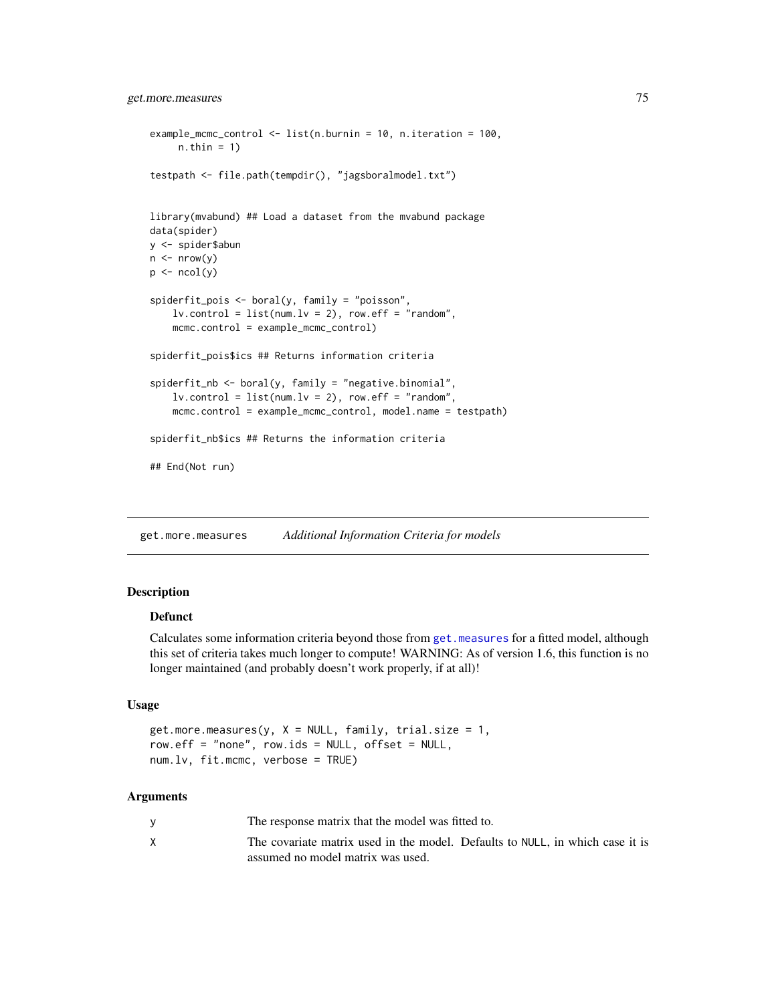```
example_mcmc_control <- list(n.burnin = 10, n.iteration = 100,
     n.thin = 1)
testpath <- file.path(tempdir(), "jagsboralmodel.txt")
library(mvabund) ## Load a dataset from the mvabund package
data(spider)
y <- spider$abun
n \leftarrow \text{nrow}(y)p \leftarrow \text{ncol}(y)spiderfit_pois <- boral(y, family = "poisson",
    lv. control = list(num.lv = 2), row.eff = "random",
    mcmc.control = example_mcmc_control)
spiderfit_pois$ics ## Returns information criteria
spiderfit_nb <- boral(y, family = "negative.binomial",
    lv. control = list(num.lv = 2), row.eff = "random",
    mcmc.control = example_mcmc_control, model.name = testpath)
spiderfit_nb$ics ## Returns the information criteria
## End(Not run)
```
<span id="page-74-0"></span>get.more.measures *Additional Information Criteria for models*

# **Description**

# Defunct

Calculates some information criteria beyond those from [get.measures](#page-70-0) for a fitted model, although this set of criteria takes much longer to compute! WARNING: As of version 1.6, this function is no longer maintained (and probably doesn't work properly, if at all)!

#### Usage

```
get.more.measures(y, X = NULL, family, trial.size = 1,row.eff = "none", row.ids = NULL, offset = NULL,
num.lv, fit.mcmc, verbose = TRUE)
```

| The response matrix that the model was fitted to.                             |
|-------------------------------------------------------------------------------|
| The covariate matrix used in the model. Defaults to NULL, in which case it is |
| assumed no model matrix was used.                                             |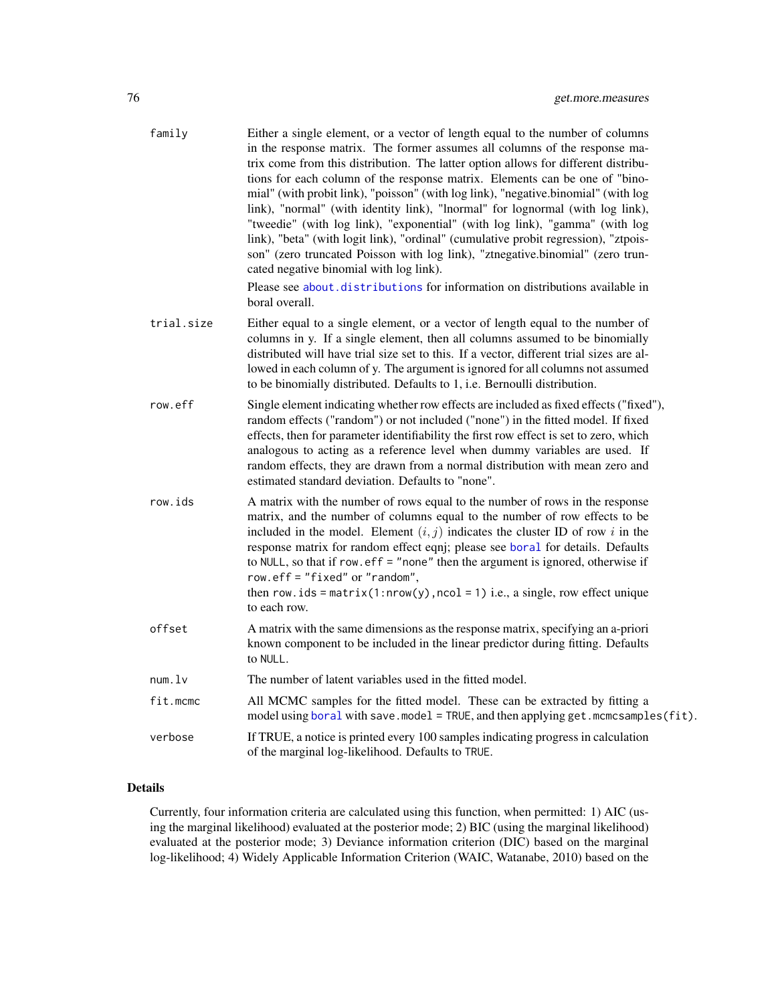| family     | Either a single element, or a vector of length equal to the number of columns<br>in the response matrix. The former assumes all columns of the response ma-<br>trix come from this distribution. The latter option allows for different distribu-<br>tions for each column of the response matrix. Elements can be one of "bino-<br>mial" (with probit link), "poisson" (with log link), "negative.binomial" (with log<br>link), "normal" (with identity link), "lnormal" for lognormal (with log link),<br>"tweedie" (with log link), "exponential" (with log link), "gamma" (with log<br>link), "beta" (with logit link), "ordinal" (cumulative probit regression), "ztpois-<br>son" (zero truncated Poisson with log link), "ztnegative.binomial" (zero trun-<br>cated negative binomial with log link).<br>Please see about distributions for information on distributions available in<br>boral overall. |
|------------|---------------------------------------------------------------------------------------------------------------------------------------------------------------------------------------------------------------------------------------------------------------------------------------------------------------------------------------------------------------------------------------------------------------------------------------------------------------------------------------------------------------------------------------------------------------------------------------------------------------------------------------------------------------------------------------------------------------------------------------------------------------------------------------------------------------------------------------------------------------------------------------------------------------|
| trial.size | Either equal to a single element, or a vector of length equal to the number of<br>columns in y. If a single element, then all columns assumed to be binomially<br>distributed will have trial size set to this. If a vector, different trial sizes are al-<br>lowed in each column of y. The argument is ignored for all columns not assumed<br>to be binomially distributed. Defaults to 1, i.e. Bernoulli distribution.                                                                                                                                                                                                                                                                                                                                                                                                                                                                                     |
| row.eff    | Single element indicating whether row effects are included as fixed effects ("fixed"),<br>random effects ("random") or not included ("none") in the fitted model. If fixed<br>effects, then for parameter identifiability the first row effect is set to zero, which<br>analogous to acting as a reference level when dummy variables are used. If<br>random effects, they are drawn from a normal distribution with mean zero and<br>estimated standard deviation. Defaults to "none".                                                                                                                                                                                                                                                                                                                                                                                                                       |
| row.ids    | A matrix with the number of rows equal to the number of rows in the response<br>matrix, and the number of columns equal to the number of row effects to be<br>included in the model. Element $(i, j)$ indicates the cluster ID of row i in the<br>response matrix for random effect eqnj; please see boral for details. Defaults<br>to NULL, so that if row. $eff =$ "none" then the argument is ignored, otherwise if<br>row.eff = "fixed" or "random",<br>then row.ids = $matrix(1: nrow(y), ncol = 1)$ i.e., a single, row effect unique<br>to each row.                                                                                                                                                                                                                                                                                                                                                   |
| offset     | A matrix with the same dimensions as the response matrix, specifying an a-priori<br>known component to be included in the linear predictor during fitting. Defaults<br>to NULL.                                                                                                                                                                                                                                                                                                                                                                                                                                                                                                                                                                                                                                                                                                                               |
| num.       | The number of latent variables used in the fitted model.                                                                                                                                                                                                                                                                                                                                                                                                                                                                                                                                                                                                                                                                                                                                                                                                                                                      |
| fit.mcmc   | All MCMC samples for the fitted model. These can be extracted by fitting a<br>model using boral with save.model = TRUE, and then applying get.mcmcsamples(fit).                                                                                                                                                                                                                                                                                                                                                                                                                                                                                                                                                                                                                                                                                                                                               |
| verbose    | If TRUE, a notice is printed every 100 samples indicating progress in calculation<br>of the marginal log-likelihood. Defaults to TRUE.                                                                                                                                                                                                                                                                                                                                                                                                                                                                                                                                                                                                                                                                                                                                                                        |

# Details

Currently, four information criteria are calculated using this function, when permitted: 1) AIC (using the marginal likelihood) evaluated at the posterior mode; 2) BIC (using the marginal likelihood) evaluated at the posterior mode; 3) Deviance information criterion (DIC) based on the marginal log-likelihood; 4) Widely Applicable Information Criterion (WAIC, Watanabe, 2010) based on the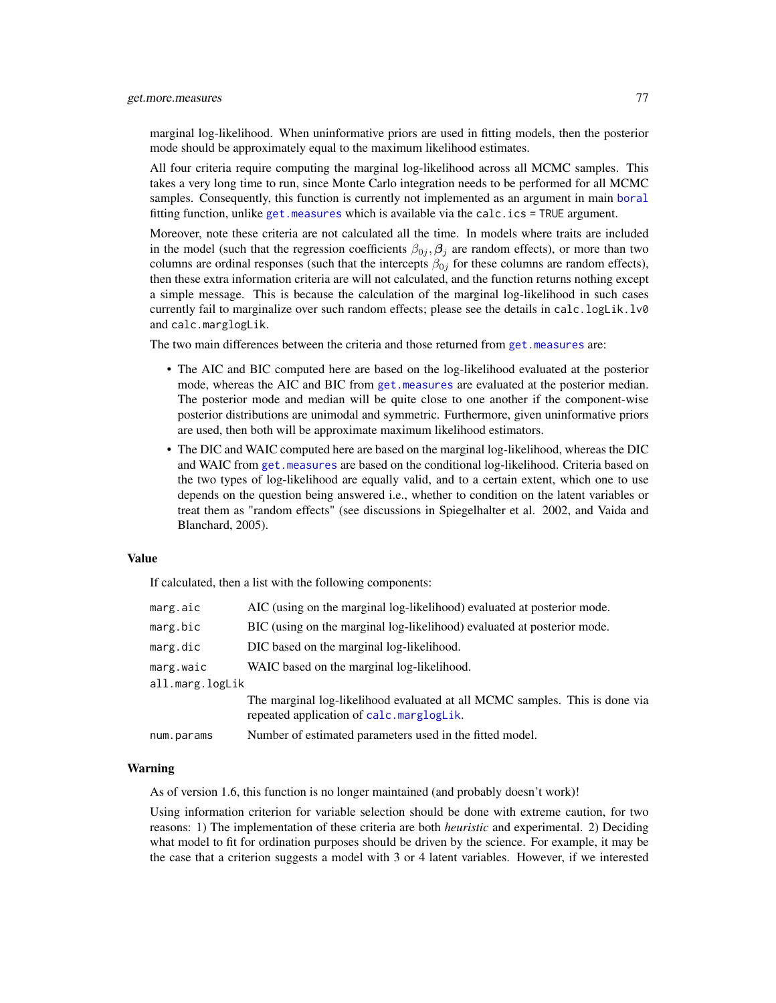marginal log-likelihood. When uninformative priors are used in fitting models, then the posterior mode should be approximately equal to the maximum likelihood estimates.

All four criteria require computing the marginal log-likelihood across all MCMC samples. This takes a very long time to run, since Monte Carlo integration needs to be performed for all MCMC samples. Consequently, this function is currently not implemented as an argument in main [boral](#page-16-0) fitting function, unlike [get.measures](#page-70-0) which is available via the calc.ics = TRUE argument.

Moreover, note these criteria are not calculated all the time. In models where traits are included in the model (such that the regression coefficients  $\beta_{0j}$ ,  $\beta_j$  are random effects), or more than two columns are ordinal responses (such that the intercepts  $\beta_{0j}$  for these columns are random effects), then these extra information criteria are will not calculated, and the function returns nothing except a simple message. This is because the calculation of the marginal log-likelihood in such cases currently fail to marginalize over such random effects; please see the details in calc.logLik.lv0 and calc.marglogLik.

The two main differences between the criteria and those returned from get. measures are:

- The AIC and BIC computed here are based on the log-likelihood evaluated at the posterior mode, whereas the AIC and BIC from [get.measures](#page-70-0) are evaluated at the posterior median. The posterior mode and median will be quite close to one another if the component-wise posterior distributions are unimodal and symmetric. Furthermore, given uninformative priors are used, then both will be approximate maximum likelihood estimators.
- The DIC and WAIC computed here are based on the marginal log-likelihood, whereas the DIC and WAIC from [get.measures](#page-70-0) are based on the conditional log-likelihood. Criteria based on the two types of log-likelihood are equally valid, and to a certain extent, which one to use depends on the question being answered i.e., whether to condition on the latent variables or treat them as "random effects" (see discussions in Spiegelhalter et al. 2002, and Vaida and Blanchard, 2005).

#### Value

If calculated, then a list with the following components:

| marg.aic        | AIC (using on the marginal log-likelihood) evaluated at posterior mode.                                                 |
|-----------------|-------------------------------------------------------------------------------------------------------------------------|
| marg.bic        | BIC (using on the marginal log-likelihood) evaluated at posterior mode.                                                 |
| marg.dic        | DIC based on the marginal log-likelihood.                                                                               |
| marg.waic       | WAIC based on the marginal log-likelihood.                                                                              |
| all.marg.logLik |                                                                                                                         |
|                 | The marginal log-likelihood evaluated at all MCMC samples. This is done via<br>repeated application of calc.marglogLik. |
| num.params      | Number of estimated parameters used in the fitted model.                                                                |
|                 |                                                                                                                         |

#### Warning

As of version 1.6, this function is no longer maintained (and probably doesn't work)!

Using information criterion for variable selection should be done with extreme caution, for two reasons: 1) The implementation of these criteria are both *heuristic* and experimental. 2) Deciding what model to fit for ordination purposes should be driven by the science. For example, it may be the case that a criterion suggests a model with 3 or 4 latent variables. However, if we interested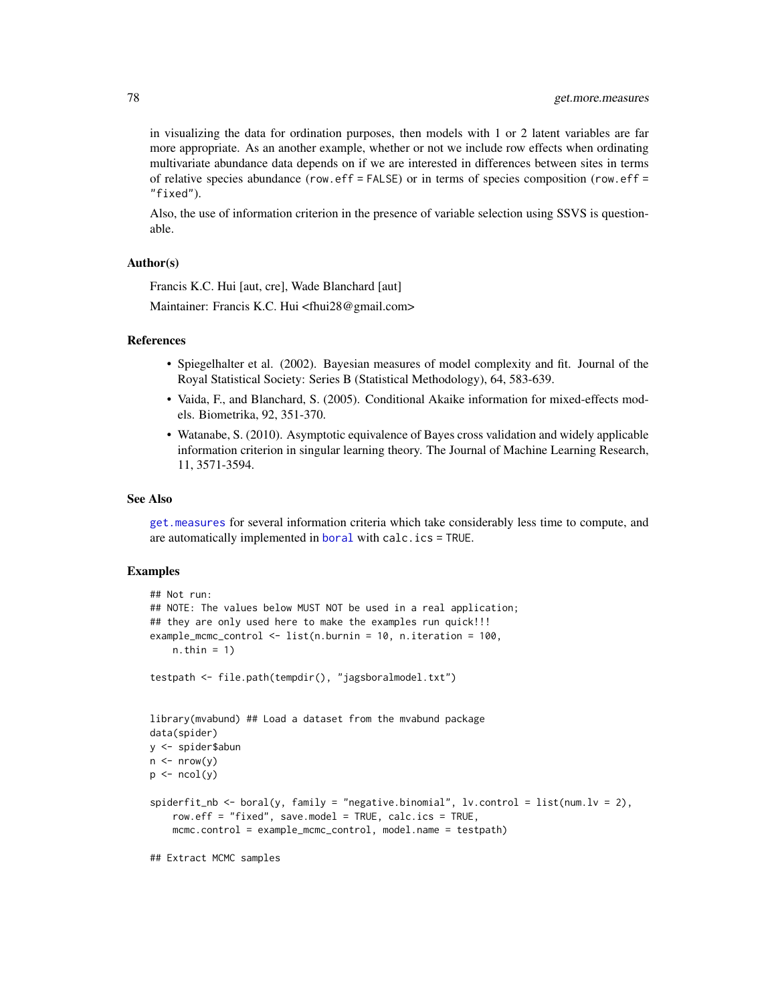in visualizing the data for ordination purposes, then models with 1 or 2 latent variables are far more appropriate. As an another example, whether or not we include row effects when ordinating multivariate abundance data depends on if we are interested in differences between sites in terms of relative species abundance (row.eff = FALSE) or in terms of species composition (row.eff = "fixed").

Also, the use of information criterion in the presence of variable selection using SSVS is questionable.

### Author(s)

Francis K.C. Hui [aut, cre], Wade Blanchard [aut]

Maintainer: Francis K.C. Hui <fhui28@gmail.com>

### References

- Spiegelhalter et al. (2002). Bayesian measures of model complexity and fit. Journal of the Royal Statistical Society: Series B (Statistical Methodology), 64, 583-639.
- Vaida, F., and Blanchard, S. (2005). Conditional Akaike information for mixed-effects models. Biometrika, 92, 351-370.
- Watanabe, S. (2010). Asymptotic equivalence of Bayes cross validation and widely applicable information criterion in singular learning theory. The Journal of Machine Learning Research, 11, 3571-3594.

#### See Also

[get.measures](#page-70-0) for several information criteria which take considerably less time to compute, and are automatically implemented in [boral](#page-16-0) with calc.ics = TRUE.

```
## Not run:
## NOTE: The values below MUST NOT be used in a real application;
## they are only used here to make the examples run quick!!!
example_mcmc_control <- list(n.burnin = 10, n.iteration = 100,
    n.thin = 1)
testpath <- file.path(tempdir(), "jagsboralmodel.txt")
library(mvabund) ## Load a dataset from the mvabund package
data(spider)
y <- spider$abun
n \leq -nrow(y)p \leftarrow \text{ncol}(y)spiderfit_nb \leftarrow boral(y, family = "negative.binomial", lv.contrib = list(num.lv = 2),row.eff = "fixed", save.model = TRUE, calc.ics = TRUE,
    mcmc.control = example_mcmc_control, model.name = testpath)
## Extract MCMC samples
```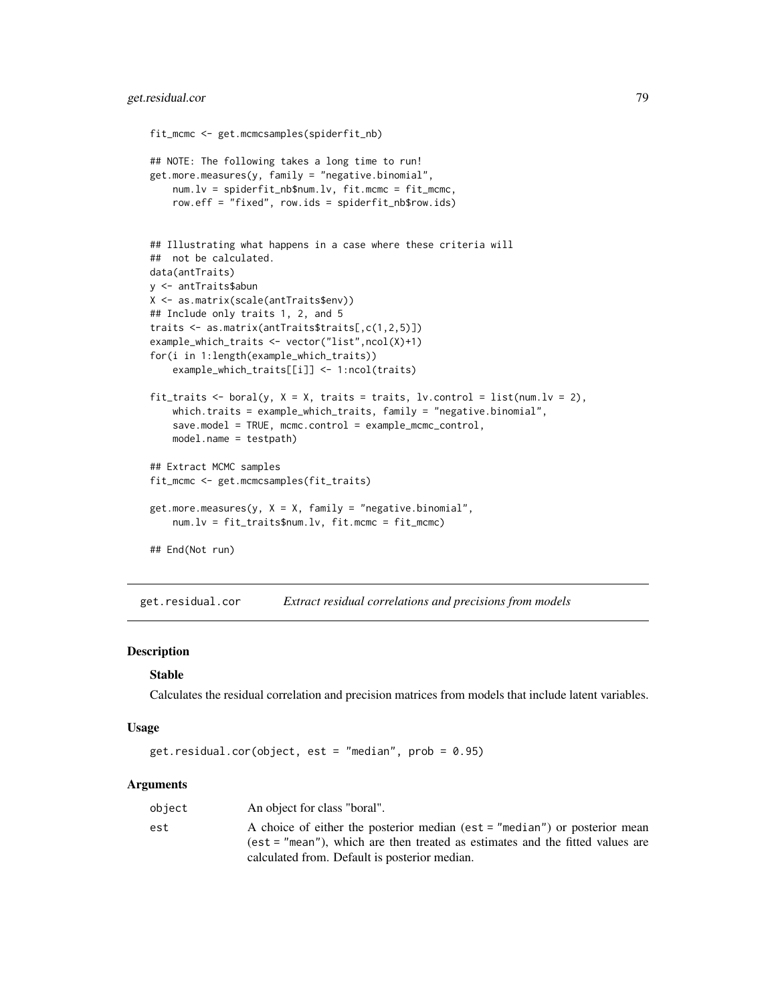```
fit_mcmc <- get.mcmcsamples(spiderfit_nb)
## NOTE: The following takes a long time to run!
get.more.measures(y, family = "negative.binomial",
   num.lv = spiderfit_nb$num.lv, fit.mcmc = fit_mcmc,
   row.eff = "fixed", row.ids = spiderfit_nb$row.ids)
## Illustrating what happens in a case where these criteria will
## not be calculated.
data(antTraits)
y <- antTraits$abun
X <- as.matrix(scale(antTraits$env))
## Include only traits 1, 2, and 5
traits <- as.matrix(antTraits$traits[,c(1,2,5)])
example_which_traits <- vector("list",ncol(X)+1)
for(i in 1:length(example_which_traits))
    example_which_traits[[i]] <- 1:ncol(traits)
fit_traits <- boral(y, X = X, traits = traits, lv.control = list(num.lv = 2),
    which.traits = example_which_traits, family = "negative.binomial",
    save.model = TRUE, mcmc.control = example_mcmc_control,
   model.name = testpath)
## Extract MCMC samples
fit_mcmc <- get.mcmcsamples(fit_traits)
get.more.measures(y, X = X, family = "negative.binomial",num.lv = fit_traits$num.lv, fit.mcmc = fit_mcmc)
## End(Not run)
```
get.residual.cor *Extract residual correlations and precisions from models*

#### **Description**

#### Stable

Calculates the residual correlation and precision matrices from models that include latent variables.

#### Usage

```
get.residual.cor(object, est = "median", prob = 0.95)
```

| object | An object for class "boral".                                                  |
|--------|-------------------------------------------------------------------------------|
| est    | A choice of either the posterior median (est = "median") or posterior mean    |
|        | (est = "mean"), which are then treated as estimates and the fitted values are |
|        | calculated from. Default is posterior median.                                 |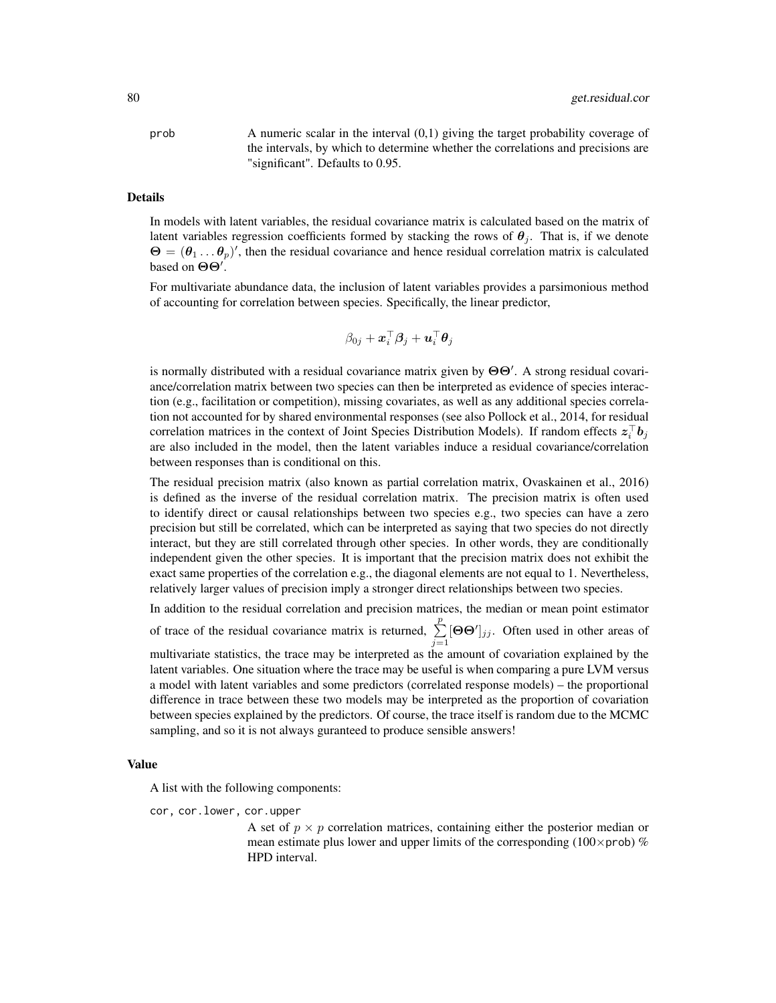$\alpha$  A numeric scalar in the interval  $(0,1)$  giving the target probability coverage of the intervals, by which to determine whether the correlations and precisions are "significant". Defaults to 0.95.

#### Details

In models with latent variables, the residual covariance matrix is calculated based on the matrix of latent variables regression coefficients formed by stacking the rows of  $\theta_i$ . That is, if we denote  $\Theta = (\theta_1 \dots \theta_p)'$ , then the residual covariance and hence residual correlation matrix is calculated based on  $\Theta$ .

For multivariate abundance data, the inclusion of latent variables provides a parsimonious method of accounting for correlation between species. Specifically, the linear predictor,

$$
\beta_{0j} + \boldsymbol{x}_i^\top \boldsymbol{\beta}_j + \boldsymbol{u}_i^\top \boldsymbol{\theta}_j
$$

is normally distributed with a residual covariance matrix given by  $\Theta\Theta'$ . A strong residual covariance/correlation matrix between two species can then be interpreted as evidence of species interaction (e.g., facilitation or competition), missing covariates, as well as any additional species correlation not accounted for by shared environmental responses (see also Pollock et al., 2014, for residual correlation matrices in the context of Joint Species Distribution Models). If random effects  $z_i^{\top}b_j$ are also included in the model, then the latent variables induce a residual covariance/correlation between responses than is conditional on this.

The residual precision matrix (also known as partial correlation matrix, Ovaskainen et al., 2016) is defined as the inverse of the residual correlation matrix. The precision matrix is often used to identify direct or causal relationships between two species e.g., two species can have a zero precision but still be correlated, which can be interpreted as saying that two species do not directly interact, but they are still correlated through other species. In other words, they are conditionally independent given the other species. It is important that the precision matrix does not exhibit the exact same properties of the correlation e.g., the diagonal elements are not equal to 1. Nevertheless, relatively larger values of precision imply a stronger direct relationships between two species.

In addition to the residual correlation and precision matrices, the median or mean point estimator of trace of the residual covariance matrix is returned,  $\sum_{j=1}^{p}$  $[\Theta \Theta']_{jj}$ . Often used in other areas of multivariate statistics, the trace may be interpreted as the amount of covariation explained by the latent variables. One situation where the trace may be useful is when comparing a pure LVM versus a model with latent variables and some predictors (correlated response models) – the proportional difference in trace between these two models may be interpreted as the proportion of covariation between species explained by the predictors. Of course, the trace itself is random due to the MCMC sampling, and so it is not always guranteed to produce sensible answers!

#### Value

A list with the following components:

cor, cor.lower, cor.upper

A set of  $p \times p$  correlation matrices, containing either the posterior median or mean estimate plus lower and upper limits of the corresponding (100 $\times$ prob) % HPD interval.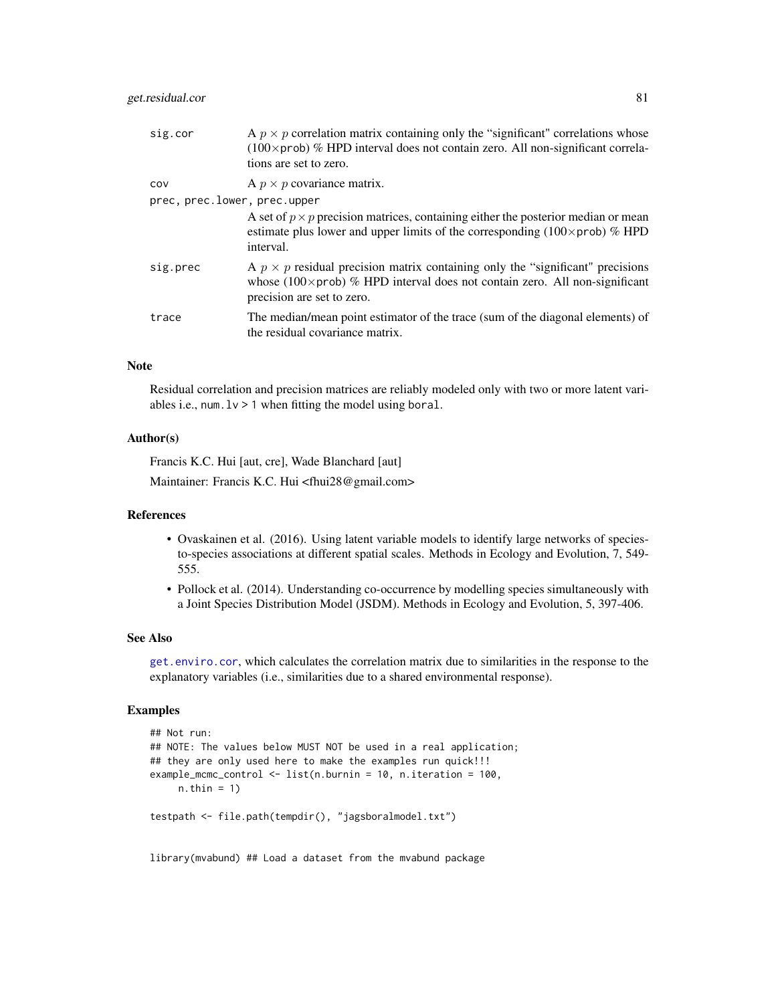# get.residual.cor 81

| sig.cor                      | A $p \times p$ correlation matrix containing only the "significant" correlations whose<br>$(100 \times \text{prob})$ % HPD interval does not contain zero. All non-significant correla-<br>tions are set to zero. |
|------------------------------|-------------------------------------------------------------------------------------------------------------------------------------------------------------------------------------------------------------------|
| COV                          | A $p \times p$ covariance matrix.                                                                                                                                                                                 |
| prec, prec.lower, prec.upper |                                                                                                                                                                                                                   |
|                              | A set of $p \times p$ precision matrices, containing either the posterior median or mean<br>estimate plus lower and upper limits of the corresponding ( $100 \times prob$ ) % HPD<br>interval.                    |
| sig.prec                     | A $p \times p$ residual precision matrix containing only the "significant" precisions<br>whose (100 $\times$ prob) % HPD interval does not contain zero. All non-significant<br>precision are set to zero.        |
| trace                        | The median/mean point estimator of the trace (sum of the diagonal elements) of<br>the residual covariance matrix.                                                                                                 |

## Note

Residual correlation and precision matrices are reliably modeled only with two or more latent variables i.e., num.  $1v > 1$  when fitting the model using boral.

# Author(s)

Francis K.C. Hui [aut, cre], Wade Blanchard [aut]

Maintainer: Francis K.C. Hui <fhui28@gmail.com>

## References

- Ovaskainen et al. (2016). Using latent variable models to identify large networks of speciesto-species associations at different spatial scales. Methods in Ecology and Evolution, 7, 549- 555.
- Pollock et al. (2014). Understanding co-occurrence by modelling species simultaneously with a Joint Species Distribution Model (JSDM). Methods in Ecology and Evolution, 5, 397-406.

#### See Also

[get.enviro.cor](#page-63-0), which calculates the correlation matrix due to similarities in the response to the explanatory variables (i.e., similarities due to a shared environmental response).

# Examples

```
## Not run:
## NOTE: The values below MUST NOT be used in a real application;
## they are only used here to make the examples run quick!!!
example_mcmc_control <- list(n.burnin = 10, n.iteration = 100,
    n.thin = 1)
testpath <- file.path(tempdir(), "jagsboralmodel.txt")
```
library(mvabund) ## Load a dataset from the mvabund package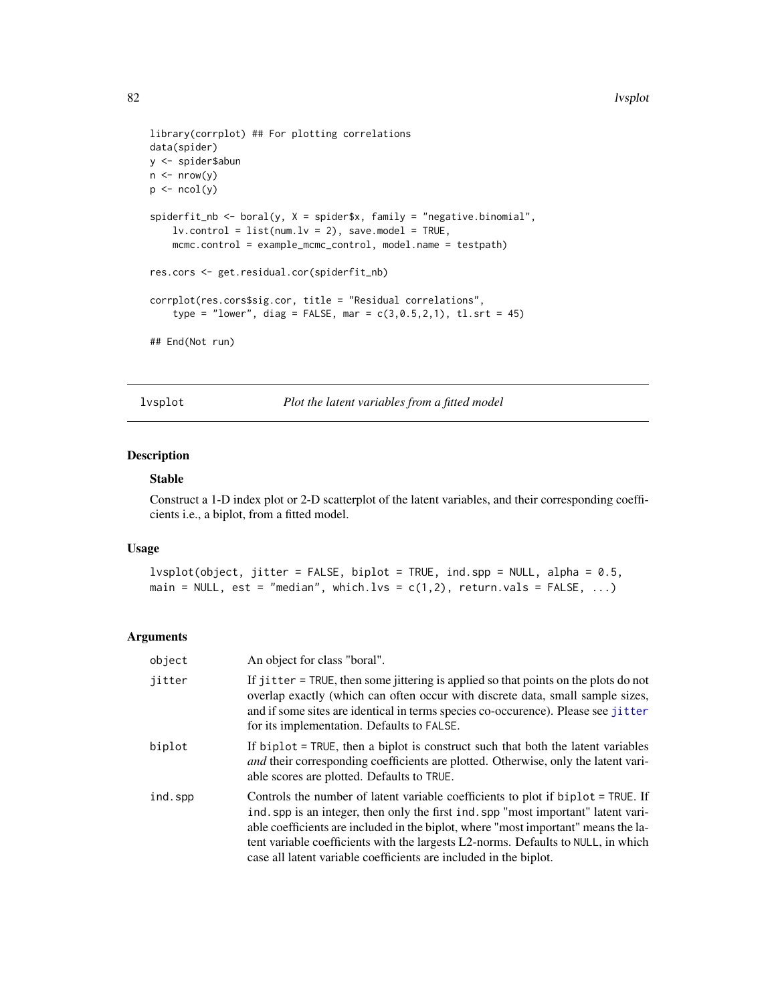```
library(corrplot) ## For plotting correlations
data(spider)
y <- spider$abun
n \leq -nrow(y)p \leftarrow \text{ncol}(y)spiderfit_nb <- boral(y, X = spider$x, family = "negative.binomial",
    lv.contrib = list(num.lv = 2), save.model = TRUE,
    mcmc.control = example_mcmc_control, model.name = testpath)
res.cors <- get.residual.cor(spiderfit_nb)
corrplot(res.cors$sig.cor, title = "Residual correlations",
    type = "lower", diag = FALSE, mar = c(3, 0.5, 2, 1), tl.srt = 45)
## End(Not run)
```
lvsplot *Plot the latent variables from a fitted model*

### Description

### Stable

Construct a 1-D index plot or 2-D scatterplot of the latent variables, and their corresponding coefficients i.e., a biplot, from a fitted model.

### Usage

```
lvsplot(object, jitter = FALSE, biplot = TRUE, ind.spp = NULL, alpha = 0.5,
main = NULL, est = "median", which.lvs = c(1,2), return.vals = FALSE, ...)
```

| object  | An object for class "boral".                                                                                                                                                                                                                                                                                                                                                                                           |
|---------|------------------------------------------------------------------------------------------------------------------------------------------------------------------------------------------------------------------------------------------------------------------------------------------------------------------------------------------------------------------------------------------------------------------------|
| jitter  | If jitter = TRUE, then some jittering is applied so that points on the plots do not<br>overlap exactly (which can often occur with discrete data, small sample sizes,<br>and if some sites are identical in terms species co-occurence). Please see jitter<br>for its implementation. Defaults to FALSE.                                                                                                               |
| biplot  | If biplot = TRUE, then a biplot is construct such that both the latent variables<br><i>and</i> their corresponding coefficients are plotted. Otherwise, only the latent vari-<br>able scores are plotted. Defaults to TRUE.                                                                                                                                                                                            |
| ind.spp | Controls the number of latent variable coefficients to plot if biplot = TRUE. If<br>ind, spp is an integer, then only the first ind, spp "most important" latent vari-<br>able coefficients are included in the biplot, where "most important" means the la-<br>tent variable coefficients with the largests L2-norms. Defaults to NULL, in which<br>case all latent variable coefficients are included in the biplot. |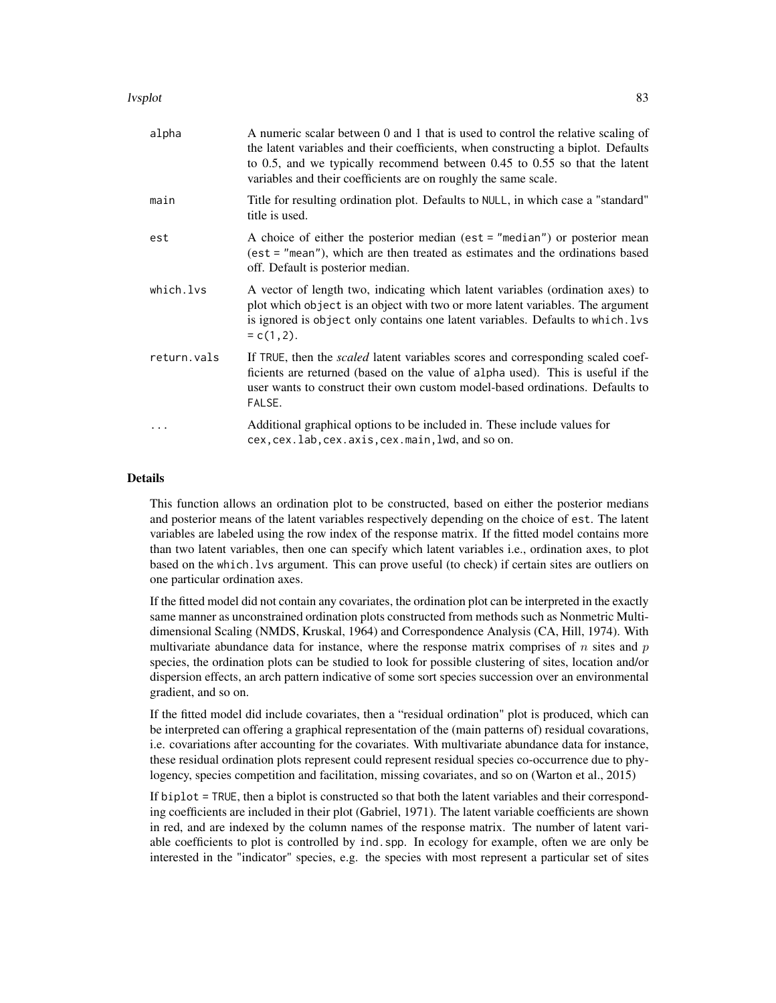#### lvsplot 83 april 2008 and 2008 and 2008 and 2008 and 2008 and 2008 and 2008 and 2008 and 2008 and 2008 and 200

| alpha       | A numeric scalar between 0 and 1 that is used to control the relative scaling of<br>the latent variables and their coefficients, when constructing a biplot. Defaults<br>to 0.5, and we typically recommend between $0.45$ to $0.55$ so that the latent<br>variables and their coefficients are on roughly the same scale. |
|-------------|----------------------------------------------------------------------------------------------------------------------------------------------------------------------------------------------------------------------------------------------------------------------------------------------------------------------------|
| main        | Title for resulting ordination plot. Defaults to NULL, in which case a "standard"<br>title is used.                                                                                                                                                                                                                        |
| est         | A choice of either the posterior median (est $=$ "median") or posterior mean<br>(est = "mean"), which are then treated as estimates and the ordinations based<br>off. Default is posterior median.                                                                                                                         |
| which.lvs   | A vector of length two, indicating which latent variables (ordination axes) to<br>plot which object is an object with two or more latent variables. The argument<br>is ignored is object only contains one latent variables. Defaults to which. Lys<br>$= c(1, 2).$                                                        |
| return.vals | If TRUE, then the <i>scaled</i> latent variables scores and corresponding scaled coef-<br>ficients are returned (based on the value of alpha used). This is useful if the<br>user wants to construct their own custom model-based ordinations. Defaults to<br>FALSE.                                                       |
| .           | Additional graphical options to be included in. These include values for<br>cex, cex. lab, cex. axis, cex. main, lwd, and so on.                                                                                                                                                                                           |

### Details

This function allows an ordination plot to be constructed, based on either the posterior medians and posterior means of the latent variables respectively depending on the choice of est. The latent variables are labeled using the row index of the response matrix. If the fitted model contains more than two latent variables, then one can specify which latent variables i.e., ordination axes, to plot based on the which.lvs argument. This can prove useful (to check) if certain sites are outliers on one particular ordination axes.

If the fitted model did not contain any covariates, the ordination plot can be interpreted in the exactly same manner as unconstrained ordination plots constructed from methods such as Nonmetric Multidimensional Scaling (NMDS, Kruskal, 1964) and Correspondence Analysis (CA, Hill, 1974). With multivariate abundance data for instance, where the response matrix comprises of  $n$  sites and  $p$ species, the ordination plots can be studied to look for possible clustering of sites, location and/or dispersion effects, an arch pattern indicative of some sort species succession over an environmental gradient, and so on.

If the fitted model did include covariates, then a "residual ordination" plot is produced, which can be interpreted can offering a graphical representation of the (main patterns of) residual covarations, i.e. covariations after accounting for the covariates. With multivariate abundance data for instance, these residual ordination plots represent could represent residual species co-occurrence due to phylogency, species competition and facilitation, missing covariates, and so on (Warton et al., 2015)

If biplot = TRUE, then a biplot is constructed so that both the latent variables and their corresponding coefficients are included in their plot (Gabriel, 1971). The latent variable coefficients are shown in red, and are indexed by the column names of the response matrix. The number of latent variable coefficients to plot is controlled by ind.spp. In ecology for example, often we are only be interested in the "indicator" species, e.g. the species with most represent a particular set of sites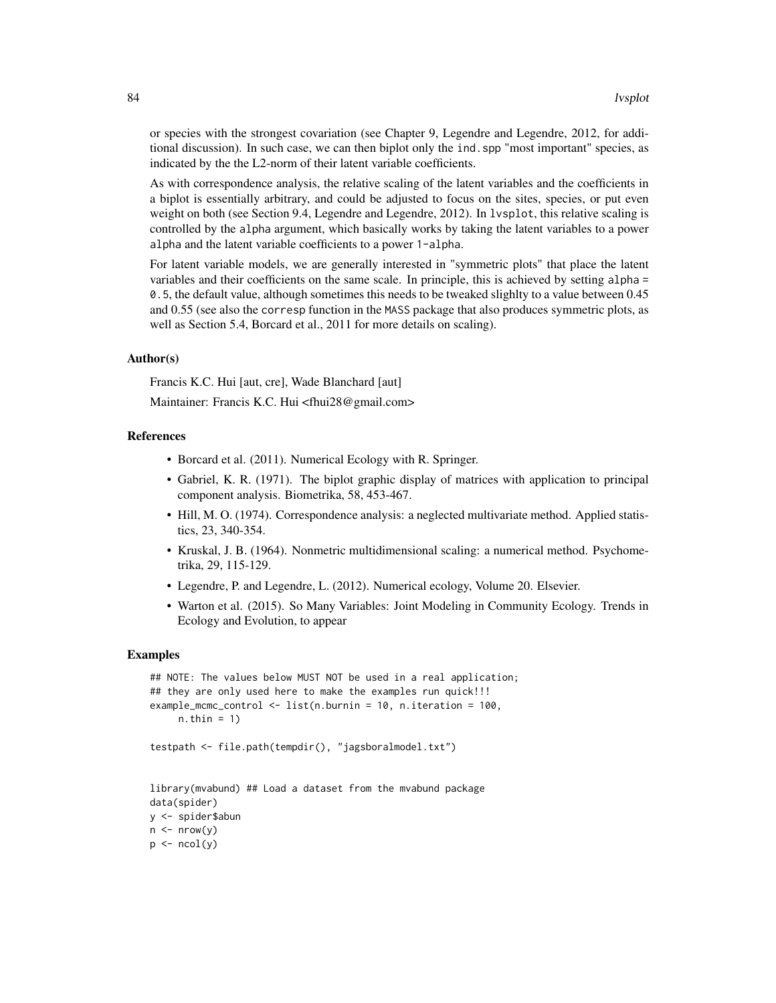or species with the strongest covariation (see Chapter 9, Legendre and Legendre, 2012, for additional discussion). In such case, we can then biplot only the ind.spp "most important" species, as indicated by the the L2-norm of their latent variable coefficients.

As with correspondence analysis, the relative scaling of the latent variables and the coefficients in a biplot is essentially arbitrary, and could be adjusted to focus on the sites, species, or put even weight on both (see Section 9.4, Legendre and Legendre, 2012). In lysplot, this relative scaling is controlled by the alpha argument, which basically works by taking the latent variables to a power alpha and the latent variable coefficients to a power 1-alpha.

For latent variable models, we are generally interested in "symmetric plots" that place the latent variables and their coefficients on the same scale. In principle, this is achieved by setting alpha = 0.5, the default value, although sometimes this needs to be tweaked slighlty to a value between 0.45 and 0.55 (see also the corresp function in the MASS package that also produces symmetric plots, as well as Section 5.4, Borcard et al., 2011 for more details on scaling).

### Author(s)

Francis K.C. Hui [aut, cre], Wade Blanchard [aut]

Maintainer: Francis K.C. Hui <fhui28@gmail.com>

### References

- Borcard et al. (2011). Numerical Ecology with R. Springer.
- Gabriel, K. R. (1971). The biplot graphic display of matrices with application to principal component analysis. Biometrika, 58, 453-467.
- Hill, M. O. (1974). Correspondence analysis: a neglected multivariate method. Applied statistics, 23, 340-354.
- Kruskal, J. B. (1964). Nonmetric multidimensional scaling: a numerical method. Psychometrika, 29, 115-129.
- Legendre, P. and Legendre, L. (2012). Numerical ecology, Volume 20. Elsevier.
- Warton et al. (2015). So Many Variables: Joint Modeling in Community Ecology. Trends in Ecology and Evolution, to appear

```
## NOTE: The values below MUST NOT be used in a real application;
## they are only used here to make the examples run quick!!!
example_mcmc_control <- list(n.burnin = 10, n.iteration = 100,
     n.thin = 1)
testpath <- file.path(tempdir(), "jagsboralmodel.txt")
library(mvabund) ## Load a dataset from the mvabund package
data(spider)
y <- spider$abun
n \leq -nrow(y)p \leftarrow \text{ncol}(y)
```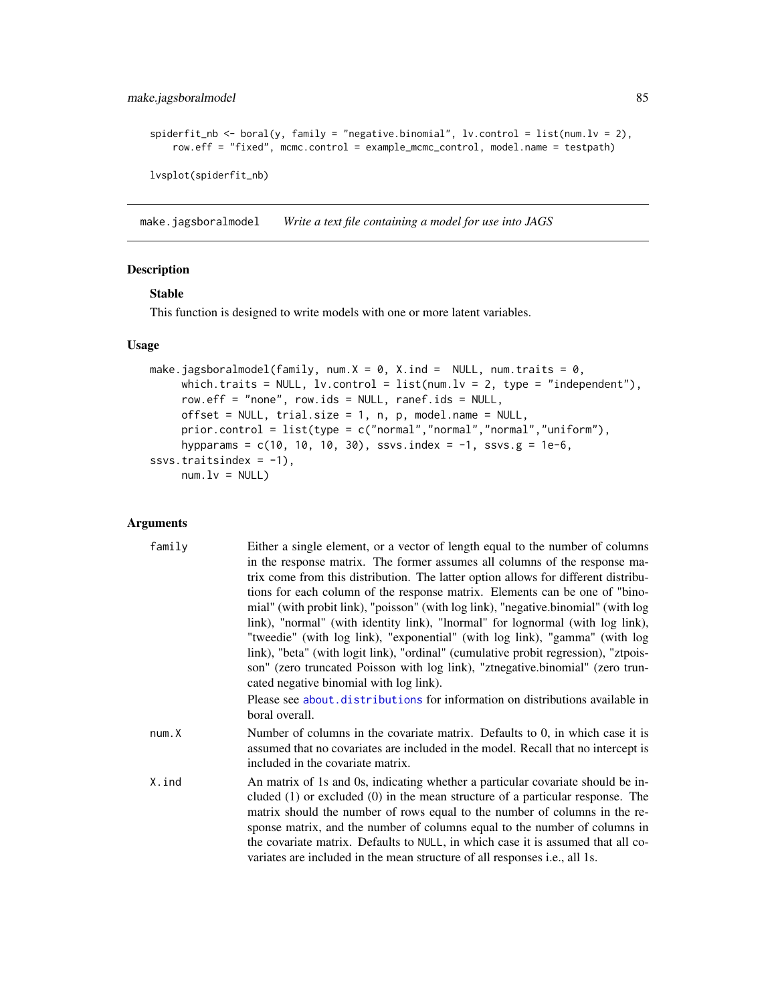```
spiderfit_nb <- boral(y, family = "negative.binomial", lv.control = list(num.lv = 2),
   row.eff = "fixed", mcmc.control = example_mcmc_control, model.name = testpath)
```
lvsplot(spiderfit\_nb)

<span id="page-84-0"></span>make.jagsboralmodel *Write a text file containing a model for use into JAGS*

## Description

# Stable

This function is designed to write models with one or more latent variables.

#### Usage

```
make.jagsboralmodel(family, num.X = 0, X.ind = NULL, num.traits = 0,
     which.traits = NULL, 1v.control = list(num.1v = 2, type = "independent"),
     row.eff = "none", row.ids = NULL, ranef.ids = NULL,
     offset = NULL, trial.size = 1, n, p, model.name = NULL,
     prior.control = list(type = c("normal","normal","normal","uniform"),
     hypparams = c(10, 10, 10, 30), ssvs.index = -1, ssvs.g = 1e-6,
ssvs.traitsindex = -1),
     num.lv = NULL)
```

| family | Either a single element, or a vector of length equal to the number of columns       |
|--------|-------------------------------------------------------------------------------------|
|        | in the response matrix. The former assumes all columns of the response ma-          |
|        | trix come from this distribution. The latter option allows for different distribu-  |
|        | tions for each column of the response matrix. Elements can be one of "bino-         |
|        | mial" (with probit link), "poisson" (with log link), "negative.binomial" (with log  |
|        | link), "normal" (with identity link), "lnormal" for lognormal (with log link),      |
|        | "tweedie" (with log link), "exponential" (with log link), "gamma" (with log         |
|        | link), "beta" (with logit link), "ordinal" (cumulative probit regression), "ztpois- |
|        | son" (zero truncated Poisson with log link), "ztnegative.binomial" (zero trun-      |
|        | cated negative binomial with log link).                                             |
|        | Please see about.distributions for information on distributions available in        |
|        | boral overall.                                                                      |
| num.X  | Number of columns in the covariate matrix. Defaults to 0, in which case it is       |
|        | assumed that no covariates are included in the model. Recall that no intercept is   |
|        | included in the covariate matrix.                                                   |
| X.ind  | An matrix of 1s and 0s, indicating whether a particular covariate should be in-     |
|        | cluded $(1)$ or excluded $(0)$ in the mean structure of a particular response. The  |
|        | matrix should the number of rows equal to the number of columns in the re-          |
|        | sponse matrix, and the number of columns equal to the number of columns in          |
|        | the covariate matrix. Defaults to NULL, in which case it is assumed that all co-    |
|        | variates are included in the mean structure of all responses <i>i.e.</i> , all 1s.  |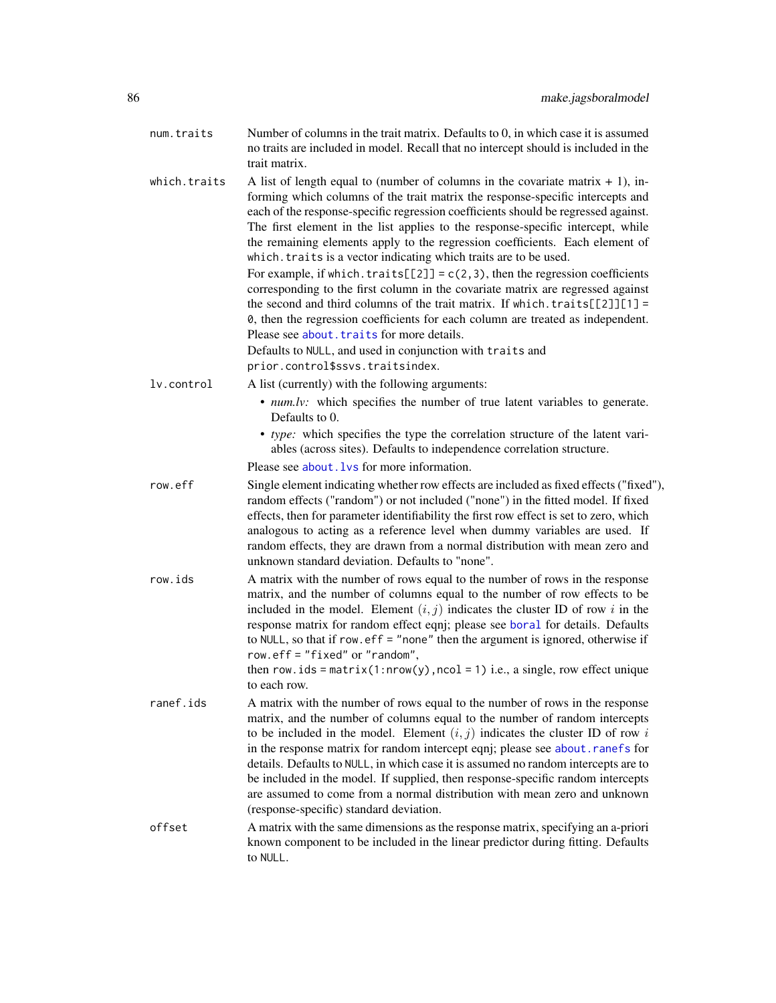| num.traits   | Number of columns in the trait matrix. Defaults to 0, in which case it is assumed<br>no traits are included in model. Recall that no intercept should is included in the |
|--------------|--------------------------------------------------------------------------------------------------------------------------------------------------------------------------|
|              | trait matrix.                                                                                                                                                            |
| which.traits | A list of length equal to (number of columns in the covariate matrix $+1$ ), in-                                                                                         |

forming which columns of the trait matrix the response-specific intercepts and each of the response-specific regression coefficients should be regressed against. The first element in the list applies to the response-specific intercept, while the remaining elements apply to the regression coefficients. Each element of which. traits is a vector indicating which traits are to be used.

For example, if which.traits[[2]] =  $c(2,3)$ , then the regression coefficients corresponding to the first column in the covariate matrix are regressed against the second and third columns of the trait matrix. If which.traits $[2]$ ][1] = 0, then the regression coefficients for each column are treated as independent. Please see [about.traits](#page-13-0) for more details.

Defaults to NULL, and used in conjunction with traits and prior.control\$ssvs.traitsindex.

- lv.control A list (currently) with the following arguments:
	- *num.lv:* which specifies the number of true latent variables to generate. Defaults to 0.
	- *type:* which specifies the type the correlation structure of the latent variables (across sites). Defaults to independence correlation structure.

Please see about. lvs for more information.

- row.eff Single element indicating whether row effects are included as fixed effects ("fixed"), random effects ("random") or not included ("none") in the fitted model. If fixed effects, then for parameter identifiability the first row effect is set to zero, which analogous to acting as a reference level when dummy variables are used. If random effects, they are drawn from a normal distribution with mean zero and unknown standard deviation. Defaults to "none".
- row.ids A matrix with the number of rows equal to the number of rows in the response matrix, and the number of columns equal to the number of row effects to be included in the model. Element  $(i, j)$  indicates the cluster ID of row i in the response matrix for random effect eqnj; please see [boral](#page-16-0) for details. Defaults to NULL, so that if row.eff = "none" then the argument is ignored, otherwise if row.eff = "fixed" or "random",

then row. ids = matrix(1:nrow(y), ncol = 1) i.e., a single, row effect unique to each row.

- ranef.ids A matrix with the number of rows equal to the number of rows in the response matrix, and the number of columns equal to the number of random intercepts to be included in the model. Element  $(i, j)$  indicates the cluster ID of row i in the response matrix for random intercept eqnj; please see [about.ranefs](#page-7-0) for details. Defaults to NULL, in which case it is assumed no random intercepts are to be included in the model. If supplied, then response-specific random intercepts are assumed to come from a normal distribution with mean zero and unknown (response-specific) standard deviation.
- offset A matrix with the same dimensions as the response matrix, specifying an a-priori known component to be included in the linear predictor during fitting. Defaults to NULL.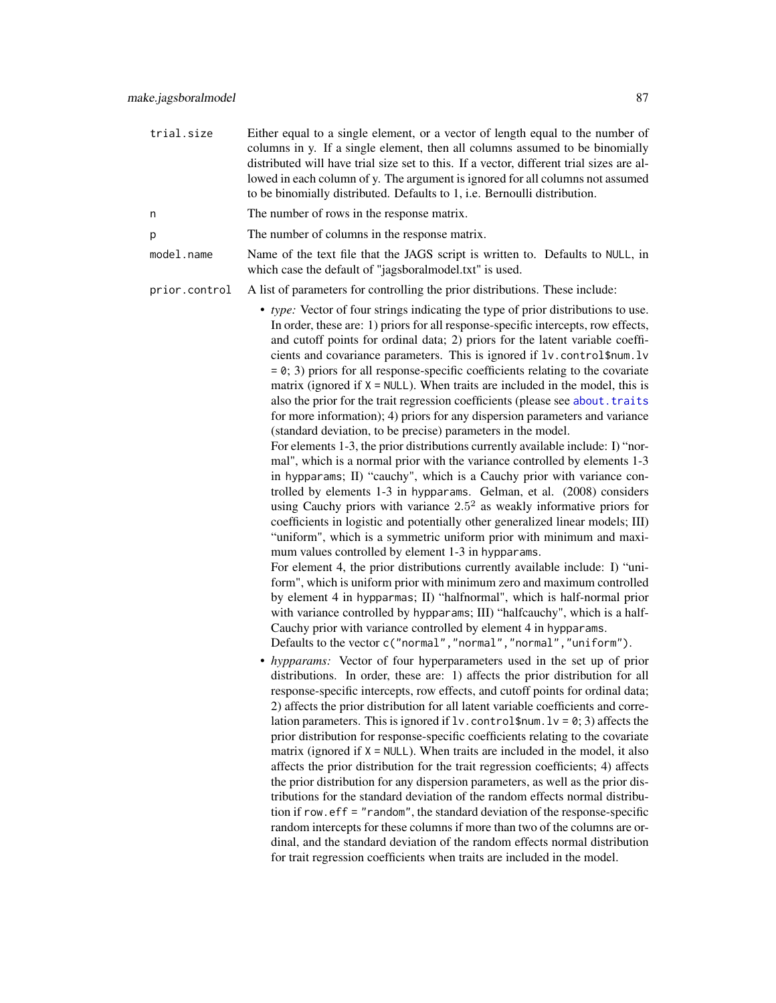- trial.size Either equal to a single element, or a vector of length equal to the number of columns in y. If a single element, then all columns assumed to be binomially distributed will have trial size set to this. If a vector, different trial sizes are allowed in each column of y. The argument is ignored for all columns not assumed to be binomially distributed. Defaults to 1, i.e. Bernoulli distribution.
- n The number of rows in the response matrix.
- p The number of columns in the response matrix.
- model.name Name of the text file that the JAGS script is written to. Defaults to NULL, in which case the default of "jagsboralmodel.txt" is used.
- prior.control A list of parameters for controlling the prior distributions. These include:
	- *type:* Vector of four strings indicating the type of prior distributions to use. In order, these are: 1) priors for all response-specific intercepts, row effects, and cutoff points for ordinal data; 2) priors for the latent variable coefficients and covariance parameters. This is ignored if lv.control\$num.lv  $= 0$ ; 3) priors for all response-specific coefficients relating to the covariate matrix (ignored if  $X = NULL$ ). When traits are included in the model, this is also the prior for the trait regression coefficients (please see [about.traits](#page-13-0) for more information); 4) priors for any dispersion parameters and variance (standard deviation, to be precise) parameters in the model.

For elements 1-3, the prior distributions currently available include: I) "normal", which is a normal prior with the variance controlled by elements 1-3 in hypparams; II) "cauchy", which is a Cauchy prior with variance controlled by elements 1-3 in hypparams. Gelman, et al. (2008) considers using Cauchy priors with variance  $2.5<sup>2</sup>$  as weakly informative priors for coefficients in logistic and potentially other generalized linear models; III) "uniform", which is a symmetric uniform prior with minimum and maximum values controlled by element 1-3 in hypparams.

For element 4, the prior distributions currently available include: I) "uniform", which is uniform prior with minimum zero and maximum controlled by element 4 in hypparmas; II) "halfnormal", which is half-normal prior with variance controlled by hypparams; III) "halfcauchy", which is a half-Cauchy prior with variance controlled by element 4 in hypparams. Defaults to the vector c("normal","normal","normal","uniform").

• *hypparams:* Vector of four hyperparameters used in the set up of prior distributions. In order, these are: 1) affects the prior distribution for all response-specific intercepts, row effects, and cutoff points for ordinal data; 2) affects the prior distribution for all latent variable coefficients and correlation parameters. This is ignored if  $1v$ . control \$num.  $1v = 0$ ; 3) affects the prior distribution for response-specific coefficients relating to the covariate matrix (ignored if  $X = NULL$ ). When traits are included in the model, it also affects the prior distribution for the trait regression coefficients; 4) affects the prior distribution for any dispersion parameters, as well as the prior distributions for the standard deviation of the random effects normal distribution if row.eff = "random", the standard deviation of the response-specific random intercepts for these columns if more than two of the columns are ordinal, and the standard deviation of the random effects normal distribution for trait regression coefficients when traits are included in the model.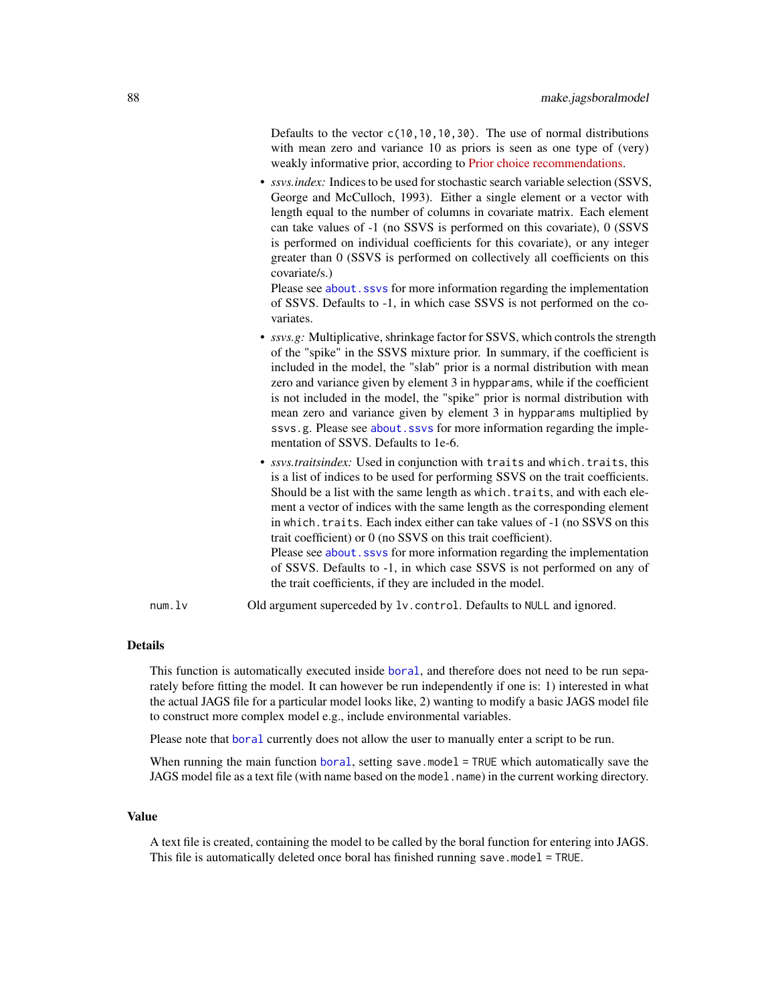Defaults to the vector  $c(10,10,10,30)$ . The use of normal distributions with mean zero and variance 10 as priors is seen as one type of (very) weakly informative prior, according to [Prior choice recommendations.](https://github.com/stan-dev/stan/wiki/Prior-Choice-Recommendations)

• *ssvs.index:* Indices to be used for stochastic search variable selection (SSVS, George and McCulloch, 1993). Either a single element or a vector with length equal to the number of columns in covariate matrix. Each element can take values of -1 (no SSVS is performed on this covariate), 0 (SSVS is performed on individual coefficients for this covariate), or any integer greater than 0 (SSVS is performed on collectively all coefficients on this covariate/s.)

Please see about. ssvs for more information regarding the implementation of SSVS. Defaults to -1, in which case SSVS is not performed on the covariates.

- *ssvs.g:* Multiplicative, shrinkage factor for SSVS, which controls the strength of the "spike" in the SSVS mixture prior. In summary, if the coefficient is included in the model, the "slab" prior is a normal distribution with mean zero and variance given by element 3 in hypparams, while if the coefficient is not included in the model, the "spike" prior is normal distribution with mean zero and variance given by element 3 in hypparams multiplied by ssvs.g. Please see about. ssvs for more information regarding the implementation of SSVS. Defaults to 1e-6.
- *ssvs.traitsindex:* Used in conjunction with traits and which.traits, this is a list of indices to be used for performing SSVS on the trait coefficients. Should be a list with the same length as which.traits, and with each element a vector of indices with the same length as the corresponding element in which.traits. Each index either can take values of -1 (no SSVS on this trait coefficient) or 0 (no SSVS on this trait coefficient). Please see about. ssvs for more information regarding the implementation of SSVS. Defaults to -1, in which case SSVS is not performed on any of the trait coefficients, if they are included in the model.
- num.lv Old argument superceded by lv.control. Defaults to NULL and ignored.

#### Details

This function is automatically executed inside [boral](#page-16-0), and therefore does not need to be run separately before fitting the model. It can however be run independently if one is: 1) interested in what the actual JAGS file for a particular model looks like, 2) wanting to modify a basic JAGS model file to construct more complex model e.g., include environmental variables.

Please note that [boral](#page-16-0) currently does not allow the user to manually enter a script to be run.

When running the main function [boral](#page-16-0), setting save.model = TRUE which automatically save the JAGS model file as a text file (with name based on the model.name) in the current working directory.

#### Value

A text file is created, containing the model to be called by the boral function for entering into JAGS. This file is automatically deleted once boral has finished running save.model = TRUE.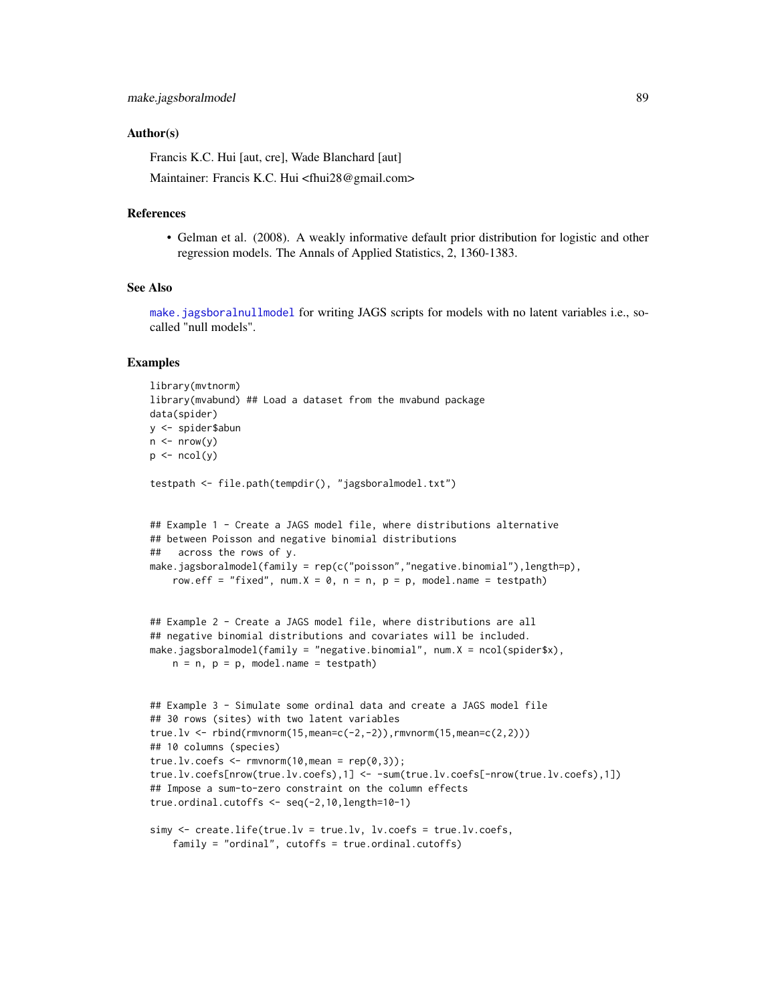### Author(s)

Francis K.C. Hui [aut, cre], Wade Blanchard [aut]

Maintainer: Francis K.C. Hui <fhui28@gmail.com>

#### References

• Gelman et al. (2008). A weakly informative default prior distribution for logistic and other regression models. The Annals of Applied Statistics, 2, 1360-1383.

## See Also

[make.jagsboralnullmodel](#page-89-0) for writing JAGS scripts for models with no latent variables i.e., socalled "null models".

```
library(mvtnorm)
library(mvabund) ## Load a dataset from the mvabund package
data(spider)
y <- spider$abun
n \le - nrow(y)p \leftarrow \text{ncol}(y)testpath <- file.path(tempdir(), "jagsboralmodel.txt")
## Example 1 - Create a JAGS model file, where distributions alternative
## between Poisson and negative binomial distributions
## across the rows of y.
make.jagsboralmodel(family = rep(c("poisson","negative.binomial"),length=p),
    row.eff = "fixed", num.X = \emptyset, n = n, p = p, model.name = testpath)
## Example 2 - Create a JAGS model file, where distributions are all
## negative binomial distributions and covariates will be included.
make.jagsboralmodel(family = "negative.binomial", num.X = ncol(spider$x),
    n = n, p = p, model.name = testpath)
## Example 3 - Simulate some ordinal data and create a JAGS model file
## 30 rows (sites) with two latent variables
true.lv <- rbind(rmvnorm(15,mean=c(-2,-2)),rmvnorm(15,mean=c(2,2)))
## 10 columns (species)
true.lv.coefs \leq rmvnorm(10, mean = rep(0,3));
true.lv.coefs[nrow(true.lv.coefs),1] <- -sum(true.lv.coefs[-nrow(true.lv.coefs),1])
## Impose a sum-to-zero constraint on the column effects
true.ordinal.cutoffs <- seq(-2,10,length=10-1)
simy <- create.life(true.lv = true.lv, lv.coefs = true.lv.coefs,
    family = "ordinal", cutoffs = true.ordinal.cutoffs)
```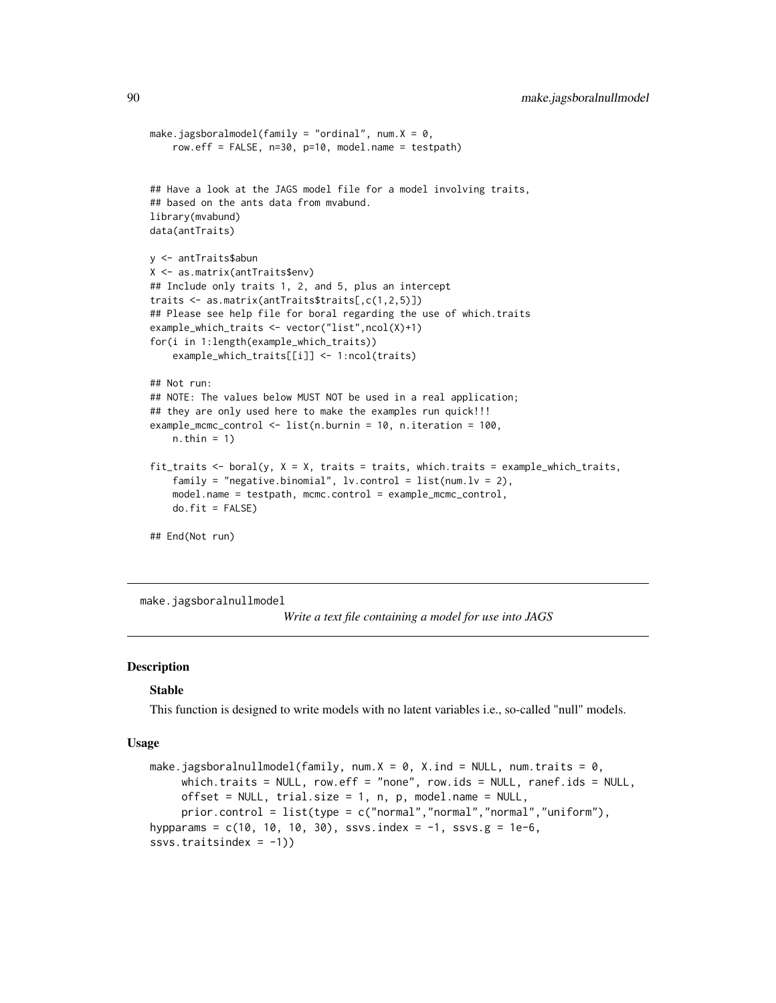```
make.jagsboralmodel(family = "ordinal", num.X = 0,
    row.eff = FALSE, n=30, p=10, model.name = testpath)
## Have a look at the JAGS model file for a model involving traits,
## based on the ants data from mvabund.
library(mvabund)
data(antTraits)
y <- antTraits$abun
X <- as.matrix(antTraits$env)
## Include only traits 1, 2, and 5, plus an intercept
traits <- as.matrix(antTraits$traits[,c(1,2,5)])
## Please see help file for boral regarding the use of which.traits
example_which_traits <- vector("list",ncol(X)+1)
for(i in 1:length(example_which_traits))
    example_which_traits[[i]] <- 1:ncol(traits)
## Not run:
## NOTE: The values below MUST NOT be used in a real application;
## they are only used here to make the examples run quick!!!
example_mcmc_control <- list(n.burnin = 10, n.iteration = 100,
   n.thin = 1)
fit_traits <- boral(y, X = X, traits = traits, which.traits = example_which_traits,
    family = "negative.binomial", lv.control = list(num.lv = 2),
   model.name = testpath, mcmc.control = example_mcmc_control,
   do.fit = FALSE)## End(Not run)
```
<span id="page-89-0"></span>make.jagsboralnullmodel

*Write a text file containing a model for use into JAGS*

### Description

#### Stable

This function is designed to write models with no latent variables i.e., so-called "null" models.

#### Usage

```
make.jagsboralnullmodel(family, num.X = \theta, X.ind = NULL, num.traits = \theta,
     which.traits = NULL, row.eff = "none", row.ids = NULL, ranef.ids = NULL,
     offset = NULL, trial.size = 1, n, p, model.name = NULL,
     prior.control = list(type = c("normal", "normal", "normal", "uniform"),hypparams = c(10, 10, 10, 30), ssvs.index = -1, ssvs.g = 1e-6,
ssvs.traitsindex = -1))
```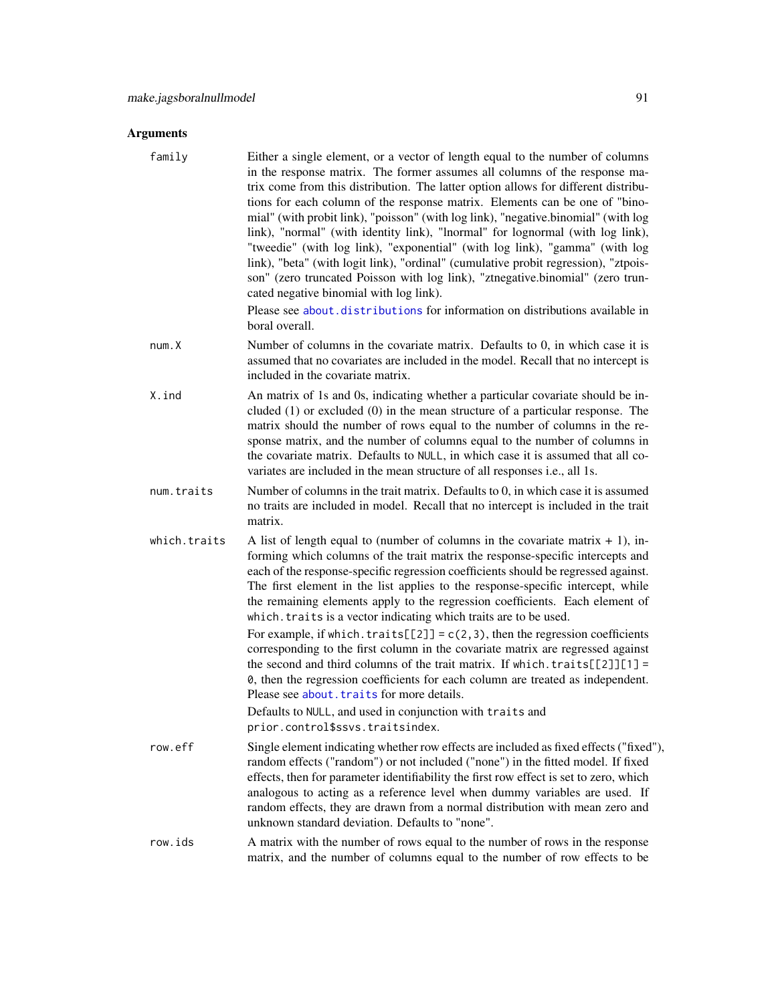| family       | Either a single element, or a vector of length equal to the number of columns<br>in the response matrix. The former assumes all columns of the response ma-<br>trix come from this distribution. The latter option allows for different distribu-<br>tions for each column of the response matrix. Elements can be one of "bino-<br>mial" (with probit link), "poisson" (with log link), "negative.binomial" (with log<br>link), "normal" (with identity link), "lnormal" for lognormal (with log link),<br>"tweedie" (with log link), "exponential" (with log link), "gamma" (with log<br>link), "beta" (with logit link), "ordinal" (cumulative probit regression), "ztpois-<br>son" (zero truncated Poisson with log link), "ztnegative.binomial" (zero trun-<br>cated negative binomial with log link).                                                                                                                                                      |
|--------------|------------------------------------------------------------------------------------------------------------------------------------------------------------------------------------------------------------------------------------------------------------------------------------------------------------------------------------------------------------------------------------------------------------------------------------------------------------------------------------------------------------------------------------------------------------------------------------------------------------------------------------------------------------------------------------------------------------------------------------------------------------------------------------------------------------------------------------------------------------------------------------------------------------------------------------------------------------------|
|              | Please see about distributions for information on distributions available in<br>boral overall.                                                                                                                                                                                                                                                                                                                                                                                                                                                                                                                                                                                                                                                                                                                                                                                                                                                                   |
| num.X        | Number of columns in the covariate matrix. Defaults to 0, in which case it is<br>assumed that no covariates are included in the model. Recall that no intercept is<br>included in the covariate matrix.                                                                                                                                                                                                                                                                                                                                                                                                                                                                                                                                                                                                                                                                                                                                                          |
| X.ind        | An matrix of 1s and 0s, indicating whether a particular covariate should be in-<br>cluded $(1)$ or excluded $(0)$ in the mean structure of a particular response. The<br>matrix should the number of rows equal to the number of columns in the re-<br>sponse matrix, and the number of columns equal to the number of columns in<br>the covariate matrix. Defaults to NULL, in which case it is assumed that all co-<br>variates are included in the mean structure of all responses i.e., all 1s.                                                                                                                                                                                                                                                                                                                                                                                                                                                              |
| num.traits   | Number of columns in the trait matrix. Defaults to 0, in which case it is assumed<br>no traits are included in model. Recall that no intercept is included in the trait<br>matrix.                                                                                                                                                                                                                                                                                                                                                                                                                                                                                                                                                                                                                                                                                                                                                                               |
| which.traits | A list of length equal to (number of columns in the covariate matrix $+1$ ), in-<br>forming which columns of the trait matrix the response-specific intercepts and<br>each of the response-specific regression coefficients should be regressed against.<br>The first element in the list applies to the response-specific intercept, while<br>the remaining elements apply to the regression coefficients. Each element of<br>which. traits is a vector indicating which traits are to be used.<br>For example, if which. traits $[2]$ = $c(2,3)$ , then the regression coefficients<br>corresponding to the first column in the covariate matrix are regressed against<br>the second and third columns of the trait matrix. If which. $\text{traits}$ [[2]][1] =<br>0, then the regression coefficients for each column are treated as independent.<br>Please see about. traits for more details.<br>Defaults to NULL, and used in conjunction with traits and |
|              | prior.control\$ssvs.traitsindex.                                                                                                                                                                                                                                                                                                                                                                                                                                                                                                                                                                                                                                                                                                                                                                                                                                                                                                                                 |
| row.eff      | Single element indicating whether row effects are included as fixed effects ("fixed"),<br>random effects ("random") or not included ("none") in the fitted model. If fixed<br>effects, then for parameter identifiability the first row effect is set to zero, which<br>analogous to acting as a reference level when dummy variables are used. If<br>random effects, they are drawn from a normal distribution with mean zero and<br>unknown standard deviation. Defaults to "none".                                                                                                                                                                                                                                                                                                                                                                                                                                                                            |
| row.ids      | A matrix with the number of rows equal to the number of rows in the response<br>matrix, and the number of columns equal to the number of row effects to be                                                                                                                                                                                                                                                                                                                                                                                                                                                                                                                                                                                                                                                                                                                                                                                                       |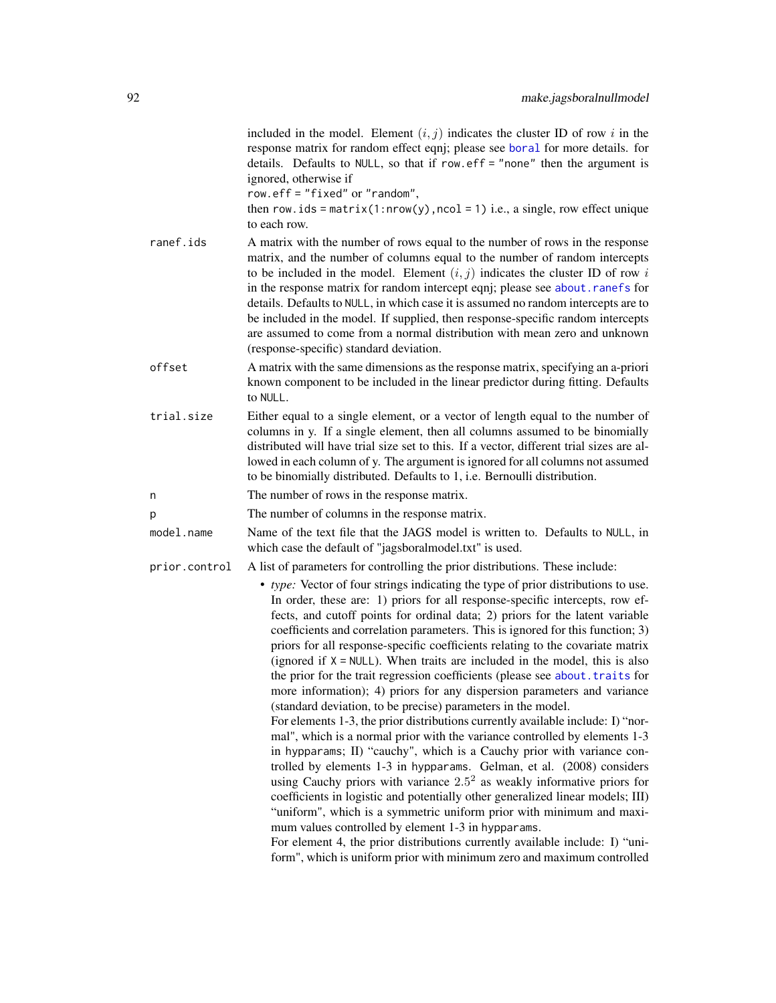|               | included in the model. Element $(i, j)$ indicates the cluster ID of row i in the<br>response matrix for random effect eqnj; please see boral for more details. for<br>details. Defaults to NULL, so that if row.eff = "none" then the argument is<br>ignored, otherwise if<br>row.eff = "fixed" or "random",<br>then row.ids = $matrix(1: nrow(y), ncol = 1)$ i.e., a single, row effect unique                                                                                                                                                                                                                                                                                                                                                                                                                                                                                                                                                                                                                                                                                                                                                                                                                                                                                                                                                                                                                                     |
|---------------|-------------------------------------------------------------------------------------------------------------------------------------------------------------------------------------------------------------------------------------------------------------------------------------------------------------------------------------------------------------------------------------------------------------------------------------------------------------------------------------------------------------------------------------------------------------------------------------------------------------------------------------------------------------------------------------------------------------------------------------------------------------------------------------------------------------------------------------------------------------------------------------------------------------------------------------------------------------------------------------------------------------------------------------------------------------------------------------------------------------------------------------------------------------------------------------------------------------------------------------------------------------------------------------------------------------------------------------------------------------------------------------------------------------------------------------|
| ranef.ids     | to each row.                                                                                                                                                                                                                                                                                                                                                                                                                                                                                                                                                                                                                                                                                                                                                                                                                                                                                                                                                                                                                                                                                                                                                                                                                                                                                                                                                                                                                        |
|               | A matrix with the number of rows equal to the number of rows in the response<br>matrix, and the number of columns equal to the number of random intercepts<br>to be included in the model. Element $(i, j)$ indicates the cluster ID of row i<br>in the response matrix for random intercept eqnj; please see about.ranefs for<br>details. Defaults to NULL, in which case it is assumed no random intercepts are to<br>be included in the model. If supplied, then response-specific random intercepts<br>are assumed to come from a normal distribution with mean zero and unknown<br>(response-specific) standard deviation.                                                                                                                                                                                                                                                                                                                                                                                                                                                                                                                                                                                                                                                                                                                                                                                                     |
| offset        | A matrix with the same dimensions as the response matrix, specifying an a-priori<br>known component to be included in the linear predictor during fitting. Defaults<br>to NULL.                                                                                                                                                                                                                                                                                                                                                                                                                                                                                                                                                                                                                                                                                                                                                                                                                                                                                                                                                                                                                                                                                                                                                                                                                                                     |
| trial.size    | Either equal to a single element, or a vector of length equal to the number of<br>columns in y. If a single element, then all columns assumed to be binomially<br>distributed will have trial size set to this. If a vector, different trial sizes are al-<br>lowed in each column of y. The argument is ignored for all columns not assumed<br>to be binomially distributed. Defaults to 1, i.e. Bernoulli distribution.                                                                                                                                                                                                                                                                                                                                                                                                                                                                                                                                                                                                                                                                                                                                                                                                                                                                                                                                                                                                           |
| n             | The number of rows in the response matrix.                                                                                                                                                                                                                                                                                                                                                                                                                                                                                                                                                                                                                                                                                                                                                                                                                                                                                                                                                                                                                                                                                                                                                                                                                                                                                                                                                                                          |
| p             | The number of columns in the response matrix.                                                                                                                                                                                                                                                                                                                                                                                                                                                                                                                                                                                                                                                                                                                                                                                                                                                                                                                                                                                                                                                                                                                                                                                                                                                                                                                                                                                       |
| model.name    | Name of the text file that the JAGS model is written to. Defaults to NULL, in<br>which case the default of "jagsboralmodel.txt" is used.                                                                                                                                                                                                                                                                                                                                                                                                                                                                                                                                                                                                                                                                                                                                                                                                                                                                                                                                                                                                                                                                                                                                                                                                                                                                                            |
| prior.control | A list of parameters for controlling the prior distributions. These include:                                                                                                                                                                                                                                                                                                                                                                                                                                                                                                                                                                                                                                                                                                                                                                                                                                                                                                                                                                                                                                                                                                                                                                                                                                                                                                                                                        |
|               | • type: Vector of four strings indicating the type of prior distributions to use.<br>In order, these are: 1) priors for all response-specific intercepts, row ef-<br>fects, and cutoff points for ordinal data; 2) priors for the latent variable<br>coefficients and correlation parameters. This is ignored for this function; 3)<br>priors for all response-specific coefficients relating to the covariate matrix<br>(ignored if $X = NULL$ ). When traits are included in the model, this is also<br>the prior for the trait regression coefficients (please see about. traits for<br>more information); 4) priors for any dispersion parameters and variance<br>(standard deviation, to be precise) parameters in the model.<br>For elements 1-3, the prior distributions currently available include: I) "nor-<br>mal", which is a normal prior with the variance controlled by elements 1-3<br>in hypparams; II) "cauchy", which is a Cauchy prior with variance con-<br>trolled by elements 1-3 in hypparams. Gelman, et al. (2008) considers<br>using Cauchy priors with variance $2.52$ as weakly informative priors for<br>coefficients in logistic and potentially other generalized linear models; III)<br>"uniform", which is a symmetric uniform prior with minimum and maxi-<br>mum values controlled by element 1-3 in hypparams.<br>For element 4, the prior distributions currently available include: I) "uni- |
|               | form", which is uniform prior with minimum zero and maximum controlled                                                                                                                                                                                                                                                                                                                                                                                                                                                                                                                                                                                                                                                                                                                                                                                                                                                                                                                                                                                                                                                                                                                                                                                                                                                                                                                                                              |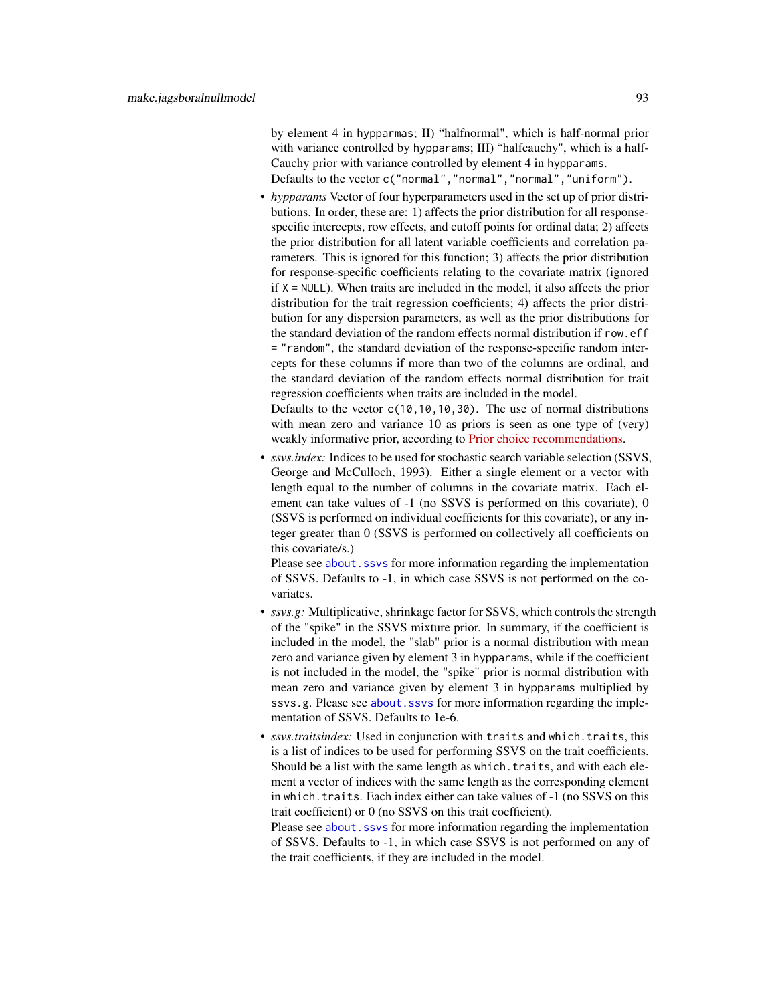by element 4 in hypparmas; II) "halfnormal", which is half-normal prior with variance controlled by hypparams; III) "halfcauchy", which is a half-Cauchy prior with variance controlled by element 4 in hypparams. Defaults to the vector c("normal","normal","normal","uniform").

• *hypparams* Vector of four hyperparameters used in the set up of prior distributions. In order, these are: 1) affects the prior distribution for all responsespecific intercepts, row effects, and cutoff points for ordinal data; 2) affects the prior distribution for all latent variable coefficients and correlation parameters. This is ignored for this function; 3) affects the prior distribution for response-specific coefficients relating to the covariate matrix (ignored if  $X = NULL$ ). When traits are included in the model, it also affects the prior distribution for the trait regression coefficients; 4) affects the prior distribution for any dispersion parameters, as well as the prior distributions for the standard deviation of the random effects normal distribution if row.eff = "random", the standard deviation of the response-specific random intercepts for these columns if more than two of the columns are ordinal, and the standard deviation of the random effects normal distribution for trait regression coefficients when traits are included in the model.

Defaults to the vector  $c(10,10,10,30)$ . The use of normal distributions with mean zero and variance 10 as priors is seen as one type of (very) weakly informative prior, according to [Prior choice recommendations.](https://github.com/stan-dev/stan/wiki/Prior-Choice-Recommendations)

• *ssvs.index:* Indices to be used for stochastic search variable selection (SSVS, George and McCulloch, 1993). Either a single element or a vector with length equal to the number of columns in the covariate matrix. Each element can take values of -1 (no SSVS is performed on this covariate), 0 (SSVS is performed on individual coefficients for this covariate), or any integer greater than 0 (SSVS is performed on collectively all coefficients on this covariate/s.)

Please see about. ssvs for more information regarding the implementation of SSVS. Defaults to -1, in which case SSVS is not performed on the covariates.

- *ssvs.g:* Multiplicative, shrinkage factor for SSVS, which controls the strength of the "spike" in the SSVS mixture prior. In summary, if the coefficient is included in the model, the "slab" prior is a normal distribution with mean zero and variance given by element 3 in hypparams, while if the coefficient is not included in the model, the "spike" prior is normal distribution with mean zero and variance given by element 3 in hypparams multiplied by ssvs.g. Please see about. ssvs for more information regarding the implementation of SSVS. Defaults to 1e-6.
- *ssvs.traitsindex:* Used in conjunction with traits and which.traits, this is a list of indices to be used for performing SSVS on the trait coefficients. Should be a list with the same length as which. traits, and with each element a vector of indices with the same length as the corresponding element in which.traits. Each index either can take values of -1 (no SSVS on this trait coefficient) or 0 (no SSVS on this trait coefficient).

Please see about. ssvs for more information regarding the implementation of SSVS. Defaults to -1, in which case SSVS is not performed on any of the trait coefficients, if they are included in the model.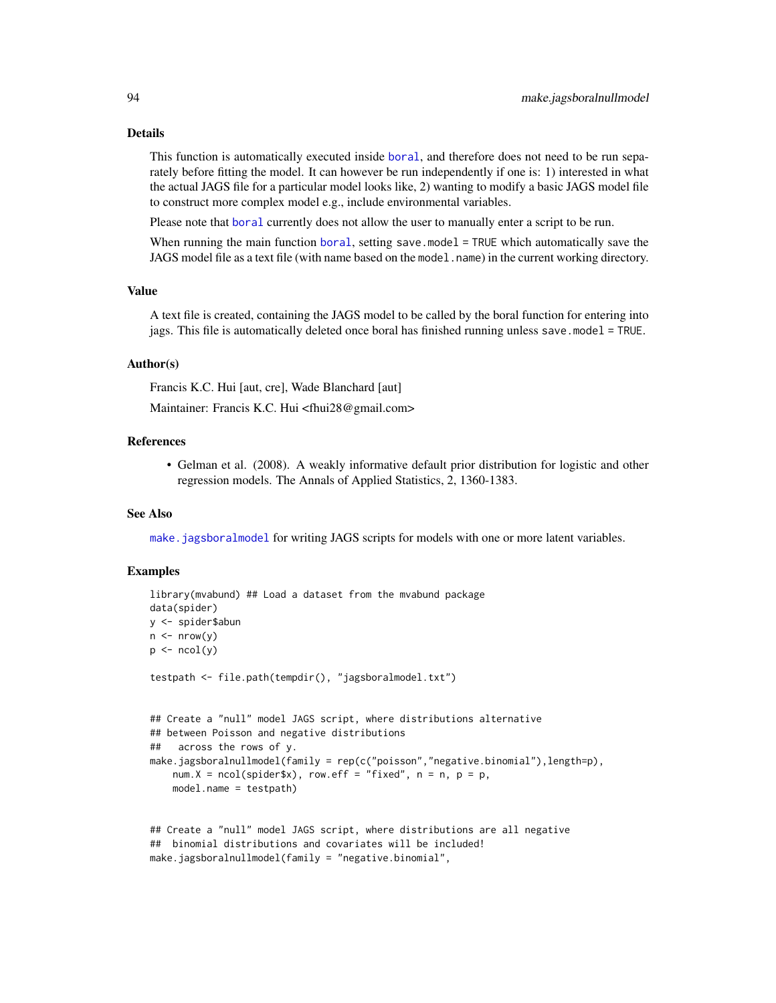#### Details

This function is automatically executed inside [boral](#page-16-0), and therefore does not need to be run separately before fitting the model. It can however be run independently if one is: 1) interested in what the actual JAGS file for a particular model looks like, 2) wanting to modify a basic JAGS model file to construct more complex model e.g., include environmental variables.

Please note that [boral](#page-16-0) currently does not allow the user to manually enter a script to be run.

When running the main function [boral](#page-16-0), setting save.model = TRUE which automatically save the JAGS model file as a text file (with name based on the model.name) in the current working directory.

# Value

A text file is created, containing the JAGS model to be called by the boral function for entering into jags. This file is automatically deleted once boral has finished running unless save.model = TRUE.

# Author(s)

Francis K.C. Hui [aut, cre], Wade Blanchard [aut]

Maintainer: Francis K.C. Hui <fhui28@gmail.com>

### References

• Gelman et al. (2008). A weakly informative default prior distribution for logistic and other regression models. The Annals of Applied Statistics, 2, 1360-1383.

#### See Also

[make.jagsboralmodel](#page-84-0) for writing JAGS scripts for models with one or more latent variables.

```
library(mvabund) ## Load a dataset from the mvabund package
data(spider)
y <- spider$abun
n \leq -nrow(y)p \leftarrow \text{ncol}(y)testpath <- file.path(tempdir(), "jagsboralmodel.txt")
## Create a "null" model JAGS script, where distributions alternative
## between Poisson and negative distributions
## across the rows of y.
make.jagsboralnullmodel(family = rep(c("poisson","negative.binomial"),length=p),
   num.X = ncol(spider$x), row.eff = "fixed", n = n, p = p,
   model.name = testpath)
## Create a "null" model JAGS script, where distributions are all negative
## binomial distributions and covariates will be included!
```

```
make.jagsboralnullmodel(family = "negative.binomial",
```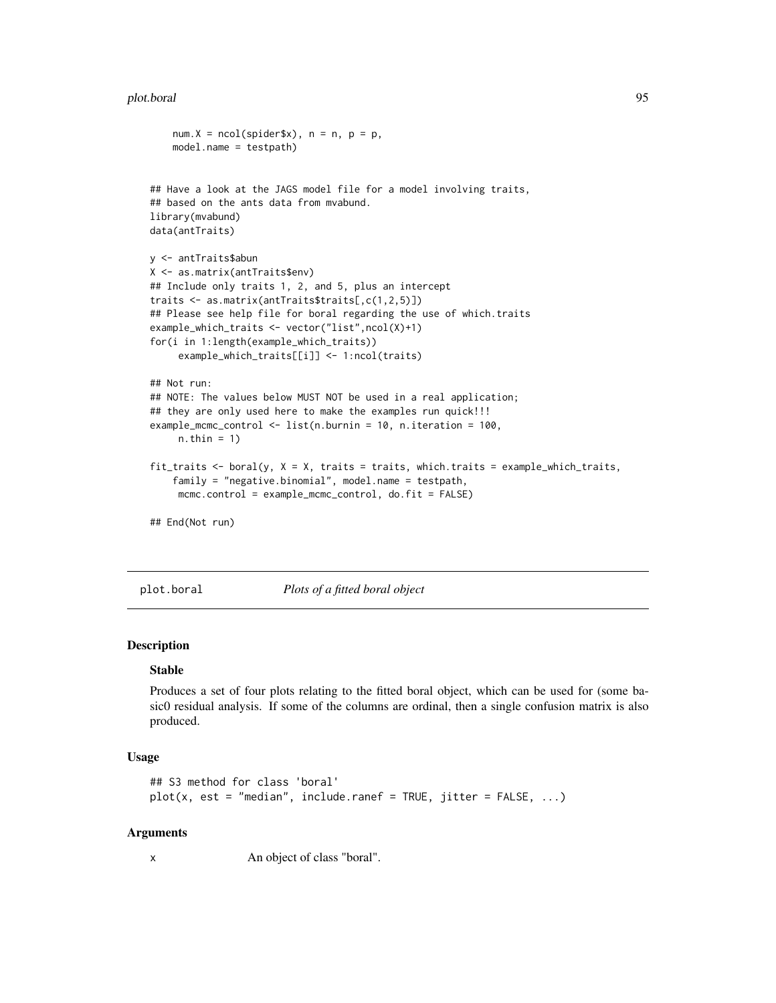#### plot.boral 95

```
num.X = ncol(spider$x), n = n, p = p,
   model.name = testpath)
## Have a look at the JAGS model file for a model involving traits,
## based on the ants data from mvabund.
library(mvabund)
data(antTraits)
y <- antTraits$abun
X <- as.matrix(antTraits$env)
## Include only traits 1, 2, and 5, plus an intercept
traits <- as.matrix(antTraits$traits[,c(1,2,5)])
## Please see help file for boral regarding the use of which.traits
example_which_traits <- vector("list",ncol(X)+1)
for(i in 1:length(example_which_traits))
     example_which_traits[[i]] <- 1:ncol(traits)
## Not run:
## NOTE: The values below MUST NOT be used in a real application;
## they are only used here to make the examples run quick!!!
example_mcmc_control <- list(n.burnin = 10, n.iteration = 100,
     n.thin = 1)
fit_traits <- boral(y, X = X, traits = traits, which.traits = example_which_traits,
    family = "negative.binomial", model.name = testpath,
    mcmc.control = example_mcmc_control, do.fit = FALSE)
## End(Not run)
```
plot.boral *Plots of a fitted boral object*

# **Description**

#### Stable

Produces a set of four plots relating to the fitted boral object, which can be used for (some basic0 residual analysis. If some of the columns are ordinal, then a single confusion matrix is also produced.

#### Usage

```
## S3 method for class 'boral'
plot(x, est = "median", include.random = TRUE, jitter = FALSE, ...)
```
#### Arguments

x An object of class "boral".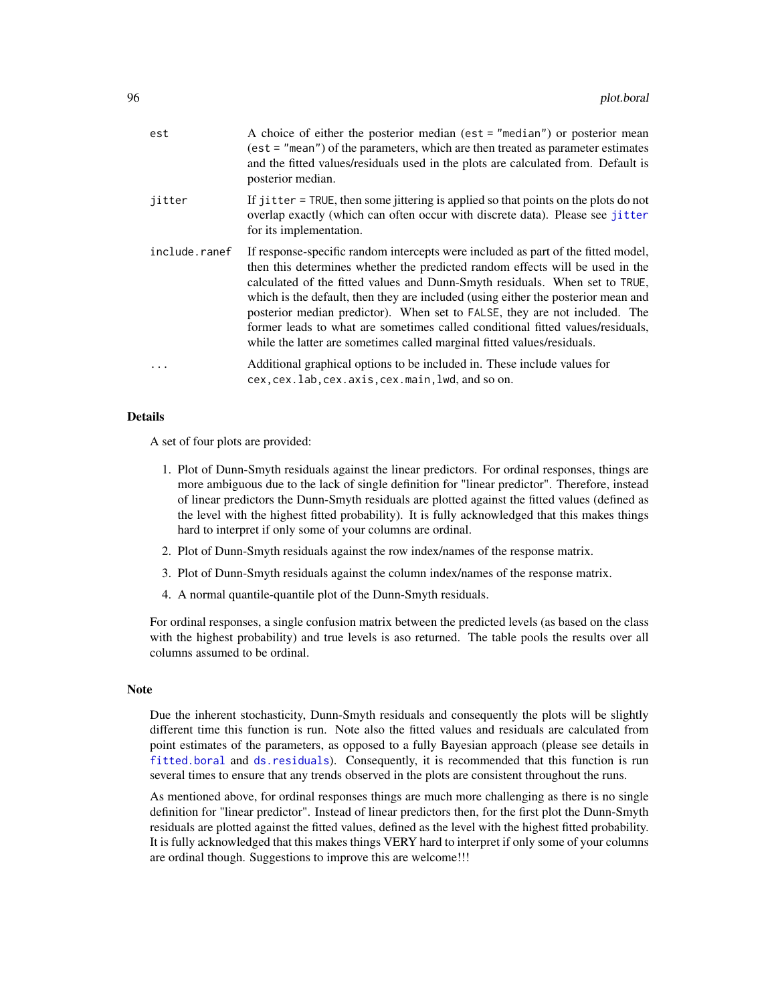| est           | A choice of either the posterior median (est $=$ "median") or posterior mean<br>$(est = "mean")$ of the parameters, which are then treated as parameter estimates<br>and the fitted values/residuals used in the plots are calculated from. Default is<br>posterior median.                                                                                                                                                                                                                                                                                                       |
|---------------|-----------------------------------------------------------------------------------------------------------------------------------------------------------------------------------------------------------------------------------------------------------------------------------------------------------------------------------------------------------------------------------------------------------------------------------------------------------------------------------------------------------------------------------------------------------------------------------|
| jitter        | If jitter = TRUE, then some jittering is applied so that points on the plots do not<br>overlap exactly (which can often occur with discrete data). Please see jitter<br>for its implementation.                                                                                                                                                                                                                                                                                                                                                                                   |
| include.ranef | If response-specific random intercepts were included as part of the fitted model,<br>then this determines whether the predicted random effects will be used in the<br>calculated of the fitted values and Dunn-Smyth residuals. When set to TRUE,<br>which is the default, then they are included (using either the posterior mean and<br>posterior median predictor). When set to FALSE, they are not included. The<br>former leads to what are sometimes called conditional fitted values/residuals,<br>while the latter are sometimes called marginal fitted values/residuals. |
| $\ddots$      | Additional graphical options to be included in. These include values for<br>cex, cex. lab, cex. axis, cex. main, lwd, and so on.                                                                                                                                                                                                                                                                                                                                                                                                                                                  |

### Details

A set of four plots are provided:

- 1. Plot of Dunn-Smyth residuals against the linear predictors. For ordinal responses, things are more ambiguous due to the lack of single definition for "linear predictor". Therefore, instead of linear predictors the Dunn-Smyth residuals are plotted against the fitted values (defined as the level with the highest fitted probability). It is fully acknowledged that this makes things hard to interpret if only some of your columns are ordinal.
- 2. Plot of Dunn-Smyth residuals against the row index/names of the response matrix.
- 3. Plot of Dunn-Smyth residuals against the column index/names of the response matrix.
- 4. A normal quantile-quantile plot of the Dunn-Smyth residuals.

For ordinal responses, a single confusion matrix between the predicted levels (as based on the class with the highest probability) and true levels is aso returned. The table pools the results over all columns assumed to be ordinal.

## **Note**

Due the inherent stochasticity, Dunn-Smyth residuals and consequently the plots will be slightly different time this function is run. Note also the fitted values and residuals are calculated from point estimates of the parameters, as opposed to a fully Bayesian approach (please see details in [fitted.boral](#page-60-0) and [ds.residuals](#page-58-0)). Consequently, it is recommended that this function is run several times to ensure that any trends observed in the plots are consistent throughout the runs.

As mentioned above, for ordinal responses things are much more challenging as there is no single definition for "linear predictor". Instead of linear predictors then, for the first plot the Dunn-Smyth residuals are plotted against the fitted values, defined as the level with the highest fitted probability. It is fully acknowledged that this makes things VERY hard to interpret if only some of your columns are ordinal though. Suggestions to improve this are welcome!!!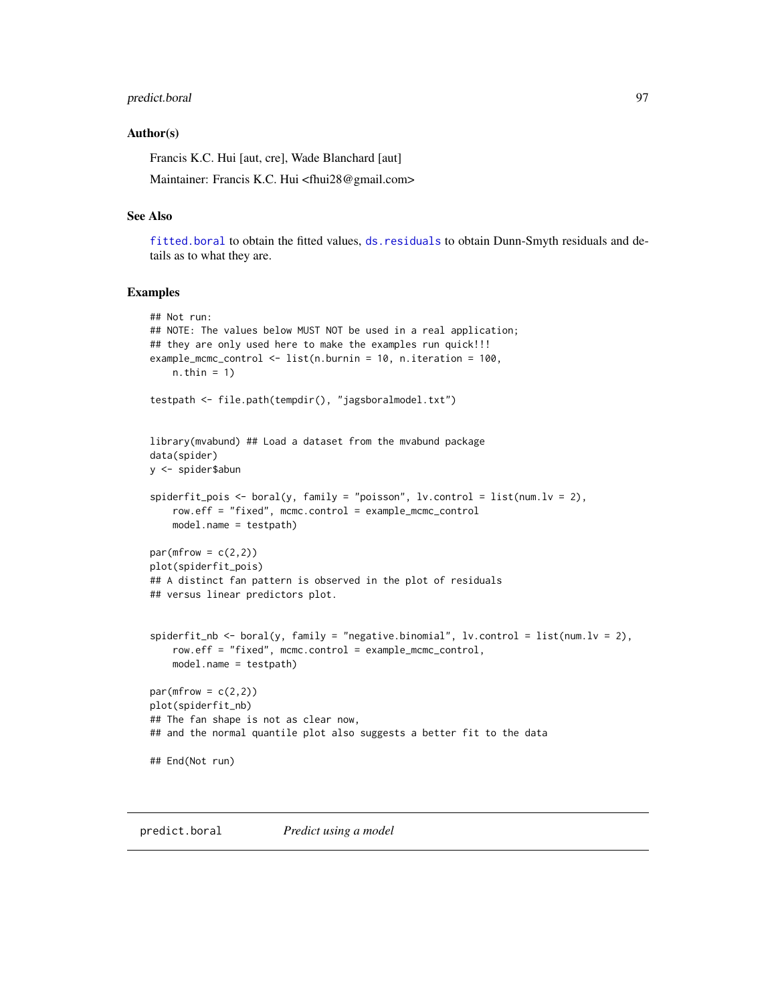# predict.boral 97

#### Author(s)

Francis K.C. Hui [aut, cre], Wade Blanchard [aut]

Maintainer: Francis K.C. Hui <fhui28@gmail.com>

### See Also

[fitted.boral](#page-60-0) to obtain the fitted values, [ds.residuals](#page-58-0) to obtain Dunn-Smyth residuals and details as to what they are.

### Examples

```
## Not run:
## NOTE: The values below MUST NOT be used in a real application;
## they are only used here to make the examples run quick!!!
example_mcmc_control <- list(n.burnin = 10, n.iteration = 100,
    n.thin = 1)
testpath <- file.path(tempdir(), "jagsboralmodel.txt")
library(mvabund) ## Load a dataset from the mvabund package
data(spider)
y <- spider$abun
spiderfit_pois <- boral(y, family = "poisson", lv.control = list(num.lv = 2),
   row.eff = "fixed", mcmc.control = example_mcmc_control
   model.name = testpath)
par(mfrow = c(2,2))plot(spiderfit_pois)
## A distinct fan pattern is observed in the plot of residuals
## versus linear predictors plot.
spiderfit_nb <- boral(y, family = "negative.binomial", lv.control = list(num.lv = 2),
    row.eff = "fixed", mcmc.control = example_mcmc_control,
    model.name = testpath)
par(mfrow = c(2,2))plot(spiderfit_nb)
## The fan shape is not as clear now,
## and the normal quantile plot also suggests a better fit to the data
## End(Not run)
```
predict.boral *Predict using a model*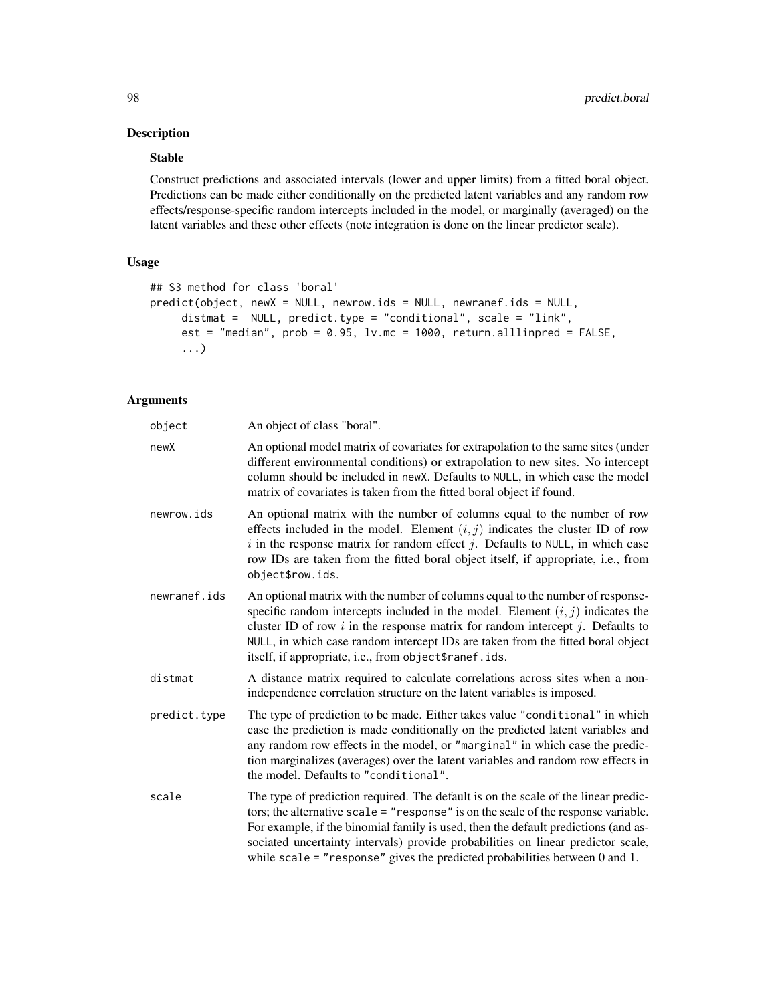# Description

# Stable

Construct predictions and associated intervals (lower and upper limits) from a fitted boral object. Predictions can be made either conditionally on the predicted latent variables and any random row effects/response-specific random intercepts included in the model, or marginally (averaged) on the latent variables and these other effects (note integration is done on the linear predictor scale).

### Usage

```
## S3 method for class 'boral'
predict(object, newX = NULL, newrow.ids = NULL, newranef.ids = NULL,
     distmat = NULL, predict.type = "conditional", scale = "link",
     est = "median", prob = 0.95, lv.mc = 1000, return.alllinpred = FALSE,
     ...)
```

| object       | An object of class "boral".                                                                                                                                                                                                                                                                                                                                                                                                              |
|--------------|------------------------------------------------------------------------------------------------------------------------------------------------------------------------------------------------------------------------------------------------------------------------------------------------------------------------------------------------------------------------------------------------------------------------------------------|
| newX         | An optional model matrix of covariates for extrapolation to the same sites (under<br>different environmental conditions) or extrapolation to new sites. No intercept<br>column should be included in newX. Defaults to NULL, in which case the model<br>matrix of covariates is taken from the fitted boral object if found.                                                                                                             |
| newrow.ids   | An optional matrix with the number of columns equal to the number of row<br>effects included in the model. Element $(i, j)$ indicates the cluster ID of row<br>i in the response matrix for random effect j. Defaults to NULL, in which case<br>row IDs are taken from the fitted boral object itself, if appropriate, i.e., from<br>object\$row.ids.                                                                                    |
| newranef.ids | An optional matrix with the number of columns equal to the number of response-<br>specific random intercepts included in the model. Element $(i, j)$ indicates the<br>cluster ID of row $i$ in the response matrix for random intercept $j$ . Defaults to<br>NULL, in which case random intercept IDs are taken from the fitted boral object<br>itself, if appropriate, i.e., from object\$ranef.ids.                                    |
| distmat      | A distance matrix required to calculate correlations across sites when a non-<br>independence correlation structure on the latent variables is imposed.                                                                                                                                                                                                                                                                                  |
| predict.type | The type of prediction to be made. Either takes value "conditional" in which<br>case the prediction is made conditionally on the predicted latent variables and<br>any random row effects in the model, or "marginal" in which case the predic-<br>tion marginalizes (averages) over the latent variables and random row effects in<br>the model. Defaults to "conditional".                                                             |
| scale        | The type of prediction required. The default is on the scale of the linear predic-<br>tors; the alternative scale $=$ "response" is on the scale of the response variable.<br>For example, if the binomial family is used, then the default predictions (and as-<br>sociated uncertainty intervals) provide probabilities on linear predictor scale,<br>while scale = "response" gives the predicted probabilities between $0$ and $1$ . |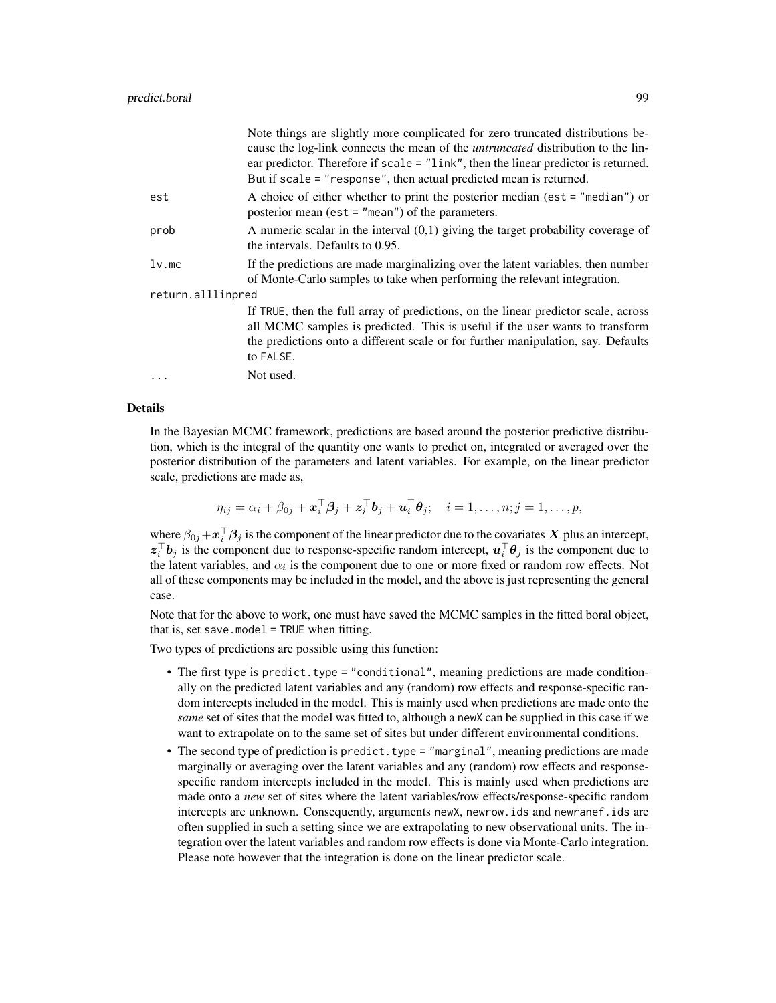|                   | Note things are slightly more complicated for zero truncated distributions be-<br>cause the log-link connects the mean of the <i>untruncated</i> distribution to the lin-<br>ear predictor. Therefore if $scale = "link", then the linear predictor is returned.$<br>But if scale = "response", then actual predicted mean is returned. |
|-------------------|-----------------------------------------------------------------------------------------------------------------------------------------------------------------------------------------------------------------------------------------------------------------------------------------------------------------------------------------|
| est               | A choice of either whether to print the posterior median (est $=$ "median") or<br>posterior mean (est = $"mean")$ of the parameters.                                                                                                                                                                                                    |
| prob              | A numeric scalar in the interval $(0,1)$ giving the target probability coverage of<br>the intervals. Defaults to 0.95.                                                                                                                                                                                                                  |
| $lv$ .mc          | If the predictions are made marginalizing over the latent variables, then number<br>of Monte-Carlo samples to take when performing the relevant integration.                                                                                                                                                                            |
| return.alllinpred |                                                                                                                                                                                                                                                                                                                                         |
|                   | If TRUE, then the full array of predictions, on the linear predictor scale, across<br>all MCMC samples is predicted. This is useful if the user wants to transform<br>the predictions onto a different scale or for further manipulation, say. Defaults<br>to FALSE.                                                                    |
|                   | Not used.                                                                                                                                                                                                                                                                                                                               |

#### Details

In the Bayesian MCMC framework, predictions are based around the posterior predictive distribution, which is the integral of the quantity one wants to predict on, integrated or averaged over the posterior distribution of the parameters and latent variables. For example, on the linear predictor scale, predictions are made as,

$$
\eta_{ij} = \alpha_i + \beta_{0j} + \boldsymbol{x}_i^{\top} \boldsymbol{\beta}_j + \boldsymbol{z}_i^{\top} \boldsymbol{b}_j + \boldsymbol{u}_i^{\top} \boldsymbol{\theta}_j; \quad i = 1, \ldots, n; j = 1, \ldots, p,
$$

where  $\beta_{0j} + \bm{x}_i^{\top} \bm{\beta}_j$  is the component of the linear predictor due to the covariates  $\bm{X}$  plus an intercept,  $z_i^{\top}b_j$  is the component due to response-specific random intercept,  $u_i^{\top}\theta_j$  is the component due to the latent variables, and  $\alpha_i$  is the component due to one or more fixed or random row effects. Not all of these components may be included in the model, and the above is just representing the general case.

Note that for the above to work, one must have saved the MCMC samples in the fitted boral object, that is, set save.model = TRUE when fitting.

Two types of predictions are possible using this function:

- The first type is predict.type = "conditional", meaning predictions are made conditionally on the predicted latent variables and any (random) row effects and response-specific random intercepts included in the model. This is mainly used when predictions are made onto the *same* set of sites that the model was fitted to, although a newX can be supplied in this case if we want to extrapolate on to the same set of sites but under different environmental conditions.
- The second type of prediction is predict. type  $=$  "marginal", meaning predictions are made marginally or averaging over the latent variables and any (random) row effects and responsespecific random intercepts included in the model. This is mainly used when predictions are made onto a *new* set of sites where the latent variables/row effects/response-specific random intercepts are unknown. Consequently, arguments newX, newrow.ids and newranef.ids are often supplied in such a setting since we are extrapolating to new observational units. The integration over the latent variables and random row effects is done via Monte-Carlo integration. Please note however that the integration is done on the linear predictor scale.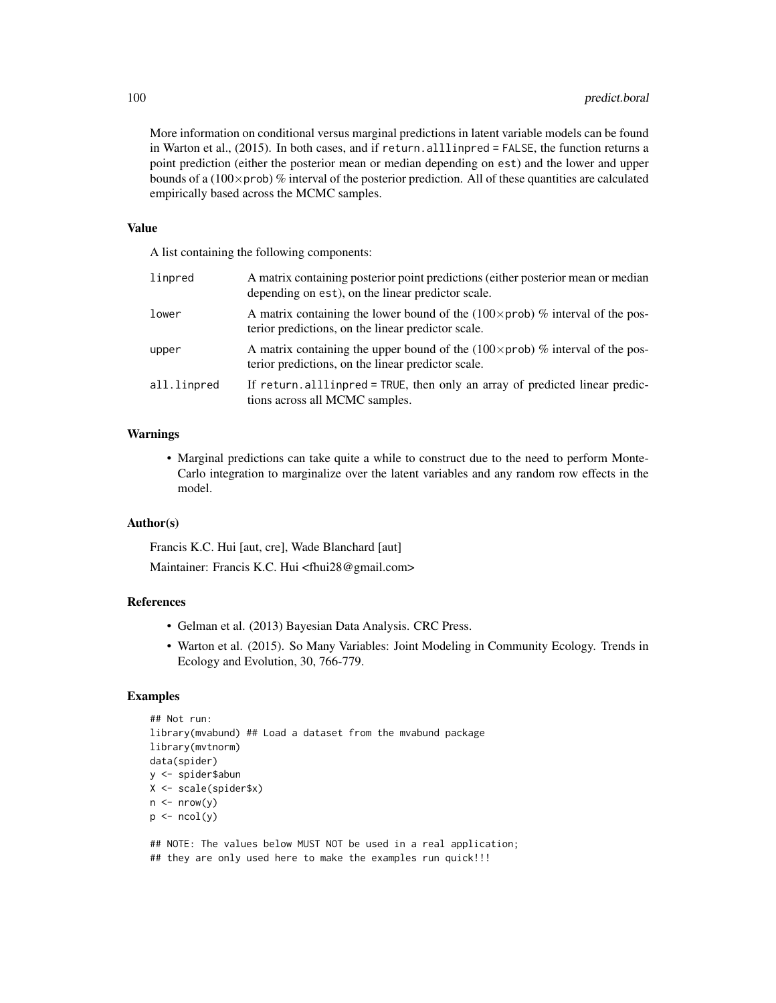More information on conditional versus marginal predictions in latent variable models can be found in Warton et al., (2015). In both cases, and if return.alllinpred = FALSE, the function returns a point prediction (either the posterior mean or median depending on est) and the lower and upper bounds of a ( $100\times$ prob) % interval of the posterior prediction. All of these quantities are calculated empirically based across the MCMC samples.

#### Value

A list containing the following components:

| linpred     | A matrix containing posterior point predictions (either posterior mean or median<br>depending on est), on the linear predictor scale.       |
|-------------|---------------------------------------------------------------------------------------------------------------------------------------------|
| lower       | A matrix containing the lower bound of the $(100 \times prob)$ % interval of the pos-<br>terior predictions, on the linear predictor scale. |
| upper       | A matrix containing the upper bound of the $(100 \times prob)$ % interval of the pos-<br>terior predictions, on the linear predictor scale. |
| all.linpred | If return all line of $=$ TRUE, then only an array of predicted linear predic-<br>tions across all MCMC samples.                            |

### Warnings

• Marginal predictions can take quite a while to construct due to the need to perform Monte-Carlo integration to marginalize over the latent variables and any random row effects in the model.

#### Author(s)

Francis K.C. Hui [aut, cre], Wade Blanchard [aut]

Maintainer: Francis K.C. Hui <fhui28@gmail.com>

#### References

- Gelman et al. (2013) Bayesian Data Analysis. CRC Press.
- Warton et al. (2015). So Many Variables: Joint Modeling in Community Ecology. Trends in Ecology and Evolution, 30, 766-779.

# Examples

```
## Not run:
library(mvabund) ## Load a dataset from the mvabund package
library(mvtnorm)
data(spider)
y <- spider$abun
X <- scale(spider$x)
n \leq -nrow(y)p \leftarrow \text{ncol}(y)
```
## NOTE: The values below MUST NOT be used in a real application; ## they are only used here to make the examples run quick!!!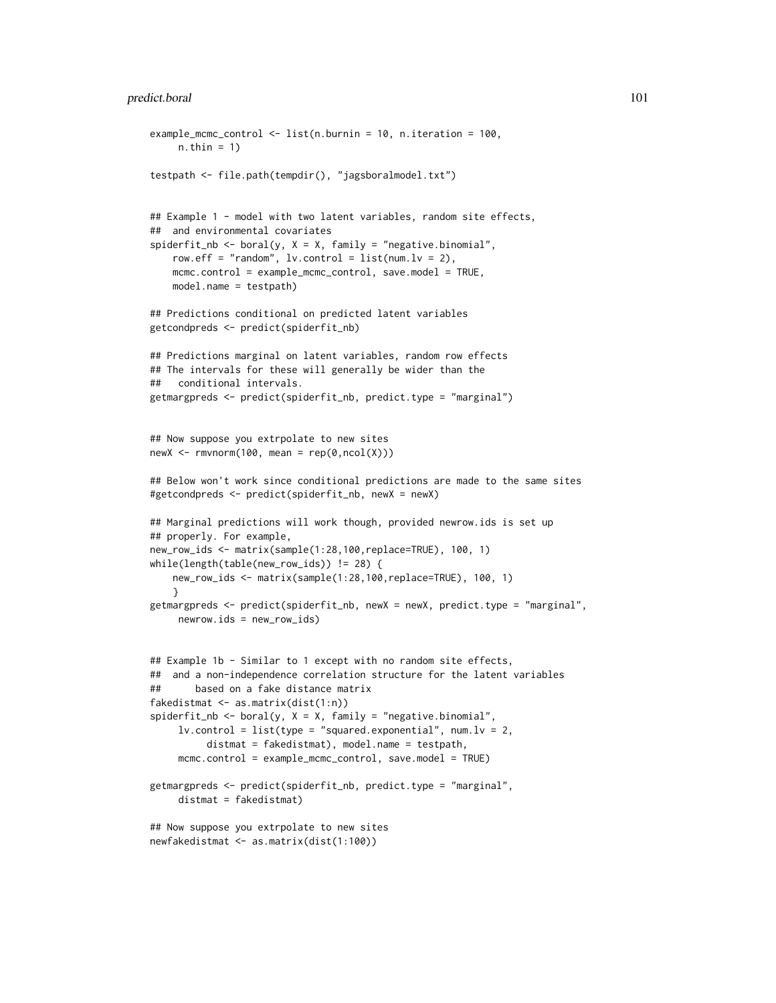```
example_mcmc_control <- list(n.burnin = 10, n.iteration = 100,
     n.thin = 1)
testpath <- file.path(tempdir(), "jagsboralmodel.txt")
## Example 1 - model with two latent variables, random site effects,
## and environmental covariates
spiderfit_nb <- boral(y, X = X, family = "negative.binomial",
    row.eff = "random", lv.contrib = list(num.lv = 2),
   mcmc.control = example_mcmc_control, save.model = TRUE,
   model.name = testpath)
## Predictions conditional on predicted latent variables
getcondpreds <- predict(spiderfit_nb)
## Predictions marginal on latent variables, random row effects
## The intervals for these will generally be wider than the
## conditional intervals.
getmargpreds <- predict(spiderfit_nb, predict.type = "marginal")
## Now suppose you extrpolate to new sites
newX <- rmvnorm(100, mean = rep(0, ncol(X)))## Below won't work since conditional predictions are made to the same sites
#getcondpreds <- predict(spiderfit_nb, newX = newX)
## Marginal predictions will work though, provided newrow.ids is set up
## properly. For example,
new_row_ids <- matrix(sample(1:28,100,replace=TRUE), 100, 1)
while(length(table(new_row_ids)) != 28) {
   new_row_ids <- matrix(sample(1:28,100,replace=TRUE), 100, 1)
    }
getmargpreds <- predict(spiderfit_nb, newX = newX, predict.type = "marginal",
     newrow.ids = new_row_ids)
## Example 1b - Similar to 1 except with no random site effects,
## and a non-independence correlation structure for the latent variables
## based on a fake distance matrix
fakedistmat <- as.matrix(dist(1:n))
spiderfit_nb \leftarrow boral(y, X = X, family = "negative.binomial",lv.contrib = list(type = "squared.evential", num.lv = 2,distmat = fakedistmat), model.name = testpath,
     mcmc.control = example_mcmc_control, save.model = TRUE)
getmargpreds <- predict(spiderfit_nb, predict.type = "marginal",
     distmat = fakedistmat)
## Now suppose you extrpolate to new sites
newfakedistmat <- as.matrix(dist(1:100))
```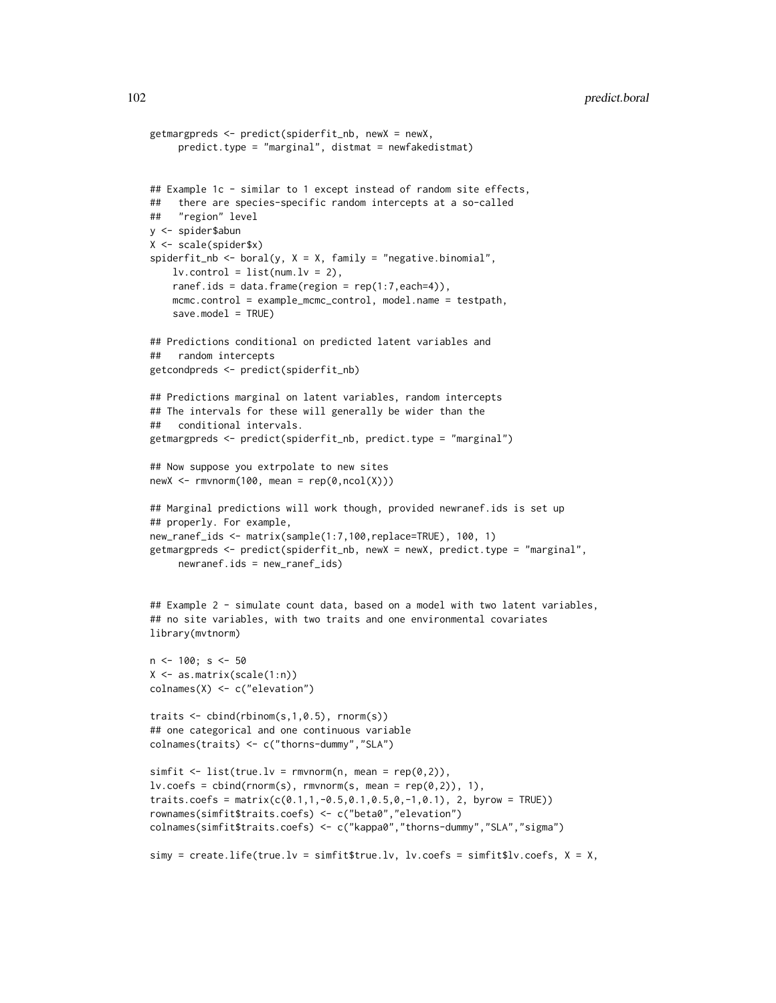```
getmargpreds <- predict(spiderfit_nb, newX = newX,
     predict.type = "marginal", distmat = newfakedistmat)
## Example 1c - similar to 1 except instead of random site effects,
## there are species-specific random intercepts at a so-called
## "region" level
y <- spider$abun
X <- scale(spider$x)
spiderfit_nb \leftarrow boral(y, X = X, family = "negative.binomial",lv. control = list(num.lv = 2),
    ranef.ids = data.frame(region = rep(1:7,each=4)),
    mcmc.control = example_mcmc_control, model.name = testpath,
    save.model = TRUE)
## Predictions conditional on predicted latent variables and
## random intercepts
getcondpreds <- predict(spiderfit_nb)
## Predictions marginal on latent variables, random intercepts
## The intervals for these will generally be wider than the
## conditional intervals.
getmargpreds <- predict(spiderfit_nb, predict.type = "marginal")
## Now suppose you extrpolate to new sites
newX <- rmorm(100, mean = rep(0, ncol(X)))## Marginal predictions will work though, provided newranef.ids is set up
## properly. For example,
new_ranef_ids <- matrix(sample(1:7,100,replace=TRUE), 100, 1)
getmargpreds <- predict(spiderfit_nb, newX = newX, predict.type = "marginal",
    newranef.ids = new_ranef_ids)
## Example 2 - simulate count data, based on a model with two latent variables,
## no site variables, with two traits and one environmental covariates
library(mvtnorm)
n <- 100; s <- 50
X <- as.matrix(scale(1:n))
colnames(X) <- c("elevation")
traits <- cbind(rbinom(s,1,0.5), rnorm(s))
## one categorical and one continuous variable
colnames(traits) <- c("thorns-dummy","SLA")
simfit \le list(true.lv = rmvnorm(n, mean = rep(0,2)),
lv.\text{coeffs} = \text{cbind}(rnorm(s), rmvnorm(s, mean = rep(0,2)), 1),traits.coefs = matrix(c(0.1,1,-0.5,0.1,0.5,0,-1,0.1), 2, byrow = TRUE))
rownames(simfit$traits.coefs) <- c("beta0","elevation")
colnames(simfit$traits.coefs) <- c("kappa0","thorns-dummy","SLA","sigma")
simy = create.life(true.lv = simfit$true.lv, lv.coefs = simfit$lv.coefs, X = X,
```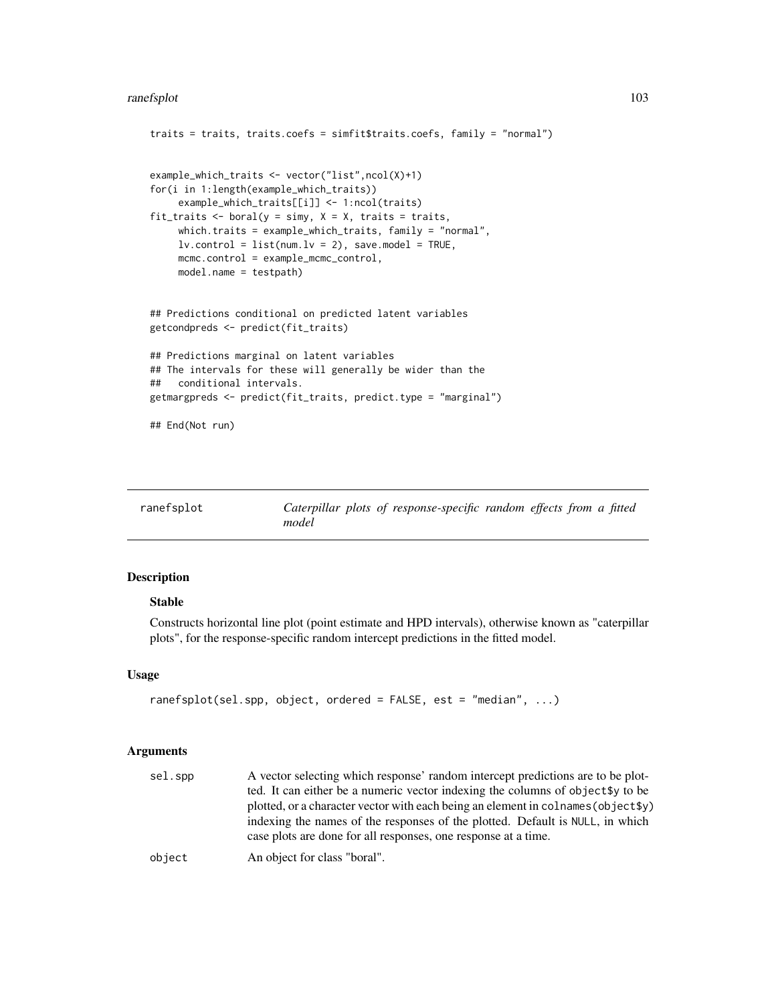```
traits = traits, traits.coefs = simfit$traits.coefs, family = "normal")
example_which_traits <- vector("list",ncol(X)+1)
for(i in 1:length(example_which_traits))
    example_which_traits[[i]] <- 1:ncol(traits)
fit_traits <- boral(y = simy, X = X, traits = traits,
     which.traits = example_which_traits, family = "normal",
    lv.contrib = list(num.lv = 2), save.model = TRUE,
    mcmc.control = example_mcmc_control,
    model.name = testpath)
## Predictions conditional on predicted latent variables
getcondpreds <- predict(fit_traits)
## Predictions marginal on latent variables
## The intervals for these will generally be wider than the
## conditional intervals.
getmargpreds <- predict(fit_traits, predict.type = "marginal")
## End(Not run)
```

| ranefsplot |       |  | Caterpillar plots of response-specific random effects from a fitted |  |  |  |
|------------|-------|--|---------------------------------------------------------------------|--|--|--|
|            | model |  |                                                                     |  |  |  |

# Description

# Stable

Constructs horizontal line plot (point estimate and HPD intervals), otherwise known as "caterpillar plots", for the response-specific random intercept predictions in the fitted model.

# Usage

```
ranefsplot(sel.spp, object, ordered = FALSE, est = "median", \ldots)
```

| sel.spp | A vector selecting which response' random intercept predictions are to be plot-    |
|---------|------------------------------------------------------------------------------------|
|         | ted. It can either be a numeric vector indexing the columns of object \$y to be    |
|         | plotted, or a character vector with each being an element in colnames (object \$y) |
|         | indexing the names of the responses of the plotted. Default is NULL, in which      |
|         | case plots are done for all responses, one response at a time.                     |
| object  | An object for class "boral".                                                       |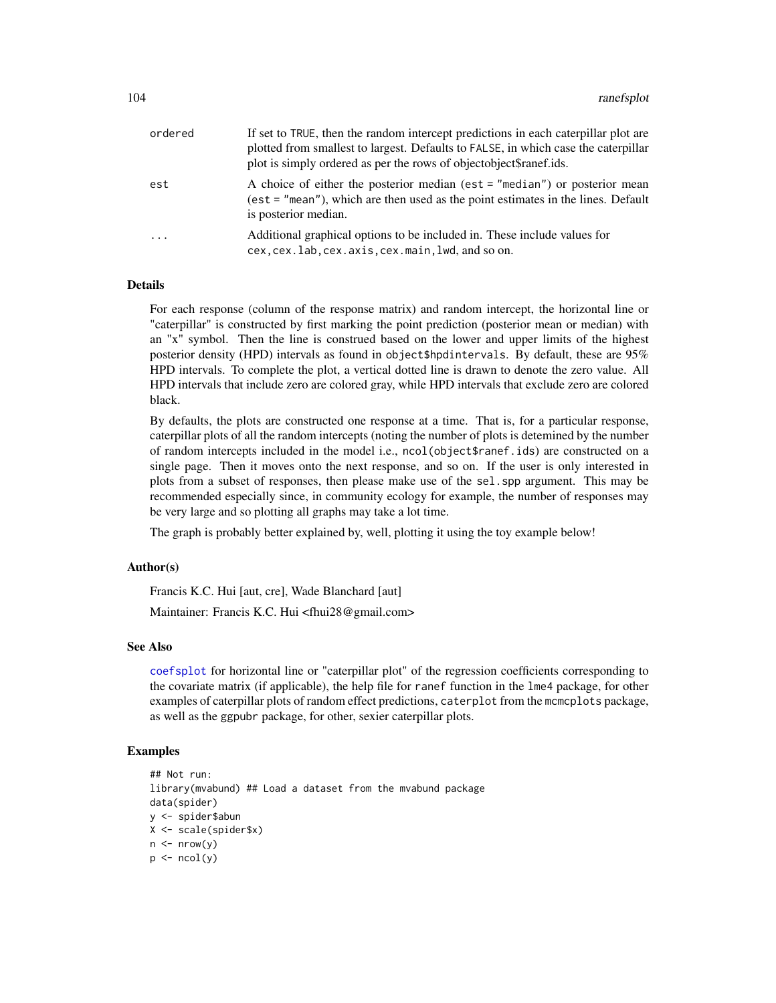| ordered | If set to TRUE, then the random intercept predictions in each caterpillar plot are<br>plotted from smallest to largest. Defaults to FALSE, in which case the caterpillar<br>plot is simply ordered as per the rows of objectobject\$ranef.ids. |
|---------|------------------------------------------------------------------------------------------------------------------------------------------------------------------------------------------------------------------------------------------------|
| est     | A choice of either the posterior median (est = "median") or posterior mean<br>(est = "mean"), which are then used as the point estimates in the lines. Default<br>is posterior median.                                                         |
| $\cdot$ | Additional graphical options to be included in. These include values for<br>cex, cex. lab, cex. axis, cex. main, lwd, and so on.                                                                                                               |

### Details

For each response (column of the response matrix) and random intercept, the horizontal line or "caterpillar" is constructed by first marking the point prediction (posterior mean or median) with an "x" symbol. Then the line is construed based on the lower and upper limits of the highest posterior density (HPD) intervals as found in object\$hpdintervals. By default, these are 95% HPD intervals. To complete the plot, a vertical dotted line is drawn to denote the zero value. All HPD intervals that include zero are colored gray, while HPD intervals that exclude zero are colored black.

By defaults, the plots are constructed one response at a time. That is, for a particular response, caterpillar plots of all the random intercepts (noting the number of plots is detemined by the number of random intercepts included in the model i.e., ncol(object\$ranef.ids) are constructed on a single page. Then it moves onto the next response, and so on. If the user is only interested in plots from a subset of responses, then please make use of the sel.spp argument. This may be recommended especially since, in community ecology for example, the number of responses may be very large and so plotting all graphs may take a lot time.

The graph is probably better explained by, well, plotting it using the toy example below!

#### Author(s)

Francis K.C. Hui [aut, cre], Wade Blanchard [aut]

Maintainer: Francis K.C. Hui <fhui28@gmail.com>

# See Also

[coefsplot](#page-47-0) for horizontal line or "caterpillar plot" of the regression coefficients corresponding to the covariate matrix (if applicable), the help file for ranef function in the lme4 package, for other examples of caterpillar plots of random effect predictions, caterplot from the mcmcplots package, as well as the ggpubr package, for other, sexier caterpillar plots.

```
## Not run:
library(mvabund) ## Load a dataset from the mvabund package
data(spider)
y <- spider$abun
X <- scale(spider$x)
n \leq -nrow(y)p \leftarrow \text{ncol}(y)
```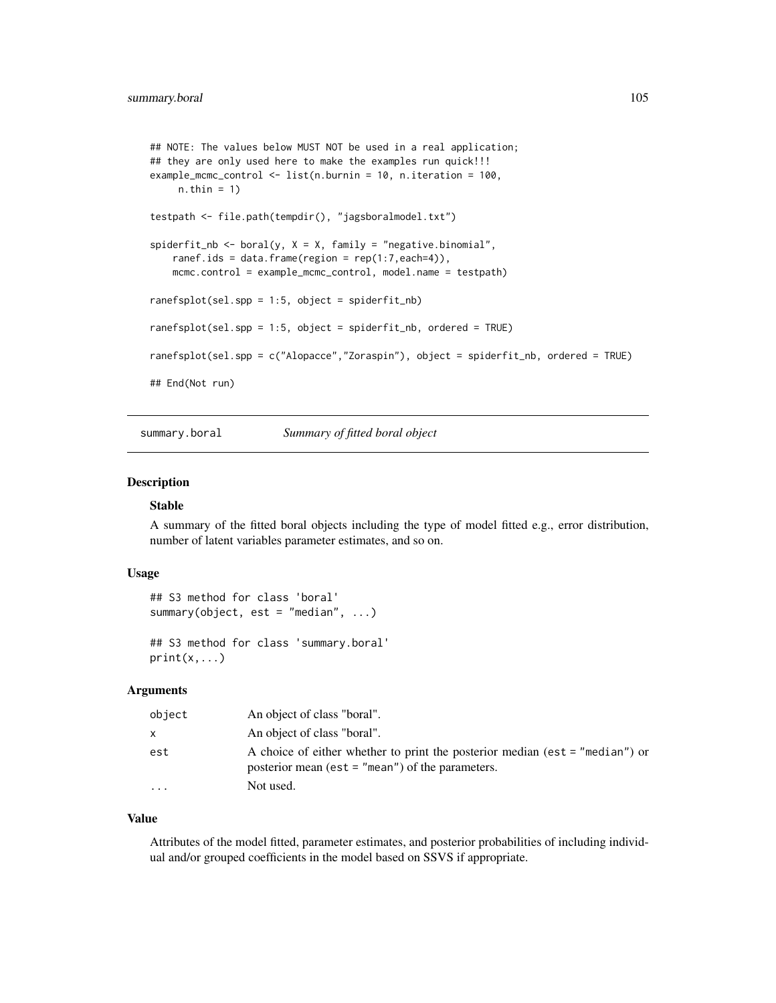```
## NOTE: The values below MUST NOT be used in a real application;
## they are only used here to make the examples run quick!!!
example_mcmc_control <- list(n.burnin = 10, n.iteration = 100,
    n.thin = 1)
testpath <- file.path(tempdir(), "jagsboralmodel.txt")
spiderfit_nb <- boral(y, X = X, family = "negative.binomial",
    ranef.ids = data.frame(region = rep(1:7,each=4)),
   mcmc.control = example_mcmc_control, model.name = testpath)
ranefsplot(sel.spp = 1:5, object = spiderfit_nb)
ranefsplot(sel.spp = 1:5, object = spiderfit_nb, ordered = TRUE)
ranefsplot(sel.spp = c("Alopacce","Zoraspin"), object = spiderfit_nb, ordered = TRUE)
## End(Not run)
```
summary.boral *Summary of fitted boral object*

# Description

#### Stable

A summary of the fitted boral objects including the type of model fitted e.g., error distribution, number of latent variables parameter estimates, and so on.

### Usage

```
## S3 method for class 'boral'
summary(object, est = "median", ...)
## S3 method for class 'summary.boral'
```

```
print(x, \ldots)
```
## **Arguments**

| object   | An object of class "boral".                                                                                                          |
|----------|--------------------------------------------------------------------------------------------------------------------------------------|
| X.       | An object of class "boral".                                                                                                          |
| est      | A choice of either whether to print the posterior median (est $=$ "median") or<br>posterior mean (est $=$ "mean") of the parameters. |
| $\cdots$ | Not used.                                                                                                                            |

#### Value

Attributes of the model fitted, parameter estimates, and posterior probabilities of including individual and/or grouped coefficients in the model based on SSVS if appropriate.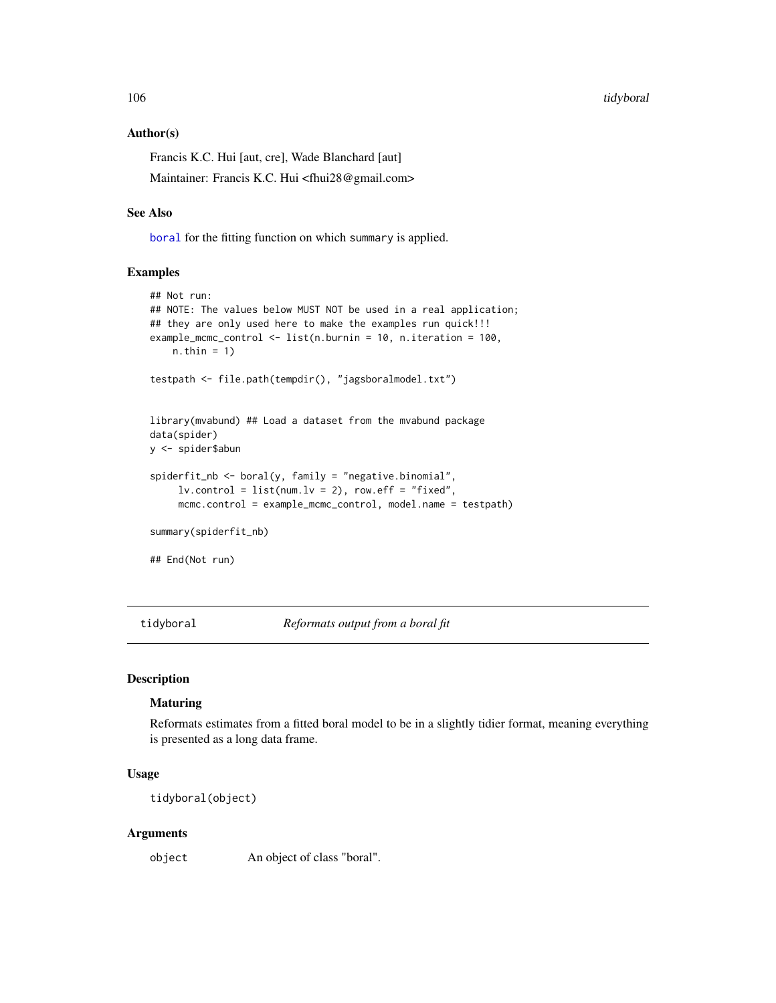106 tidyboral control of the control of the control of the control of the control of the control of the control of the control of the control of the control of the control of the control of the control of the control of th

#### Author(s)

Francis K.C. Hui [aut, cre], Wade Blanchard [aut]

Maintainer: Francis K.C. Hui <fhui28@gmail.com>

### See Also

[boral](#page-16-0) for the fitting function on which summary is applied.

# Examples

```
## Not run:
## NOTE: The values below MUST NOT be used in a real application;
## they are only used here to make the examples run quick!!!
example_mcmc_control <- list(n.burnin = 10, n.iteration = 100,
   n.thin = 1)
testpath <- file.path(tempdir(), "jagsboralmodel.txt")
library(mvabund) ## Load a dataset from the mvabund package
data(spider)
y <- spider$abun
spiderfit_nb <- boral(y, family = "negative.binomial",
     lv. control = list(num.lv = 2), row.eff = "fixed",
     mcmc.control = example_mcmc_control, model.name = testpath)
summary(spiderfit_nb)
## End(Not run)
```
tidyboral *Reformats output from a boral fit*

### Description

## **Maturing**

Reformats estimates from a fitted boral model to be in a slightly tidier format, meaning everything is presented as a long data frame.

# Usage

tidyboral(object)

#### Arguments

object An object of class "boral".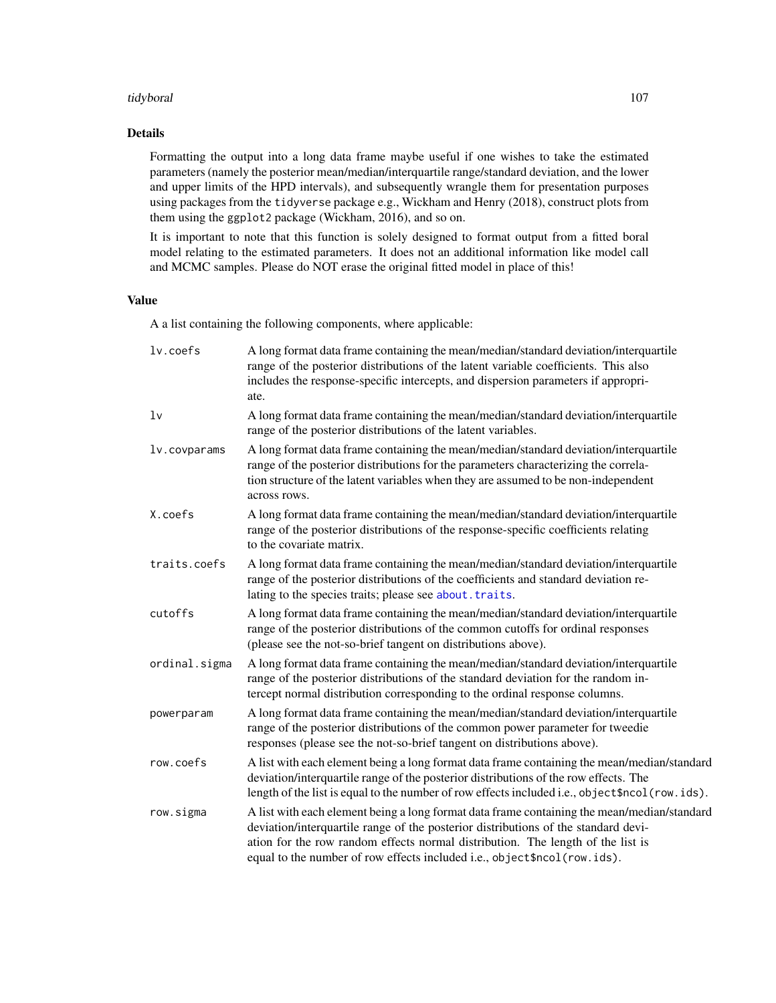### tidyboral 107

# Details

Formatting the output into a long data frame maybe useful if one wishes to take the estimated parameters (namely the posterior mean/median/interquartile range/standard deviation, and the lower and upper limits of the HPD intervals), and subsequently wrangle them for presentation purposes using packages from the tidyverse package e.g., Wickham and Henry (2018), construct plots from them using the ggplot2 package (Wickham, 2016), and so on.

It is important to note that this function is solely designed to format output from a fitted boral model relating to the estimated parameters. It does not an additional information like model call and MCMC samples. Please do NOT erase the original fitted model in place of this!

# Value

A a list containing the following components, where applicable:

| lv.coefs       | A long format data frame containing the mean/median/standard deviation/interquartile<br>range of the posterior distributions of the latent variable coefficients. This also<br>includes the response-specific intercepts, and dispersion parameters if appropri-<br>ate.                                                                         |
|----------------|--------------------------------------------------------------------------------------------------------------------------------------------------------------------------------------------------------------------------------------------------------------------------------------------------------------------------------------------------|
| 1 <sub>v</sub> | A long format data frame containing the mean/median/standard deviation/interquartile<br>range of the posterior distributions of the latent variables.                                                                                                                                                                                            |
| lv.covparams   | A long format data frame containing the mean/median/standard deviation/interquartile<br>range of the posterior distributions for the parameters characterizing the correla-<br>tion structure of the latent variables when they are assumed to be non-independent<br>across rows.                                                                |
| X.coefs        | A long format data frame containing the mean/median/standard deviation/interquartile<br>range of the posterior distributions of the response-specific coefficients relating<br>to the covariate matrix.                                                                                                                                          |
| traits.coefs   | A long format data frame containing the mean/median/standard deviation/interquartile<br>range of the posterior distributions of the coefficients and standard deviation re-<br>lating to the species traits; please see about. traits.                                                                                                           |
| cutoffs        | A long format data frame containing the mean/median/standard deviation/interquartile<br>range of the posterior distributions of the common cutoffs for ordinal responses<br>(please see the not-so-brief tangent on distributions above).                                                                                                        |
| ordinal.sigma  | A long format data frame containing the mean/median/standard deviation/interquartile<br>range of the posterior distributions of the standard deviation for the random in-<br>tercept normal distribution corresponding to the ordinal response columns.                                                                                          |
| powerparam     | A long format data frame containing the mean/median/standard deviation/interquartile<br>range of the posterior distributions of the common power parameter for tweedie<br>responses (please see the not-so-brief tangent on distributions above).                                                                                                |
| row.coefs      | A list with each element being a long format data frame containing the mean/median/standard<br>deviation/interquartile range of the posterior distributions of the row effects. The<br>length of the list is equal to the number of row effects included i.e., object \$ncol (row.ids).                                                          |
| row.sigma      | A list with each element being a long format data frame containing the mean/median/standard<br>deviation/interquartile range of the posterior distributions of the standard devi-<br>ation for the row random effects normal distribution. The length of the list is<br>equal to the number of row effects included i.e., object\$ncol(row.ids). |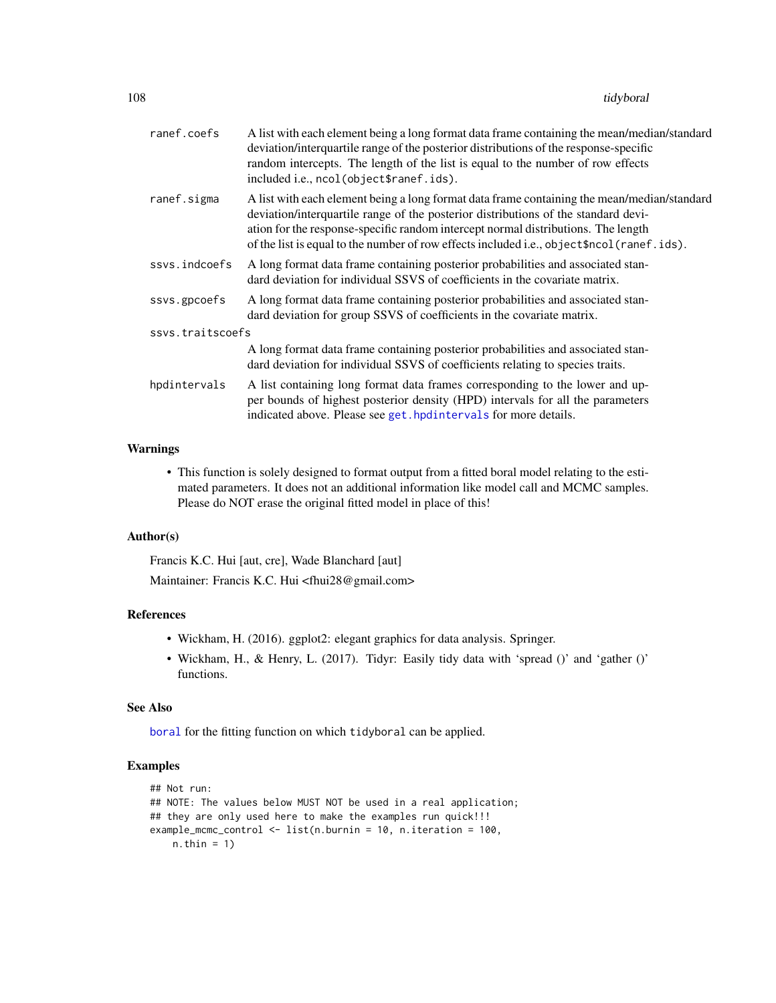| ranef.coefs      | A list with each element being a long format data frame containing the mean/median/standard<br>deviation/interquartile range of the posterior distributions of the response-specific<br>random intercepts. The length of the list is equal to the number of row effects<br>included i.e., ncol(object\$ranef.ids).                                                    |
|------------------|-----------------------------------------------------------------------------------------------------------------------------------------------------------------------------------------------------------------------------------------------------------------------------------------------------------------------------------------------------------------------|
| ranef.sigma      | A list with each element being a long format data frame containing the mean/median/standard<br>deviation/interquartile range of the posterior distributions of the standard devi-<br>ation for the response-specific random intercept normal distributions. The length<br>of the list is equal to the number of row effects included i.e., object \$ncol (ranef.ids). |
| ssys.indcoefs    | A long format data frame containing posterior probabilities and associated stan-<br>dard deviation for individual SSVS of coefficients in the covariate matrix.                                                                                                                                                                                                       |
| ssvs.gpcoefs     | A long format data frame containing posterior probabilities and associated stan-<br>dard deviation for group SSVS of coefficients in the covariate matrix.                                                                                                                                                                                                            |
| ssys.traitscoefs |                                                                                                                                                                                                                                                                                                                                                                       |
|                  | A long format data frame containing posterior probabilities and associated stan-<br>dard deviation for individual SSVS of coefficients relating to species traits.                                                                                                                                                                                                    |
| hpdintervals     | A list containing long format data frames corresponding to the lower and up-<br>per bounds of highest posterior density (HPD) intervals for all the parameters<br>indicated above. Please see get. hpdintervals for more details.                                                                                                                                     |

# Warnings

• This function is solely designed to format output from a fitted boral model relating to the estimated parameters. It does not an additional information like model call and MCMC samples. Please do NOT erase the original fitted model in place of this!

# Author(s)

Francis K.C. Hui [aut, cre], Wade Blanchard [aut] Maintainer: Francis K.C. Hui <fhui28@gmail.com>

# References

- Wickham, H. (2016). ggplot2: elegant graphics for data analysis. Springer.
- Wickham, H., & Henry, L. (2017). Tidyr: Easily tidy data with 'spread ()' and 'gather ()' functions.

### See Also

[boral](#page-16-0) for the fitting function on which tidyboral can be applied.

```
## Not run:
## NOTE: The values below MUST NOT be used in a real application;
## they are only used here to make the examples run quick!!!
example_mcmc_control <- list(n.burnin = 10, n.iteration = 100,
   n.thin = 1)
```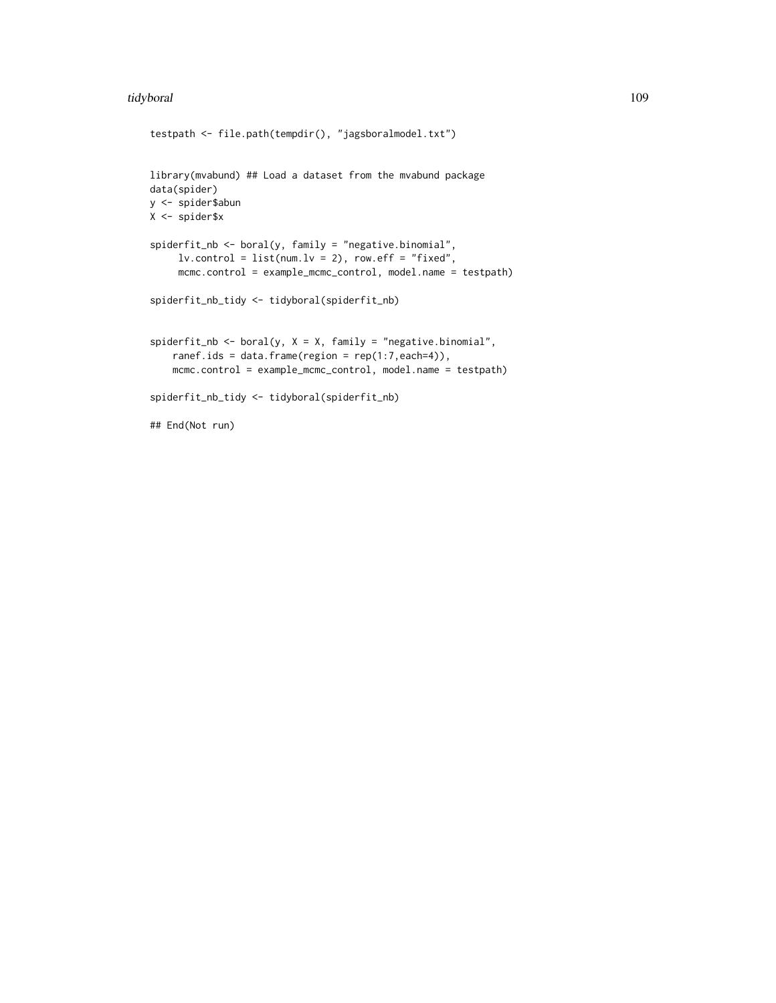## tidyboral 109

```
testpath <- file.path(tempdir(), "jagsboralmodel.txt")
library(mvabund) ## Load a dataset from the mvabund package
data(spider)
y <- spider$abun
X <- spider$x
spiderfit_nb <- boral(y, family = "negative.binomial",
     lv.contrib = list(num.lv = 2), row.eff = "fixed",
     mcmc.control = example_mcmc_control, model.name = testpath)
spiderfit_nb_tidy <- tidyboral(spiderfit_nb)
spiderfit_nb \leftarrow boral(y, X = X, family = "negative.binomial",ranef.ids = data.frame(region = rep(1:7,each=4)),
    mcmc.control = example_mcmc_control, model.name = testpath)
spiderfit_nb_tidy <- tidyboral(spiderfit_nb)
## End(Not run)
```